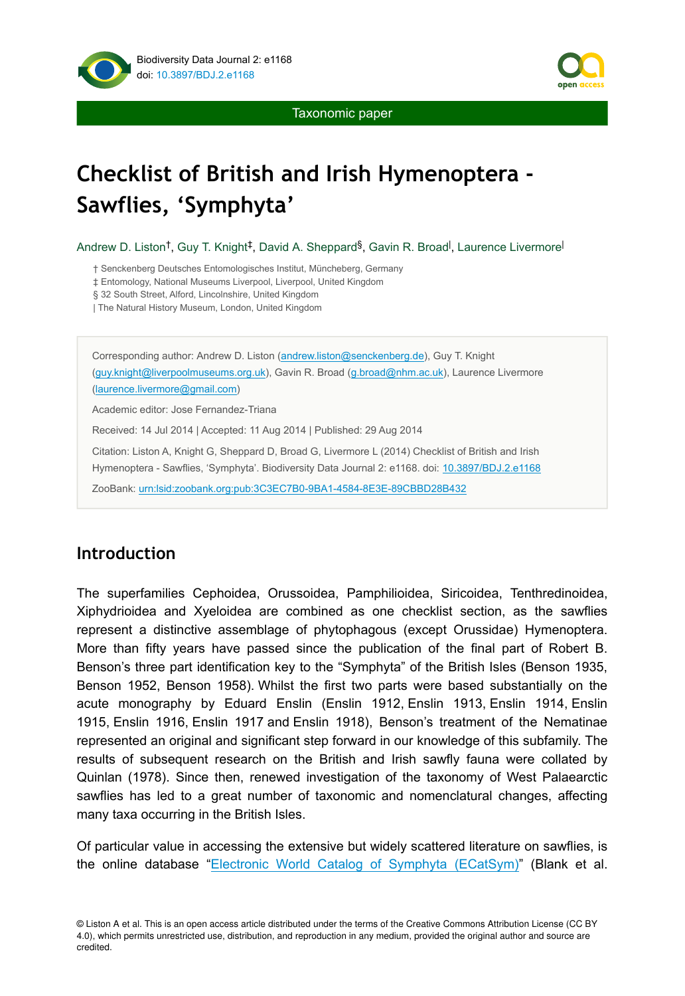



Taxonomic paper

# **Checklist of British and Irish Hymenoptera - Sawflies, 'Symphyta'**

Andrew D. Liston<sup>†</sup>, Guy T. Knight<sup>‡</sup>, David A. Sheppard<sup>§</sup>, Gavin R. Broad<sup>|</sup>, Laurence Livermore<sup>|</sup>

† Senckenberg Deutsches Entomologisches Institut, Müncheberg, Germany

‡ Entomology, National Museums Liverpool, Liverpool, United Kingdom

§ 32 South Street, Alford, Lincolnshire, United Kingdom

| The Natural History Museum, London, United Kingdom

Corresponding author: Andrew D. Liston ([andrew.liston@senckenberg.de\)](mailto:andrew.liston@senckenberg.de), Guy T. Knight [\(guy.knight@liverpoolmuseums.org.uk\)](mailto:guy.knight@liverpoolmuseums.org.uk), Gavin R. Broad ([g.broad@nhm.ac.uk\)](mailto:g.broad@nhm.ac.uk), Laurence Livermore [\(laurence.livermore@gmail.com\)](mailto:laurence.livermore@gmail.com) Academic editor: Jose Fernandez-Triana

Received: 14 Jul 2014 | Accepted: 11 Aug 2014 | Published: 29 Aug 2014

Citation: Liston A, Knight G, Sheppard D, Broad G, Livermore L (2014) Checklist of British and Irish Hymenoptera - Sawflies, 'Symphyta'. Biodiversity Data Journal 2: e1168. doi: [10.3897/BDJ.2.e1168](http://dx.doi.org/10.3897/BDJ.2.e1168)

ZooBank: [urn:lsid:zoobank.org:pub:3C3EC7B0-9BA1-4584-8E3E-89CBBD28B432](http://zoobank.org/3C3EC7B0-9BA1-4584-8E3E-89CBBD28B432)

# **Introduction**

The superfamilies Cephoidea, Orussoidea, Pamphilioidea, Siricoidea, Tenthredinoidea, Xiphydrioidea and Xyeloidea are combined as one checklist section, as the sawflies represent a distinctive assemblage of phytophagous (except Orussidae) Hymenoptera. More than fifty years have passed since the publication of the final part of Robert B. Benson's three part identification key to the "Symphyta" of the British Isles (Benson 1935, Benson 1952, Benson 1958). Whilst the first two parts were based substantially on the acute monography by Eduard Enslin (Enslin 1912, Enslin 1913, Enslin 1914, Enslin 1915, Enslin 1916, Enslin 1917 and Enslin 1918), Benson's treatment of the Nematinae represented an original and significant step forward in our knowledge of this subfamily. The results of subsequent research on the British and Irish sawfly fauna were collated by Quinlan (1978). Since then, renewed investigation of the taxonomy of West Palaearctic sawflies has led to a great number of taxonomic and nomenclatural changes, affecting many taxa occurring in the British Isles.

Of particular value in accessing the extensive but widely scattered literature on sawflies, is the online database ["Electronic World Catalog of Symphyta \(ECatSym\)"](http://sdei.senckenberg.de/ecatsym/) (Blank et al.

© Liston A et al. This is an open access article distributed under the terms of the Creative Commons Attribution License (CC BY 4.0), which permits unrestricted use, distribution, and reproduction in any medium, provided the original author and source are credited.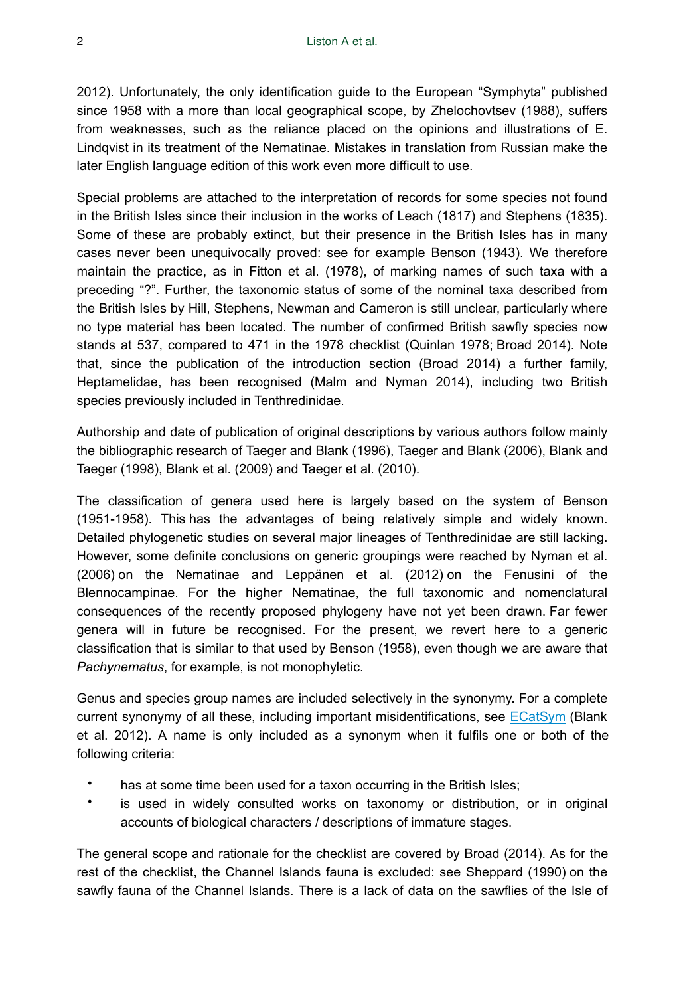2012). Unfortunately, the only identification guide to the European "Symphyta" published since 1958 with a more than local geographical scope, by Zhelochovtsev (1988), suffers from weaknesses, such as the reliance placed on the opinions and illustrations of E. Lindqvist in its treatment of the Nematinae. Mistakes in translation from Russian make the later English language edition of this work even more difficult to use.

Special problems are attached to the interpretation of records for some species not found in the British Isles since their inclusion in the works of Leach (1817) and Stephens (1835). Some of these are probably extinct, but their presence in the British Isles has in many cases never been unequivocally proved: see for example Benson (1943). We therefore maintain the practice, as in Fitton et al. (1978), of marking names of such taxa with a preceding "?". Further, the taxonomic status of some of the nominal taxa described from the British Isles by Hill, Stephens, Newman and Cameron is still unclear, particularly where no type material has been located. The number of confirmed British sawfly species now stands at 537, compared to 471 in the 1978 checklist (Quinlan 1978; Broad 2014). Note that, since the publication of the introduction section (Broad 2014) a further family, Heptamelidae, has been recognised (Malm and Nyman 2014), including two British species previously included in Tenthredinidae.

Authorship and date of publication of original descriptions by various authors follow mainly the bibliographic research of Taeger and Blank (1996), Taeger and Blank (2006), Blank and Taeger (1998), Blank et al. (2009) and Taeger et al. (2010).

The classification of genera used here is largely based on the system of Benson (1951-1958). This has the advantages of being relatively simple and widely known. Detailed phylogenetic studies on several major lineages of Tenthredinidae are still lacking. However, some definite conclusions on generic groupings were reached by Nyman et al. (2006) on the Nematinae and Leppänen et al. (2012) on the Fenusini of the Blennocampinae. For the higher Nematinae, the full taxonomic and nomenclatural consequences of the recently proposed phylogeny have not yet been drawn. Far fewer genera will in future be recognised. For the present, we revert here to a generic classification that is similar to that used by Benson (1958), even though we are aware that *Pachynematus*, for example, is not monophyletic.

Genus and species group names are included selectively in the synonymy. For a complete current synonymy of all these, including important misidentifications, see [ECatSym](http://sdei.senckenberg.de/ecatsym/) (Blank et al. 2012). A name is only included as a synonym when it fulfils one or both of the following criteria:

- has at some time been used for a taxon occurring in the British Isles;
- is used in widely consulted works on taxonomy or distribution, or in original accounts of biological characters / descriptions of immature stages.

The general scope and rationale for the checklist are covered by Broad (2014). As for the rest of the checklist, the Channel Islands fauna is excluded: see Sheppard (1990) on the sawfly fauna of the Channel Islands. There is a lack of data on the sawflies of the Isle of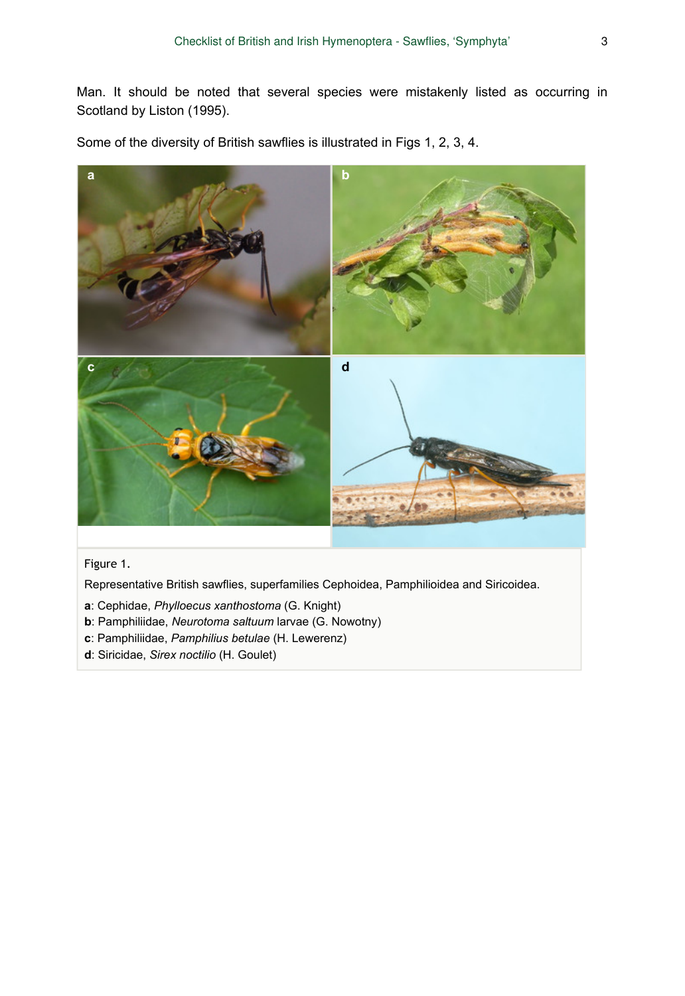Man. It should be noted that several species were mistakenly listed as occurring in Scotland by Liston (1995).

Some of the diversity of British sawflies is illustrated in Figs 1, 2, 3, 4.



### Figure 1.

Representative British sawflies, superfamilies Cephoidea, Pamphilioidea and Siricoidea.

- **a**: Cephidae, *Phylloecus xanthostoma* (G. Knight)
- **b**: Pamphiliidae, *Neurotoma saltuum* larvae (G. Nowotny)
- **c**: Pamphiliidae, *Pamphilius betulae* (H. Lewerenz)
- **d**: Siricidae, *Sirex noctilio* (H. Goulet)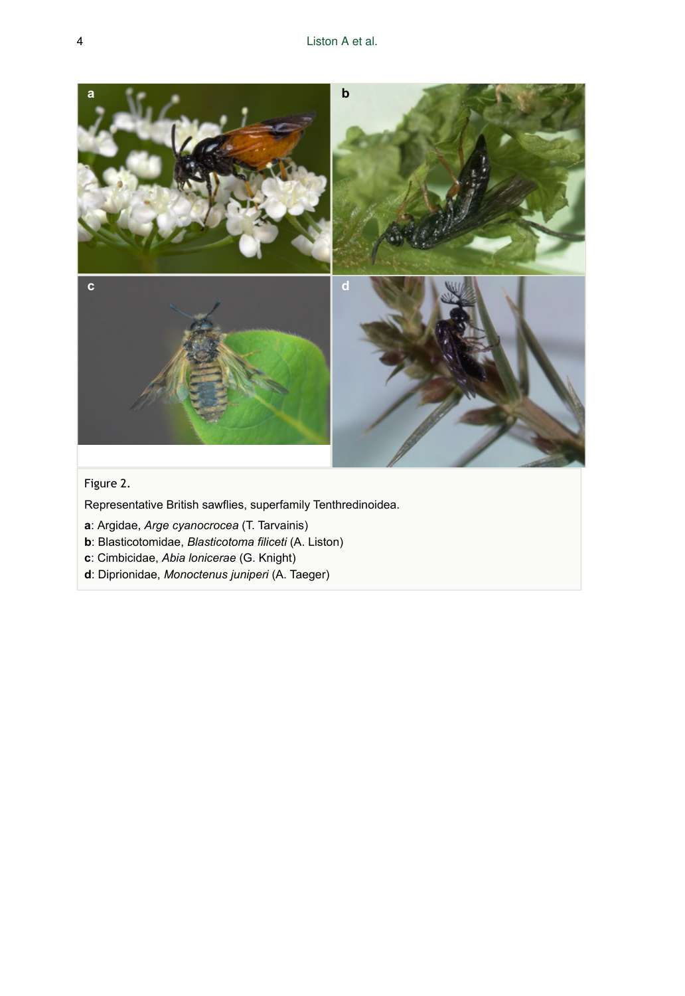

# Figure 2.

Representative British sawflies, superfamily Tenthredinoidea.

- **a**: Argidae, *Arge cyanocrocea* (T. Tarvainis)
- **b**: Blasticotomidae, *Blasticotoma filiceti* (A. Liston)
- **c**: Cimbicidae, *Abia lonicerae* (G. Knight)
- **d**: Diprionidae, *Monoctenus juniperi* (A. Taeger)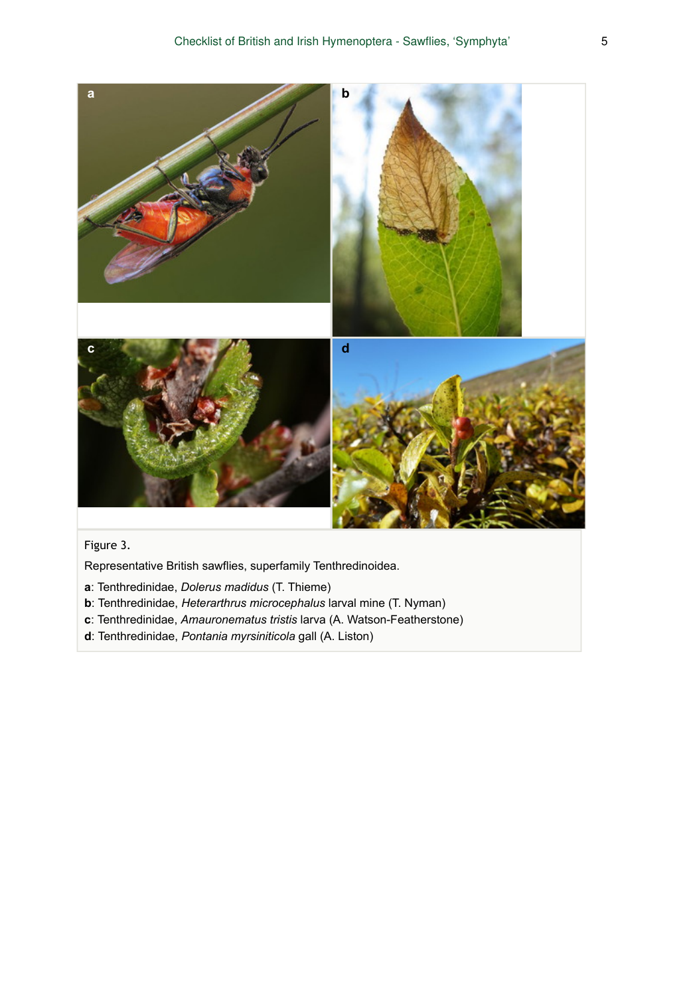

# Figure 3.

Representative British sawflies, superfamily Tenthredinoidea.

- **a**: Tenthredinidae, *Dolerus madidus* (T. Thieme)
- **b**: Tenthredinidae, *Heterarthrus microcephalus* larval mine (T. Nyman)
- **c**: Tenthredinidae, *Amauronematus tristis* larva (A. Watson-Featherstone)
- **d**: Tenthredinidae, *Pontania myrsiniticola* gall (A. Liston)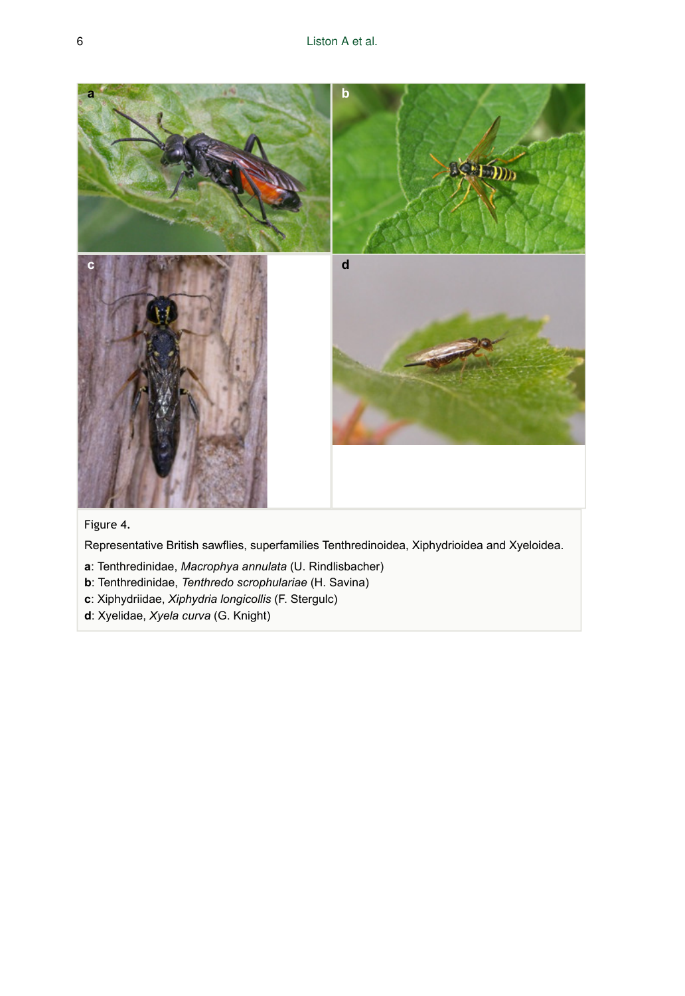

### Figure 4.

Representative British sawflies, superfamilies Tenthredinoidea, Xiphydrioidea and Xyeloidea.

- **a**: Tenthredinidae, *Macrophya annulata* (U. Rindlisbacher)
- **b**: Tenthredinidae, *Tenthredo scrophulariae* (H. Savina)
- **c**: Xiphydriidae, *Xiphydria longicollis* (F. Stergulc)
- **d**: Xyelidae, *Xyela curva* (G. Knight)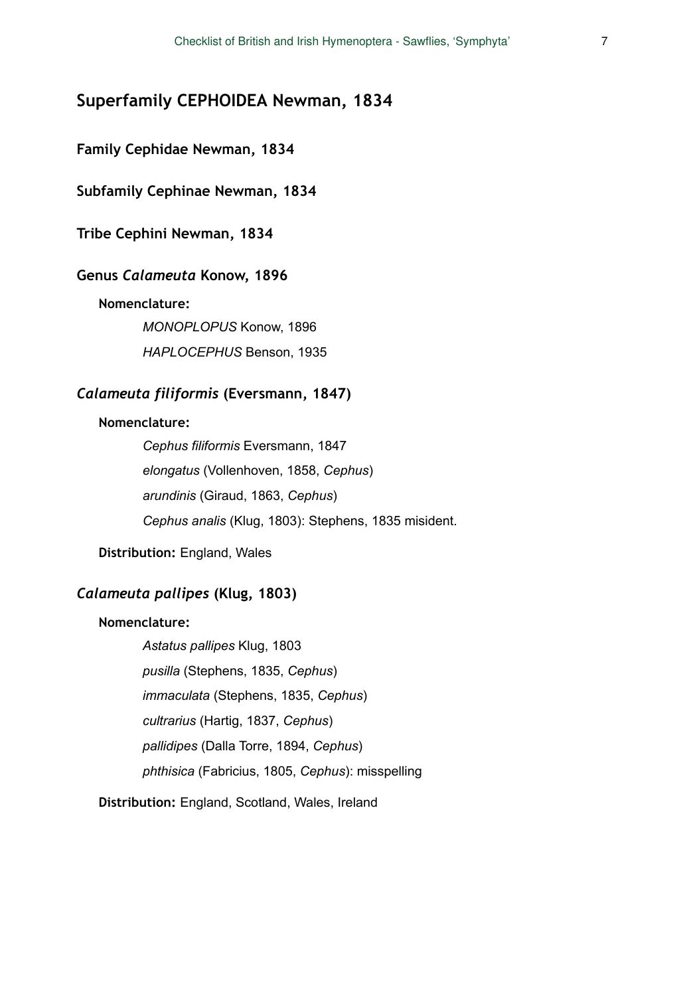# **Superfamily CEPHOIDEA Newman, 1834**

### **Family Cephidae Newman, 1834**

**Subfamily Cephinae Newman, 1834** 

**Tribe Cephini Newman, 1834** 

### **Genus** *Calameuta* **Konow, 1896**

### **Nomenclature:**

*MONOPLOPUS* Konow, 1896 *HAPLOCEPHUS* Benson, 1935

# *Calameuta filiformis* **(Eversmann, 1847)**

### **Nomenclature:**

*Cephus filiformis* Eversmann, 1847 *elongatus* (Vollenhoven, 1858, *Cephus*) *arundinis* (Giraud, 1863, *Cephus*) *Cephus analis* (Klug, 1803): Stephens, 1835 misident.

**Distribution:** England, Wales

# *Calameuta pallipes* **(Klug, 1803)**

### **Nomenclature:**

*Astatus pallipes* Klug, 1803 *pusilla* (Stephens, 1835, *Cephus*) *immaculata* (Stephens, 1835, *Cephus*) *cultrarius* (Hartig, 1837, *Cephus*) *pallidipes* (Dalla Torre, 1894, *Cephus*) *phthisica* (Fabricius, 1805, *Cephus*): misspelling

**Distribution:** England, Scotland, Wales, Ireland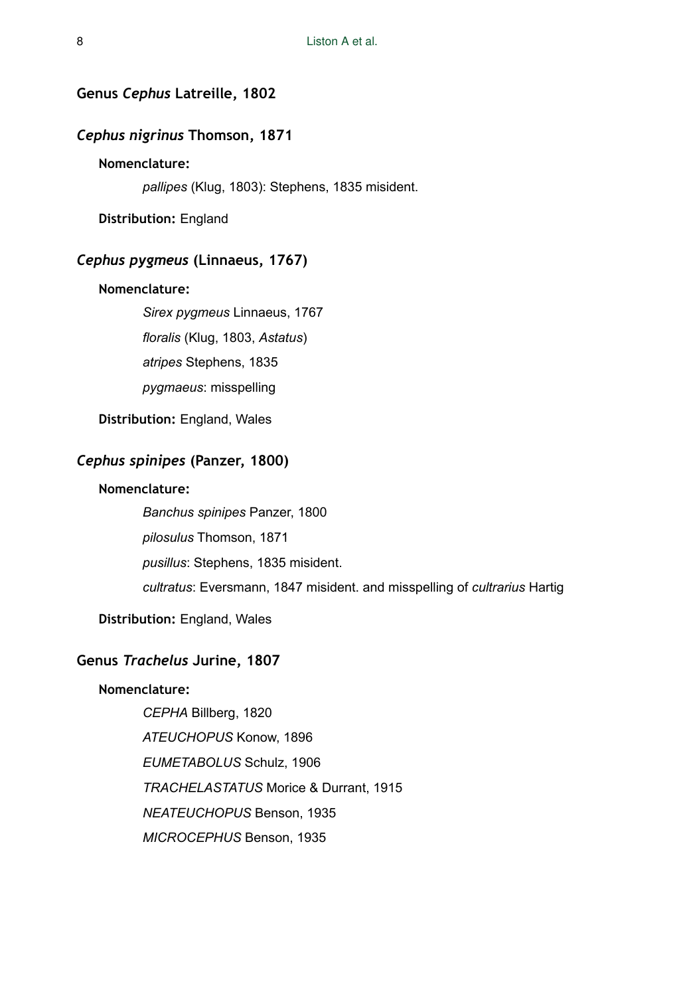# **Genus** *Cephus* **Latreille, 1802**

# *Cephus nigrinus* **Thomson, 1871**

# **Nomenclature:**

*pallipes* (Klug, 1803): Stephens, 1835 misident.

**Distribution:** England

### *Cephus pygmeus* **(Linnaeus, 1767)**

### **Nomenclature:**

*Sirex pygmeus* Linnaeus, 1767 *floralis* (Klug, 1803, *Astatus*) *atripes* Stephens, 1835

*pygmaeus*: misspelling

**Distribution:** England, Wales

# *Cephus spinipes* **(Panzer, 1800)**

### **Nomenclature:**

*Banchus spinipes* Panzer, 1800

*pilosulus* Thomson, 1871

*pusillus*: Stephens, 1835 misident.

*cultratus*: Eversmann, 1847 misident. and misspelling of *cultrarius* Hartig

**Distribution:** England, Wales

### **Genus** *Trachelus* **Jurine, 1807**

### **Nomenclature:**

*CEPHA* Billberg, 1820 *ATEUCHOPUS* Konow, 1896 *EUMETABOLUS* Schulz, 1906 *TRACHELASTATUS* Morice & Durrant, 1915 *NEATEUCHOPUS* Benson, 1935 *MICROCEPHUS* Benson, 1935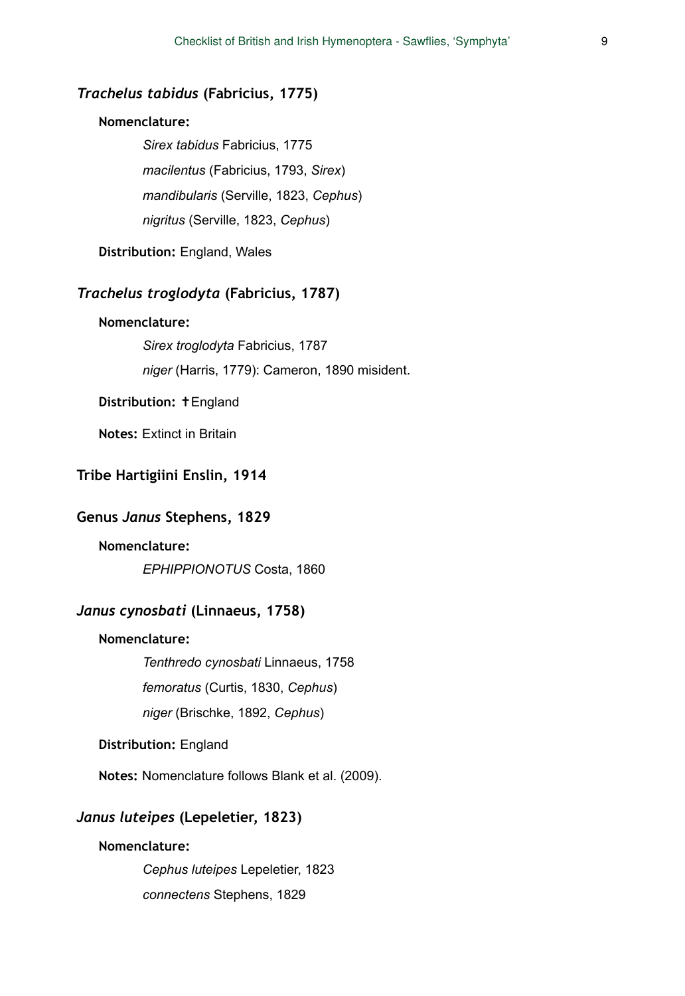# *Trachelus tabidus* **(Fabricius, 1775)**

### **Nomenclature:**

*Sirex tabidus* Fabricius, 1775 *macilentus* (Fabricius, 1793, *Sirex*) *mandibularis* (Serville, 1823, *Cephus*) *nigritus* (Serville, 1823, *Cephus*)

**Distribution:** England, Wales

### *Trachelus troglodyta* **(Fabricius, 1787)**

### **Nomenclature:**

*Sirex troglodyta* Fabricius, 1787 *niger* (Harris, 1779): Cameron, 1890 misident.

### **Distribution:** ✝England

**Notes:** Extinct in Britain

# **Tribe Hartigiini Enslin, 1914**

### **Genus** *Janus* **Stephens, 1829**

# **Nomenclature:**

*EPHIPPIONOTUS* Costa, 1860

# *Janus cynosbati* **(Linnaeus, 1758)**

### **Nomenclature:**

*Tenthredo cynosbati* Linnaeus, 1758

*femoratus* (Curtis, 1830, *Cephus*)

*niger* (Brischke, 1892, *Cephus*)

**Distribution:** England

**Notes:** Nomenclature follows Blank et al. (2009).

# *Janus luteipes* **(Lepeletier, 1823)**

### **Nomenclature:**

*Cephus luteipes* Lepeletier, 1823 *connectens* Stephens, 1829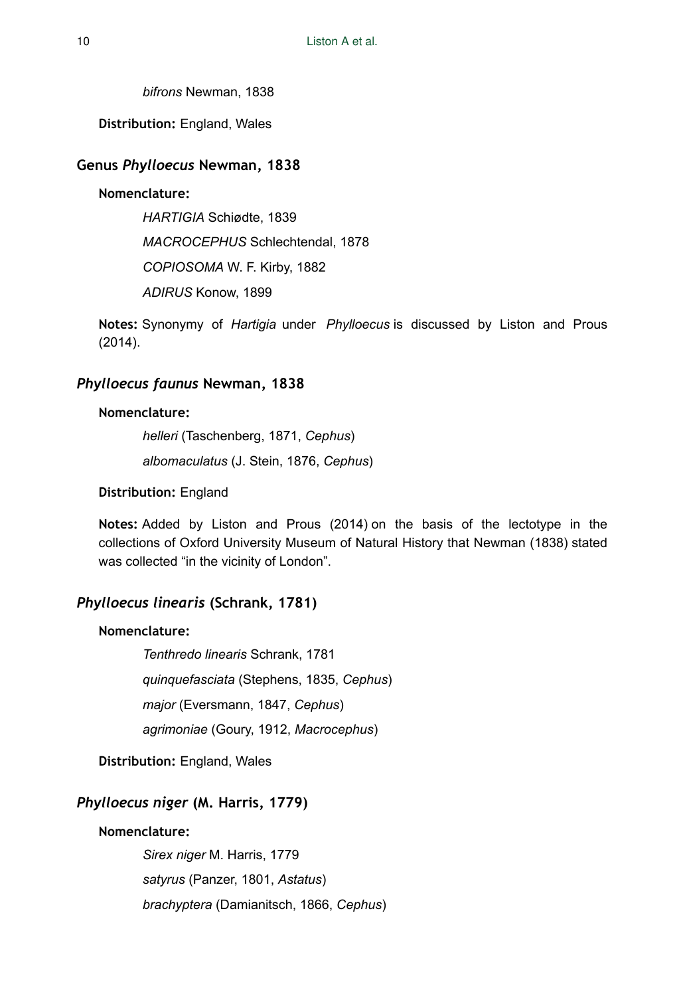*bifrons* Newman, 1838

**Distribution:** England, Wales

### **Genus** *Phylloecus* **Newman, 1838**

### **Nomenclature:**

*HARTIGIA* Schiødte, 1839 *MACROCEPHUS* Schlechtendal, 1878 *COPIOSOMA* W. F. Kirby, 1882 *ADIRUS* Konow, 1899

**Notes:** Synonymy of *Hartigia* under *Phylloecus* is discussed by Liston and Prous (2014).

# *Phylloecus faunus* **Newman, 1838**

### **Nomenclature:**

*helleri* (Taschenberg, 1871, *Cephus*) *albomaculatus* (J. Stein, 1876, *Cephus*)

### **Distribution:** England

**Notes:** Added by Liston and Prous (2014) on the basis of the lectotype in the collections of Oxford University Museum of Natural History that Newman (1838) stated was collected "in the vicinity of London".

### *Phylloecus linearis* **(Schrank, 1781)**

### **Nomenclature:**

*Tenthredo linearis* Schrank, 1781 *quinquefasciata* (Stephens, 1835, *Cephus*) *major* (Eversmann, 1847, *Cephus*) *agrimoniae* (Goury, 1912, *Macrocephus*)

**Distribution:** England, Wales

# *Phylloecus niger* **(M. Harris, 1779)**

# **Nomenclature:**

*Sirex niger* M. Harris, 1779 *satyrus* (Panzer, 1801, *Astatus*) *brachyptera* (Damianitsch, 1866, *Cephus*)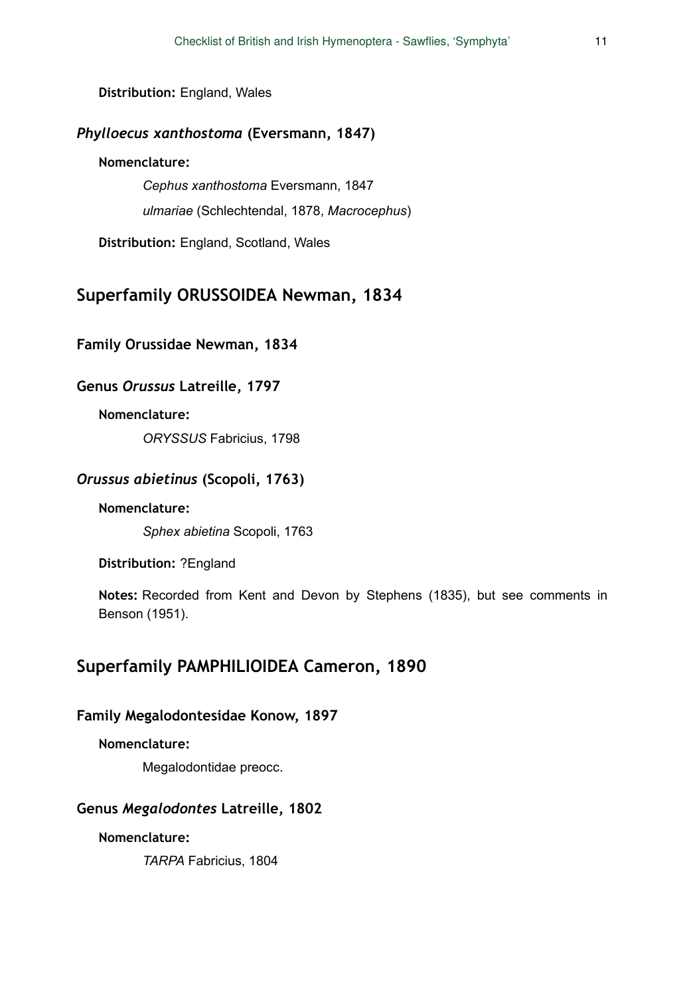**Distribution:** England, Wales

# *Phylloecus xanthostoma* **(Eversmann, 1847)**

# **Nomenclature:**

*Cephus xanthostoma* Eversmann, 1847 *ulmariae* (Schlechtendal, 1878, *Macrocephus*)

**Distribution:** England, Scotland, Wales

# **Superfamily ORUSSOIDEA Newman, 1834**

# **Family Orussidae Newman, 1834**

# **Genus** *Orussus* **Latreille, 1797**

### **Nomenclature:**

*ORYSSUS* Fabricius, 1798

# *Orussus abietinus* **(Scopoli, 1763)**

### **Nomenclature:**

*Sphex abietina* Scopoli, 1763

**Distribution:** ?England

**Notes:** Recorded from Kent and Devon by Stephens (1835), but see comments in Benson (1951).

# **Superfamily PAMPHILIOIDEA Cameron, 1890**

### **Family Megalodontesidae Konow, 1897**

### **Nomenclature:**

Megalodontidae preocc.

### **Genus** *Megalodontes* **Latreille, 1802**

### **Nomenclature:**

*TARPA* Fabricius, 1804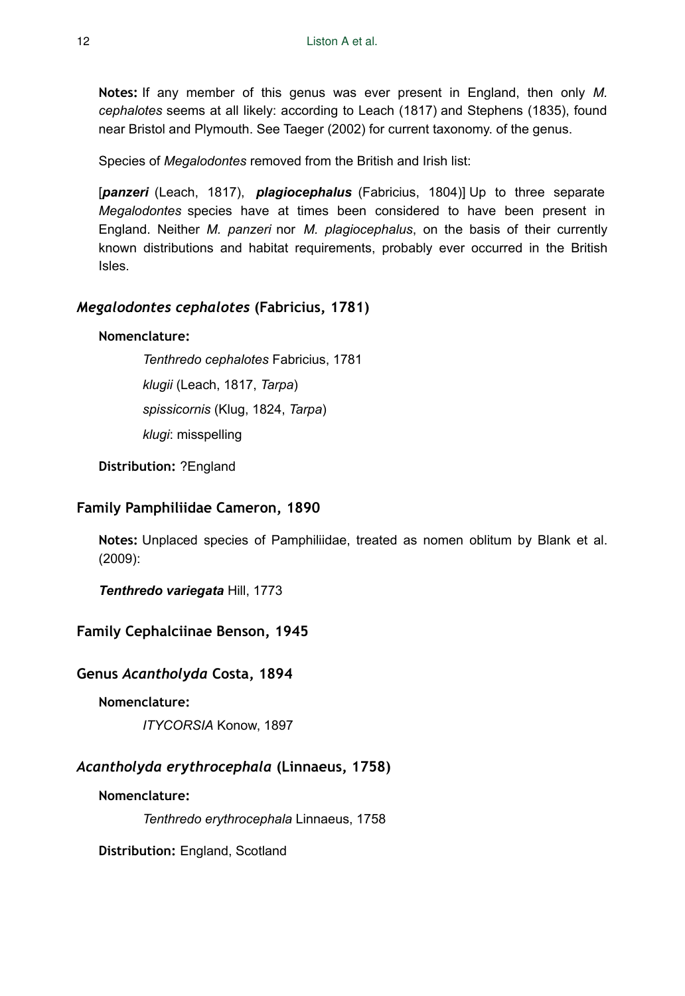**Notes:** If any member of this genus was ever present in England, then only *M. cephalotes* seems at all likely: according to Leach (1817) and Stephens (1835), found near Bristol and Plymouth. See Taeger (2002) for current taxonomy. of the genus.

Species of *Megalodontes* removed from the British and Irish list:

[*panzeri* (Leach, 1817), *plagiocephalus* (Fabricius, 1804)] Up to three separate *Megalodontes* species have at times been considered to have been present in England. Neither *M. panzeri* nor *M. plagiocephalus*, on the basis of their currently known distributions and habitat requirements, probably ever occurred in the British Isles.

# *Megalodontes cephalotes* **(Fabricius, 1781)**

# **Nomenclature:**

*Tenthredo cephalotes* Fabricius, 1781

*klugii* (Leach, 1817, *Tarpa*)

*spissicornis* (Klug, 1824, *Tarpa*)

*klugi*: misspelling

**Distribution:** ?England

# **Family Pamphiliidae Cameron, 1890**

**Notes:** Unplaced species of Pamphiliidae, treated as nomen oblitum by Blank et al. (2009):

*Tenthredo variegata* Hill, 1773

# **Family Cephalciinae Benson, 1945**

# **Genus** *Acantholyda* **Costa, 1894**

### **Nomenclature:**

*ITYCORSIA* Konow, 1897

# *Acantholyda erythrocephala* **(Linnaeus, 1758)**

### **Nomenclature:**

*Tenthredo erythrocephala* Linnaeus, 1758

**Distribution:** England, Scotland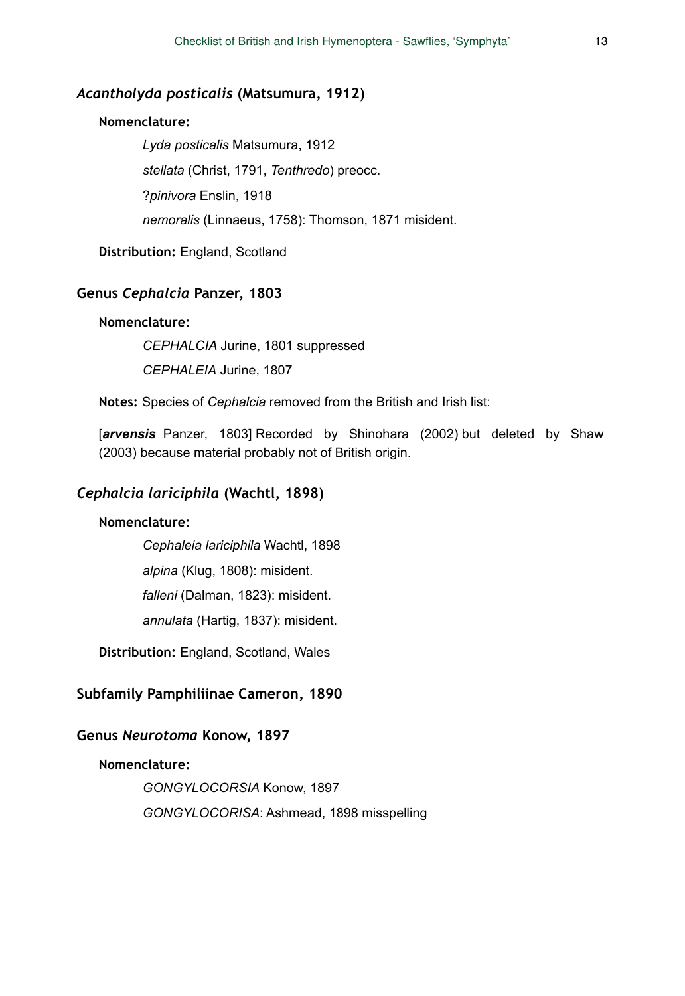### *Acantholyda posticalis* **(Matsumura, 1912)**

### **Nomenclature:**

*Lyda posticalis* Matsumura, 1912 *stellata* (Christ, 1791, *Tenthredo*) preocc. ?*pinivora* Enslin, 1918 *nemoralis* (Linnaeus, 1758): Thomson, 1871 misident.

**Distribution:** England, Scotland

# **Genus** *Cephalcia* **Panzer, 1803**

#### **Nomenclature:**

*CEPHALCIA* Jurine, 1801 suppressed *CEPHALEIA* Jurine, 1807

**Notes:** Species of *Cephalcia* removed from the British and Irish list:

[*arvensis* Panzer, 1803] Recorded by Shinohara (2002) but deleted by Shaw (2003) because material probably not of British origin.

# *Cephalcia lariciphila* **(Wachtl, 1898)**

### **Nomenclature:**

*Cephaleia lariciphila* Wachtl, 1898

*alpina* (Klug, 1808): misident.

*falleni* (Dalman, 1823): misident.

*annulata* (Hartig, 1837): misident.

**Distribution:** England, Scotland, Wales

### **Subfamily Pamphiliinae Cameron, 1890**

### **Genus** *Neurotoma* **Konow, 1897**

### **Nomenclature:**

*GONGYLOCORSIA* Konow, 1897 *GONGYLOCORISA*: Ashmead, 1898 misspelling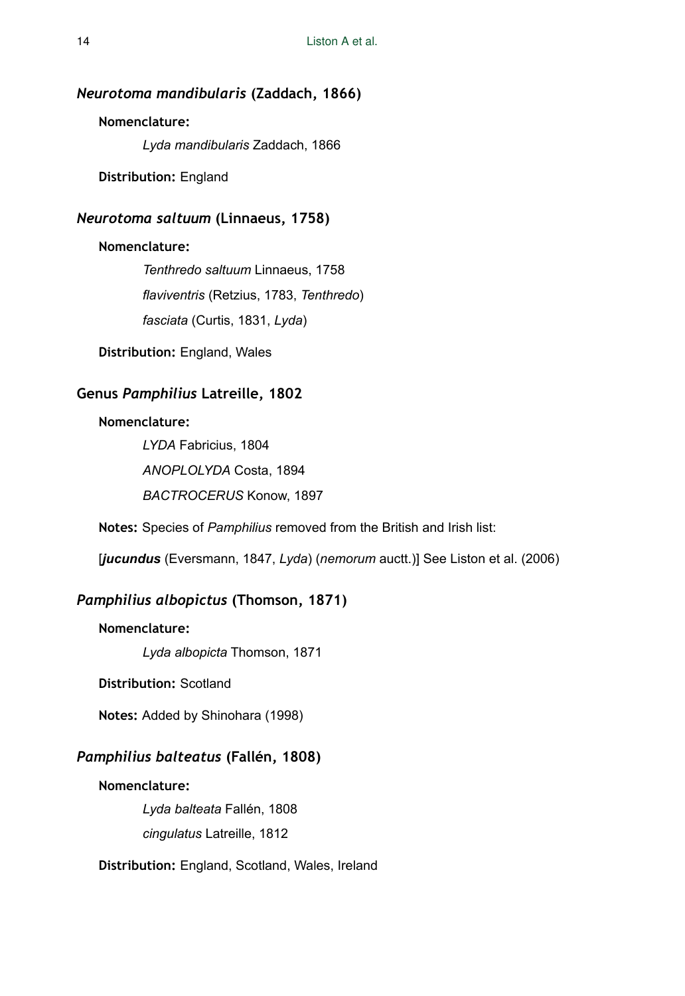# *Neurotoma mandibularis* **(Zaddach, 1866)**

### **Nomenclature:**

*Lyda mandibularis* Zaddach, 1866

**Distribution:** England

# *Neurotoma saltuum* **(Linnaeus, 1758)**

### **Nomenclature:**

*Tenthredo saltuum* Linnaeus, 1758 *flaviventris* (Retzius, 1783, *Tenthredo*) *fasciata* (Curtis, 1831, *Lyda*)

**Distribution:** England, Wales

# **Genus** *Pamphilius* **Latreille, 1802**

### **Nomenclature:**

*LYDA* Fabricius, 1804 *ANOPLOLYDA* Costa, 1894 *BACTROCERUS* Konow, 1897

**Notes:** Species of *Pamphilius* removed from the British and Irish list:

[*jucundus* (Eversmann, 1847, *Lyda*) (*nemorum* auctt.)] See Liston et al. (2006)

# *Pamphilius albopictus* **(Thomson, 1871)**

### **Nomenclature:**

*Lyda albopicta* Thomson, 1871

#### **Distribution:** Scotland

**Notes:** Added by Shinohara (1998)

# *Pamphilius balteatus* **(Fallén, 1808)**

# **Nomenclature:**

*Lyda balteata* Fallén, 1808 *cingulatus* Latreille, 1812

**Distribution:** England, Scotland, Wales, Ireland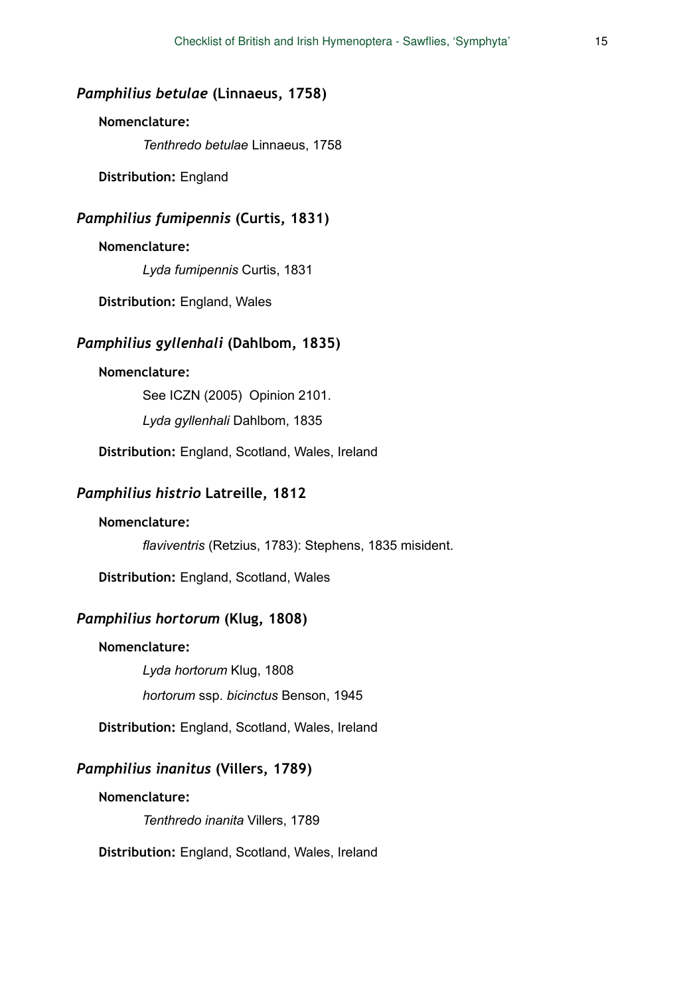# *Pamphilius betulae* **(Linnaeus, 1758)**

# **Nomenclature:**

*Tenthredo betulae* Linnaeus, 1758

**Distribution:** England

# *Pamphilius fumipennis* **(Curtis, 1831)**

### **Nomenclature:**

*Lyda fumipennis* Curtis, 1831

**Distribution:** England, Wales

# *Pamphilius gyllenhali* **(Dahlbom, 1835)**

### **Nomenclature:**

See ICZN (2005) Opinion 2101. *Lyda gyllenhali* Dahlbom, 1835

**Distribution:** England, Scotland, Wales, Ireland

# *Pamphilius histrio* **Latreille, 1812**

### **Nomenclature:**

*flaviventris* (Retzius, 1783): Stephens, 1835 misident.

**Distribution:** England, Scotland, Wales

# *Pamphilius hortorum* **(Klug, 1808)**

### **Nomenclature:**

*Lyda hortorum* Klug, 1808 *hortorum* ssp. *bicinctus* Benson, 1945

**Distribution:** England, Scotland, Wales, Ireland

### *Pamphilius inanitus* **(Villers, 1789)**

### **Nomenclature:**

*Tenthredo inanita* Villers, 1789

**Distribution:** England, Scotland, Wales, Ireland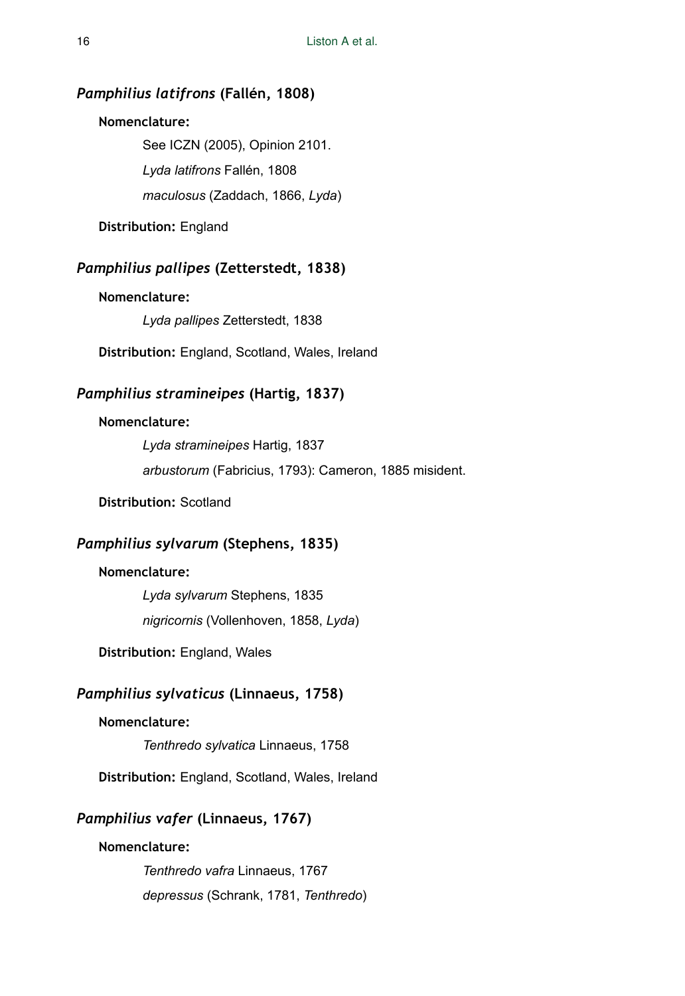# *Pamphilius latifrons* **(Fallén, 1808)**

### **Nomenclature:**

See ICZN (2005), Opinion 2101. *Lyda latifrons* Fallén, 1808 *maculosus* (Zaddach, 1866, *Lyda*)

**Distribution:** England

# *Pamphilius pallipes* **(Zetterstedt, 1838)**

# **Nomenclature:**

*Lyda pallipes* Zetterstedt, 1838

**Distribution:** England, Scotland, Wales, Ireland

# *Pamphilius stramineipes* **(Hartig, 1837)**

# **Nomenclature:**

*Lyda stramineipes* Hartig, 1837 *arbustorum* (Fabricius, 1793): Cameron, 1885 misident.

**Distribution:** Scotland

# *Pamphilius sylvarum* **(Stephens, 1835)**

### **Nomenclature:**

*Lyda sylvarum* Stephens, 1835 *nigricornis* (Vollenhoven, 1858, *Lyda*)

**Distribution:** England, Wales

# *Pamphilius sylvaticus* **(Linnaeus, 1758)**

### **Nomenclature:**

*Tenthredo sylvatica* Linnaeus, 1758

**Distribution:** England, Scotland, Wales, Ireland

# *Pamphilius vafer* **(Linnaeus, 1767)**

### **Nomenclature:**

*Tenthredo vafra* Linnaeus, 1767 *depressus* (Schrank, 1781, *Tenthredo*)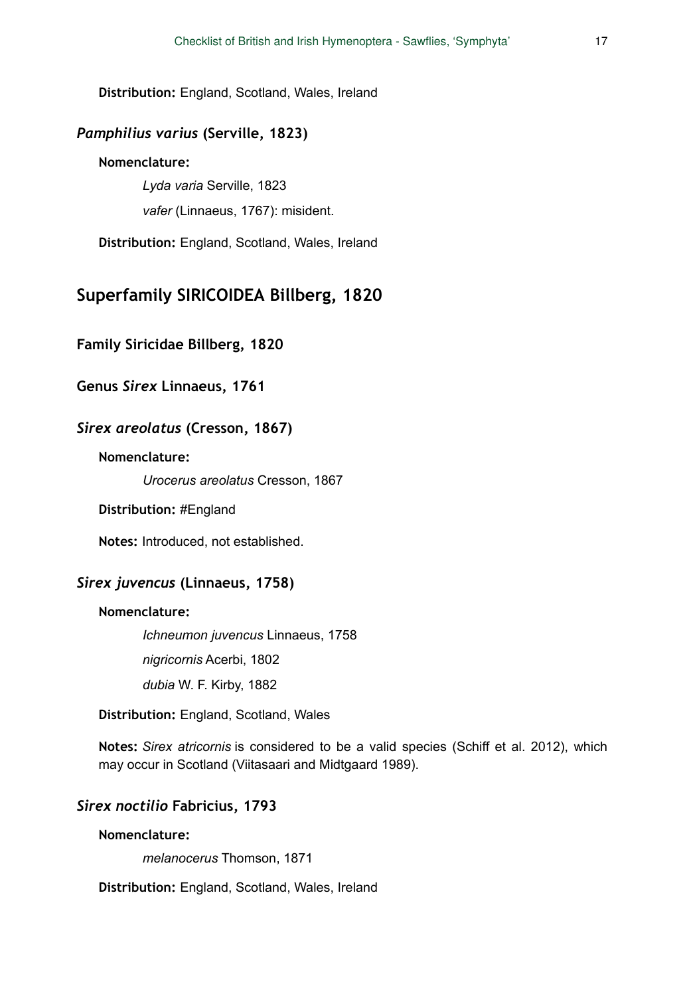**Distribution:** England, Scotland, Wales, Ireland

# *Pamphilius varius* **(Serville, 1823)**

# **Nomenclature:**

*Lyda varia* Serville, 1823 *vafer* (Linnaeus, 1767): misident.

**Distribution:** England, Scotland, Wales, Ireland

# **Superfamily SIRICOIDEA Billberg, 1820**

**Family Siricidae Billberg, 1820** 

# **Genus** *Sirex* **Linnaeus, 1761**

### *Sirex areolatus* **(Cresson, 1867)**

### **Nomenclature:**

*Urocerus areolatus* Cresson, 1867

### **Distribution:** #England

**Notes:** Introduced, not established.

# *Sirex juvencus* **(Linnaeus, 1758)**

### **Nomenclature:**

*Ichneumon juvencus* Linnaeus, 1758 *nigricornis* Acerbi, 1802 *dubia* W. F. Kirby, 1882

### **Distribution:** England, Scotland, Wales

**Notes:** *Sirex atricornis* is considered to be a valid species (Schiff et al. 2012), which may occur in Scotland (Viitasaari and Midtgaard 1989).

# *Sirex noctilio* **Fabricius, 1793**

### **Nomenclature:**

*melanocerus* Thomson, 1871

**Distribution:** England, Scotland, Wales, Ireland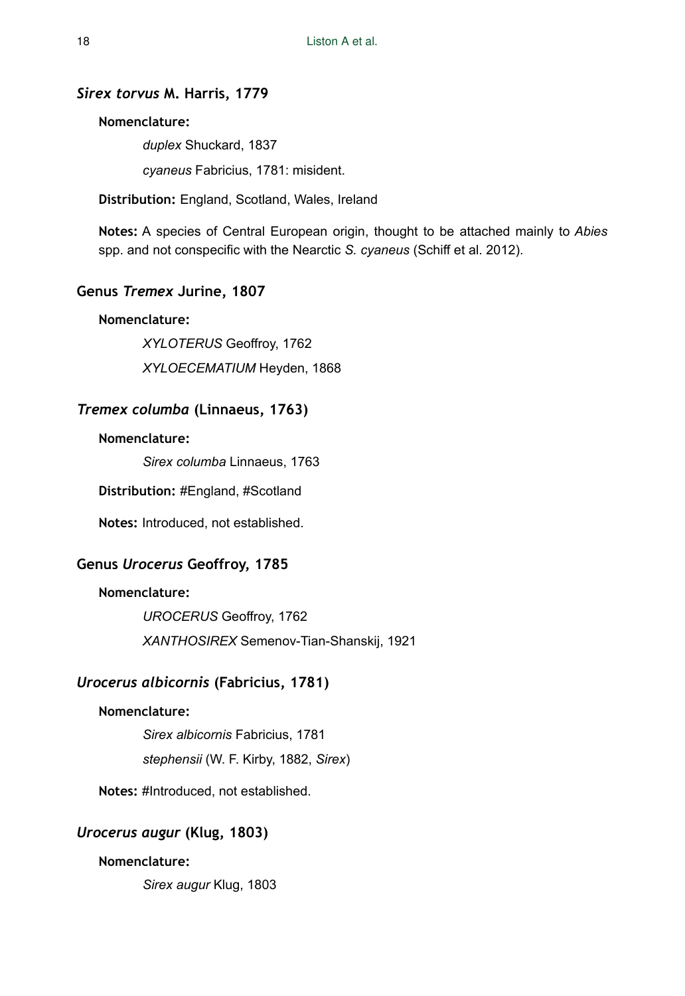# *Sirex torvus* **M. Harris, 1779**

### **Nomenclature:**

*duplex* Shuckard, 1837

*cyaneus* Fabricius, 1781: misident.

**Distribution:** England, Scotland, Wales, Ireland

**Notes:** A species of Central European origin, thought to be attached mainly to *Abies* spp. and not conspecific with the Nearctic *S. cyaneus* (Schiff et al. 2012).

# **Genus** *Tremex* **Jurine, 1807**

# **Nomenclature:**

*XYLOTERUS* Geoffroy, 1762

*XYLOECEMATIUM* Heyden, 1868

# *Tremex columba* **(Linnaeus, 1763)**

### **Nomenclature:**

*Sirex columba* Linnaeus, 1763

**Distribution:** #England, #Scotland

**Notes:** Introduced, not established.

# **Genus** *Urocerus* **Geoffroy, 1785**

# **Nomenclature:**

*UROCERUS* Geoffroy, 1762 *XANTHOSIREX* Semenov-Tian-Shanskij, 1921

# *Urocerus albicornis* **(Fabricius, 1781)**

### **Nomenclature:**

*Sirex albicornis* Fabricius, 1781

*stephensii* (W. F. Kirby, 1882, *Sirex*)

**Notes:** #Introduced, not established.

# *Urocerus augur* **(Klug, 1803)**

### **Nomenclature:**

*Sirex augur* Klug, 1803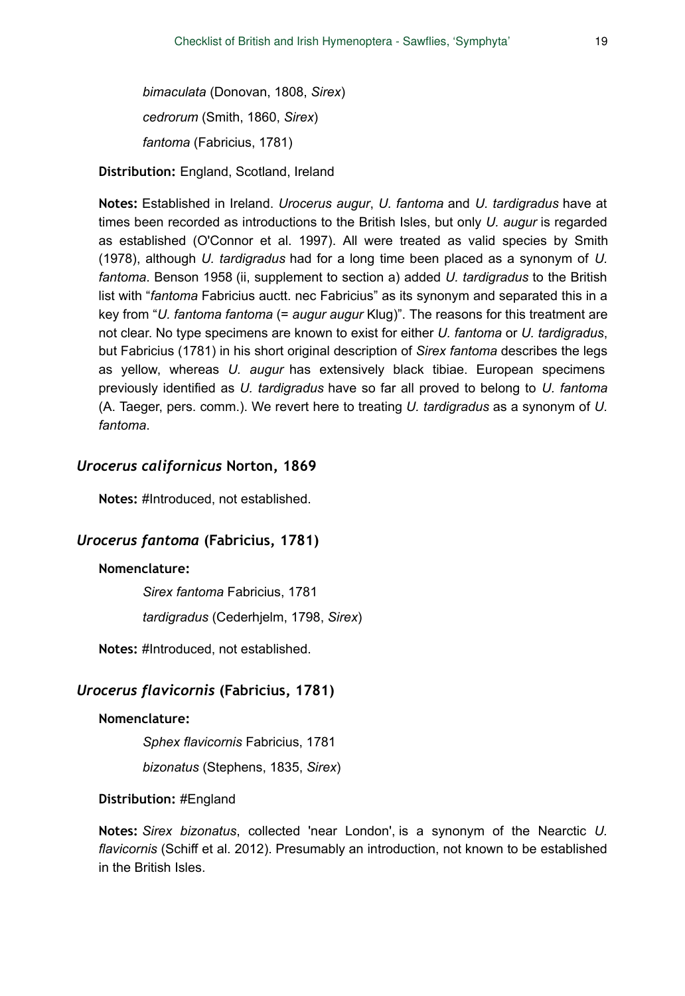*bimaculata* (Donovan, 1808, *Sirex*) *cedrorum* (Smith, 1860, *Sirex*) *fantoma* (Fabricius, 1781)

**Distribution:** England, Scotland, Ireland

**Notes:** Established in Ireland. *Urocerus augur*, *U. fantoma* and *U. tardigradus* have at times been recorded as introductions to the British Isles, but only *U. augur* is regarded as established (O'Connor et al. 1997). All were treated as valid species by Smith (1978), although *U. tardigradus* had for a long time been placed as a synonym of *U. fantoma*. Benson 1958 (ii, supplement to section a) added *U. tardigradus* to the British list with "*fantoma* Fabricius auctt. nec Fabricius" as its synonym and separated this in a key from "*U. fantoma fantoma* (= *augur augur* Klug)". The reasons for this treatment are not clear. No type specimens are known to exist for either *U. fantoma* or *U. tardigradus*, but Fabricius (1781) in his short original description of *Sirex fantoma* describes the legs as yellow, whereas *U. augur* has extensively black tibiae. European specimens previously identified as *U. tardigradus* have so far all proved to belong to *U. fantoma* (A. Taeger, pers. comm.). We revert here to treating *U. tardigradus* as a synonym of *U. fantoma*.

# *Urocerus californicus* **Norton, 1869**

**Notes:** #Introduced, not established.

# *Urocerus fantoma* **(Fabricius, 1781)**

# **Nomenclature:**

*Sirex fantoma* Fabricius, 1781 *tardigradus* (Cederhjelm, 1798, *Sirex*)

**Notes:** #Introduced, not established.

### *Urocerus flavicornis* **(Fabricius, 1781)**

### **Nomenclature:**

*Sphex flavicornis* Fabricius, 1781

*bizonatus* (Stephens, 1835, *Sirex*)

#### **Distribution:** #England

**Notes:** *Sirex bizonatus*, collected 'near London', is a synonym of the Nearctic *U. flavicornis* (Schiff et al. 2012). Presumably an introduction, not known to be established in the British Isles.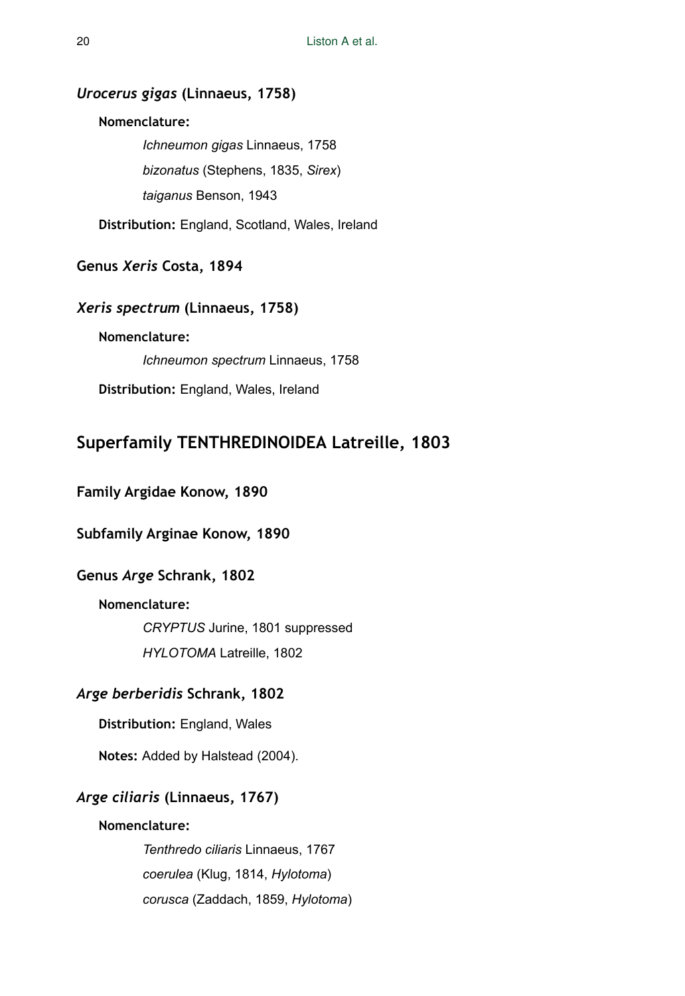# *Urocerus gigas* **(Linnaeus, 1758)**

### **Nomenclature:**

*Ichneumon gigas* Linnaeus, 1758 *bizonatus* (Stephens, 1835, *Sirex*) *taiganus* Benson, 1943

**Distribution:** England, Scotland, Wales, Ireland

**Genus** *Xeris* **Costa, 1894** 

### *Xeris spectrum* **(Linnaeus, 1758)**

# **Nomenclature:**

*Ichneumon spectrum* Linnaeus, 1758

**Distribution:** England, Wales, Ireland

# **Superfamily TENTHREDINOIDEA Latreille, 1803**

# **Family Argidae Konow, 1890**

# **Subfamily Arginae Konow, 1890**

# **Genus** *Arge* **Schrank, 1802**

# **Nomenclature:**

*CRYPTUS* Jurine, 1801 suppressed *HYLOTOMA* Latreille, 1802

# *Arge berberidis* **Schrank, 1802**

**Distribution:** England, Wales

**Notes:** Added by Halstead (2004).

# *Arge ciliaris* **(Linnaeus, 1767)**

### **Nomenclature:**

*Tenthredo ciliaris* Linnaeus, 1767 *coerulea* (Klug, 1814, *Hylotoma*) *corusca* (Zaddach, 1859, *Hylotoma*)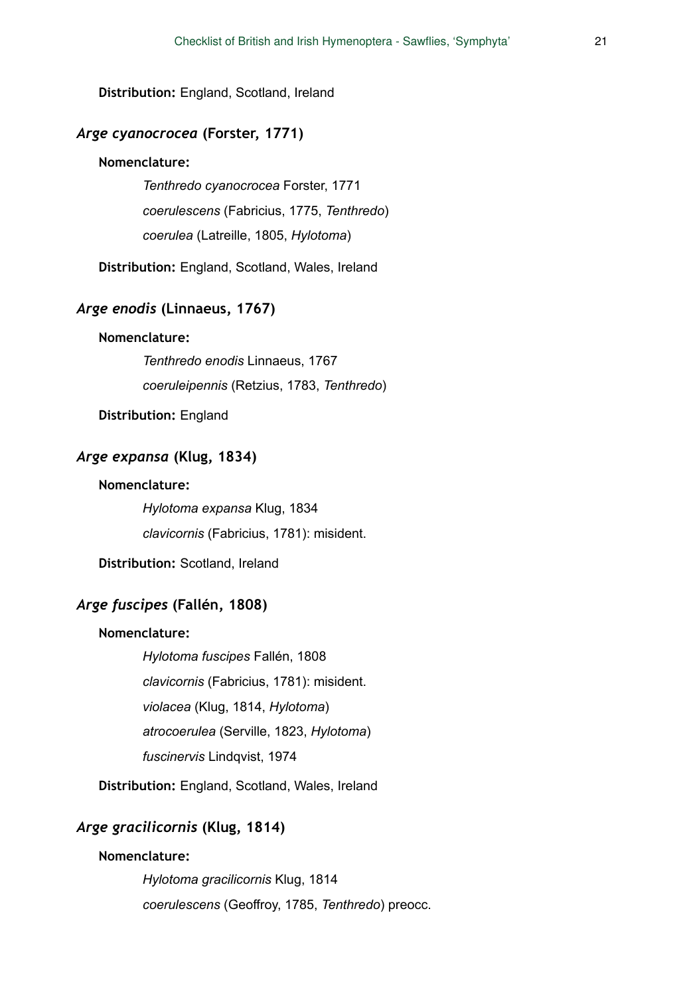**Distribution:** England, Scotland, Ireland

# *Arge cyanocrocea* **(Forster, 1771)**

### **Nomenclature:**

*Tenthredo cyanocrocea* Forster, 1771 *coerulescens* (Fabricius, 1775, *Tenthredo*) *coerulea* (Latreille, 1805, *Hylotoma*)

**Distribution:** England, Scotland, Wales, Ireland

# *Arge enodis* **(Linnaeus, 1767)**

# **Nomenclature:**

*Tenthredo enodis* Linnaeus, 1767 *coeruleipennis* (Retzius, 1783, *Tenthredo*)

**Distribution:** England

# *Arge expansa* **(Klug, 1834)**

### **Nomenclature:**

*Hylotoma expansa* Klug, 1834 *clavicornis* (Fabricius, 1781): misident.

**Distribution:** Scotland, Ireland

# *Arge fuscipes* **(Fallén, 1808)**

### **Nomenclature:**

*Hylotoma fuscipes* Fallén, 1808 *clavicornis* (Fabricius, 1781): misident. *violacea* (Klug, 1814, *Hylotoma*) *atrocoerulea* (Serville, 1823, *Hylotoma*) *fuscinervis* Lindqvist, 1974

**Distribution:** England, Scotland, Wales, Ireland

### *Arge gracilicornis* **(Klug, 1814)**

### **Nomenclature:**

*Hylotoma gracilicornis* Klug, 1814 *coerulescens* (Geoffroy, 1785, *Tenthredo*) preocc.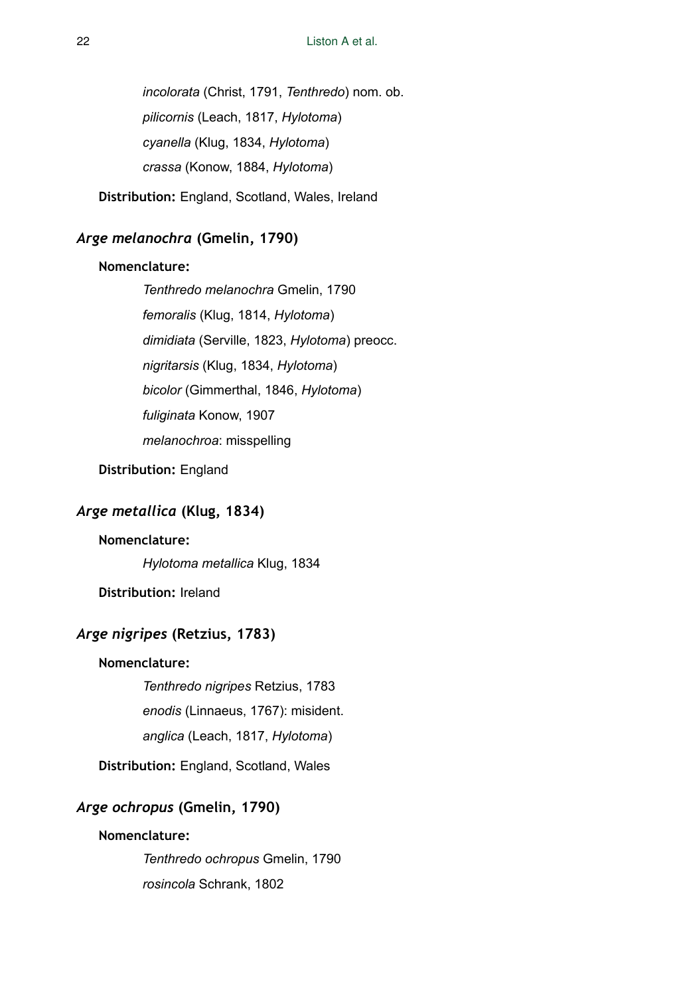*incolorata* (Christ, 1791, *Tenthredo*) nom. ob. *pilicornis* (Leach, 1817, *Hylotoma*) *cyanella* (Klug, 1834, *Hylotoma*) *crassa* (Konow, 1884, *Hylotoma*)

**Distribution:** England, Scotland, Wales, Ireland

# *Arge melanochra* **(Gmelin, 1790)**

### **Nomenclature:**

*Tenthredo melanochra* Gmelin, 1790 *femoralis* (Klug, 1814, *Hylotoma*) *dimidiata* (Serville, 1823, *Hylotoma*) preocc. *nigritarsis* (Klug, 1834, *Hylotoma*) *bicolor* (Gimmerthal, 1846, *Hylotoma*) *fuliginata* Konow, 1907 *melanochroa*: misspelling

**Distribution:** England

# *Arge metallica* **(Klug, 1834)**

# **Nomenclature:**

*Hylotoma metallica* Klug, 1834

**Distribution:** Ireland

# *Arge nigripes* **(Retzius, 1783)**

# **Nomenclature:**

*Tenthredo nigripes* Retzius, 1783 *enodis* (Linnaeus, 1767): misident.

*anglica* (Leach, 1817, *Hylotoma*)

**Distribution:** England, Scotland, Wales

# *Arge ochropus* **(Gmelin, 1790)**

# **Nomenclature:**

*Tenthredo ochropus* Gmelin, 1790 *rosincola* Schrank, 1802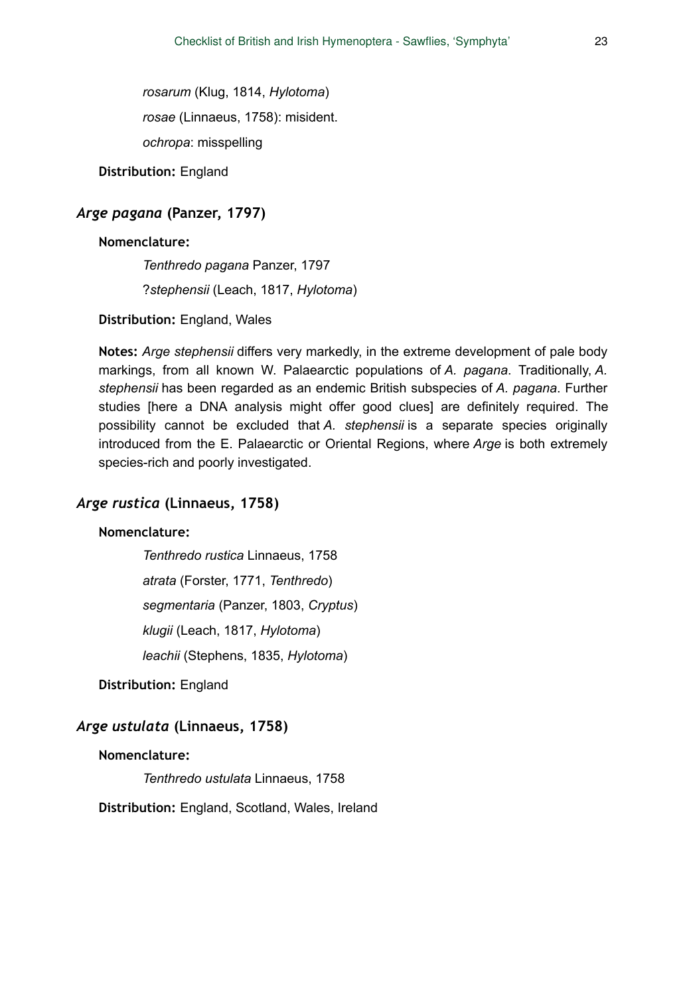*rosarum* (Klug, 1814, *Hylotoma*) *rosae* (Linnaeus, 1758): misident. *ochropa*: misspelling

**Distribution:** England

# *Arge pagana* **(Panzer, 1797)**

### **Nomenclature:**

*Tenthredo pagana* Panzer, 1797 ?*stephensii* (Leach, 1817, *Hylotoma*)

**Distribution:** England, Wales

**Notes:** *Arge stephensii* differs very markedly, in the extreme development of pale body markings, from all known W. Palaearctic populations of *A. pagana*. Traditionally, *A. stephensii* has been regarded as an endemic British subspecies of *A. pagana*. Further studies [here a DNA analysis might offer good clues] are definitely required. The possibility cannot be excluded that *A. stephensii* is a separate species originally introduced from the E. Palaearctic or Oriental Regions, where *Arge* is both extremely species-rich and poorly investigated.

# *Arge rustica* **(Linnaeus, 1758)**

# **Nomenclature:**

*Tenthredo rustica* Linnaeus, 1758 *atrata* (Forster, 1771, *Tenthredo*) *segmentaria* (Panzer, 1803, *Cryptus*) *klugii* (Leach, 1817, *Hylotoma*) *leachii* (Stephens, 1835, *Hylotoma*)

**Distribution:** England

# *Arge ustulata* **(Linnaeus, 1758)**

### **Nomenclature:**

*Tenthredo ustulata* Linnaeus, 1758

**Distribution:** England, Scotland, Wales, Ireland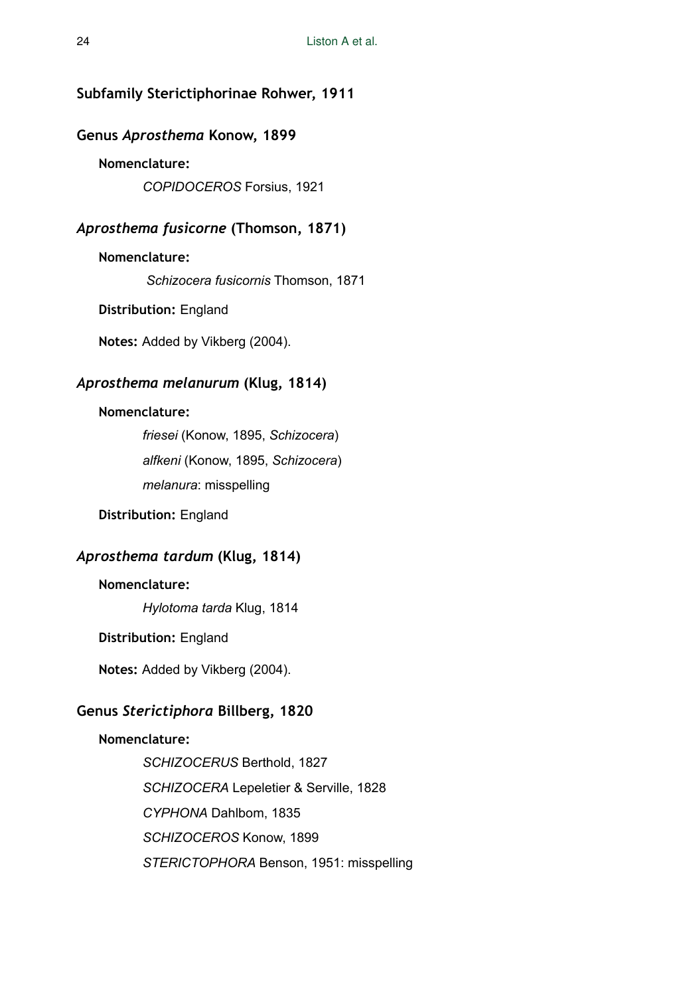# **Subfamily Sterictiphorinae Rohwer, 1911**

### **Genus** *Aprosthema* **Konow, 1899**

# **Nomenclature:**

*COPIDOCEROS* Forsius, 1921

# *Aprosthema fusicorne* **(Thomson, 1871)**

### **Nomenclature:**

*Schizocera fusicornis* Thomson, 1871

**Distribution:** England

**Notes:** Added by Vikberg (2004).

# *Aprosthema melanurum* **(Klug, 1814)**

### **Nomenclature:**

*friesei* (Konow, 1895, *Schizocera*) *alfkeni* (Konow, 1895, *Schizocera*) *melanura*: misspelling

# **Distribution:** England

# *Aprosthema tardum* **(Klug, 1814)**

### **Nomenclature:**

*Hylotoma tarda* Klug, 1814

### **Distribution:** England

**Notes:** Added by Vikberg (2004).

# **Genus** *Sterictiphora* **Billberg, 1820**

### **Nomenclature:**

*SCHIZOCERUS* Berthold, 1827 *SCHIZOCERA* Lepeletier & Serville, 1828 *CYPHONA* Dahlbom, 1835 *SCHIZOCEROS* Konow, 1899 *STERICTOPHORA* Benson, 1951: misspelling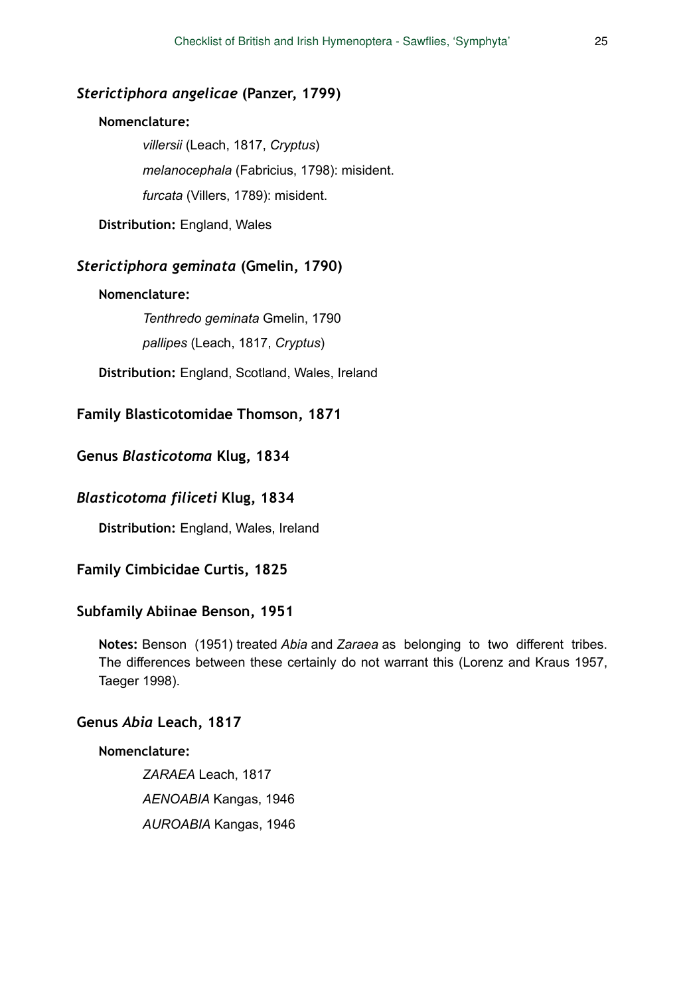### *Sterictiphora angelicae* **(Panzer, 1799)**

### **Nomenclature:**

*villersii* (Leach, 1817, *Cryptus*) *melanocephala* (Fabricius, 1798): misident. *furcata* (Villers, 1789): misident.

**Distribution:** England, Wales

# *Sterictiphora geminata* **(Gmelin, 1790)**

#### **Nomenclature:**

*Tenthredo geminata* Gmelin, 1790 *pallipes* (Leach, 1817, *Cryptus*)

**Distribution:** England, Scotland, Wales, Ireland

# **Family Blasticotomidae Thomson, 1871**

### **Genus** *Blasticotoma* **Klug, 1834**

# *Blasticotoma filiceti* **Klug, 1834**

**Distribution:** England, Wales, Ireland

### **Family Cimbicidae Curtis, 1825**

#### **Subfamily Abiinae Benson, 1951**

**Notes:** Benson (1951) treated *Abia* and *Zaraea* as belonging to two different tribes. The differences between these certainly do not warrant this (Lorenz and Kraus 1957, Taeger 1998).

# **Genus** *Abia* **Leach, 1817**

### **Nomenclature:**

*ZARAEA* Leach, 1817 *AENOABIA* Kangas, 1946 *AUROABIA* Kangas, 1946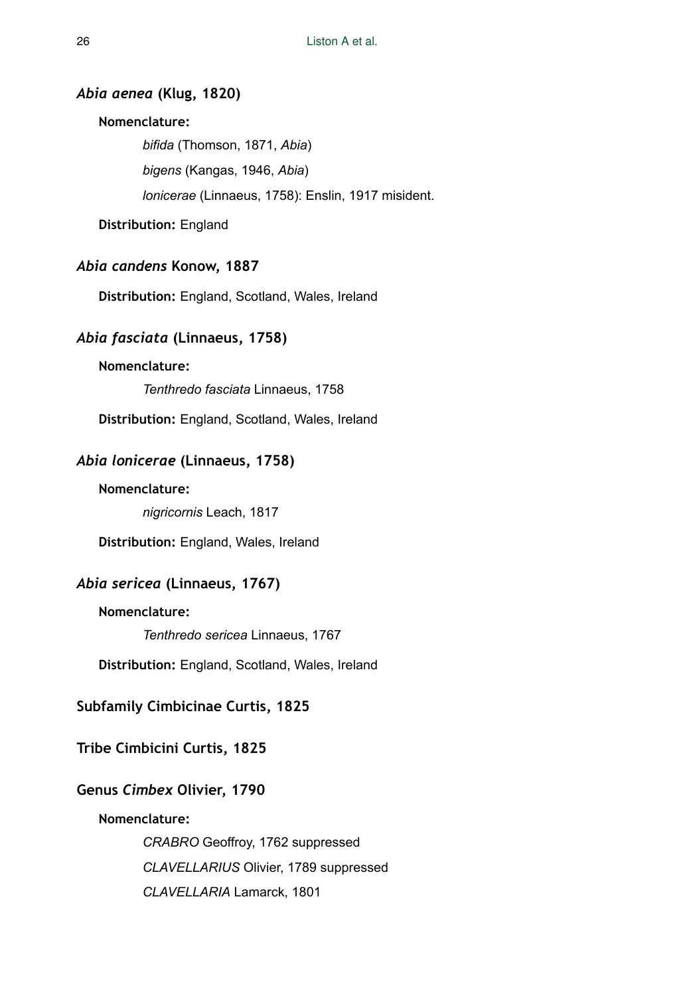### *Abia aenea* **(Klug, 1820)**

# **Nomenclature:**

*bifida* (Thomson, 1871, *Abia*) *bigens* (Kangas, 1946, *Abia*) *lonicerae* (Linnaeus, 1758): Enslin, 1917 misident.

**Distribution:** England

### *Abia candens* **Konow, 1887**

**Distribution:** England, Scotland, Wales, Ireland

# *Abia fasciata* **(Linnaeus, 1758)**

### **Nomenclature:**

*Tenthredo fasciata* Linnaeus, 1758

**Distribution:** England, Scotland, Wales, Ireland

# *Abia lonicerae* **(Linnaeus, 1758)**

### **Nomenclature:**

*nigricornis* Leach, 1817

**Distribution:** England, Wales, Ireland

# *Abia sericea* **(Linnaeus, 1767)**

**Nomenclature:** 

*Tenthredo sericea* Linnaeus, 1767

**Distribution:** England, Scotland, Wales, Ireland

# **Subfamily Cimbicinae Curtis, 1825**

# **Tribe Cimbicini Curtis, 1825**

### **Genus** *Cimbex* **Olivier, 1790**

### **Nomenclature:**

*CRABRO* Geoffroy, 1762 suppressed *CLAVELLARIUS* Olivier, 1789 suppressed *CLAVELLARIA* Lamarck, 1801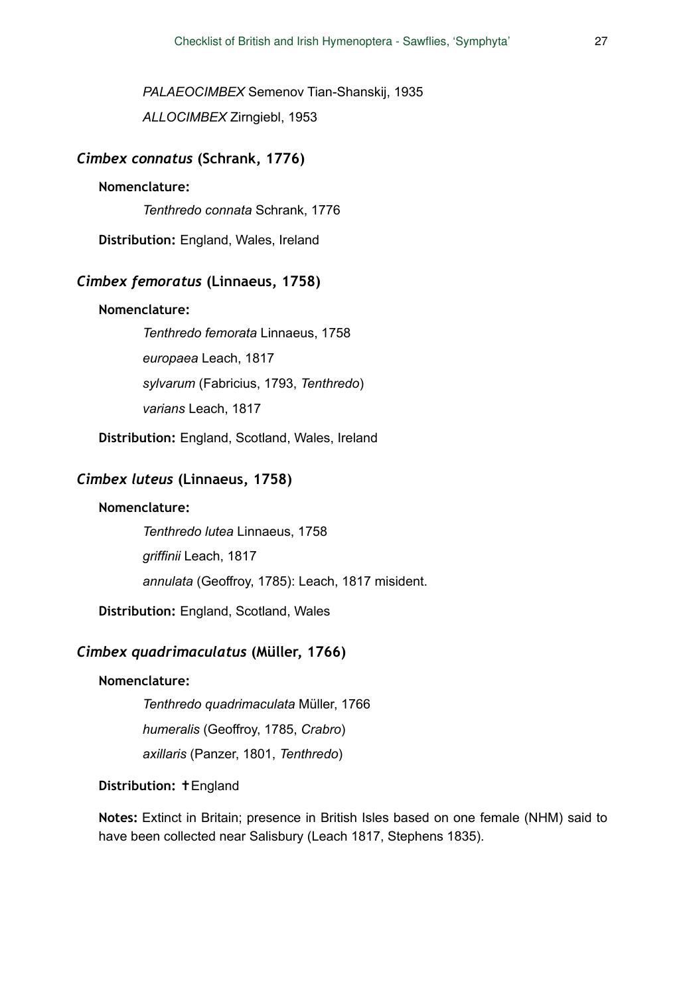*PALAEOCIMBEX* Semenov Tian-Shanskij, 1935 *ALLOCIMBEX* Zirngiebl, 1953

#### *Cimbex connatus* **(Schrank, 1776)**

# **Nomenclature:**

*Tenthredo connata* Schrank, 1776

**Distribution:** England, Wales, Ireland

# *Cimbex femoratus* **(Linnaeus, 1758)**

### **Nomenclature:**

*Tenthredo femorata* Linnaeus, 1758 *europaea* Leach, 1817 *sylvarum* (Fabricius, 1793, *Tenthredo*) *varians* Leach, 1817

**Distribution:** England, Scotland, Wales, Ireland

### *Cimbex luteus* **(Linnaeus, 1758)**

### **Nomenclature:**

*Tenthredo lutea* Linnaeus, 1758 *griffinii* Leach, 1817 *annulata* (Geoffroy, 1785): Leach, 1817 misident.

**Distribution:** England, Scotland, Wales

# *Cimbex quadrimaculatus* **(Müller, 1766)**

### **Nomenclature:**

*Tenthredo quadrimaculata* Müller, 1766

*humeralis* (Geoffroy, 1785, *Crabro*)

*axillaris* (Panzer, 1801, *Tenthredo*)

#### **Distribution:** ✝England

**Notes:** Extinct in Britain; presence in British Isles based on one female (NHM) said to have been collected near Salisbury (Leach 1817, Stephens 1835).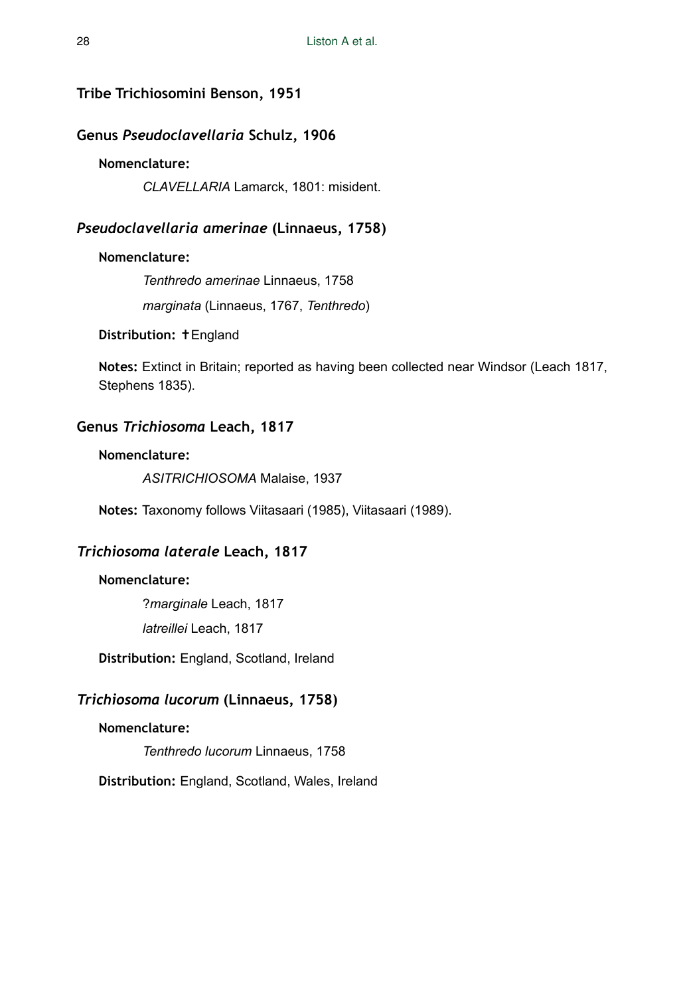# **Tribe Trichiosomini Benson, 1951**

# **Genus** *Pseudoclavellaria* **Schulz, 1906**

# **Nomenclature:**

*CLAVELLARIA* Lamarck, 1801: misident.

# *Pseudoclavellaria amerinae* **(Linnaeus, 1758)**

### **Nomenclature:**

*Tenthredo amerinae* Linnaeus, 1758

*marginata* (Linnaeus, 1767, *Tenthredo*)

**Distribution:** ✝England

**Notes:** Extinct in Britain; reported as having been collected near Windsor (Leach 1817, Stephens 1835).

# **Genus** *Trichiosoma* **Leach, 1817**

### **Nomenclature:**

*ASITRICHIOSOMA* Malaise, 1937

**Notes:** Taxonomy follows Viitasaari (1985), Viitasaari (1989).

# *Trichiosoma laterale* **Leach, 1817**

### **Nomenclature:**

?*marginale* Leach, 1817 *latreillei* Leach, 1817

**Distribution:** England, Scotland, Ireland

# *Trichiosoma lucorum* **(Linnaeus, 1758)**

### **Nomenclature:**

*Tenthredo lucorum* Linnaeus, 1758

**Distribution:** England, Scotland, Wales, Ireland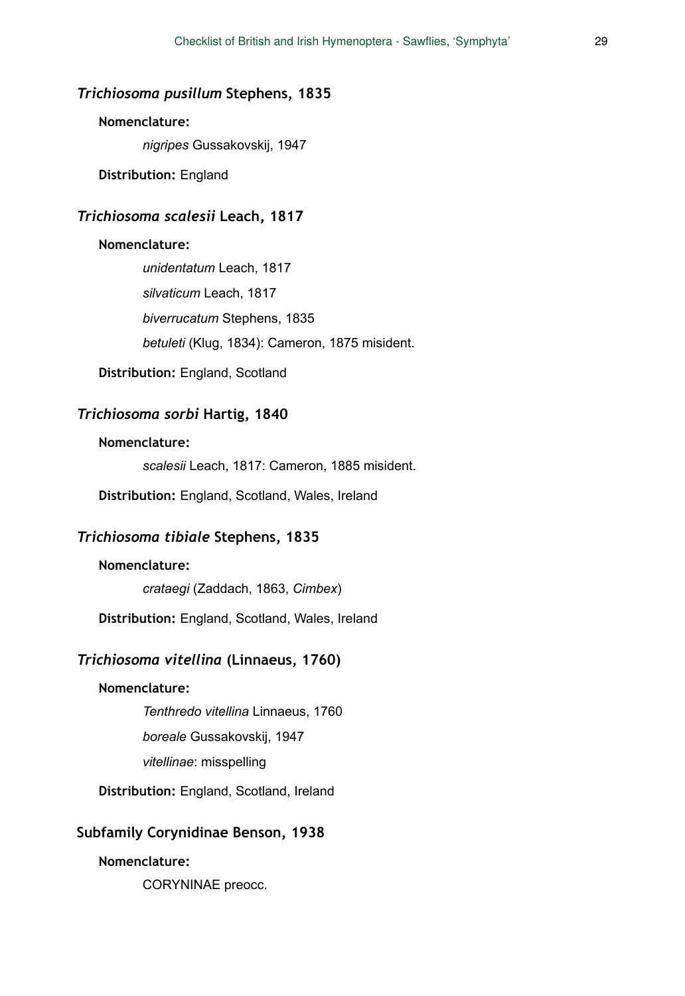# *Trichiosoma pusillum* **Stephens, 1835**

### **Nomenclature:**

*nigripes* Gussakovskij, 1947

**Distribution:** England

# *Trichiosoma scalesii* **Leach, 1817**

### **Nomenclature:**

*unidentatum* Leach, 1817 *silvaticum* Leach, 1817 *biverrucatum* Stephens, 1835 *betuleti* (Klug, 1834): Cameron, 1875 misident.

**Distribution:** England, Scotland

# *Trichiosoma sorbi* **Hartig, 1840**

### **Nomenclature:**

*scalesii* Leach, 1817: Cameron, 1885 misident.

**Distribution:** England, Scotland, Wales, Ireland

# *Trichiosoma tibiale* **Stephens, 1835**

# **Nomenclature:**

*crataegi* (Zaddach, 1863, *Cimbex*)

**Distribution:** England, Scotland, Wales, Ireland

# *Trichiosoma vitellina* **(Linnaeus, 1760)**

# **Nomenclature:**

*Tenthredo vitellina* Linnaeus, 1760

*boreale* Gussakovskij, 1947

*vitellinae*: misspelling

**Distribution:** England, Scotland, Ireland

# **Subfamily Corynidinae Benson, 1938**

### **Nomenclature:**

CORYNINAE preocc.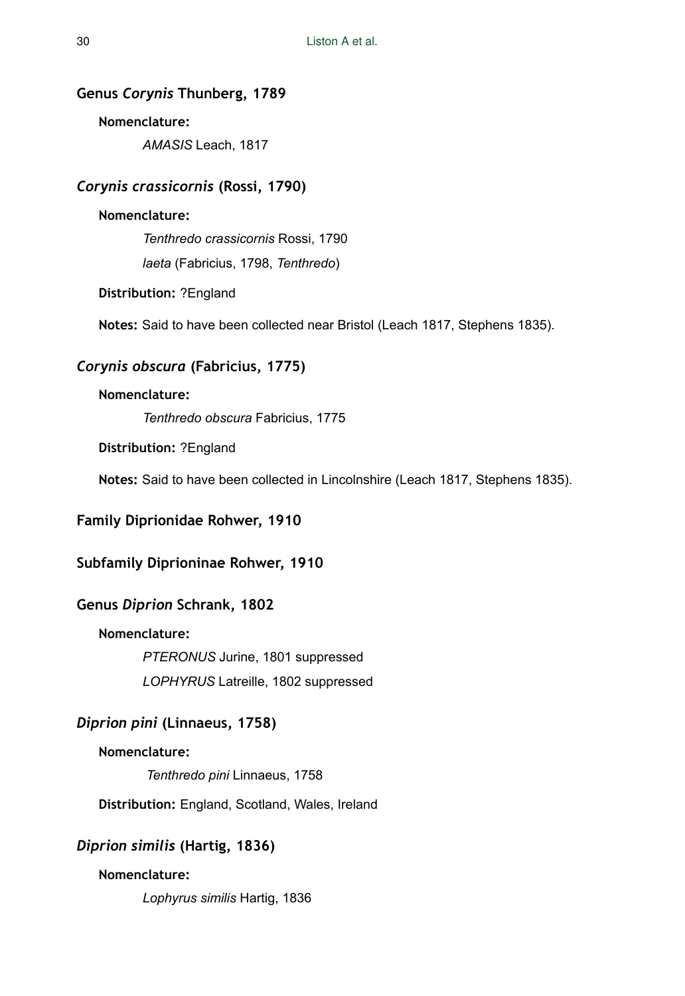# **Genus** *Corynis* **Thunberg, 1789**

### **Nomenclature:**

*AMASIS* Leach, 1817

# *Corynis crassicornis* **(Rossi, 1790)**

# **Nomenclature:**

*Tenthredo crassicornis* Rossi, 1790 *laeta* (Fabricius, 1798, *Tenthredo*)

**Distribution:** ?England

**Notes:** Said to have been collected near Bristol (Leach 1817, Stephens 1835).

# *Corynis obscura* **(Fabricius, 1775)**

# **Nomenclature:**

*Tenthredo obscura* Fabricius, 1775

**Distribution:** ?England

**Notes:** Said to have been collected in Lincolnshire (Leach 1817, Stephens 1835).

# **Family Diprionidae Rohwer, 1910**

# **Subfamily Diprioninae Rohwer, 1910**

# **Genus** *Diprion* **Schrank, 1802**

# **Nomenclature:**

*PTERONUS* Jurine, 1801 suppressed

*LOPHYRUS* Latreille, 1802 suppressed

# *Diprion pini* **(Linnaeus, 1758)**

### **Nomenclature:**

*Tenthredo pini* Linnaeus, 1758

**Distribution:** England, Scotland, Wales, Ireland

# *Diprion similis* **(Hartig, 1836)**

# **Nomenclature:**

*Lophyrus similis* Hartig, 1836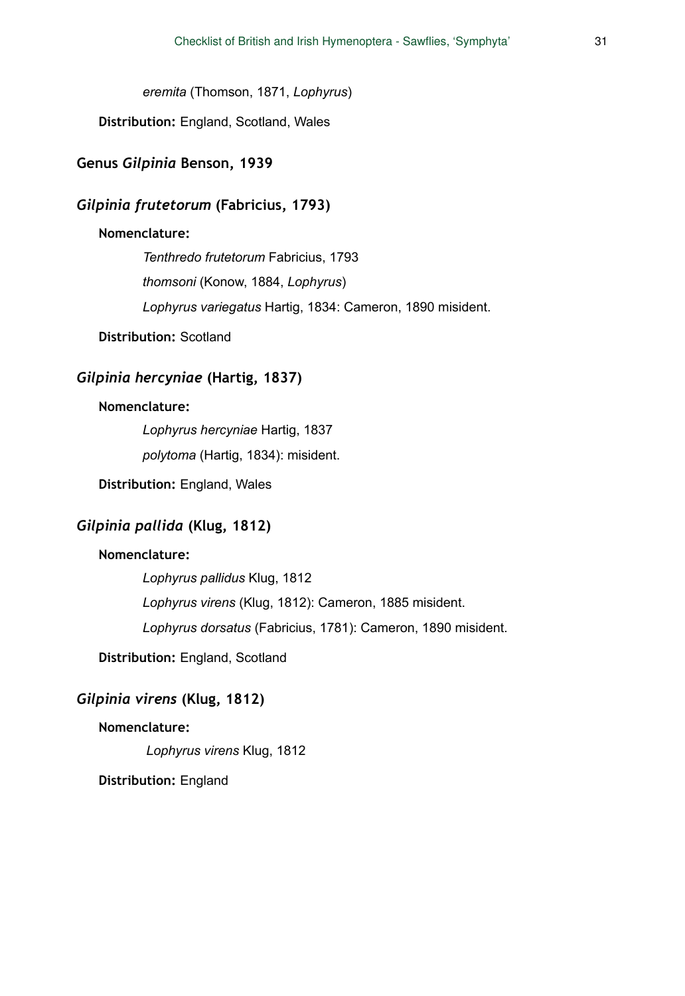*eremita* (Thomson, 1871, *Lophyrus*)

**Distribution:** England, Scotland, Wales

# **Genus** *Gilpinia* **Benson, 1939**

# *Gilpinia frutetorum* **(Fabricius, 1793)**

### **Nomenclature:**

*Tenthredo frutetorum* Fabricius, 1793 *thomsoni* (Konow, 1884, *Lophyrus*) *Lophyrus variegatus* Hartig, 1834: Cameron, 1890 misident.

**Distribution:** Scotland

# *Gilpinia hercyniae* **(Hartig, 1837)**

# **Nomenclature:**

*Lophyrus hercyniae* Hartig, 1837

*polytoma* (Hartig, 1834): misident.

**Distribution:** England, Wales

# *Gilpinia pallida* **(Klug, 1812)**

### **Nomenclature:**

*Lophyrus pallidus* Klug, 1812 *Lophyrus virens* (Klug, 1812): Cameron, 1885 misident. *Lophyrus dorsatus* (Fabricius, 1781): Cameron, 1890 misident.

**Distribution:** England, Scotland

# *Gilpinia virens* **(Klug, 1812)**

### **Nomenclature:**

*Lophyrus virens* Klug, 1812

**Distribution:** England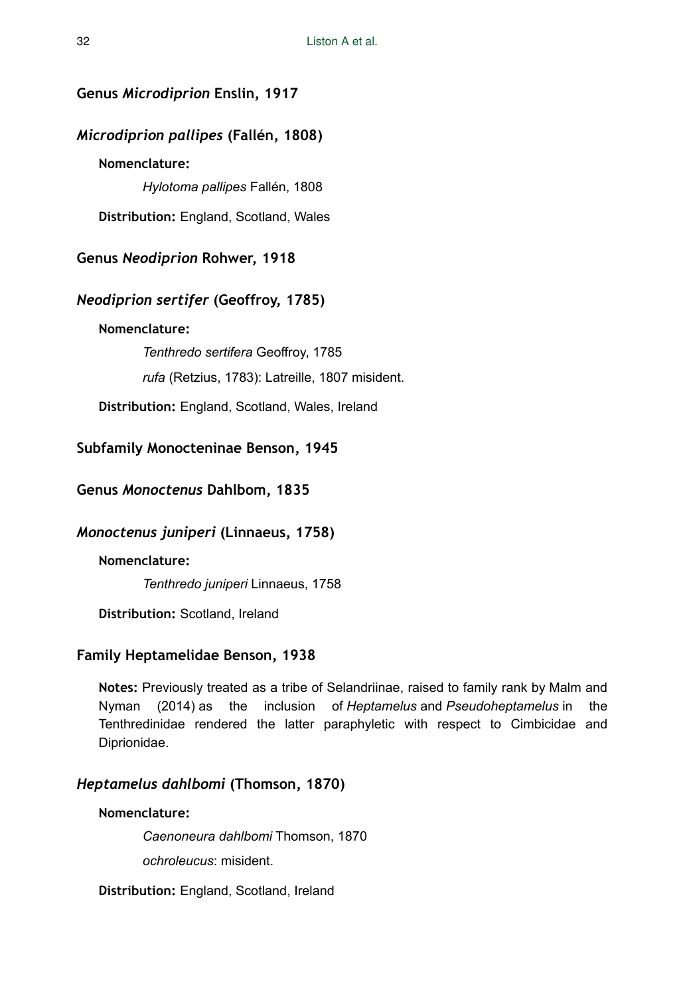# **Genus** *Microdiprion* **Enslin, 1917**

# *Microdiprion pallipes* **(Fallén, 1808)**

# **Nomenclature:**

*Hylotoma pallipes* Fallén, 1808

**Distribution:** England, Scotland, Wales

**Genus** *Neodiprion* **Rohwer, 1918** 

# *Neodiprion sertifer* **(Geoffroy, 1785)**

# **Nomenclature:**

*Tenthredo sertifera* Geoffroy, 1785 *rufa* (Retzius, 1783): Latreille, 1807 misident.

**Distribution:** England, Scotland, Wales, Ireland

# **Subfamily Monocteninae Benson, 1945**

**Genus** *Monoctenus* **Dahlbom, 1835** 

# *Monoctenus juniperi* **(Linnaeus, 1758)**

**Nomenclature:** 

*Tenthredo juniperi* Linnaeus, 1758

**Distribution:** Scotland, Ireland

# **Family Heptamelidae Benson, 1938**

**Notes:** Previously treated as a tribe of Selandriinae, raised to family rank by Malm and Nyman (2014) as the inclusion of *Heptamelus* and *Pseudoheptamelus* in the Tenthredinidae rendered the latter paraphyletic with respect to Cimbicidae and Diprionidae.

# *Heptamelus dahlbomi* **(Thomson, 1870)**

### **Nomenclature:**

*Caenoneura dahlbomi* Thomson, 1870

*ochroleucus*: misident.

**Distribution:** England, Scotland, Ireland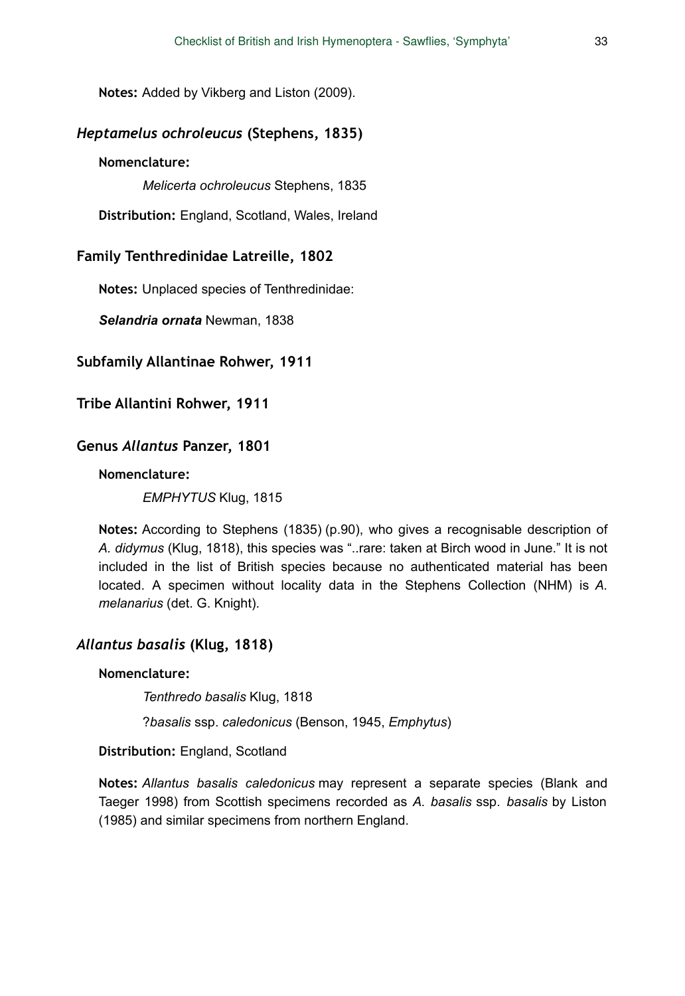**Notes:** Added by Vikberg and Liston (2009).

# *Heptamelus ochroleucus* **(Stephens, 1835)**

#### **Nomenclature:**

*Melicerta ochroleucus* Stephens, 1835

**Distribution:** England, Scotland, Wales, Ireland

### **Family Tenthredinidae Latreille, 1802**

**Notes:** Unplaced species of Tenthredinidae:

*Selandria ornata* Newman, 1838

#### **Subfamily Allantinae Rohwer, 1911**

**Tribe Allantini Rohwer, 1911** 

#### **Genus** *Allantus* **Panzer, 1801**

#### **Nomenclature:**

*EMPHYTUS* Klug, 1815

**Notes:** According to Stephens (1835) (p.90), who gives a recognisable description of *A. didymus* (Klug, 1818), this species was "..rare: taken at Birch wood in June." It is not included in the list of British species because no authenticated material has been located. A specimen without locality data in the Stephens Collection (NHM) is *A. melanarius* (det. G. Knight).

# *Allantus basalis* **(Klug, 1818)**

#### **Nomenclature:**

*Tenthredo basalis* Klug, 1818

?*basalis* ssp. *caledonicus* (Benson, 1945, *Emphytus*)

**Distribution:** England, Scotland

**Notes:** *Allantus basalis caledonicus* may represent a separate species (Blank and Taeger 1998) from Scottish specimens recorded as *A. basalis* ssp. *basalis* by Liston (1985) and similar specimens from northern England.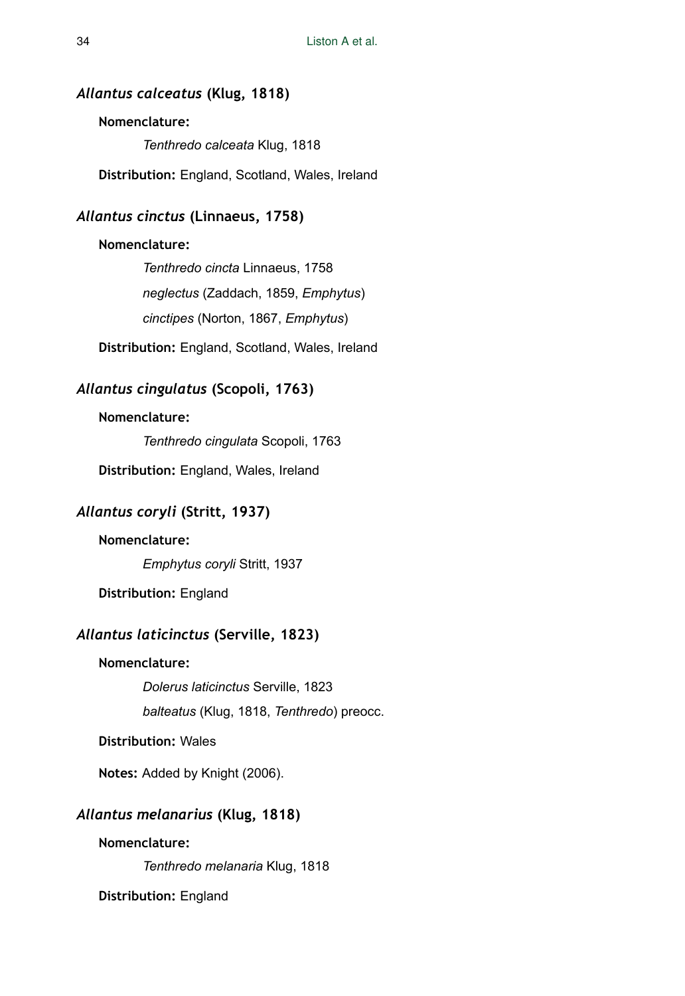# *Allantus calceatus* **(Klug, 1818)**

### **Nomenclature:**

*Tenthredo calceata* Klug, 1818

**Distribution:** England, Scotland, Wales, Ireland

# *Allantus cinctus* **(Linnaeus, 1758)**

### **Nomenclature:**

*Tenthredo cincta* Linnaeus, 1758 *neglectus* (Zaddach, 1859, *Emphytus*) *cinctipes* (Norton, 1867, *Emphytus*)

**Distribution:** England, Scotland, Wales, Ireland

# *Allantus cingulatus* **(Scopoli, 1763)**

### **Nomenclature:**

*Tenthredo cingulata* Scopoli, 1763

**Distribution:** England, Wales, Ireland

# *Allantus coryli* **(Stritt, 1937)**

# **Nomenclature:**

*Emphytus coryli* Stritt, 1937

**Distribution:** England

# *Allantus laticinctus* **(Serville, 1823)**

# **Nomenclature:**

*Dolerus laticinctus* Serville, 1823

*balteatus* (Klug, 1818, *Tenthredo*) preocc.

### **Distribution:** Wales

**Notes:** Added by Knight (2006).

# *Allantus melanarius* **(Klug, 1818)**

### **Nomenclature:**

*Tenthredo melanaria* Klug, 1818

**Distribution:** England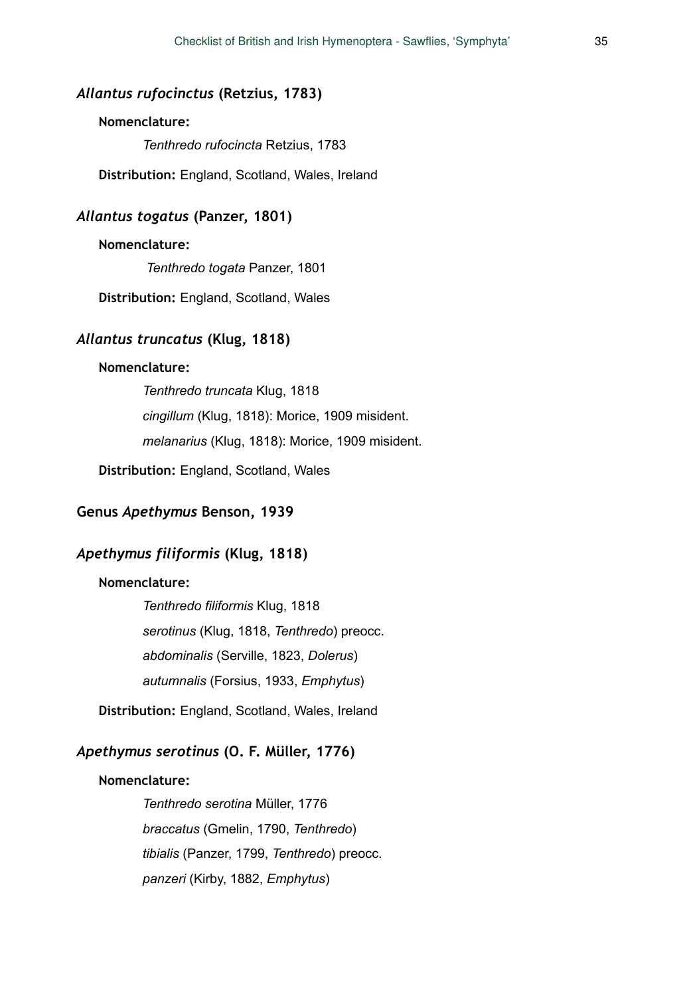# *Allantus rufocinctus* **(Retzius, 1783)**

### **Nomenclature:**

*Tenthredo rufocincta* Retzius, 1783

**Distribution:** England, Scotland, Wales, Ireland

### *Allantus togatus* **(Panzer, 1801)**

### **Nomenclature:**

*Tenthredo togata* Panzer, 1801

**Distribution:** England, Scotland, Wales

### *Allantus truncatus* **(Klug, 1818)**

### **Nomenclature:**

*Tenthredo truncata* Klug, 1818 *cingillum* (Klug, 1818): Morice, 1909 misident. *melanarius* (Klug, 1818): Morice, 1909 misident.

**Distribution:** England, Scotland, Wales

# **Genus** *Apethymus* **Benson, 1939**

# *Apethymus filiformis* **(Klug, 1818)**

### **Nomenclature:**

*Tenthredo filiformis* Klug, 1818 *serotinus* (Klug, 1818, *Tenthredo*) preocc. *abdominalis* (Serville, 1823, *Dolerus*) *autumnalis* (Forsius, 1933, *Emphytus*)

**Distribution:** England, Scotland, Wales, Ireland

# *Apethymus serotinus* **(O. F. Müller, 1776)**

# **Nomenclature:**

*Tenthredo serotina* Müller, 1776 *braccatus* (Gmelin, 1790, *Tenthredo*) *tibialis* (Panzer, 1799, *Tenthredo*) preocc. *panzeri* (Kirby, 1882, *Emphytus*)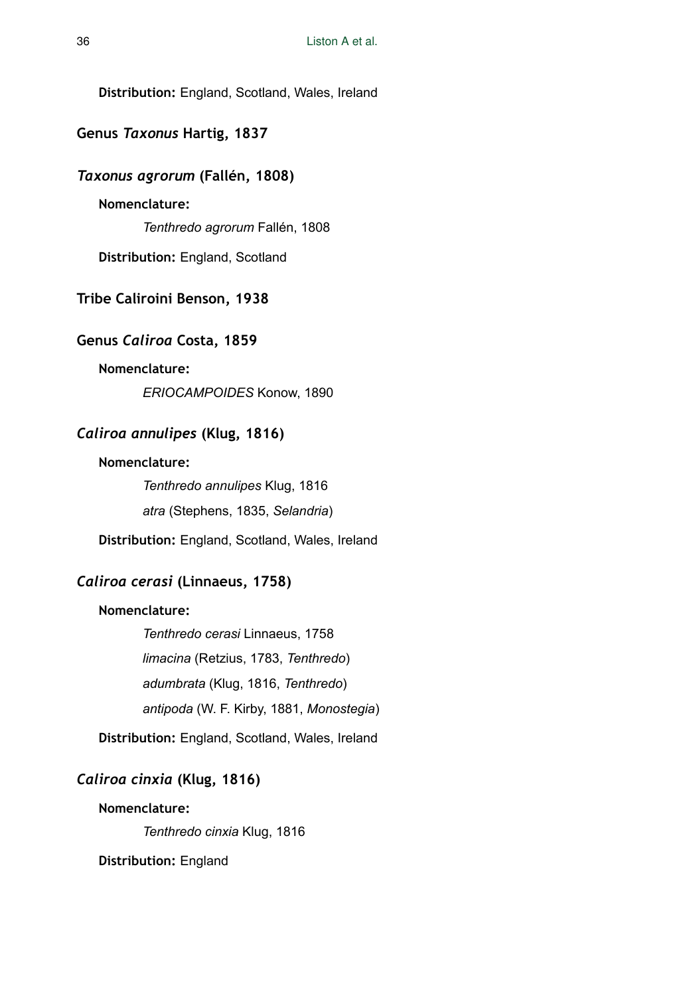**Distribution:** England, Scotland, Wales, Ireland

# **Genus** *Taxonus* **Hartig, 1837**

### *Taxonus agrorum* **(Fallén, 1808)**

# **Nomenclature:**

*Tenthredo agrorum* Fallén, 1808

**Distribution:** England, Scotland

### **Tribe Caliroini Benson, 1938**

### **Genus** *Caliroa* **Costa, 1859**

### **Nomenclature:**

*ERIOCAMPOIDES* Konow, 1890

# *Caliroa annulipes* **(Klug, 1816)**

### **Nomenclature:**

*Tenthredo annulipes* Klug, 1816 *atra* (Stephens, 1835, *Selandria*)

**Distribution:** England, Scotland, Wales, Ireland

# *Caliroa cerasi* **(Linnaeus, 1758)**

### **Nomenclature:**

*Tenthredo cerasi* Linnaeus, 1758 *limacina* (Retzius, 1783, *Tenthredo*) *adumbrata* (Klug, 1816, *Tenthredo*) *antipoda* (W. F. Kirby, 1881, *Monostegia*)

**Distribution:** England, Scotland, Wales, Ireland

# *Caliroa cinxia* **(Klug, 1816)**

### **Nomenclature:**

*Tenthredo cinxia* Klug, 1816

**Distribution:** England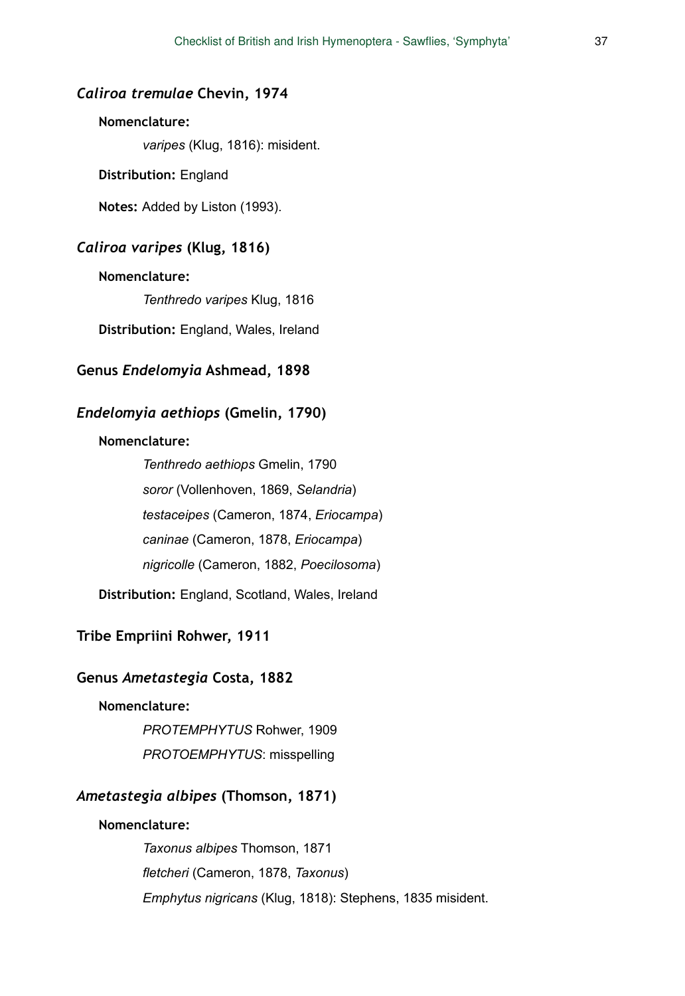## *Caliroa tremulae* **Chevin, 1974**

## **Nomenclature:**

*varipes* (Klug, 1816): misident.

**Distribution:** England

**Notes:** Added by Liston (1993).

# *Caliroa varipes* **(Klug, 1816)**

#### **Nomenclature:**

*Tenthredo varipes* Klug, 1816

**Distribution:** England, Wales, Ireland

# **Genus** *Endelomyia* **Ashmead, 1898**

# *Endelomyia aethiops* **(Gmelin, 1790)**

#### **Nomenclature:**

*Tenthredo aethiops* Gmelin, 1790 *soror* (Vollenhoven, 1869, *Selandria*) *testaceipes* (Cameron, 1874, *Eriocampa*) *caninae* (Cameron, 1878, *Eriocampa*) *nigricolle* (Cameron, 1882, *Poecilosoma*)

**Distribution:** England, Scotland, Wales, Ireland

# **Tribe Empriini Rohwer, 1911**

# **Genus** *Ametastegia* **Costa, 1882**

# **Nomenclature:**

*PROTEMPHYTUS* Rohwer, 1909 *PROTOEMPHYTUS*: misspelling

# *Ametastegia albipes* **(Thomson, 1871)**

#### **Nomenclature:**

*Taxonus albipes* Thomson, 1871 *fletcheri* (Cameron, 1878, *Taxonus*) *Emphytus nigricans* (Klug, 1818): Stephens, 1835 misident.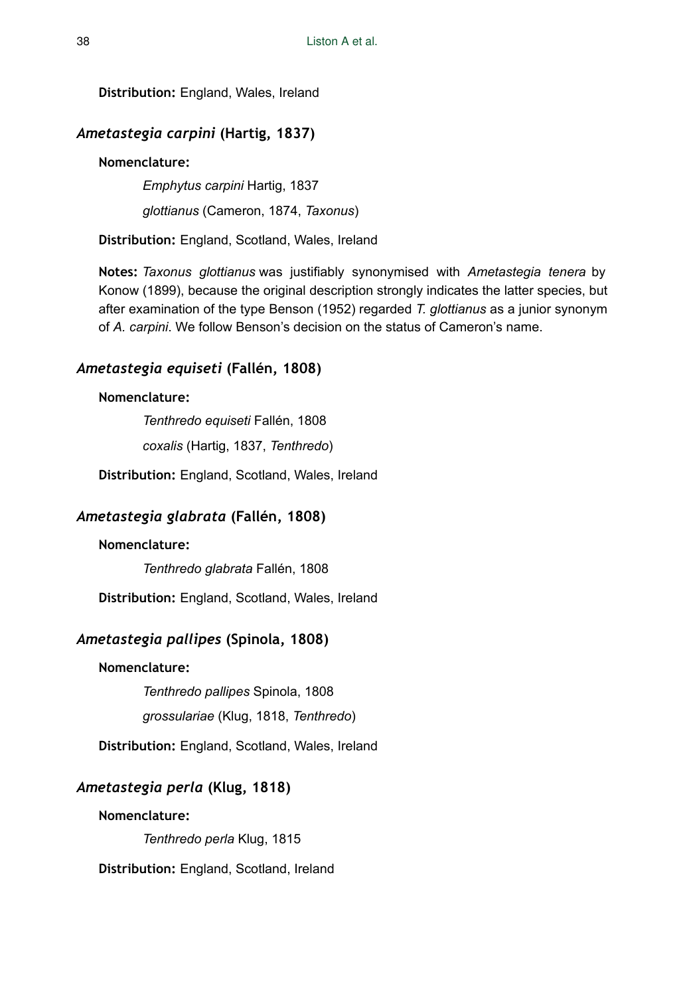**Distribution:** England, Wales, Ireland

# *Ametastegia carpini* **(Hartig, 1837)**

# **Nomenclature:**

*Emphytus carpini* Hartig, 1837

*glottianus* (Cameron, 1874, *Taxonus*)

**Distribution:** England, Scotland, Wales, Ireland

**Notes:** *Taxonus glottianus* was justifiably synonymised with *Ametastegia tenera* by Konow (1899), because the original description strongly indicates the latter species, but after examination of the type Benson (1952) regarded *T. glottianus* as a junior synonym of *A. carpini*. We follow Benson's decision on the status of Cameron's name.

# *Ametastegia equiseti* **(Fallén, 1808)**

# **Nomenclature:**

*Tenthredo equiseti* Fallén, 1808 *coxalis* (Hartig, 1837, *Tenthredo*)

**Distribution:** England, Scotland, Wales, Ireland

# *Ametastegia glabrata* **(Fallén, 1808)**

# **Nomenclature:**

*Tenthredo glabrata* Fallén, 1808

**Distribution:** England, Scotland, Wales, Ireland

# *Ametastegia pallipes* **(Spinola, 1808)**

# **Nomenclature:**

*Tenthredo pallipes* Spinola, 1808

*grossulariae* (Klug, 1818, *Tenthredo*)

**Distribution:** England, Scotland, Wales, Ireland

# *Ametastegia perla* **(Klug, 1818)**

## **Nomenclature:**

*Tenthredo perla* Klug, 1815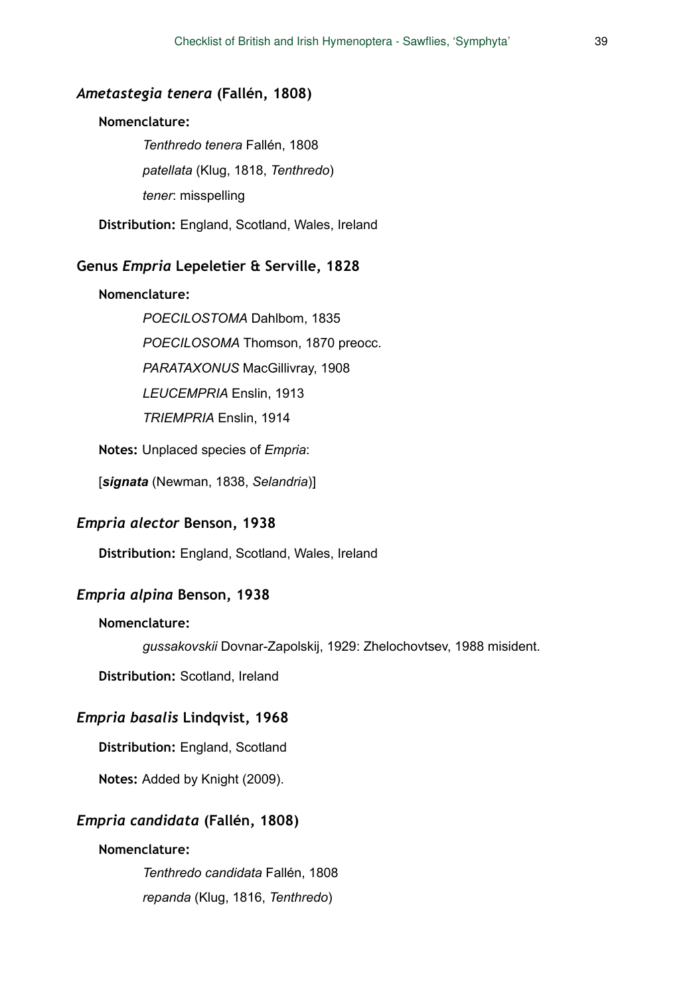#### *Ametastegia tenera* **(Fallén, 1808)**

#### **Nomenclature:**

*Tenthredo tenera* Fallén, 1808 *patellata* (Klug, 1818, *Tenthredo*) *tener*: misspelling

**Distribution:** England, Scotland, Wales, Ireland

## **Genus** *Empria* **Lepeletier & Serville, 1828**

#### **Nomenclature:**

*POECILOSTOMA* Dahlbom, 1835 *POECILOSOMA* Thomson, 1870 preocc. *PARATAXONUS* MacGillivray, 1908 *LEUCEMPRIA* Enslin, 1913 *TRIEMPRIA* Enslin, 1914

**Notes:** Unplaced species of *Empria*:

[*signata* (Newman, 1838, *Selandria*)]

### *Empria alector* **Benson, 1938**

**Distribution:** England, Scotland, Wales, Ireland

# *Empria alpina* **Benson, 1938**

### **Nomenclature:**

*gussakovskii* Dovnar-Zapolskij, 1929: Zhelochovtsev, 1988 misident.

**Distribution:** Scotland, Ireland

#### *Empria basalis* **Lindqvist, 1968**

**Distribution:** England, Scotland

**Notes:** Added by Knight (2009).

#### *Empria candidata* **(Fallén, 1808)**

### **Nomenclature:**

*Tenthredo candidata* Fallén, 1808 *repanda* (Klug, 1816, *Tenthredo*)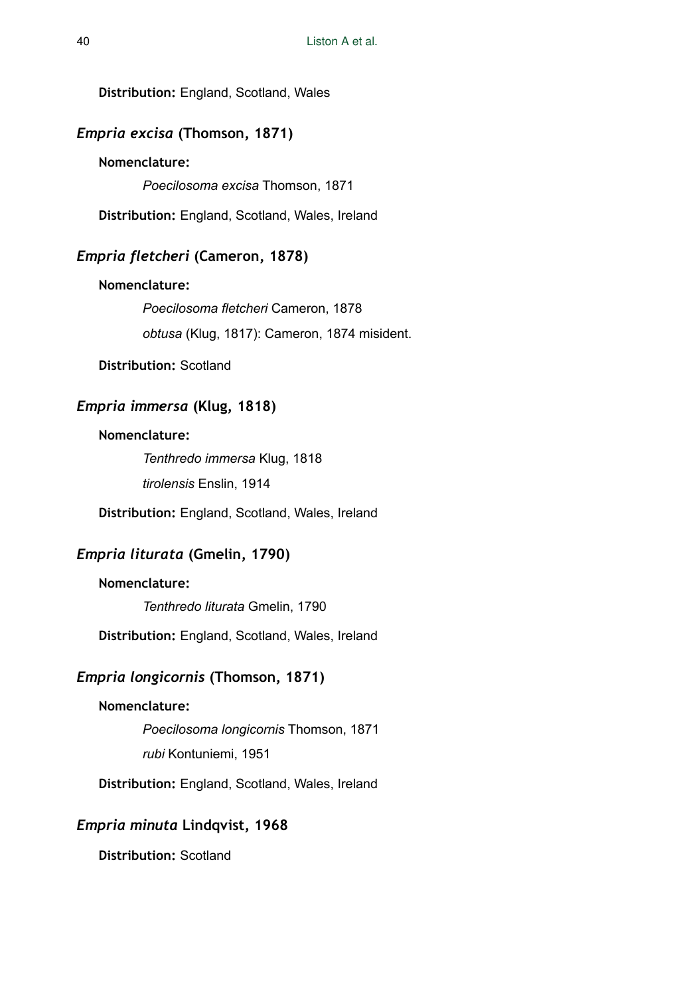**Distribution:** England, Scotland, Wales

# *Empria excisa* **(Thomson, 1871)**

# **Nomenclature:**

*Poecilosoma excisa* Thomson, 1871

**Distribution:** England, Scotland, Wales, Ireland

## *Empria fletcheri* **(Cameron, 1878)**

#### **Nomenclature:**

*Poecilosoma fletcheri* Cameron, 1878 *obtusa* (Klug, 1817): Cameron, 1874 misident.

**Distribution:** Scotland

# *Empria immersa* **(Klug, 1818)**

### **Nomenclature:**

*Tenthredo immersa* Klug, 1818 *tirolensis* Enslin, 1914

**Distribution:** England, Scotland, Wales, Ireland

# *Empria liturata* **(Gmelin, 1790)**

# **Nomenclature:**

*Tenthredo liturata* Gmelin, 1790

**Distribution:** England, Scotland, Wales, Ireland

# *Empria longicornis* **(Thomson, 1871)**

# **Nomenclature:**

*Poecilosoma longicornis* Thomson, 1871 *rubi* Kontuniemi, 1951

**Distribution:** England, Scotland, Wales, Ireland

# *Empria minuta* **Lindqvist, 1968**

**Distribution:** Scotland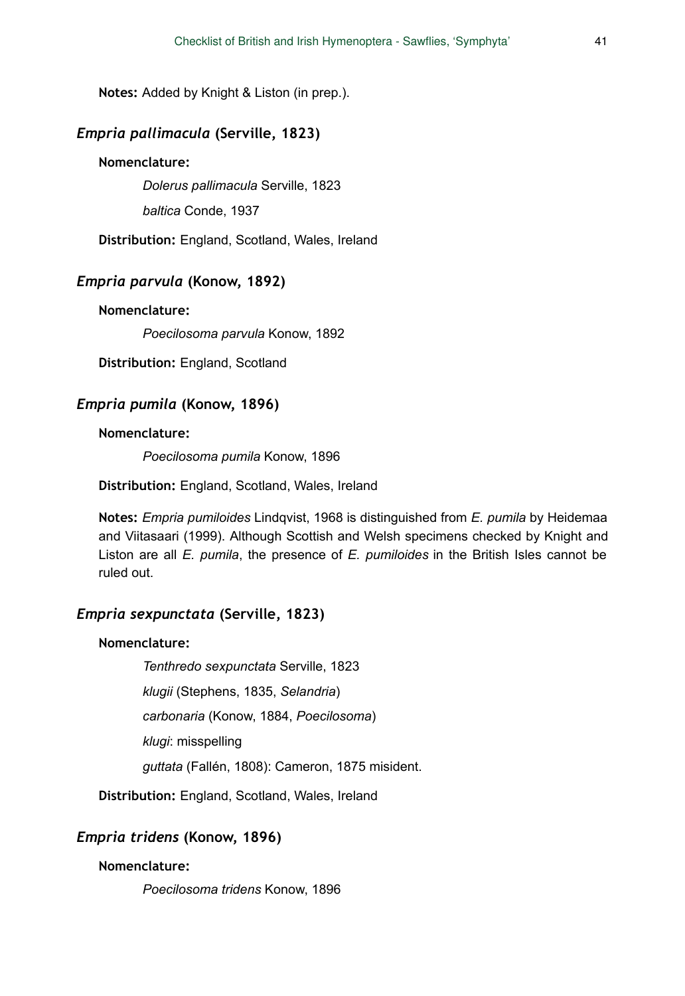**Notes:** Added by Knight & Liston (in prep.).

# *Empria pallimacula* **(Serville, 1823)**

#### **Nomenclature:**

*Dolerus pallimacula* Serville, 1823

*baltica* Conde, 1937

**Distribution:** England, Scotland, Wales, Ireland

# *Empria parvula* **(Konow, 1892)**

**Nomenclature:** 

*Poecilosoma parvula* Konow, 1892

**Distribution:** England, Scotland

## *Empria pumila* **(Konow, 1896)**

#### **Nomenclature:**

*Poecilosoma pumila* Konow, 1896

**Distribution:** England, Scotland, Wales, Ireland

**Notes:** *Empria pumiloides* Lindqvist, 1968 is distinguished from *E. pumila* by Heidemaa and Viitasaari (1999). Although Scottish and Welsh specimens checked by Knight and Liston are all *E. pumila*, the presence of *E. pumiloides* in the British Isles cannot be ruled out.

# *Empria sexpunctata* **(Serville, 1823)**

### **Nomenclature:**

*Tenthredo sexpunctata* Serville, 1823

*klugii* (Stephens, 1835, *Selandria*)

*carbonaria* (Konow, 1884, *Poecilosoma*)

*klugi*: misspelling

*guttata* (Fallén, 1808): Cameron, 1875 misident.

**Distribution:** England, Scotland, Wales, Ireland

# *Empria tridens* **(Konow, 1896)**

## **Nomenclature:**

*Poecilosoma tridens* Konow, 1896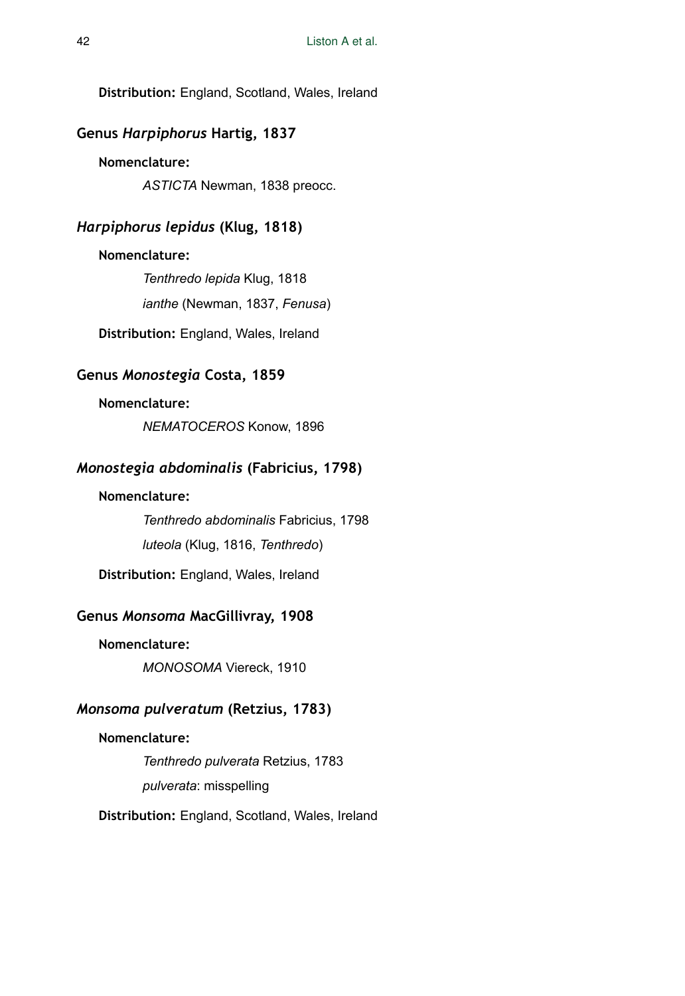**Distribution:** England, Scotland, Wales, Ireland

# **Genus** *Harpiphorus* **Hartig, 1837**

## **Nomenclature:**

*ASTICTA* Newman, 1838 preocc.

# *Harpiphorus lepidus* **(Klug, 1818)**

### **Nomenclature:**

*Tenthredo lepida* Klug, 1818 *ianthe* (Newman, 1837, *Fenusa*) **Distribution:** England, Wales, Ireland

### **Genus** *Monostegia* **Costa, 1859**

# **Nomenclature:**

*NEMATOCEROS* Konow, 1896

# *Monostegia abdominalis* **(Fabricius, 1798)**

# **Nomenclature:**

*Tenthredo abdominalis* Fabricius, 1798 *luteola* (Klug, 1816, *Tenthredo*)

**Distribution:** England, Wales, Ireland

# **Genus** *Monsoma* **MacGillivray, 1908**

### **Nomenclature:**

*MONOSOMA* Viereck, 1910

# *Monsoma pulveratum* **(Retzius, 1783)**

#### **Nomenclature:**

*Tenthredo pulverata* Retzius, 1783 *pulverata*: misspelling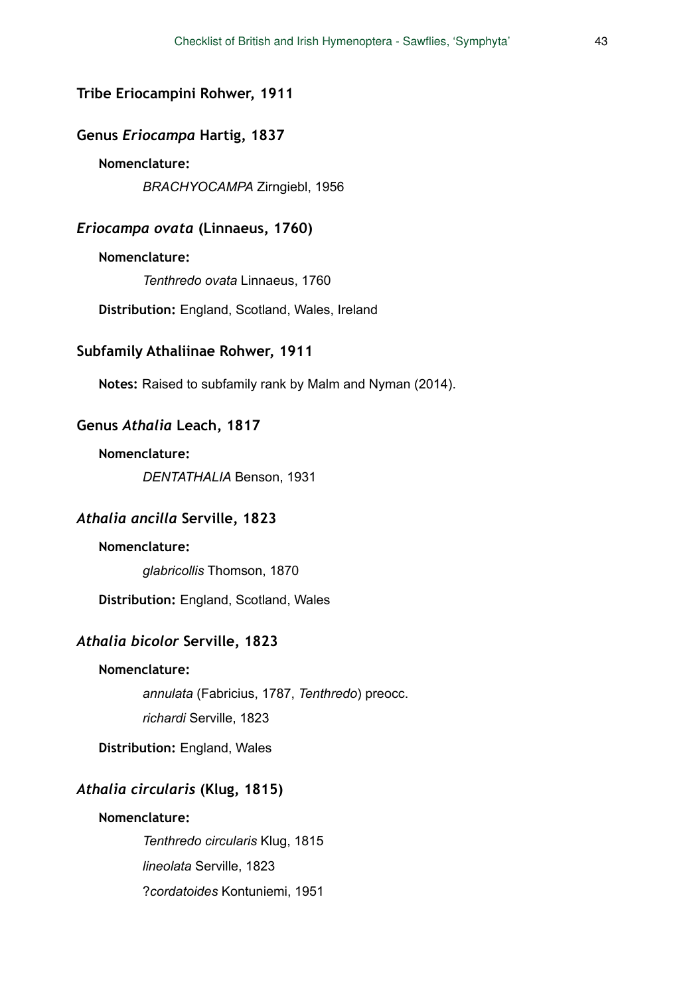#### **Tribe Eriocampini Rohwer, 1911**

#### **Genus** *Eriocampa* **Hartig, 1837**

## **Nomenclature:**

*BRACHYOCAMPA* Zirngiebl, 1956

## *Eriocampa ovata* **(Linnaeus, 1760)**

#### **Nomenclature:**

*Tenthredo ovata* Linnaeus, 1760

**Distribution:** England, Scotland, Wales, Ireland

# **Subfamily Athaliinae Rohwer, 1911**

**Notes:** Raised to subfamily rank by Malm and Nyman (2014).

#### **Genus** *Athalia* **Leach, 1817**

#### **Nomenclature:**

*DENTATHALIA* Benson, 1931

### *Athalia ancilla* **Serville, 1823**

#### **Nomenclature:**

*glabricollis* Thomson, 1870

**Distribution:** England, Scotland, Wales

### *Athalia bicolor* **Serville, 1823**

#### **Nomenclature:**

*annulata* (Fabricius, 1787, *Tenthredo*) preocc.

*richardi* Serville, 1823

**Distribution:** England, Wales

# *Athalia circularis* **(Klug, 1815)**

#### **Nomenclature:**

*Tenthredo circularis* Klug, 1815 *lineolata* Serville, 1823 ?*cordatoides* Kontuniemi, 1951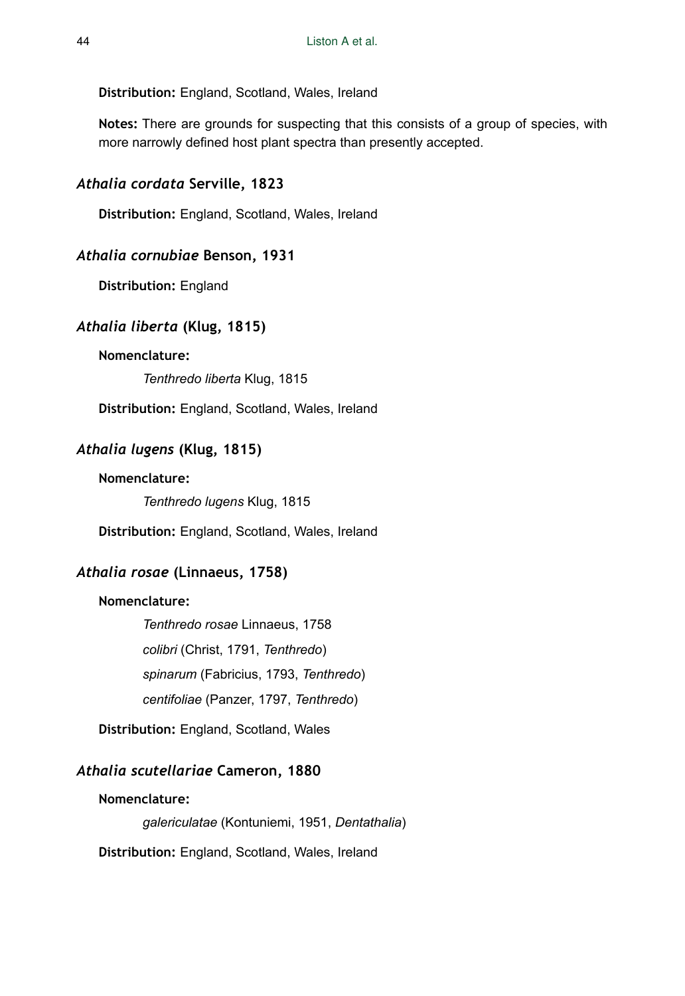#### **Distribution:** England, Scotland, Wales, Ireland

**Notes:** There are grounds for suspecting that this consists of a group of species, with more narrowly defined host plant spectra than presently accepted.

# *Athalia cordata* **Serville, 1823**

**Distribution:** England, Scotland, Wales, Ireland

### *Athalia cornubiae* **Benson, 1931**

**Distribution:** England

## *Athalia liberta* **(Klug, 1815)**

### **Nomenclature:**

*Tenthredo liberta* Klug, 1815

**Distribution:** England, Scotland, Wales, Ireland

# *Athalia lugens* **(Klug, 1815)**

### **Nomenclature:**

*Tenthredo lugens* Klug, 1815

**Distribution:** England, Scotland, Wales, Ireland

# *Athalia rosae* **(Linnaeus, 1758)**

### **Nomenclature:**

*Tenthredo rosae* Linnaeus, 1758 *colibri* (Christ, 1791, *Tenthredo*) *spinarum* (Fabricius, 1793, *Tenthredo*) *centifoliae* (Panzer, 1797, *Tenthredo*)

**Distribution:** England, Scotland, Wales

# *Athalia scutellariae* **Cameron, 1880**

#### **Nomenclature:**

*galericulatae* (Kontuniemi, 1951, *Dentathalia*)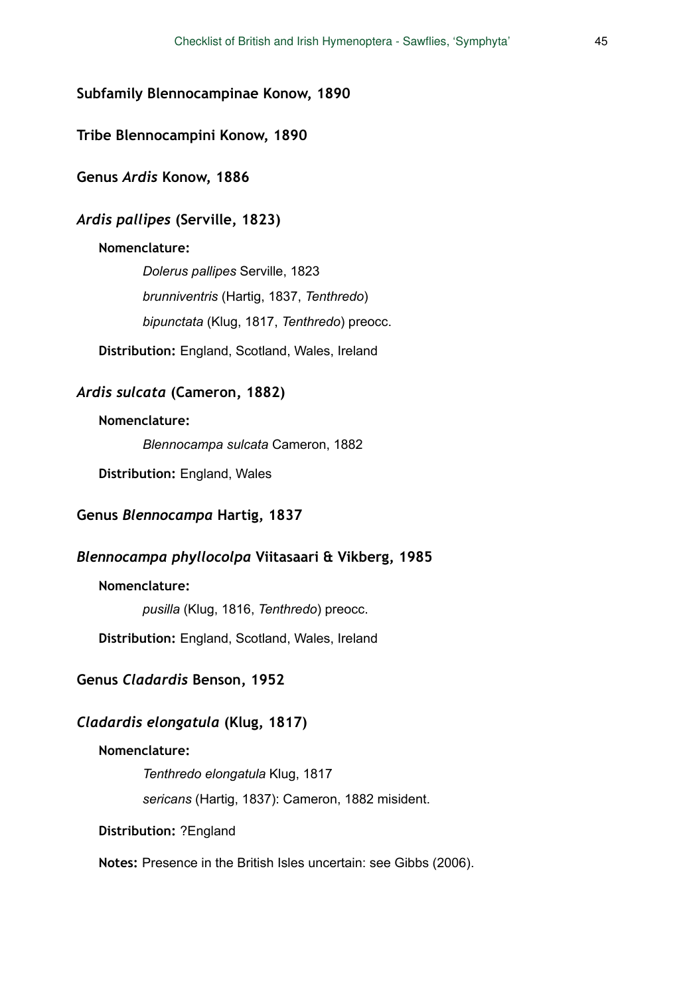# **Subfamily Blennocampinae Konow, 1890**

### **Tribe Blennocampini Konow, 1890**

### **Genus** *Ardis* **Konow, 1886**

# *Ardis pallipes* **(Serville, 1823)**

### **Nomenclature:**

*Dolerus pallipes* Serville, 1823 *brunniventris* (Hartig, 1837, *Tenthredo*) *bipunctata* (Klug, 1817, *Tenthredo*) preocc.

**Distribution:** England, Scotland, Wales, Ireland

# *Ardis sulcata* **(Cameron, 1882)**

### **Nomenclature:**

*Blennocampa sulcata* Cameron, 1882

**Distribution:** England, Wales

# **Genus** *Blennocampa* **Hartig, 1837**

# *Blennocampa phyllocolpa* **Viitasaari & Vikberg, 1985**

### **Nomenclature:**

*pusilla* (Klug, 1816, *Tenthredo*) preocc.

**Distribution:** England, Scotland, Wales, Ireland

# **Genus** *Cladardis* **Benson, 1952**

# *Cladardis elongatula* **(Klug, 1817)**

### **Nomenclature:**

*Tenthredo elongatula* Klug, 1817 *sericans* (Hartig, 1837): Cameron, 1882 misident.

**Distribution:** ?England

**Notes:** Presence in the British Isles uncertain: see Gibbs (2006).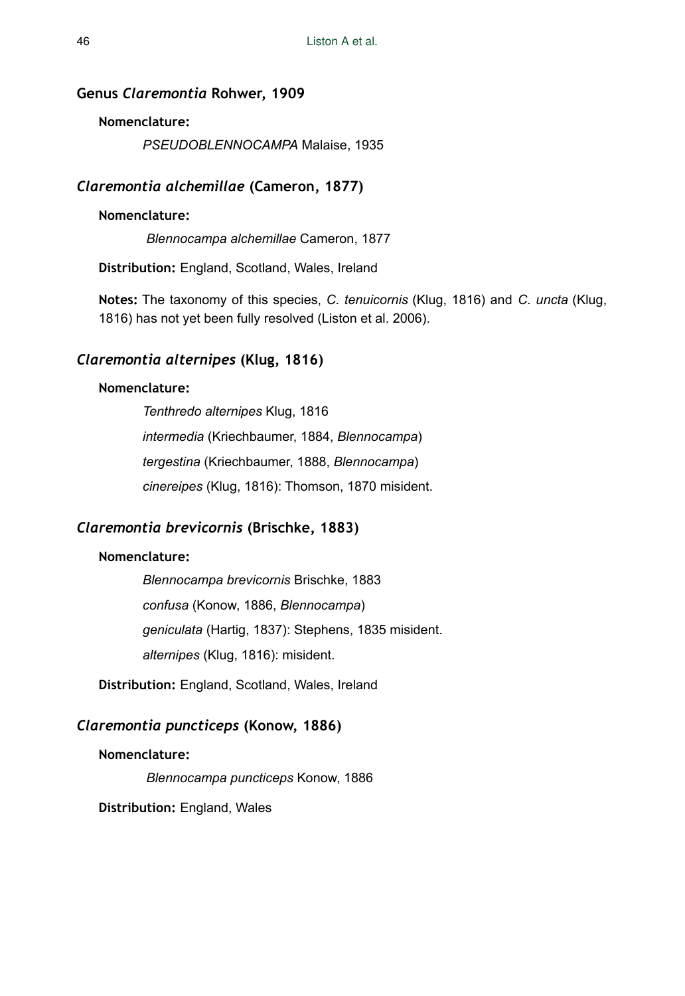### **Genus** *Claremontia* **Rohwer, 1909**

### **Nomenclature:**

*PSEUDOBLENNOCAMPA* Malaise, 1935

# *Claremontia alchemillae* **(Cameron, 1877)**

### **Nomenclature:**

*Blennocampa alchemillae* Cameron, 1877

**Distribution:** England, Scotland, Wales, Ireland

**Notes:** The taxonomy of this species, *C. tenuicornis* (Klug, 1816) and *C. uncta* (Klug, 1816) has not yet been fully resolved (Liston et al. 2006).

# *Claremontia alternipes* **(Klug, 1816)**

## **Nomenclature:**

*Tenthredo alternipes* Klug, 1816 *intermedia* (Kriechbaumer, 1884, *Blennocampa*) *tergestina* (Kriechbaumer, 1888, *Blennocampa*) *cinereipes* (Klug, 1816): Thomson, 1870 misident.

# *Claremontia brevicornis* **(Brischke, 1883)**

## **Nomenclature:**

*Blennocampa brevicornis* Brischke, 1883 *confusa* (Konow, 1886, *Blennocampa*) *geniculata* (Hartig, 1837): Stephens, 1835 misident. *alternipes* (Klug, 1816): misident.

**Distribution:** England, Scotland, Wales, Ireland

# *Claremontia puncticeps* **(Konow, 1886)**

### **Nomenclature:**

*Blennocampa puncticeps* Konow, 1886

**Distribution:** England, Wales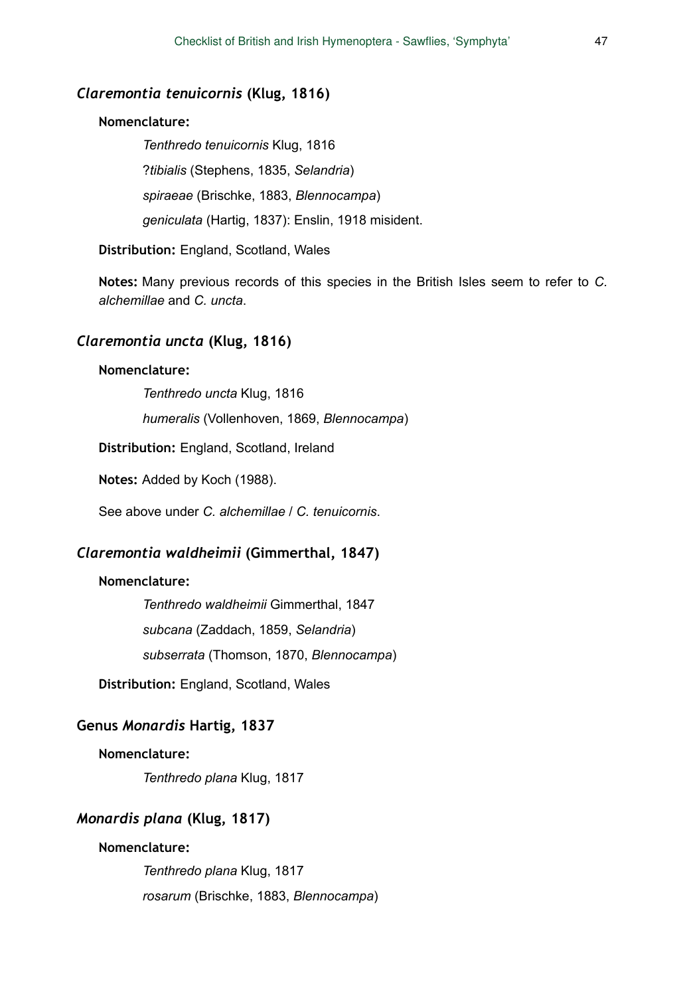### *Claremontia tenuicornis* **(Klug, 1816)**

#### **Nomenclature:**

*Tenthredo tenuicornis* Klug, 1816 ?*tibialis* (Stephens, 1835, *Selandria*) *spiraeae* (Brischke, 1883, *Blennocampa*) *geniculata* (Hartig, 1837): Enslin, 1918 misident.

**Distribution:** England, Scotland, Wales

**Notes:** Many previous records of this species in the British Isles seem to refer to *C. alchemillae* and *C. uncta*.

### *Claremontia uncta* **(Klug, 1816)**

#### **Nomenclature:**

*Tenthredo uncta* Klug, 1816

*humeralis* (Vollenhoven, 1869, *Blennocampa*)

**Distribution:** England, Scotland, Ireland

**Notes:** Added by Koch (1988).

See above under *C. alchemillae* / *C. tenuicornis*.

# *Claremontia waldheimii* **(Gimmerthal, 1847)**

#### **Nomenclature:**

*Tenthredo waldheimii* Gimmerthal, 1847 *subcana* (Zaddach, 1859, *Selandria*) *subserrata* (Thomson, 1870, *Blennocampa*)

**Distribution:** England, Scotland, Wales

## **Genus** *Monardis* **Hartig, 1837**

#### **Nomenclature:**

*Tenthredo plana* Klug, 1817

### *Monardis plana* **(Klug, 1817)**

#### **Nomenclature:**

*Tenthredo plana* Klug, 1817 *rosarum* (Brischke, 1883, *Blennocampa*)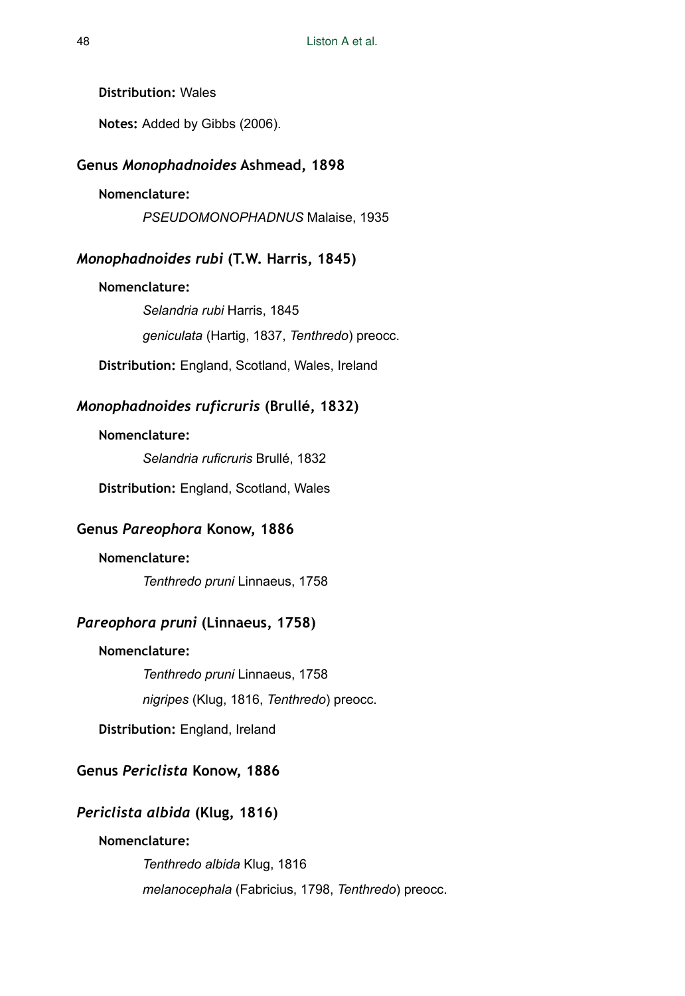**Distribution:** Wales

**Notes:** Added by Gibbs (2006).

### **Genus** *Monophadnoides* **Ashmead, 1898**

#### **Nomenclature:**

*PSEUDOMONOPHADNUS* Malaise, 1935

#### *Monophadnoides rubi* **(T.W. Harris, 1845)**

**Nomenclature:**  *Selandria rubi* Harris, 1845

*geniculata* (Hartig, 1837, *Tenthredo*) preocc.

**Distribution:** England, Scotland, Wales, Ireland

# *Monophadnoides ruficruris* **(Brullé, 1832)**

#### **Nomenclature:**

*Selandria ruficruris* Brullé, 1832

**Distribution:** England, Scotland, Wales

# **Genus** *Pareophora* **Konow, 1886**

### **Nomenclature:**

*Tenthredo pruni* Linnaeus, 1758

# *Pareophora pruni* **(Linnaeus, 1758)**

# **Nomenclature:**

*Tenthredo pruni* Linnaeus, 1758 *nigripes* (Klug, 1816, *Tenthredo*) preocc.

**Distribution:** England, Ireland

# **Genus** *Periclista* **Konow, 1886**

# *Periclista albida* **(Klug, 1816)**

### **Nomenclature:**

*Tenthredo albida* Klug, 1816 *melanocephala* (Fabricius, 1798, *Tenthredo*) preocc.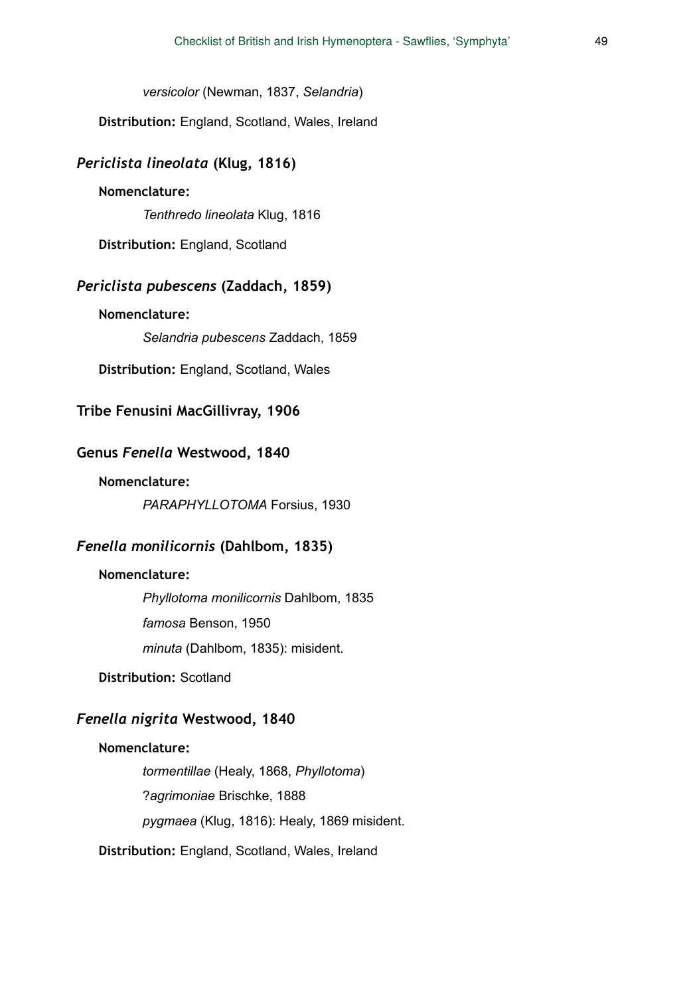*versicolor* (Newman, 1837, *Selandria*)

**Distribution:** England, Scotland, Wales, Ireland

# *Periclista lineolata* **(Klug, 1816)**

#### **Nomenclature:**

*Tenthredo lineolata* Klug, 1816

**Distribution:** England, Scotland

# *Periclista pubescens* **(Zaddach, 1859)**

**Nomenclature:** 

*Selandria pubescens* Zaddach, 1859

**Distribution:** England, Scotland, Wales

# **Tribe Fenusini MacGillivray, 1906**

#### **Genus** *Fenella* **Westwood, 1840**

#### **Nomenclature:**

*PARAPHYLLOTOMA* Forsius, 1930

# *Fenella monilicornis* **(Dahlbom, 1835)**

#### **Nomenclature:**

*Phyllotoma monilicornis* Dahlbom, 1835 *famosa* Benson, 1950 *minuta* (Dahlbom, 1835): misident.

**Distribution:** Scotland

# *Fenella nigrita* **Westwood, 1840**

#### **Nomenclature:**

*tormentillae* (Healy, 1868, *Phyllotoma*) ?*agrimoniae* Brischke, 1888 *pygmaea* (Klug, 1816): Healy, 1869 misident.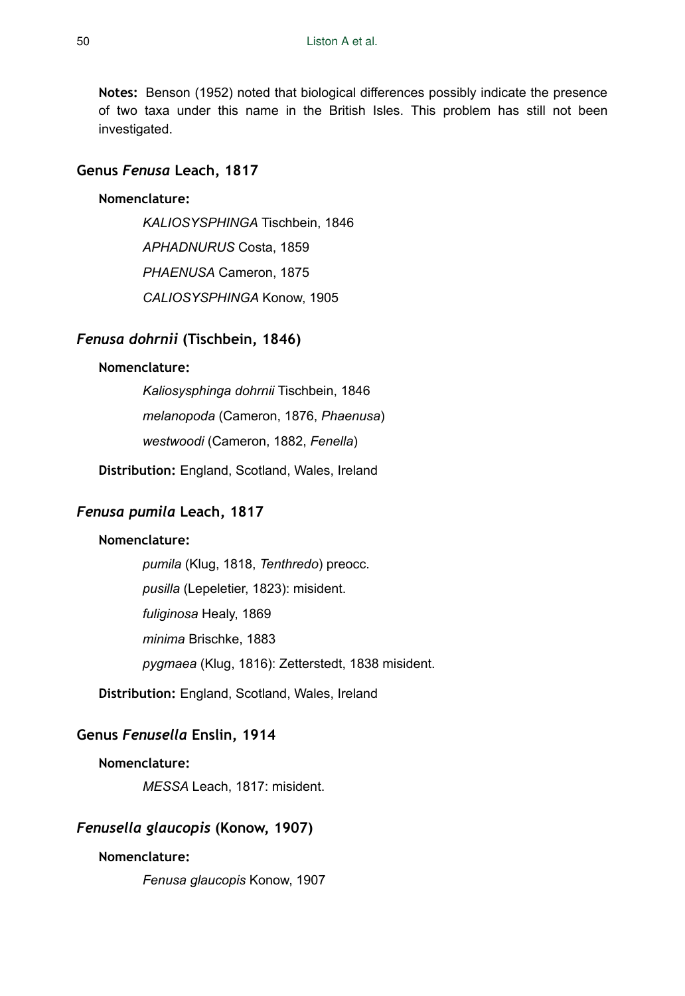**Notes:** Benson (1952) noted that biological differences possibly indicate the presence of two taxa under this name in the British Isles. This problem has still not been investigated.

### **Genus** *Fenusa* **Leach, 1817**

### **Nomenclature:**

*KALIOSYSPHINGA* Tischbein, 1846 *APHADNURUS* Costa, 1859 *PHAENUSA* Cameron, 1875 *CALIOSYSPHINGA* Konow, 1905

# *Fenusa dohrnii* **(Tischbein, 1846)**

#### **Nomenclature:**

*Kaliosysphinga dohrnii* Tischbein, 1846 *melanopoda* (Cameron, 1876, *Phaenusa*) *westwoodi* (Cameron, 1882, *Fenella*)

**Distribution:** England, Scotland, Wales, Ireland

# *Fenusa pumila* **Leach, 1817**

### **Nomenclature:**

*pumila* (Klug, 1818, *Tenthredo*) preocc. *pusilla* (Lepeletier, 1823): misident. *fuliginosa* Healy, 1869 *minima* Brischke, 1883 *pygmaea* (Klug, 1816): Zetterstedt, 1838 misident.

**Distribution:** England, Scotland, Wales, Ireland

# **Genus** *Fenusella* **Enslin, 1914**

### **Nomenclature:**

*MESSA* Leach, 1817: misident.

## *Fenusella glaucopis* **(Konow, 1907)**

#### **Nomenclature:**

*Fenusa glaucopis* Konow, 1907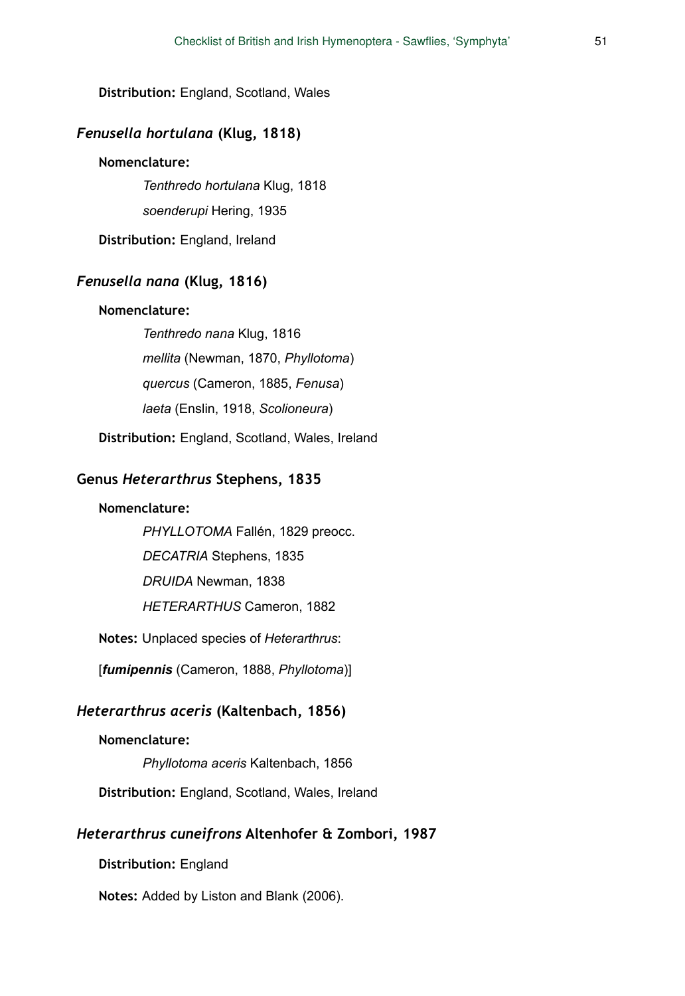**Distribution:** England, Scotland, Wales

# *Fenusella hortulana* **(Klug, 1818)**

#### **Nomenclature:**

*Tenthredo hortulana* Klug, 1818 *soenderupi* Hering, 1935

**Distribution:** England, Ireland

# *Fenusella nana* **(Klug, 1816)**

### **Nomenclature:**

*Tenthredo nana* Klug, 1816 *mellita* (Newman, 1870, *Phyllotoma*) *quercus* (Cameron, 1885, *Fenusa*) *laeta* (Enslin, 1918, *Scolioneura*)

**Distribution:** England, Scotland, Wales, Ireland

# **Genus** *Heterarthrus* **Stephens, 1835**

### **Nomenclature:**

*PHYLLOTOMA* Fallén, 1829 preocc.

*DECATRIA* Stephens, 1835

*DRUIDA* Newman, 1838

*HETERARTHUS* Cameron, 1882

**Notes:** Unplaced species of *Heterarthrus*:

[*fumipennis* (Cameron, 1888, *Phyllotoma*)]

#### *Heterarthrus aceris* **(Kaltenbach, 1856)**

#### **Nomenclature:**

*Phyllotoma aceris* Kaltenbach, 1856

**Distribution:** England, Scotland, Wales, Ireland

### *Heterarthrus cuneifrons* **Altenhofer & Zombori, 1987**

**Distribution:** England

**Notes:** Added by Liston and Blank (2006).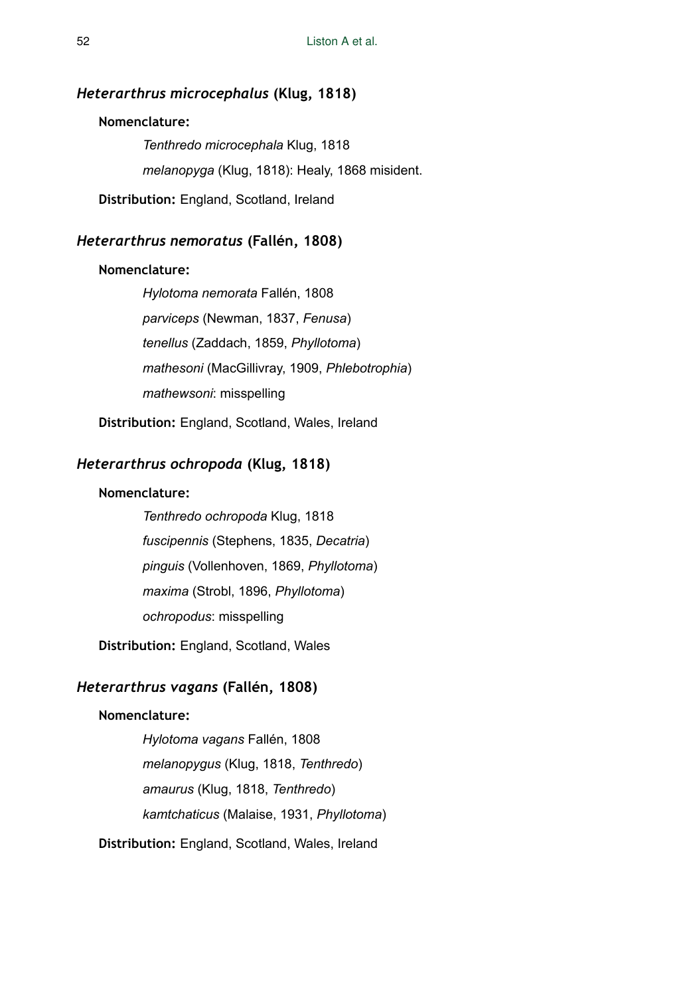# *Heterarthrus microcephalus* **(Klug, 1818)**

### **Nomenclature:**

*Tenthredo microcephala* Klug, 1818 *melanopyga* (Klug, 1818): Healy, 1868 misident.

**Distribution:** England, Scotland, Ireland

# *Heterarthrus nemoratus* **(Fallén, 1808)**

#### **Nomenclature:**

*Hylotoma nemorata* Fallén, 1808 *parviceps* (Newman, 1837, *Fenusa*) *tenellus* (Zaddach, 1859, *Phyllotoma*) *mathesoni* (MacGillivray, 1909, *Phlebotrophia*) *mathewsoni*: misspelling

**Distribution:** England, Scotland, Wales, Ireland

# *Heterarthrus ochropoda* **(Klug, 1818)**

# **Nomenclature:**

*Tenthredo ochropoda* Klug, 1818 *fuscipennis* (Stephens, 1835, *Decatria*) *pinguis* (Vollenhoven, 1869, *Phyllotoma*) *maxima* (Strobl, 1896, *Phyllotoma*) *ochropodus*: misspelling

**Distribution:** England, Scotland, Wales

# *Heterarthrus vagans* **(Fallén, 1808)**

# **Nomenclature:**

*Hylotoma vagans* Fallén, 1808 *melanopygus* (Klug, 1818, *Tenthredo*) *amaurus* (Klug, 1818, *Tenthredo*) *kamtchaticus* (Malaise, 1931, *Phyllotoma*)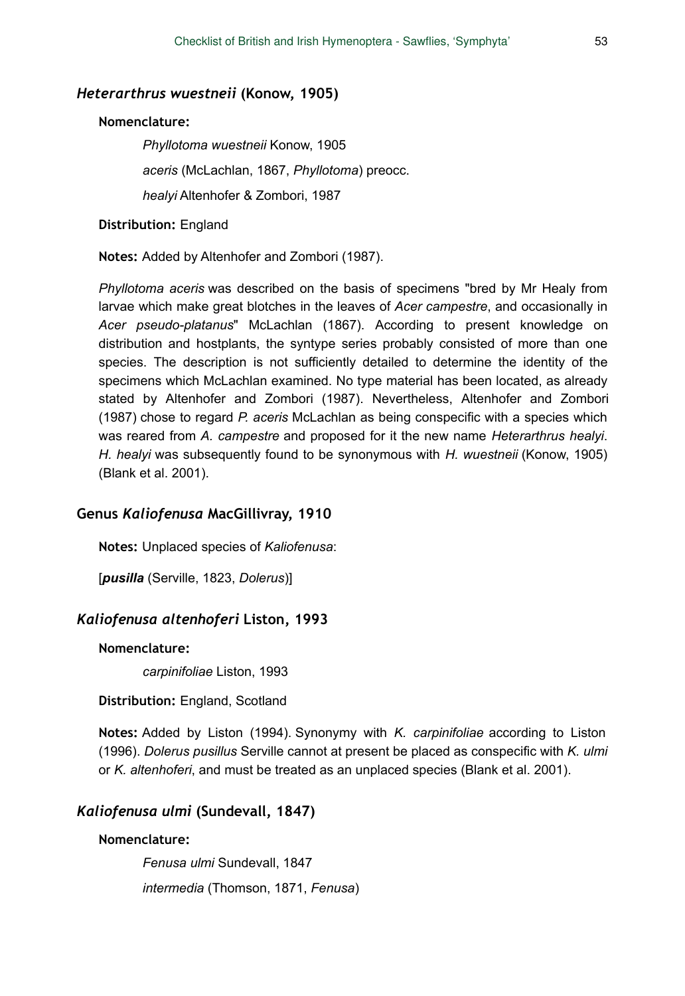#### *Heterarthrus wuestneii* **(Konow, 1905)**

#### **Nomenclature:**

*Phyllotoma wuestneii* Konow, 1905 *aceris* (McLachlan, 1867, *Phyllotoma*) preocc. *healyi* Altenhofer & Zombori, 1987

**Distribution:** England

**Notes:** Added by Altenhofer and Zombori (1987).

*Phyllotoma aceris* was described on the basis of specimens "bred by Mr Healy from larvae which make great blotches in the leaves of *Acer campestre*, and occasionally in *Acer pseudo-platanus*" McLachlan (1867). According to present knowledge on distribution and hostplants, the syntype series probably consisted of more than one species. The description is not sufficiently detailed to determine the identity of the specimens which McLachlan examined. No type material has been located, as already stated by Altenhofer and Zombori (1987). Nevertheless, Altenhofer and Zombori (1987) chose to regard *P. aceris* McLachlan as being conspecific with a species which was reared from *A. campestre* and proposed for it the new name *Heterarthrus healyi*. *H. healyi* was subsequently found to be synonymous with *H. wuestneii* (Konow, 1905) (Blank et al. 2001).

#### **Genus** *Kaliofenusa* **MacGillivray, 1910**

**Notes:** Unplaced species of *Kaliofenusa*:

[*pusilla* (Serville, 1823, *Dolerus*)]

# *Kaliofenusa altenhoferi* **Liston, 1993**

## **Nomenclature:**

*carpinifoliae* Liston, 1993

**Distribution:** England, Scotland

**Notes:** Added by Liston (1994). Synonymy with *K. carpinifoliae* according to Liston (1996). *Dolerus pusillus* Serville cannot at present be placed as conspecific with *K. ulmi* or *K. altenhoferi*, and must be treated as an unplaced species (Blank et al. 2001).

# *Kaliofenusa ulmi* **(Sundevall, 1847)**

#### **Nomenclature:**

*Fenusa ulmi* Sundevall, 1847 *intermedia* (Thomson, 1871, *Fenusa*)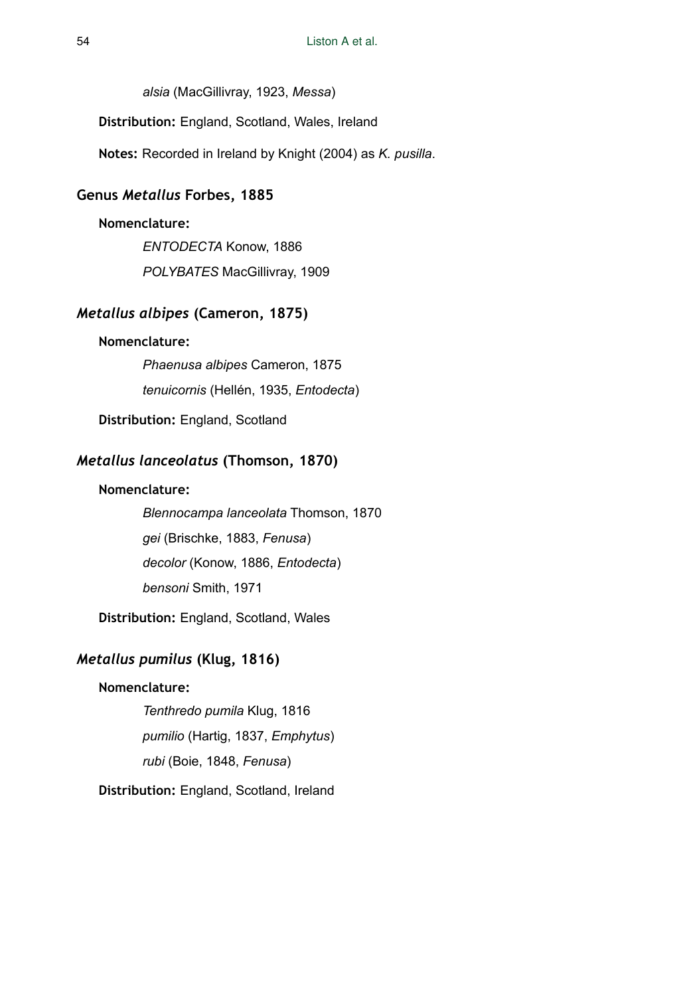*alsia* (MacGillivray, 1923, *Messa*)

**Distribution:** England, Scotland, Wales, Ireland

**Notes:** Recorded in Ireland by Knight (2004) as *K. pusilla*.

# **Genus** *Metallus* **Forbes, 1885**

### **Nomenclature:**

*ENTODECTA* Konow, 1886 *POLYBATES* MacGillivray, 1909

# *Metallus albipes* **(Cameron, 1875)**

### **Nomenclature:**

*Phaenusa albipes* Cameron, 1875 *tenuicornis* (Hellén, 1935, *Entodecta*)

**Distribution:** England, Scotland

# *Metallus lanceolatus* **(Thomson, 1870)**

### **Nomenclature:**

*Blennocampa lanceolata* Thomson, 1870 *gei* (Brischke, 1883, *Fenusa*) *decolor* (Konow, 1886, *Entodecta*) *bensoni* Smith, 1971

**Distribution:** England, Scotland, Wales

# *Metallus pumilus* **(Klug, 1816)**

# **Nomenclature:**

*Tenthredo pumila* Klug, 1816 *pumilio* (Hartig, 1837, *Emphytus*) *rubi* (Boie, 1848, *Fenusa*)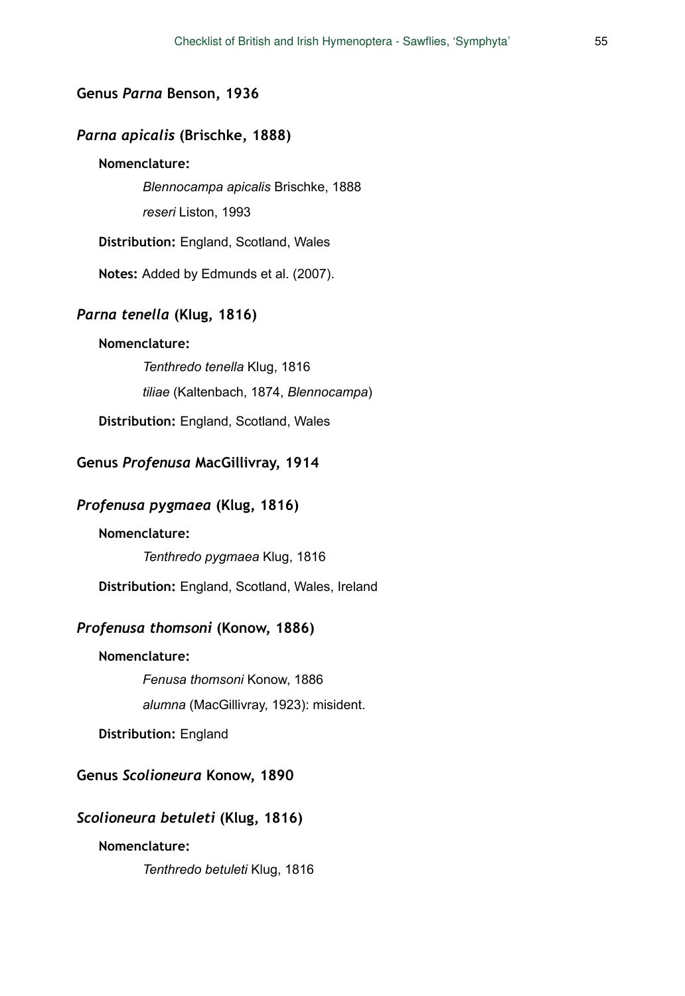#### **Genus** *Parna* **Benson, 1936**

# *Parna apicalis* **(Brischke, 1888)**

## **Nomenclature:**

*Blennocampa apicalis* Brischke, 1888

*reseri* Liston, 1993

**Distribution:** England, Scotland, Wales

**Notes:** Added by Edmunds et al. (2007).

# *Parna tenella* **(KIug, 1816)**

#### **Nomenclature:**

*Tenthredo tenella* Klug, 1816 *tiliae* (Kaltenbach, 1874, *Blennocampa*) **Distribution:** England, Scotland, Wales

### **Genus** *Profenusa* **MacGillivray, 1914**

# *Profenusa pygmaea* **(Klug, 1816)**

#### **Nomenclature:**

*Tenthredo pygmaea* Klug, 1816

**Distribution:** England, Scotland, Wales, Ireland

# *Profenusa thomsoni* **(Konow, 1886)**

#### **Nomenclature:**

*Fenusa thomsoni* Konow, 1886

*alumna* (MacGillivray, 1923): misident.

**Distribution:** England

# **Genus** *Scolioneura* **Konow, 1890**

#### *Scolioneura betuleti* **(Klug, 1816)**

### **Nomenclature:**

*Tenthredo betuleti* Klug, 1816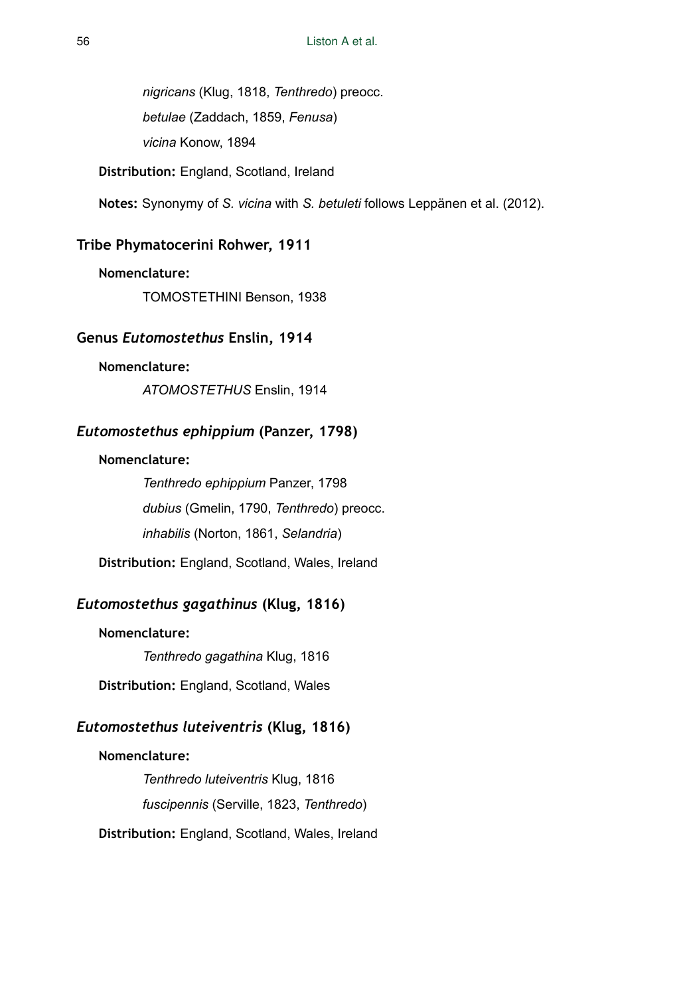*nigricans* (Klug, 1818, *Tenthredo*) preocc. *betulae* (Zaddach, 1859, *Fenusa*) *vicina* Konow, 1894

**Distribution:** England, Scotland, Ireland

**Notes:** Synonymy of *S. vicina* with *S. betuleti* follows Leppänen et al. (2012).

## **Tribe Phymatocerini Rohwer, 1911**

#### **Nomenclature:**

TOMOSTETHINI Benson, 1938

# **Genus** *Eutomostethus* **Enslin, 1914**

## **Nomenclature:**

*ATOMOSTETHUS* Enslin, 1914

# *Eutomostethus ephippium* **(Panzer, 1798)**

# **Nomenclature:**

*Tenthredo ephippium* Panzer, 1798 *dubius* (Gmelin, 1790, *Tenthredo*) preocc. *inhabilis* (Norton, 1861, *Selandria*)

**Distribution:** England, Scotland, Wales, Ireland

# *Eutomostethus gagathinus* **(Klug, 1816)**

**Nomenclature:** 

*Tenthredo gagathina* Klug, 1816

**Distribution:** England, Scotland, Wales

# *Eutomostethus luteiventris* **(Klug, 1816)**

## **Nomenclature:**

*Tenthredo luteiventris* Klug, 1816 *fuscipennis* (Serville, 1823, *Tenthredo*) **Distribution:** England, Scotland, Wales, Ireland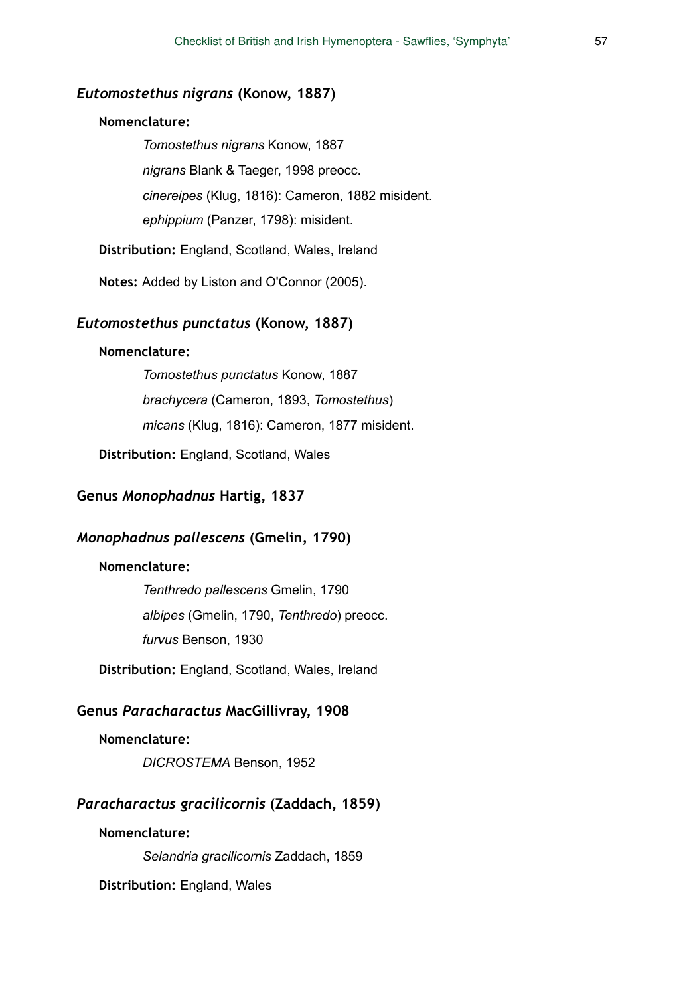# *Eutomostethus nigrans* **(Konow, 1887)**

#### **Nomenclature:**

*Tomostethus nigrans* Konow, 1887 *nigrans* Blank & Taeger, 1998 preocc. *cinereipes* (Klug, 1816): Cameron, 1882 misident. *ephippium* (Panzer, 1798): misident.

**Distribution:** England, Scotland, Wales, Ireland

**Notes:** Added by Liston and O'Connor (2005).

#### *Eutomostethus punctatus* **(Konow, 1887)**

### **Nomenclature:**

*Tomostethus punctatus* Konow, 1887 *brachycera* (Cameron, 1893, *Tomostethus*) *micans* (Klug, 1816): Cameron, 1877 misident.

**Distribution:** England, Scotland, Wales

# **Genus** *Monophadnus* **Hartig, 1837**

#### *Monophadnus pallescens* **(Gmelin, 1790)**

## **Nomenclature:**

*Tenthredo pallescens* Gmelin, 1790 *albipes* (Gmelin, 1790, *Tenthredo*) preocc. *furvus* Benson, 1930

**Distribution:** England, Scotland, Wales, Ireland

#### **Genus** *Paracharactus* **MacGillivray, 1908**

#### **Nomenclature:**

*DICROSTEMA* Benson, 1952

### *Paracharactus gracilicornis* **(Zaddach, 1859)**

# **Nomenclature:**

*Selandria gracilicornis* Zaddach, 1859

**Distribution:** England, Wales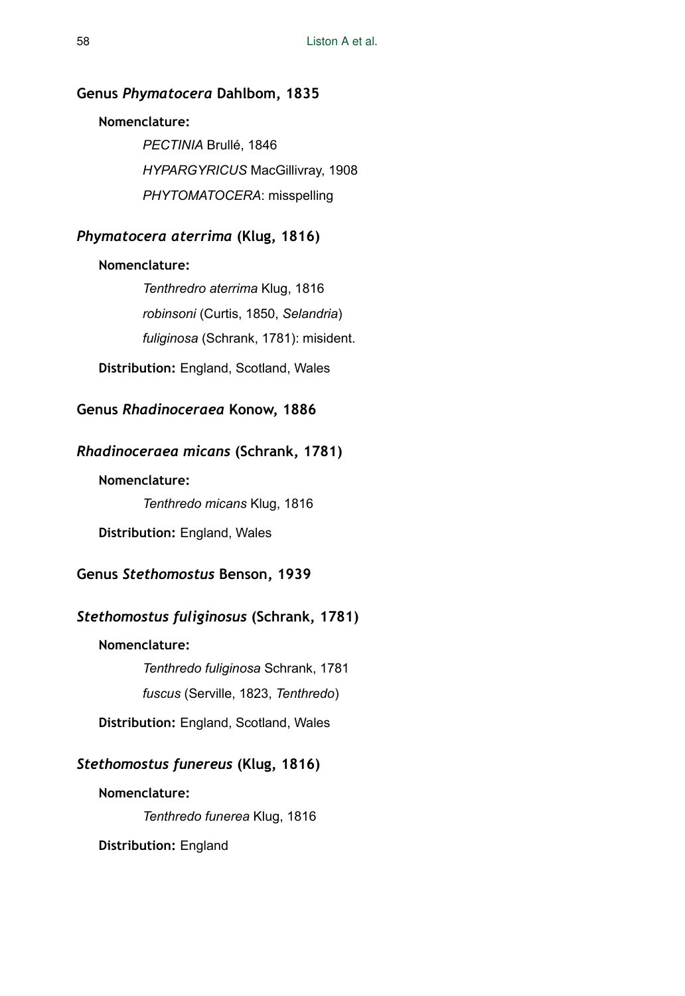## **Genus** *Phymatocera* **Dahlbom, 1835**

### **Nomenclature:**

*PECTINIA* Brullé, 1846 *HYPARGYRICUS* MacGillivray, 1908 *PHYTOMATOCERA*: misspelling

# *Phymatocera aterrima* **(Klug, 1816)**

### **Nomenclature:**

*Tenthredro aterrima* Klug, 1816 *robinsoni* (Curtis, 1850, *Selandria*) *fuliginosa* (Schrank, 1781): misident.

**Distribution:** England, Scotland, Wales

# **Genus** *Rhadinoceraea* **Konow, 1886**

# *Rhadinoceraea micans* **(Schrank, 1781)**

### **Nomenclature:**

*Tenthredo micans* Klug, 1816

**Distribution:** England, Wales

# **Genus** *Stethomostus* **Benson, 1939**

# *Stethomostus fuliginosus* **(Schrank, 1781)**

### **Nomenclature:**

*Tenthredo fuliginosa* Schrank, 1781 *fuscus* (Serville, 1823, *Tenthredo*)

**Distribution:** England, Scotland, Wales

## *Stethomostus funereus* **(Klug, 1816)**

**Nomenclature:** 

*Tenthredo funerea* Klug, 1816

**Distribution:** England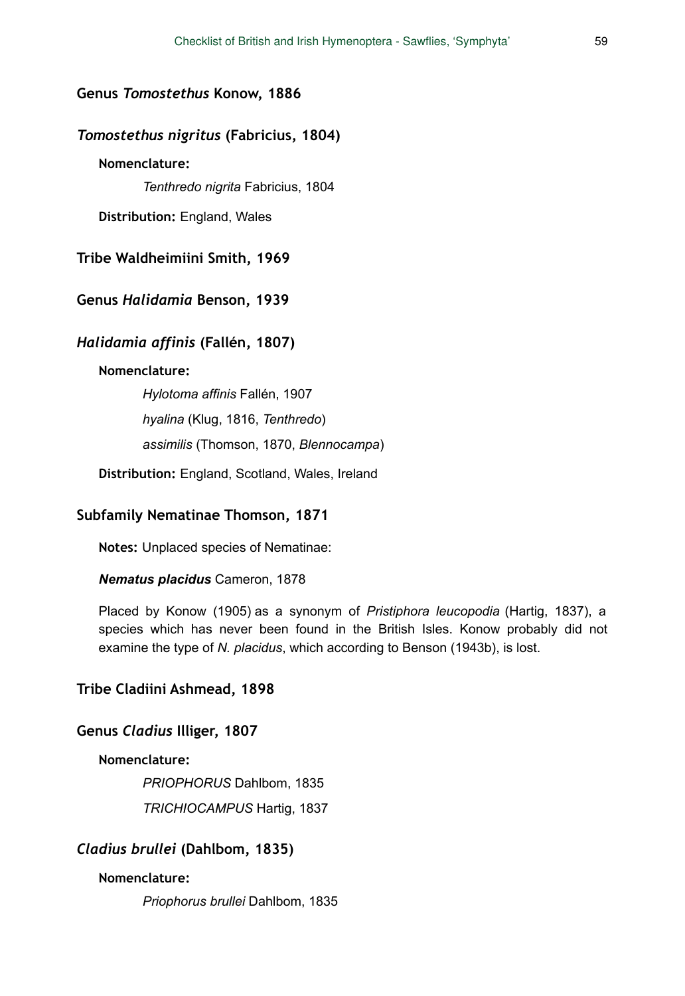#### **Genus** *Tomostethus* **Konow, 1886**

### *Tomostethus nigritus* **(Fabricius, 1804)**

# **Nomenclature:**

*Tenthredo nigrita* Fabricius, 1804

**Distribution:** England, Wales

**Tribe Waldheimiini Smith, 1969** 

### **Genus** *Halidamia* **Benson, 1939**

#### *Halidamia affinis* **(Fallén, 1807)**

#### **Nomenclature:**

*Hylotoma affinis* Fallén, 1907 *hyalina* (Klug, 1816, *Tenthredo*) *assimilis* (Thomson, 1870, *Blennocampa*)

**Distribution:** England, Scotland, Wales, Ireland

## **Subfamily Nematinae Thomson, 1871**

**Notes:** Unplaced species of Nematinae:

#### *Nematus placidus* Cameron, 1878

Placed by Konow (1905) as a synonym of *Pristiphora leucopodia* (Hartig, 1837), a species which has never been found in the British Isles. Konow probably did not examine the type of *N. placidus*, which according to Benson (1943b), is lost.

#### **Tribe Cladiini Ashmead, 1898**

#### **Genus** *Cladius* **Illiger, 1807**

#### **Nomenclature:**

*PRIOPHORUS* Dahlbom, 1835

*TRICHIOCAMPUS* Hartig, 1837

#### *Cladius brullei* **(Dahlbom, 1835)**

### **Nomenclature:**

*Priophorus brullei* Dahlbom, 1835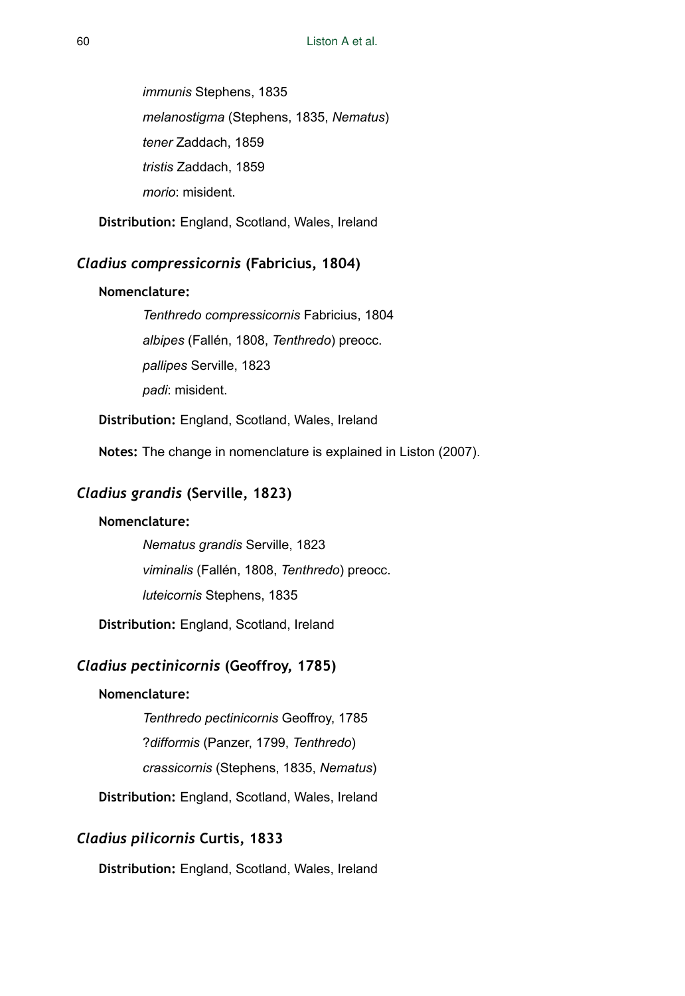*immunis* Stephens, 1835 *melanostigma* (Stephens, 1835, *Nematus*) *tener* Zaddach, 1859 *tristis* Zaddach, 1859 *morio*: misident.

**Distribution:** England, Scotland, Wales, Ireland

# *Cladius compressicornis* **(Fabricius, 1804)**

### **Nomenclature:**

*Tenthredo compressicornis* Fabricius, 1804 *albipes* (Fallén, 1808, *Tenthredo*) preocc. *pallipes* Serville, 1823 *padi*: misident.

**Distribution:** England, Scotland, Wales, Ireland

**Notes:** The change in nomenclature is explained in Liston (2007).

# *Cladius grandis* **(Serville, 1823)**

### **Nomenclature:**

*Nematus grandis* Serville, 1823 *viminalis* (Fallén, 1808, *Tenthredo*) preocc. *luteicornis* Stephens, 1835

**Distribution:** England, Scotland, Ireland

# *Cladius pectinicornis* **(Geoffroy, 1785)**

#### **Nomenclature:**

*Tenthredo pectinicornis* Geoffroy, 1785 ?*difformis* (Panzer, 1799, *Tenthredo*) *crassicornis* (Stephens, 1835, *Nematus*)

**Distribution:** England, Scotland, Wales, Ireland

# *Cladius pilicornis* **Curtis, 1833**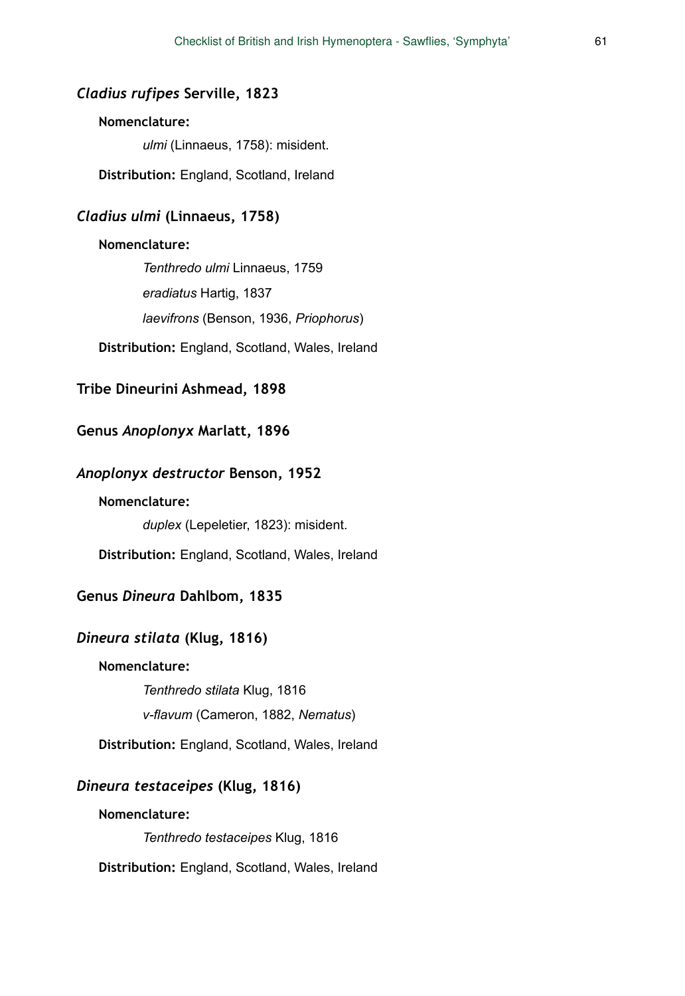## *Cladius rufipes* **Serville, 1823**

## **Nomenclature:**

*ulmi* (Linnaeus, 1758): misident.

**Distribution:** England, Scotland, Ireland

# *Cladius ulmi* **(Linnaeus, 1758)**

#### **Nomenclature:**

*Tenthredo ulmi* Linnaeus, 1759 *eradiatus* Hartig, 1837 *laevifrons* (Benson, 1936, *Priophorus*)

**Distribution:** England, Scotland, Wales, Ireland

## **Tribe Dineurini Ashmead, 1898**

# **Genus** *Anoplonyx* **Marlatt, 1896**

# *Anoplonyx destructor* **Benson, 1952**

### **Nomenclature:**

*duplex* (Lepeletier, 1823): misident.

**Distribution:** England, Scotland, Wales, Ireland

### **Genus** *Dineura* **Dahlbom, 1835**

# *Dineura stilata* **(Klug, 1816)**

#### **Nomenclature:**

*Tenthredo stilata* Klug, 1816

*v-flavum* (Cameron, 1882, *Nematus*)

**Distribution:** England, Scotland, Wales, Ireland

## *Dineura testaceipes* **(Klug, 1816)**

### **Nomenclature:**

*Tenthredo testaceipes* Klug, 1816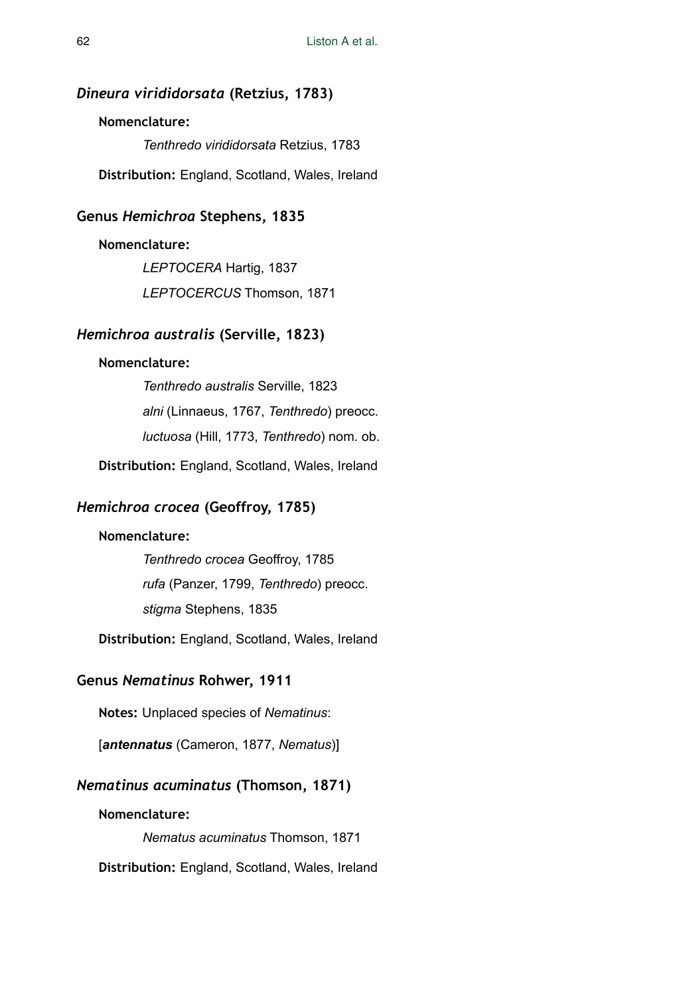#### *Dineura virididorsata* **(Retzius, 1783)**

### **Nomenclature:**

*Tenthredo virididorsata* Retzius, 1783

**Distribution:** England, Scotland, Wales, Ireland

#### **Genus** *Hemichroa* **Stephens, 1835**

#### **Nomenclature:**

*LEPTOCERA* Hartig, 1837 *LEPTOCERCUS* Thomson, 1871

# *Hemichroa australis* **(Serville, 1823)**

#### **Nomenclature:**

*Tenthredo australis* Serville, 1823 *alni* (Linnaeus, 1767, *Tenthredo*) preocc. *luctuosa* (Hill, 1773, *Tenthredo*) nom. ob.

**Distribution:** England, Scotland, Wales, Ireland

### *Hemichroa crocea* **(Geoffroy, 1785)**

## **Nomenclature:**

*Tenthredo crocea* Geoffroy, 1785 *rufa* (Panzer, 1799, *Tenthredo*) preocc. *stigma* Stephens, 1835

**Distribution:** England, Scotland, Wales, Ireland

### **Genus** *Nematinus* **Rohwer, 1911**

**Notes:** Unplaced species of *Nematinus*:

[*antennatus* (Cameron, 1877, *Nematus*)]

## *Nematinus acuminatus* **(Thomson, 1871)**

#### **Nomenclature:**

*Nematus acuminatus* Thomson, 1871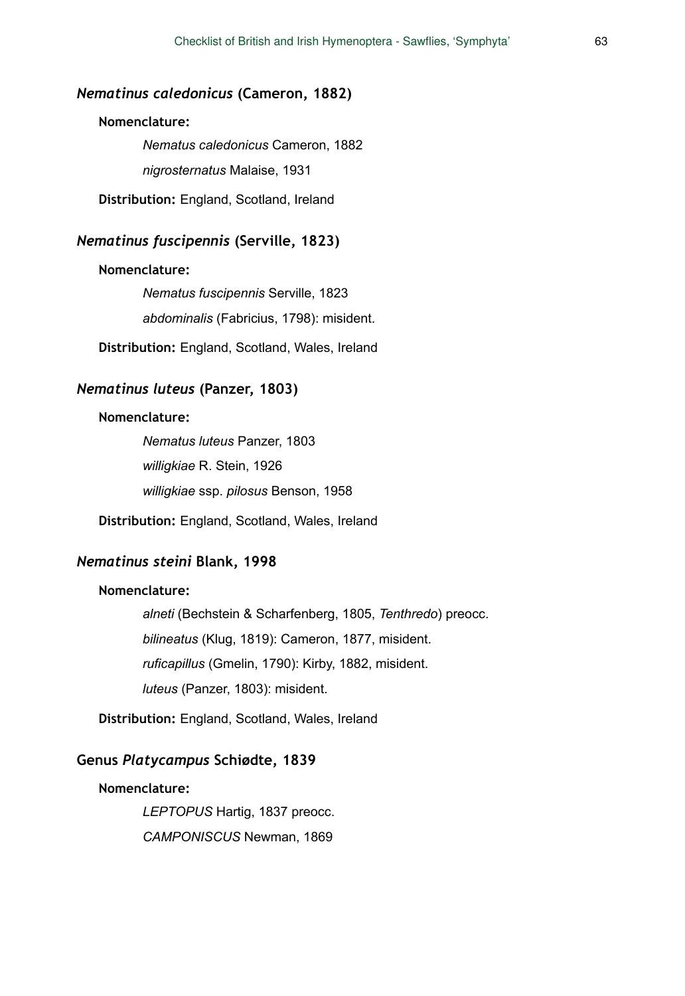# *Nematinus caledonicus* **(Cameron, 1882)**

### **Nomenclature:**

*Nematus caledonicus* Cameron, 1882 *nigrosternatus* Malaise, 1931

**Distribution:** England, Scotland, Ireland

# *Nematinus fuscipennis* **(Serville, 1823)**

#### **Nomenclature:**

*Nematus fuscipennis* Serville, 1823 *abdominalis* (Fabricius, 1798): misident.

**Distribution:** England, Scotland, Wales, Ireland

# *Nematinus luteus* **(Panzer, 1803)**

#### **Nomenclature:**

*Nematus luteus* Panzer, 1803 *willigkiae* R. Stein, 1926 *willigkiae* ssp. *pilosus* Benson, 1958

**Distribution:** England, Scotland, Wales, Ireland

## *Nematinus steini* **Blank, 1998**

#### **Nomenclature:**

*alneti* (Bechstein & Scharfenberg, 1805, *Tenthredo*) preocc. *bilineatus* (Klug, 1819): Cameron, 1877, misident. *ruficapillus* (Gmelin, 1790): Kirby, 1882, misident. *luteus* (Panzer, 1803): misident.

**Distribution:** England, Scotland, Wales, Ireland

## **Genus** *Platycampus* **Schiødte, 1839**

#### **Nomenclature:**

*LEPTOPUS* Hartig, 1837 preocc. *CAMPONISCUS* Newman, 1869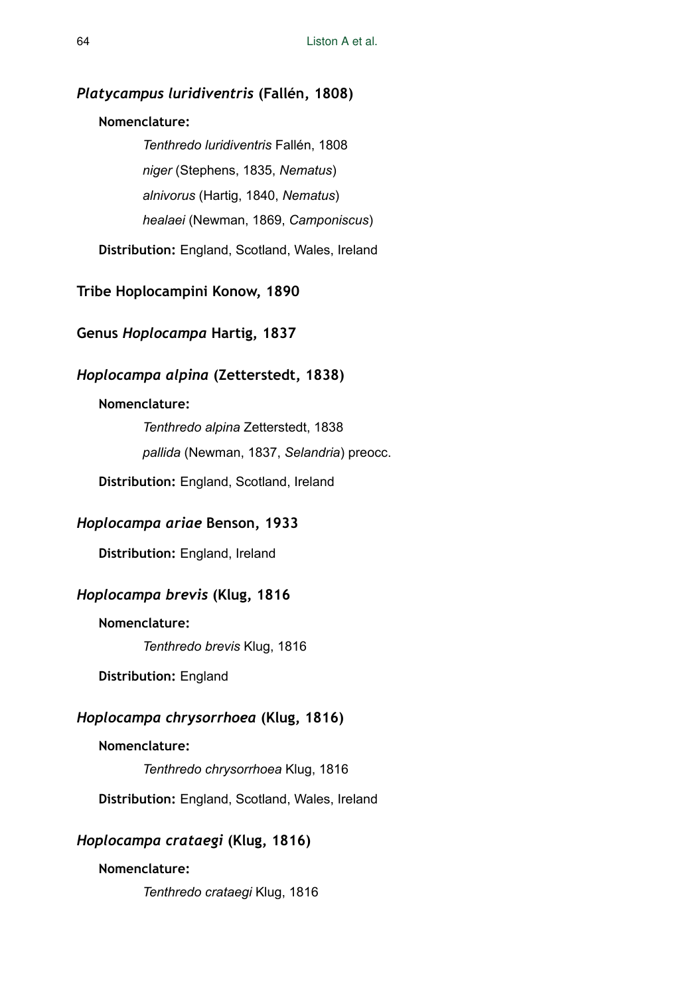### *Platycampus luridiventris* **(Fallén, 1808)**

### **Nomenclature:**

*Tenthredo luridiventris* Fallén, 1808 *niger* (Stephens, 1835, *Nematus*) *alnivorus* (Hartig, 1840, *Nematus*) *healaei* (Newman, 1869, *Camponiscus*)

**Distribution:** England, Scotland, Wales, Ireland

**Tribe Hoplocampini Konow, 1890** 

**Genus** *Hoplocampa* **Hartig, 1837** 

# *Hoplocampa alpina* **(Zetterstedt, 1838)**

# **Nomenclature:**

*Tenthredo alpina* Zetterstedt, 1838 *pallida* (Newman, 1837, *Selandria*) preocc.

**Distribution:** England, Scotland, Ireland

## *Hoplocampa ariae* **Benson, 1933**

**Distribution:** England, Ireland

#### *Hoplocampa brevis* **(Klug, 1816**

### **Nomenclature:**

*Tenthredo brevis* Klug, 1816

**Distribution:** England

# *Hoplocampa chrysorrhoea* **(Klug, 1816)**

### **Nomenclature:**

*Tenthredo chrysorrhoea* Klug, 1816

**Distribution:** England, Scotland, Wales, Ireland

# *Hoplocampa crataegi* **(Klug, 1816)**

# **Nomenclature:**

*Tenthredo crataegi* Klug, 1816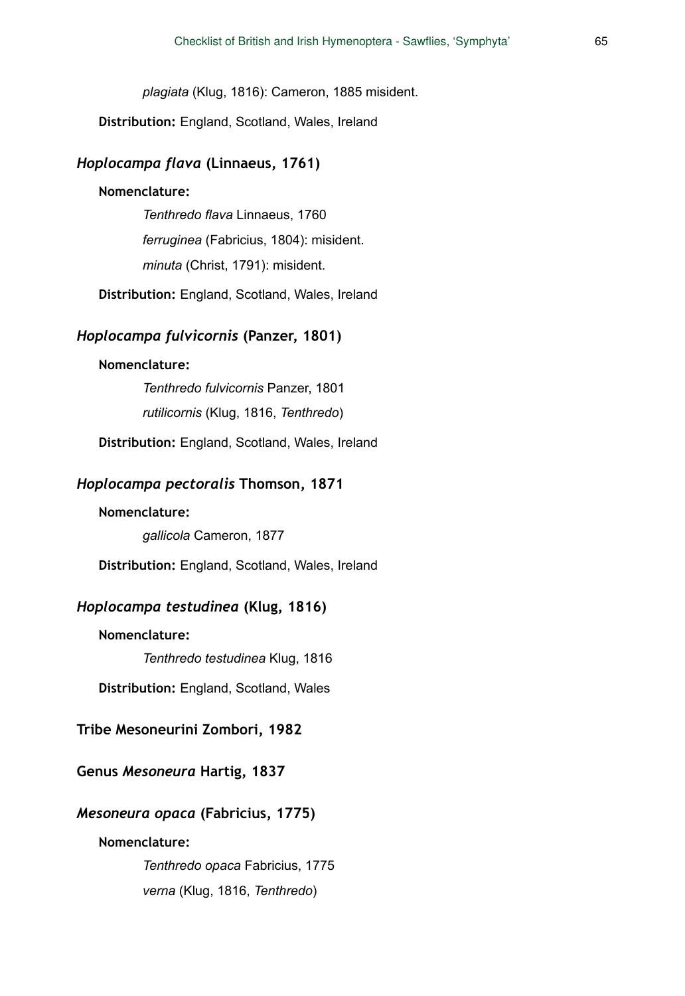*plagiata* (Klug, 1816): Cameron, 1885 misident.

**Distribution:** England, Scotland, Wales, Ireland

### *Hoplocampa flava* **(Linnaeus, 1761)**

#### **Nomenclature:**

*Tenthredo flava* Linnaeus, 1760 *ferruginea* (Fabricius, 1804): misident. *minuta* (Christ, 1791): misident.

**Distribution:** England, Scotland, Wales, Ireland

#### *Hoplocampa fulvicornis* **(Panzer, 1801)**

### **Nomenclature:**

*Tenthredo fulvicornis* Panzer, 1801 *rutilicornis* (Klug, 1816, *Tenthredo*)

**Distribution:** England, Scotland, Wales, Ireland

### *Hoplocampa pectoralis* **Thomson, 1871**

### **Nomenclature:**

*gallicola* Cameron, 1877

**Distribution:** England, Scotland, Wales, Ireland

### *Hoplocampa testudinea* **(Klug, 1816)**

#### **Nomenclature:**

*Tenthredo testudinea* Klug, 1816

**Distribution:** England, Scotland, Wales

# **Tribe Mesoneurini Zombori, 1982**

# **Genus** *Mesoneura* **Hartig, 1837**

#### *Mesoneura opaca* **(Fabricius, 1775)**

### **Nomenclature:**

*Tenthredo opaca* Fabricius, 1775 *verna* (Klug, 1816, *Tenthredo*)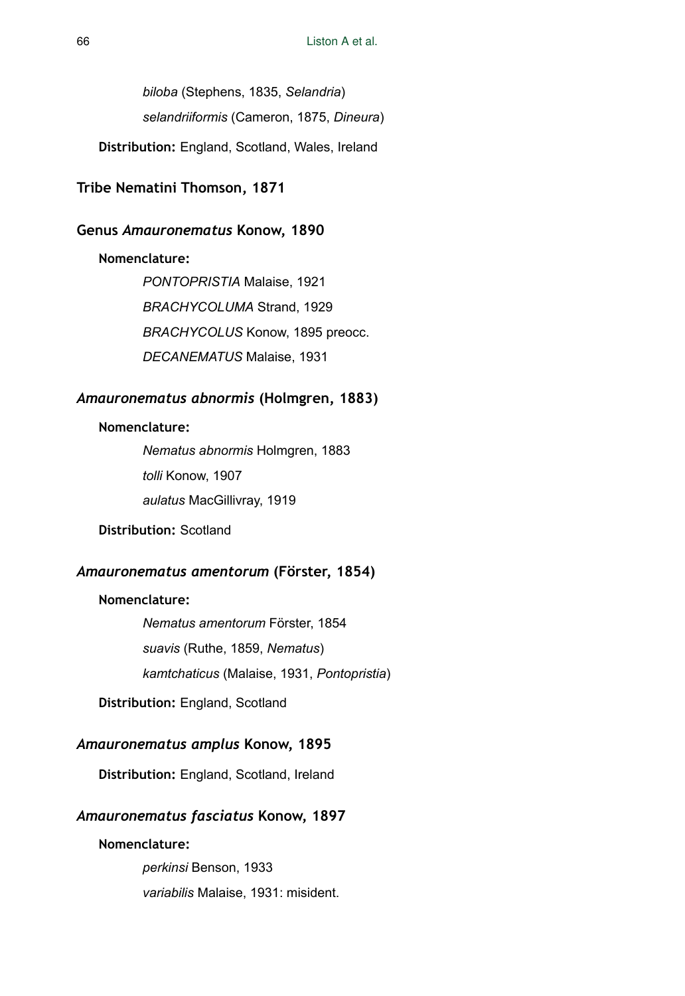*biloba* (Stephens, 1835, *Selandria*) *selandriiformis* (Cameron, 1875, *Dineura*)

**Distribution:** England, Scotland, Wales, Ireland

# **Tribe Nematini Thomson, 1871**

#### **Genus** *Amauronematus* **Konow, 1890**

### **Nomenclature:**

*PONTOPRISTIA* Malaise, 1921 *BRACHYCOLUMA* Strand, 1929 *BRACHYCOLUS* Konow, 1895 preocc. *DECANEMATUS* Malaise, 1931

# *Amauronematus abnormis* **(Holmgren, 1883)**

### **Nomenclature:**

*Nematus abnormis* Holmgren, 1883 *tolli* Konow, 1907 *aulatus* MacGillivray, 1919

# **Distribution:** Scotland

### *Amauronematus amentorum* **(Förster, 1854)**

# **Nomenclature:**

*Nematus amentorum* Förster, 1854 *suavis* (Ruthe, 1859, *Nematus*) *kamtchaticus* (Malaise, 1931, *Pontopristia*)

**Distribution:** England, Scotland

# *Amauronematus amplus* **Konow, 1895**

**Distribution:** England, Scotland, Ireland

# *Amauronematus fasciatus* **Konow, 1897**

### **Nomenclature:**

*perkinsi* Benson, 1933 *variabilis* Malaise, 1931: misident.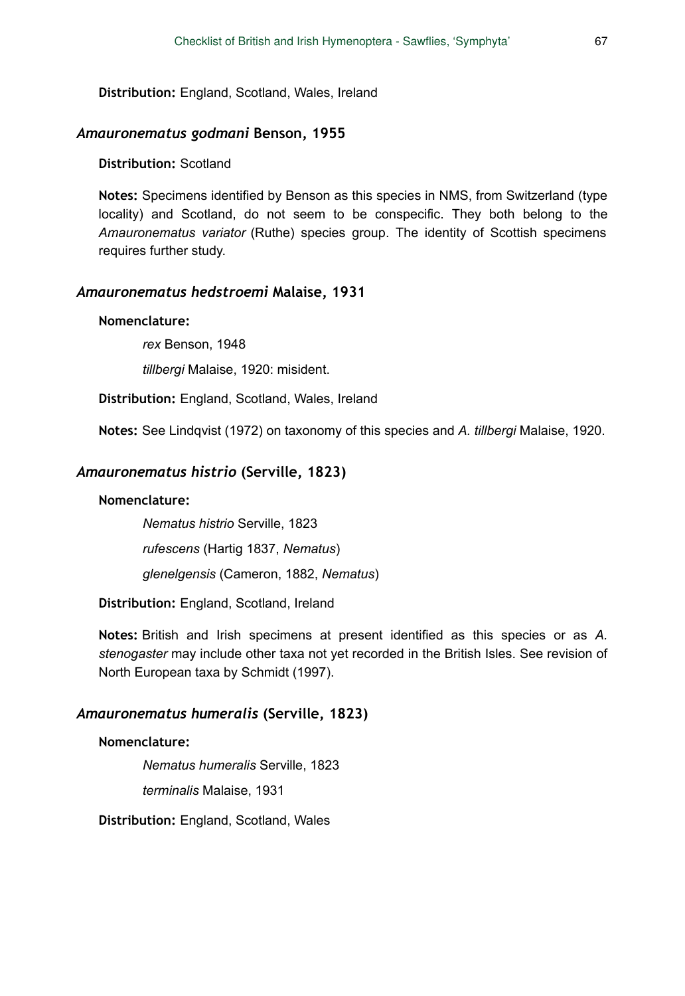**Distribution:** England, Scotland, Wales, Ireland

### *Amauronematus godmani* **Benson, 1955**

## **Distribution:** Scotland

**Notes:** Specimens identified by Benson as this species in NMS, from Switzerland (type locality) and Scotland, do not seem to be conspecific. They both belong to the *Amauronematus variator* (Ruthe) species group. The identity of Scottish specimens requires further study.

### *Amauronematus hedstroemi* **Malaise, 1931**

### **Nomenclature:**

*rex* Benson, 1948

*tillbergi* Malaise, 1920: misident.

**Distribution:** England, Scotland, Wales, Ireland

**Notes:** See Lindqvist (1972) on taxonomy of this species and *A. tillbergi* Malaise, 1920.

#### *Amauronematus histrio* **(Serville, 1823)**

### **Nomenclature:**

*Nematus histrio* Serville, 1823

*rufescens* (Hartig 1837, *Nematus*)

*glenelgensis* (Cameron, 1882, *Nematus*)

**Distribution:** England, Scotland, Ireland

**Notes:** British and Irish specimens at present identified as this species or as *A. stenogaster* may include other taxa not yet recorded in the British Isles. See revision of North European taxa by Schmidt (1997).

# *Amauronematus humeralis* **(Serville, 1823)**

## **Nomenclature:**

*Nematus humeralis* Serville, 1823 *terminalis* Malaise, 1931

**Distribution:** England, Scotland, Wales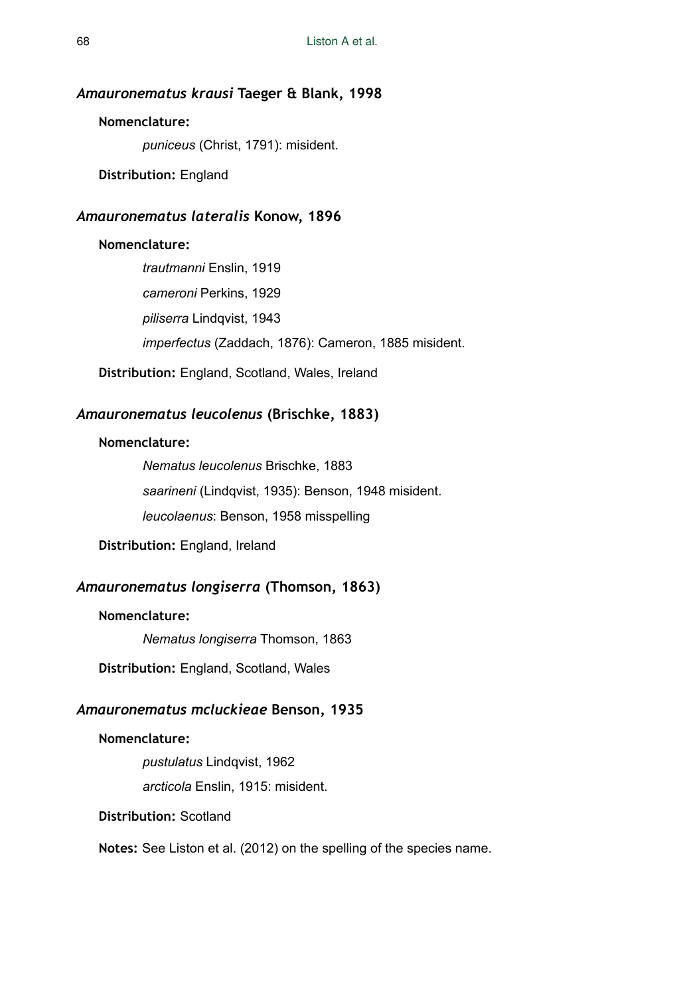#### *Amauronematus krausi* **Taeger & Blank, 1998**

### **Nomenclature:**

*puniceus* (Christ, 1791): misident.

**Distribution:** England

#### *Amauronematus lateralis* **Konow, 1896**

# **Nomenclature:**

*trautmanni* Enslin, 1919 *cameroni* Perkins, 1929 *piliserra* Lindqvist, 1943 *imperfectus* (Zaddach, 1876): Cameron, 1885 misident.

**Distribution:** England, Scotland, Wales, Ireland

# *Amauronematus leucolenus* **(Brischke, 1883)**

### **Nomenclature:**

*Nematus leucolenus* Brischke, 1883 *saarineni* (Lindqvist, 1935): Benson, 1948 misident. *leucolaenus*: Benson, 1958 misspelling

**Distribution:** England, Ireland

# *Amauronematus longiserra* **(Thomson, 1863)**

### **Nomenclature:**

*Nematus longiserra* Thomson, 1863

**Distribution:** England, Scotland, Wales

# *Amauronematus mcluckieae* **Benson, 1935**

### **Nomenclature:**

*pustulatus* Lindqvist, 1962

*arcticola* Enslin, 1915: misident.

# **Distribution:** Scotland

**Notes:** See Liston et al. (2012) on the spelling of the species name.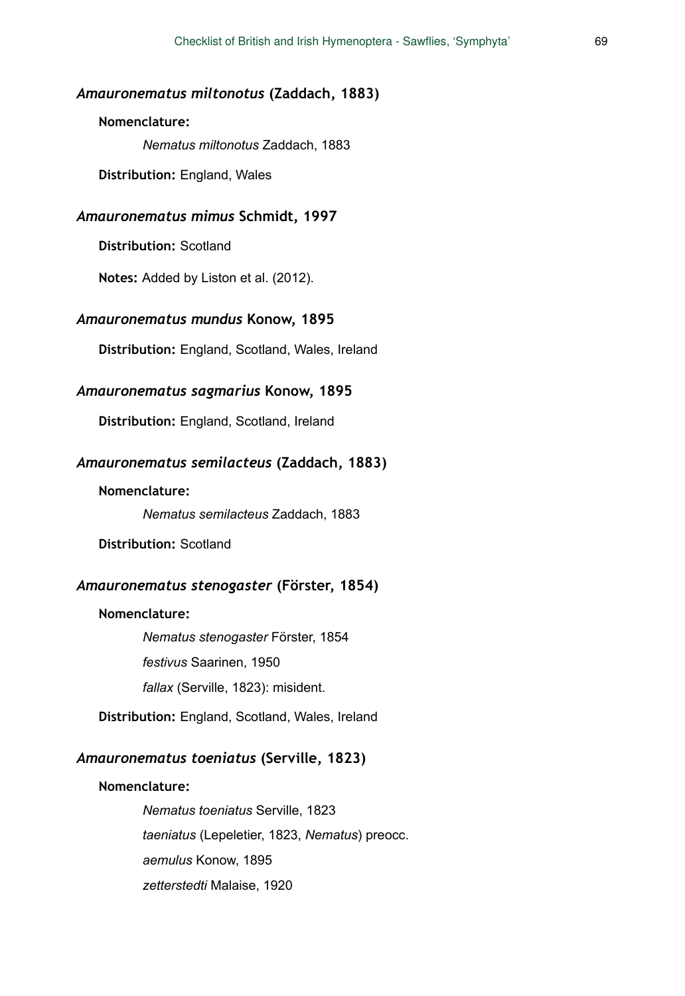#### *Amauronematus miltonotus* **(Zaddach, 1883)**

## **Nomenclature:**

*Nematus miltonotus* Zaddach, 1883

**Distribution:** England, Wales

## *Amauronematus mimus* **Schmidt, 1997**

**Distribution:** Scotland

**Notes:** Added by Liston et al. (2012).

#### *Amauronematus mundus* **Konow, 1895**

**Distribution:** England, Scotland, Wales, Ireland

#### *Amauronematus sagmarius* **Konow, 1895**

**Distribution:** England, Scotland, Ireland

### *Amauronematus semilacteus* **(Zaddach, 1883)**

#### **Nomenclature:**

*Nematus semilacteus* Zaddach, 1883

**Distribution:** Scotland

#### *Amauronematus stenogaster* **(Förster, 1854)**

#### **Nomenclature:**

*Nematus stenogaster* Förster, 1854 *festivus* Saarinen, 1950 *fallax* (Serville, 1823): misident.

**Distribution:** England, Scotland, Wales, Ireland

# *Amauronematus toeniatus* **(Serville, 1823)**

#### **Nomenclature:**

*Nematus toeniatus* Serville, 1823 *taeniatus* (Lepeletier, 1823, *Nematus*) preocc. *aemulus* Konow, 1895 *zetterstedti* Malaise, 1920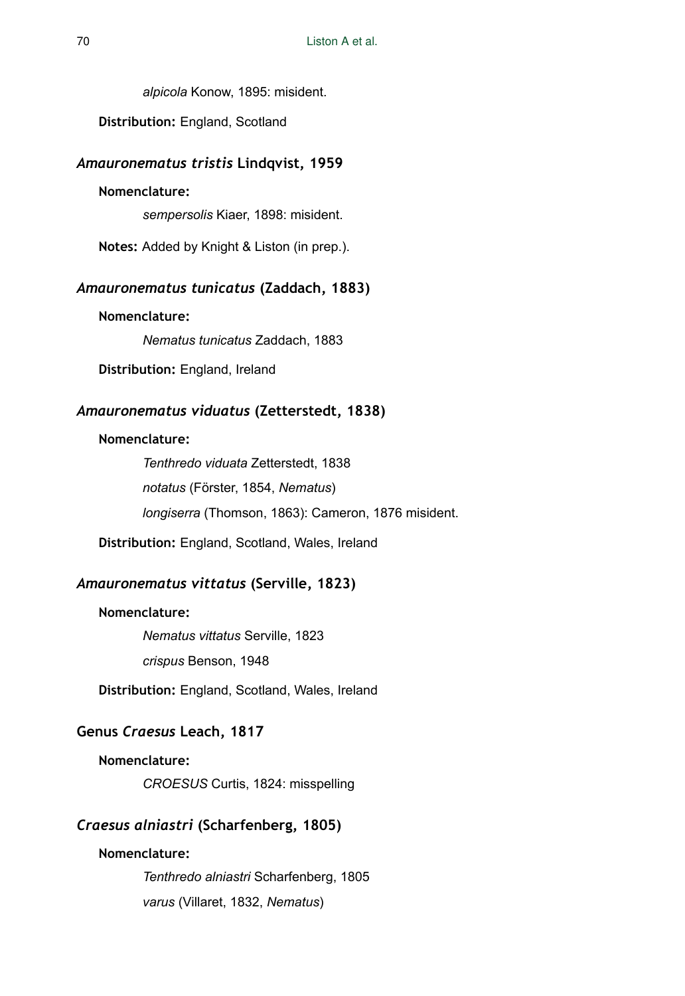*alpicola* Konow, 1895: misident.

**Distribution:** England, Scotland

#### *Amauronematus tristis* **Lindqvist, 1959**

### **Nomenclature:**

*sempersolis* Kiaer, 1898: misident.

**Notes:** Added by Knight & Liston (in prep.).

# *Amauronematus tunicatus* **(Zaddach, 1883)**

### **Nomenclature:**

*Nematus tunicatus* Zaddach, 1883

**Distribution:** England, Ireland

# *Amauronematus viduatus* **(Zetterstedt, 1838)**

# **Nomenclature:**

*Tenthredo viduata* Zetterstedt, 1838 *notatus* (Förster, 1854, *Nematus*) *longiserra* (Thomson, 1863): Cameron, 1876 misident.

**Distribution:** England, Scotland, Wales, Ireland

### *Amauronematus vittatus* **(Serville, 1823)**

#### **Nomenclature:**

*Nematus vittatus* Serville, 1823 *crispus* Benson, 1948

**Distribution:** England, Scotland, Wales, Ireland

# **Genus** *Craesus* **Leach, 1817**

### **Nomenclature:**

*CROESUS* Curtis, 1824: misspelling

# *Craesus alniastri* **(Scharfenberg, 1805)**

# **Nomenclature:**

*Tenthredo alniastri* Scharfenberg, 1805 *varus* (Villaret, 1832, *Nematus*)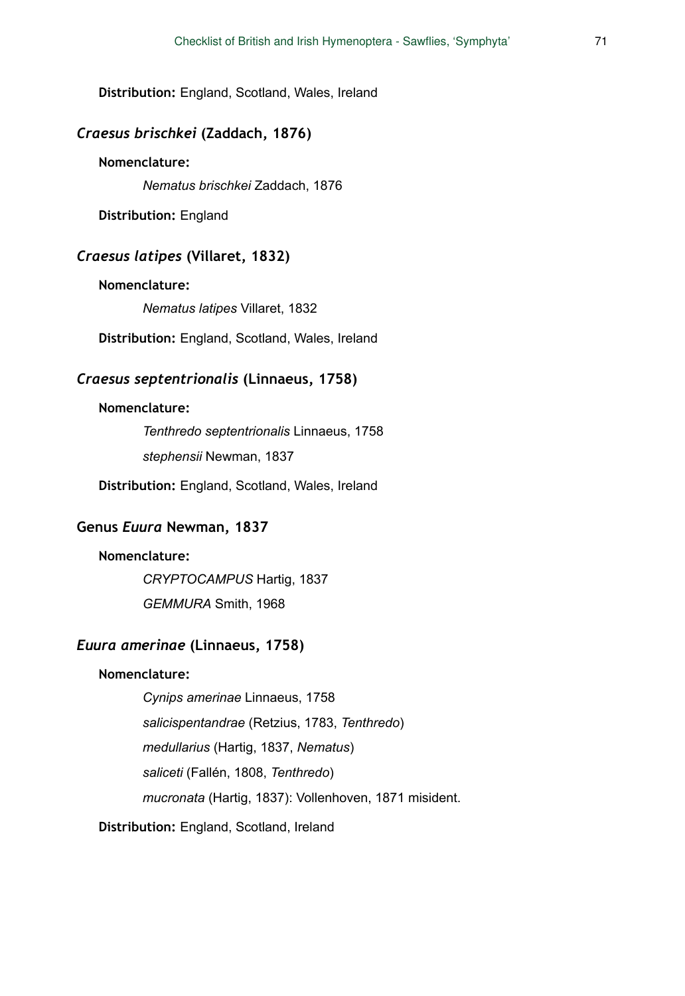**Distribution:** England, Scotland, Wales, Ireland

# *Craesus brischkei* **(Zaddach, 1876)**

#### **Nomenclature:**

*Nematus brischkei* Zaddach, 1876

**Distribution:** England

## *Craesus latipes* **(Villaret, 1832)**

#### **Nomenclature:**

*Nematus latipes* Villaret, 1832

**Distribution:** England, Scotland, Wales, Ireland

# *Craesus septentrionalis* **(Linnaeus, 1758)**

#### **Nomenclature:**

*Tenthredo septentrionalis* Linnaeus, 1758 *stephensii* Newman, 1837

**Distribution:** England, Scotland, Wales, Ireland

### **Genus** *Euura* **Newman, 1837**

### **Nomenclature:**

*CRYPTOCAMPUS* Hartig, 1837 *GEMMURA* Smith, 1968

### *Euura amerinae* **(Linnaeus, 1758)**

### **Nomenclature:**

*Cynips amerinae* Linnaeus, 1758 *salicispentandrae* (Retzius, 1783, *Tenthredo*) *medullarius* (Hartig, 1837, *Nematus*) *saliceti* (Fallén, 1808, *Tenthredo*) *mucronata* (Hartig, 1837): Vollenhoven, 1871 misident.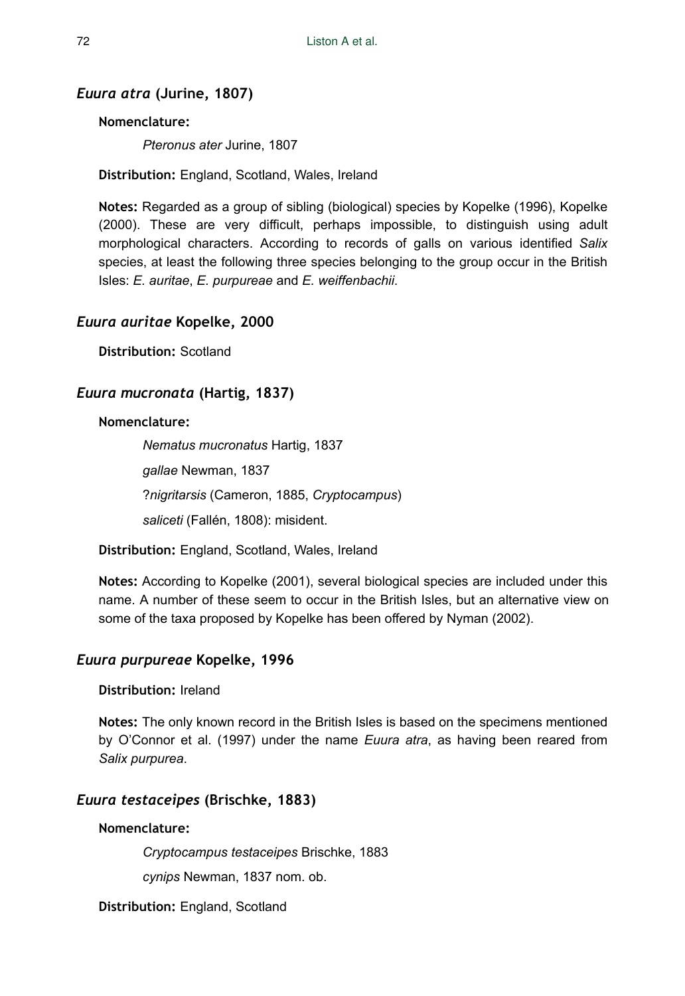# *Euura atra* **(Jurine, 1807)**

### **Nomenclature:**

*Pteronus ater* Jurine, 1807

**Distribution:** England, Scotland, Wales, Ireland

**Notes:** Regarded as a group of sibling (biological) species by Kopelke (1996), Kopelke (2000). These are very difficult, perhaps impossible, to distinguish using adult morphological characters. According to records of galls on various identified *Salix* species, at least the following three species belonging to the group occur in the British Isles: *E. auritae*, *E. purpureae* and *E. weiffenbachii*.

### *Euura auritae* **Kopelke, 2000**

**Distribution:** Scotland

# *Euura mucronata* **(Hartig, 1837)**

### **Nomenclature:**

*Nematus mucronatus* Hartig, 1837 *gallae* Newman, 1837 ?*nigritarsis* (Cameron, 1885, *Cryptocampus*) *saliceti* (Fallén, 1808): misident.

**Distribution:** England, Scotland, Wales, Ireland

**Notes:** According to Kopelke (2001), several biological species are included under this name. A number of these seem to occur in the British Isles, but an alternative view on some of the taxa proposed by Kopelke has been offered by Nyman (2002).

### *Euura purpureae* **Kopelke, 1996**

# **Distribution:** Ireland

**Notes:** The only known record in the British Isles is based on the specimens mentioned by O'Connor et al. (1997) under the name *Euura atra*, as having been reared from *Salix purpurea*.

### *Euura testaceipes* **(Brischke, 1883)**

# **Nomenclature:**

*Cryptocampus testaceipes* Brischke, 1883

*cynips* Newman, 1837 nom. ob.

**Distribution:** England, Scotland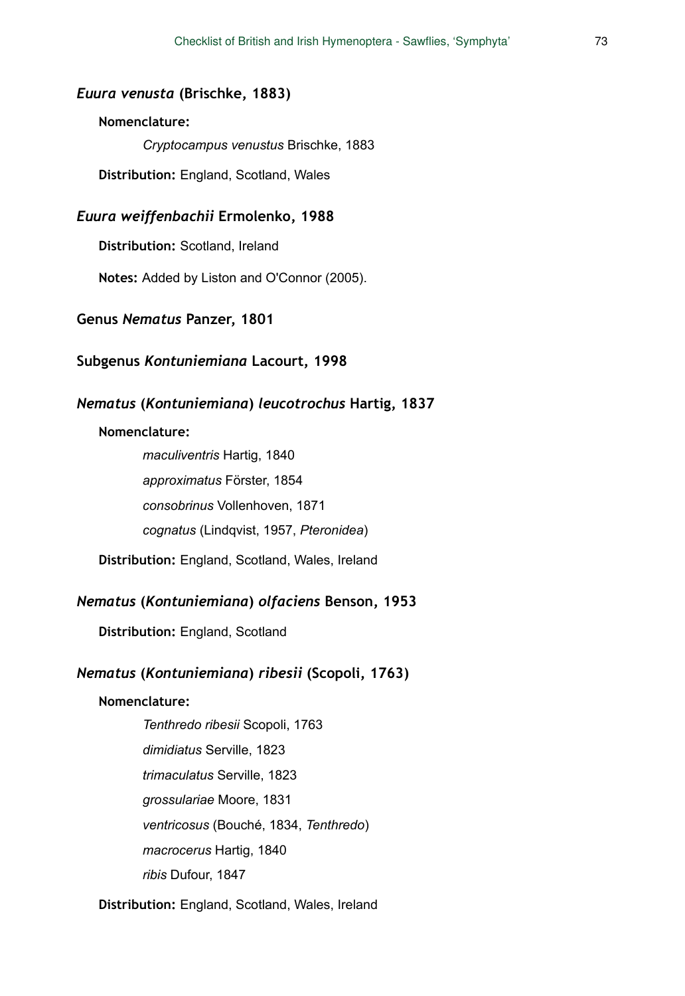#### *Euura venusta* **(Brischke, 1883)**

#### **Nomenclature:**

*Cryptocampus venustus* Brischke, 1883

**Distribution:** England, Scotland, Wales

### *Euura weiffenbachii* **Ermolenko, 1988**

**Distribution:** Scotland, Ireland

**Notes:** Added by Liston and O'Connor (2005).

#### **Genus** *Nematus* **Panzer, 1801**

### **Subgenus** *Kontuniemiana* **Lacourt, 1998**

### *Nematus* **(***Kontuniemiana***)** *leucotrochus* **Hartig, 1837**

#### **Nomenclature:**

*maculiventris* Hartig, 1840 *approximatus* Förster, 1854 *consobrinus* Vollenhoven, 1871 *cognatus* (Lindqvist, 1957, *Pteronidea*)

**Distribution:** England, Scotland, Wales, Ireland

### *Nematus* **(***Kontuniemiana***)** *olfaciens* **Benson, 1953**

**Distribution:** England, Scotland

### *Nematus* **(***Kontuniemiana***)** *ribesii* **(Scopoli, 1763)**

#### **Nomenclature:**

*Tenthredo ribesii* Scopoli, 1763 *dimidiatus* Serville, 1823 *trimaculatus* Serville, 1823 *grossulariae* Moore, 1831 *ventricosus* (Bouché, 1834, *Tenthredo*) *macrocerus* Hartig, 1840 *ribis* Dufour, 1847

#### **Distribution:** England, Scotland, Wales, Ireland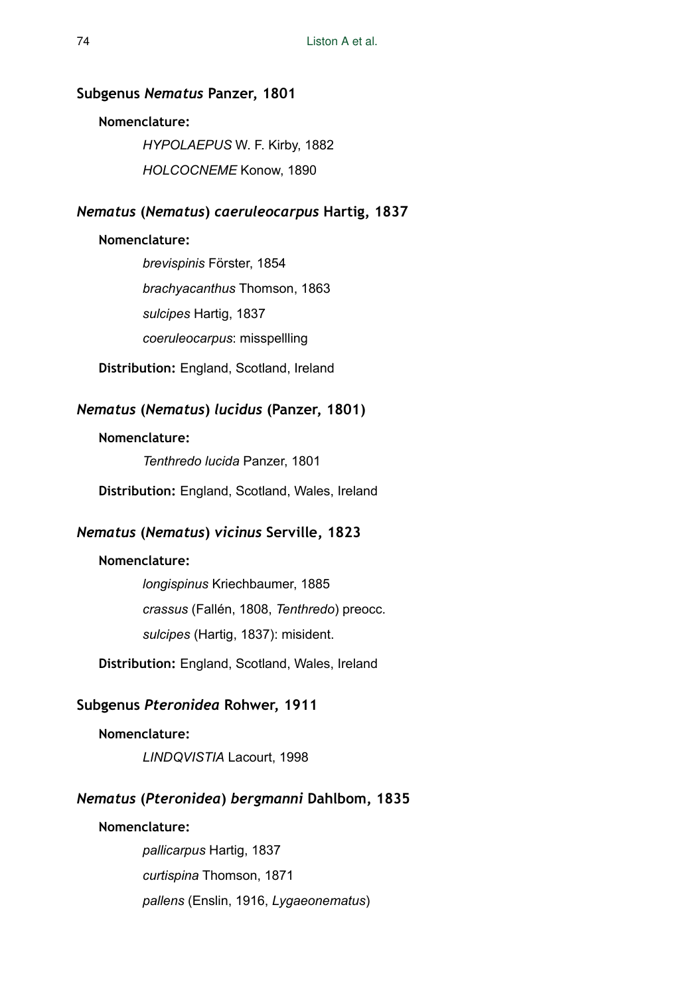#### **Subgenus** *Nematus* **Panzer, 1801**

#### **Nomenclature:**

*HYPOLAEPUS* W. F. Kirby, 1882 *HOLCOCNEME* Konow, 1890

# *Nematus* **(***Nematus***)** *caeruleocarpus* **Hartig, 1837**

#### **Nomenclature:**

*brevispinis* Förster, 1854 *brachyacanthus* Thomson, 1863 *sulcipes* Hartig, 1837 *coeruleocarpus*: misspellling

**Distribution:** England, Scotland, Ireland

# *Nematus* **(***Nematus***)** *lucidus* **(Panzer, 1801)**

#### **Nomenclature:**

*Tenthredo lucida* Panzer, 1801

**Distribution:** England, Scotland, Wales, Ireland

# *Nematus* **(***Nematus***)** *vicinus* **Serville, 1823**

#### **Nomenclature:**

*longispinus* Kriechbaumer, 1885 *crassus* (Fallén, 1808, *Tenthredo*) preocc. *sulcipes* (Hartig, 1837): misident.

**Distribution:** England, Scotland, Wales, Ireland

## **Subgenus** *Pteronidea* **Rohwer, 1911**

#### **Nomenclature:**

*LINDQVISTIA* Lacourt, 1998

# *Nematus* **(***Pteronidea***)** *bergmanni* **Dahlbom, 1835**

### **Nomenclature:**

*pallicarpus* Hartig, 1837 *curtispina* Thomson, 1871 *pallens* (Enslin, 1916, *Lygaeonematus*)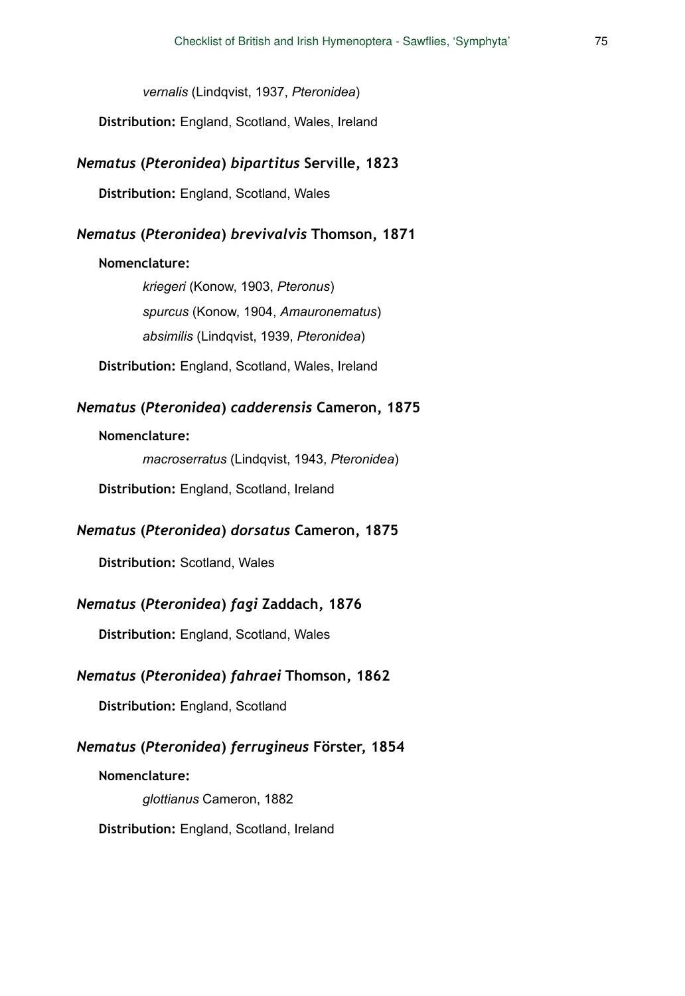*vernalis* (Lindqvist, 1937, *Pteronidea*)

**Distribution:** England, Scotland, Wales, Ireland

#### *Nematus* **(***Pteronidea***)** *bipartitus* **Serville, 1823**

**Distribution:** England, Scotland, Wales

### *Nematus* **(***Pteronidea***)** *brevivalvis* **Thomson, 1871**

#### **Nomenclature:**

*kriegeri* (Konow, 1903, *Pteronus*) *spurcus* (Konow, 1904, *Amauronematus*) *absimilis* (Lindqvist, 1939, *Pteronidea*)

**Distribution:** England, Scotland, Wales, Ireland

# *Nematus* **(***Pteronidea***)** *cadderensis* **Cameron, 1875**

## **Nomenclature:**

*macroserratus* (Lindqvist, 1943, *Pteronidea*)

**Distribution:** England, Scotland, Ireland

### *Nematus* **(***Pteronidea***)** *dorsatus* **Cameron, 1875**

**Distribution:** Scotland, Wales

### *Nematus* **(***Pteronidea***)** *fagi* **Zaddach, 1876**

**Distribution:** England, Scotland, Wales

## *Nematus* **(***Pteronidea***)** *fahraei* **Thomson, 1862**

**Distribution:** England, Scotland

### *Nematus* **(***Pteronidea***)** *ferrugineus* **Förster, 1854**

**Nomenclature:** 

*glottianus* Cameron, 1882

**Distribution:** England, Scotland, Ireland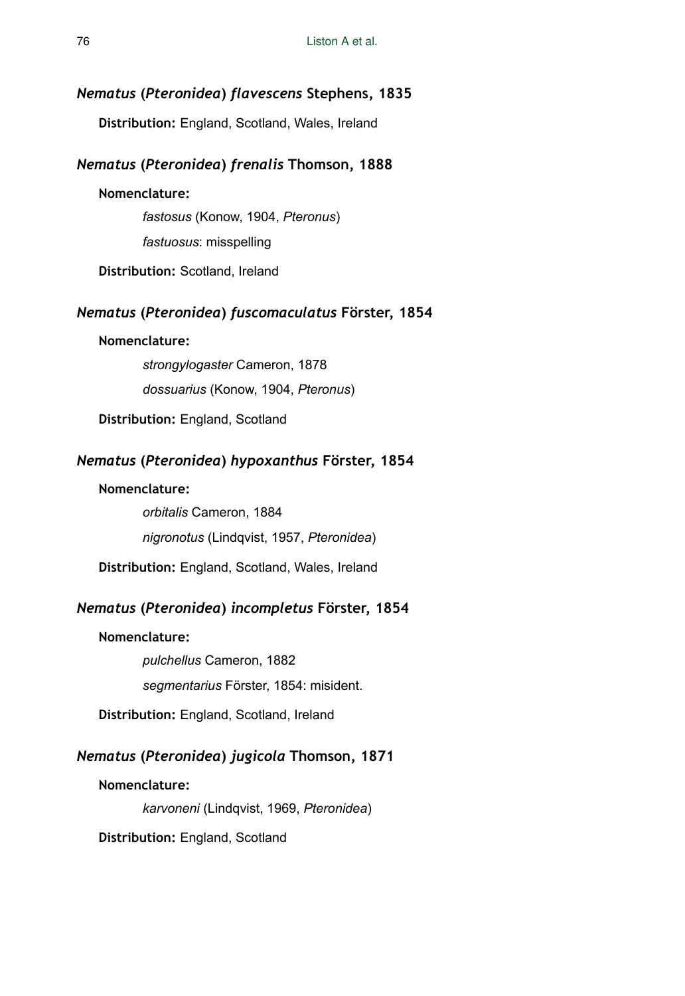#### *Nematus* **(***Pteronidea***)** *flavescens* **Stephens, 1835**

**Distribution:** England, Scotland, Wales, Ireland

### *Nematus* **(***Pteronidea***)** *frenalis* **Thomson, 1888**

#### **Nomenclature:**

*fastosus* (Konow, 1904, *Pteronus*)

*fastuosus*: misspelling

**Distribution:** Scotland, Ireland

### *Nematus* **(***Pteronidea***)** *fuscomaculatus* **Förster, 1854**

## **Nomenclature:**

*strongylogaster* Cameron, 1878 *dossuarius* (Konow, 1904, *Pteronus*)

**Distribution:** England, Scotland

# *Nematus* **(***Pteronidea***)** *hypoxanthus* **Förster, 1854**

#### **Nomenclature:**

*orbitalis* Cameron, 1884 *nigronotus* (Lindqvist, 1957, *Pteronidea*)

**Distribution:** England, Scotland, Wales, Ireland

## *Nematus* **(***Pteronidea***)** *incompletus* **Förster, 1854**

#### **Nomenclature:**

*pulchellus* Cameron, 1882 *segmentarius* Förster, 1854: misident.

**Distribution:** England, Scotland, Ireland

# *Nematus* **(***Pteronidea***)** *jugicola* **Thomson, 1871**

#### **Nomenclature:**

*karvoneni* (Lindqvist, 1969, *Pteronidea*)

**Distribution:** England, Scotland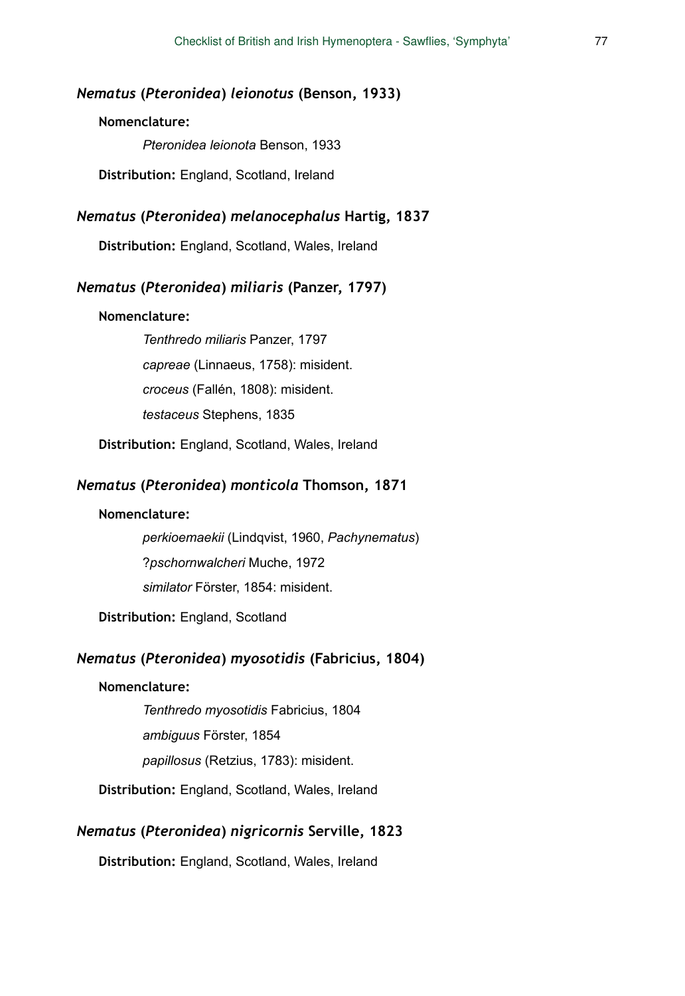### *Nematus* **(***Pteronidea***)** *leionotus* **(Benson, 1933)**

### **Nomenclature:**

*Pteronidea leionota* Benson, 1933

**Distribution:** England, Scotland, Ireland

#### *Nematus* **(***Pteronidea***)** *melanocephalus* **Hartig, 1837**

**Distribution:** England, Scotland, Wales, Ireland

### *Nematus* **(***Pteronidea***)** *miliaris* **(Panzer, 1797)**

#### **Nomenclature:**

*Tenthredo miliaris* Panzer, 1797 *capreae* (Linnaeus, 1758): misident. *croceus* (Fallén, 1808): misident. *testaceus* Stephens, 1835

**Distribution:** England, Scotland, Wales, Ireland

### *Nematus* **(***Pteronidea***)** *monticola* **Thomson, 1871**

#### **Nomenclature:**

*perkioemaekii* (Lindqvist, 1960, *Pachynematus*) ?*pschornwalcheri* Muche, 1972 *similator* Förster, 1854: misident.

**Distribution:** England, Scotland

### *Nematus* **(***Pteronidea***)** *myosotidis* **(Fabricius, 1804)**

#### **Nomenclature:**

*Tenthredo myosotidis* Fabricius, 1804

*ambiguus* Förster, 1854

*papillosus* (Retzius, 1783): misident.

**Distribution:** England, Scotland, Wales, Ireland

## *Nematus* **(***Pteronidea***)** *nigricornis* **Serville, 1823**

**Distribution:** England, Scotland, Wales, Ireland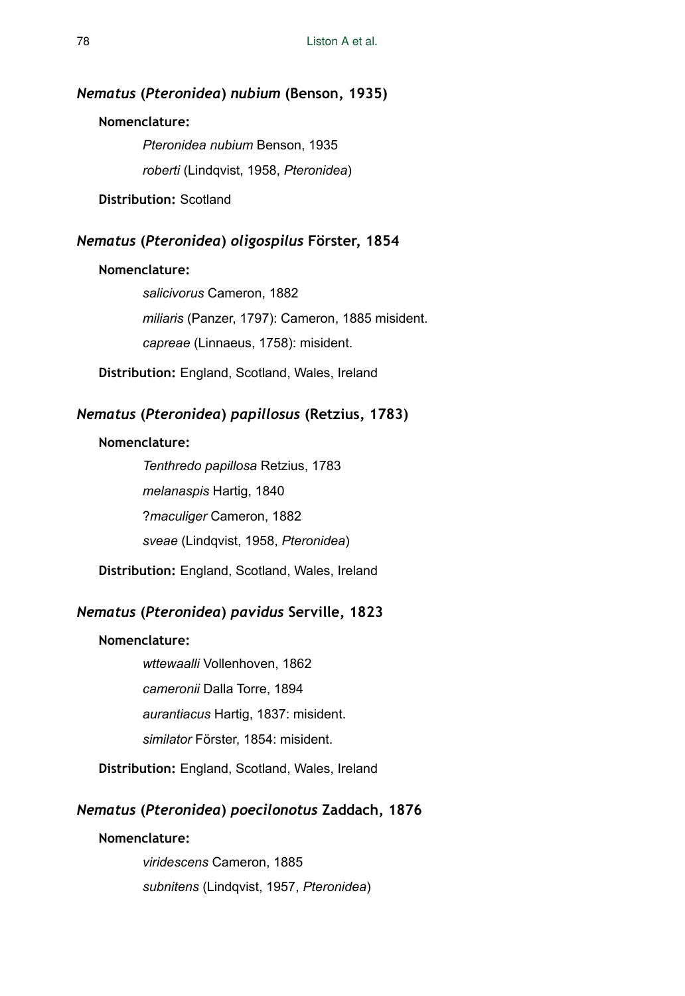#### *Nematus* **(***Pteronidea***)** *nubium* **(Benson, 1935)**

### **Nomenclature:**

*Pteronidea nubium* Benson, 1935 *roberti* (Lindqvist, 1958, *Pteronidea*)

**Distribution:** Scotland

# *Nematus* **(***Pteronidea***)** *oligospilus* **Förster, 1854**

#### **Nomenclature:**

*salicivorus* Cameron, 1882 *miliaris* (Panzer, 1797): Cameron, 1885 misident. *capreae* (Linnaeus, 1758): misident.

**Distribution:** England, Scotland, Wales, Ireland

# *Nematus* **(***Pteronidea***)** *papillosus* **(Retzius, 1783)**

### **Nomenclature:**

*Tenthredo papillosa* Retzius, 1783 *melanaspis* Hartig, 1840 ?*maculiger* Cameron, 1882 *sveae* (Lindqvist, 1958, *Pteronidea*)

**Distribution:** England, Scotland, Wales, Ireland

# *Nematus* **(***Pteronidea***)** *pavidus* **Serville, 1823**

### **Nomenclature:**

*wttewaalli* Vollenhoven, 1862 *cameronii* Dalla Torre, 1894 *aurantiacus* Hartig, 1837: misident. *similator* Förster, 1854: misident.

**Distribution:** England, Scotland, Wales, Ireland

## *Nematus* **(***Pteronidea***)** *poecilonotus* **Zaddach, 1876**

## **Nomenclature:**

*viridescens* Cameron, 1885 *subnitens* (Lindqvist, 1957, *Pteronidea*)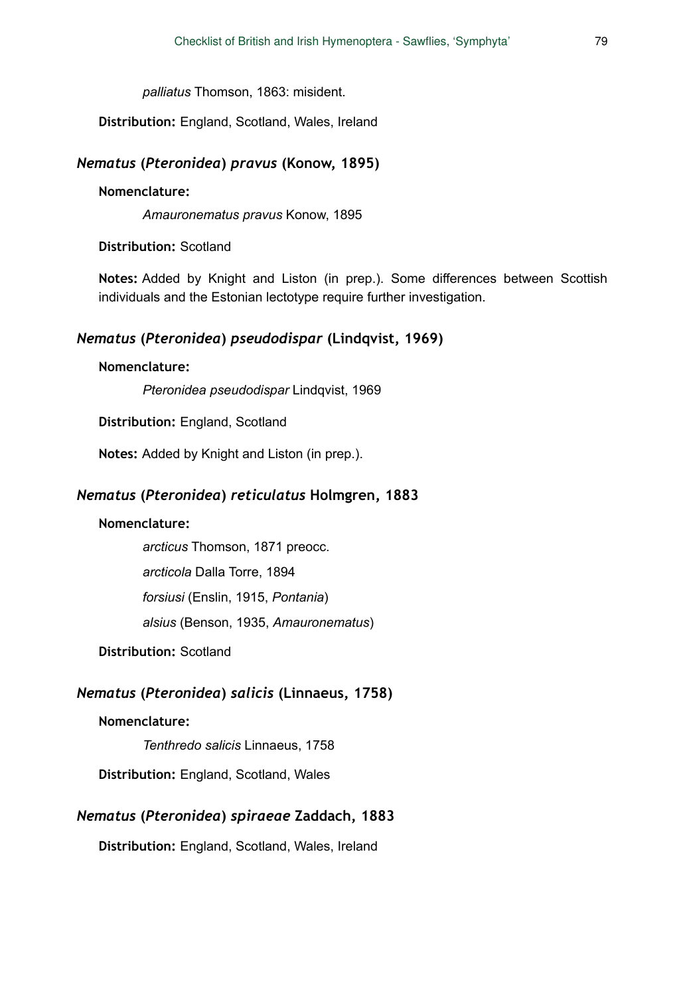*palliatus* Thomson, 1863: misident.

**Distribution:** England, Scotland, Wales, Ireland

#### *Nematus* **(***Pteronidea***)** *pravus* **(Konow, 1895)**

#### **Nomenclature:**

*Amauronematus pravus* Konow, 1895

### **Distribution:** Scotland

**Notes:** Added by Knight and Liston (in prep.). Some differences between Scottish individuals and the Estonian lectotype require further investigation.

## *Nematus* **(***Pteronidea***)** *pseudodispar* **(Lindqvist, 1969)**

### **Nomenclature:**

*Pteronidea pseudodispar* Lindqvist, 1969

**Distribution:** England, Scotland

**Notes:** Added by Knight and Liston (in prep.).

# *Nematus* **(***Pteronidea***)** *reticulatus* **Holmgren, 1883**

### **Nomenclature:**

*arcticus* Thomson, 1871 preocc.

*arcticola* Dalla Torre, 1894

*forsiusi* (Enslin, 1915, *Pontania*)

*alsius* (Benson, 1935, *Amauronematus*)

# **Distribution:** Scotland

## *Nematus* **(***Pteronidea***)** *salicis* **(Linnaeus, 1758)**

#### **Nomenclature:**

*Tenthredo salicis* Linnaeus, 1758

**Distribution:** England, Scotland, Wales

# *Nematus* **(***Pteronidea***)** *spiraeae* **Zaddach, 1883**

**Distribution:** England, Scotland, Wales, Ireland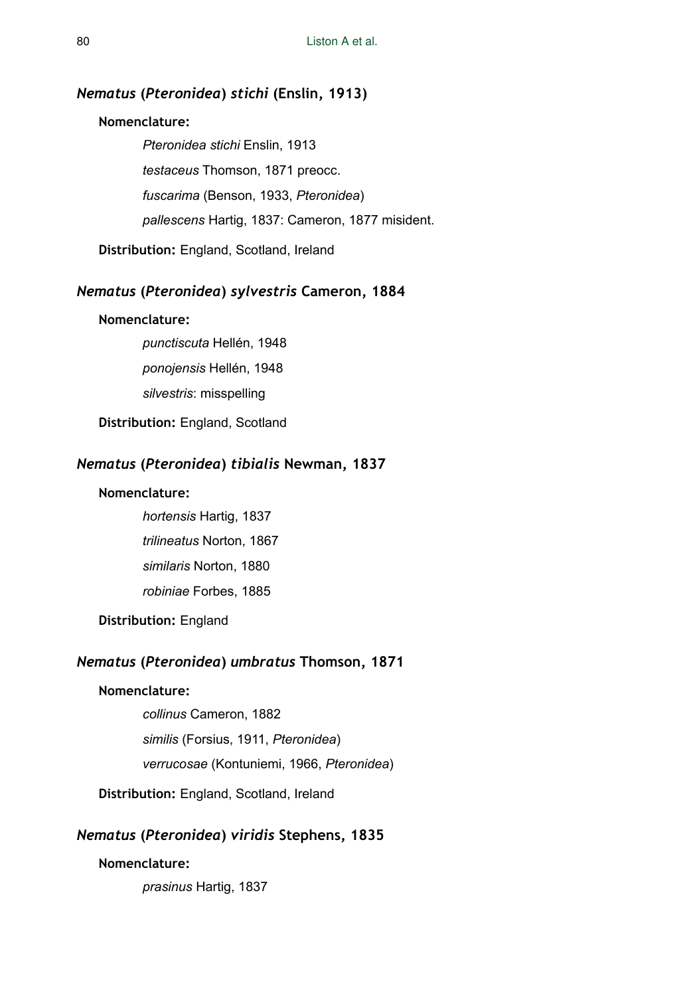# *Nematus* **(***Pteronidea***)** *stichi* **(Enslin, 1913)**

#### **Nomenclature:**

*Pteronidea stichi* Enslin, 1913 *testaceus* Thomson, 1871 preocc. *fuscarima* (Benson, 1933, *Pteronidea*) *pallescens* Hartig, 1837: Cameron, 1877 misident.

**Distribution:** England, Scotland, Ireland

## *Nematus* **(***Pteronidea***)** *sylvestris* **Cameron, 1884**

### **Nomenclature:**

*punctiscuta* Hellén, 1948 *ponojensis* Hellén, 1948

*silvestris*: misspelling

**Distribution:** England, Scotland

## *Nematus* **(***Pteronidea***)** *tibialis* **Newman, 1837**

#### **Nomenclature:**

*hortensis* Hartig, 1837 *trilineatus* Norton, 1867 *similaris* Norton, 1880 *robiniae* Forbes, 1885

**Distribution:** England

## *Nematus* **(***Pteronidea***)** *umbratus* **Thomson, 1871**

#### **Nomenclature:**

*collinus* Cameron, 1882 *similis* (Forsius, 1911, *Pteronidea*) *verrucosae* (Kontuniemi, 1966, *Pteronidea*)

**Distribution:** England, Scotland, Ireland

# *Nematus* **(***Pteronidea***)** *viridis* **Stephens, 1835**

### **Nomenclature:**

*prasinus* Hartig, 1837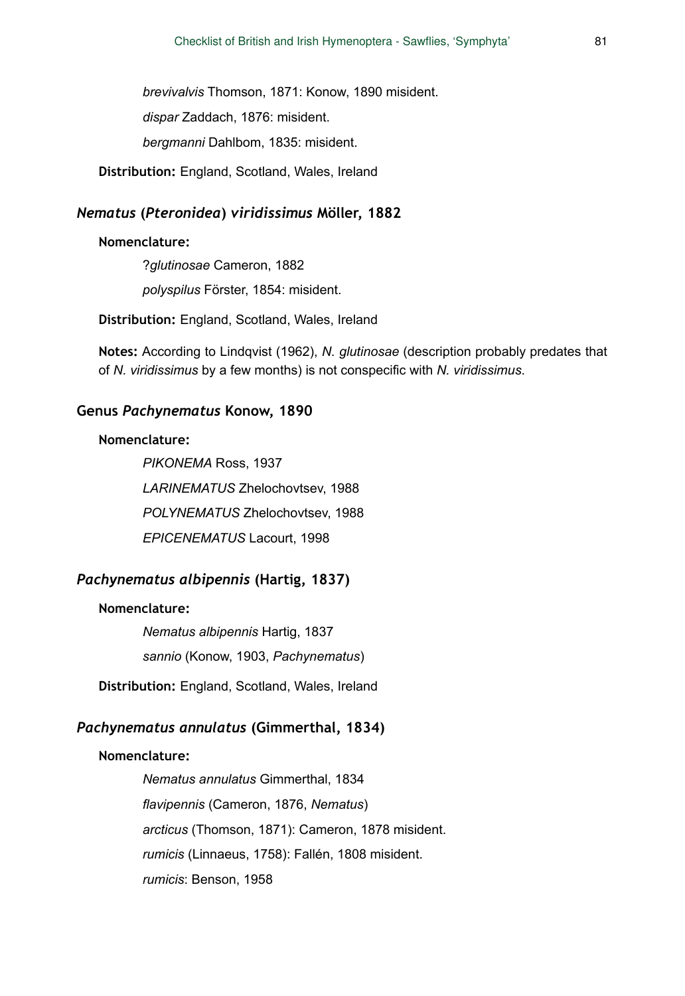*brevivalvis* Thomson, 1871: Konow, 1890 misident.

*dispar* Zaddach, 1876: misident.

*bergmanni* Dahlbom, 1835: misident.

**Distribution:** England, Scotland, Wales, Ireland

#### *Nematus* **(***Pteronidea***)** *viridissimus* **Möller, 1882**

#### **Nomenclature:**

?*glutinosae* Cameron, 1882 *polyspilus* Förster, 1854: misident.

**Distribution:** England, Scotland, Wales, Ireland

**Notes:** According to Lindqvist (1962), *N. glutinosae* (description probably predates that of *N. viridissimus* by a few months) is not conspecific with *N. viridissimus*.

### **Genus** *Pachynematus* **Konow, 1890**

#### **Nomenclature:**

*PIKONEMA* Ross, 1937 *LARINEMATUS* Zhelochovtsev, 1988 *POLYNEMATUS* Zhelochovtsev, 1988 *EPICENEMATUS* Lacourt, 1998

# *Pachynematus albipennis* **(Hartig, 1837)**

#### **Nomenclature:**

*Nematus albipennis* Hartig, 1837 *sannio* (Konow, 1903, *Pachynematus*)

**Distribution:** England, Scotland, Wales, Ireland

# *Pachynematus annulatus* **(Gimmerthal, 1834)**

#### **Nomenclature:**

*Nematus annulatus* Gimmerthal, 1834 *flavipennis* (Cameron, 1876, *Nematus*) *arcticus* (Thomson, 1871): Cameron, 1878 misident. *rumicis* (Linnaeus, 1758): Fallén, 1808 misident. *rumicis*: Benson, 1958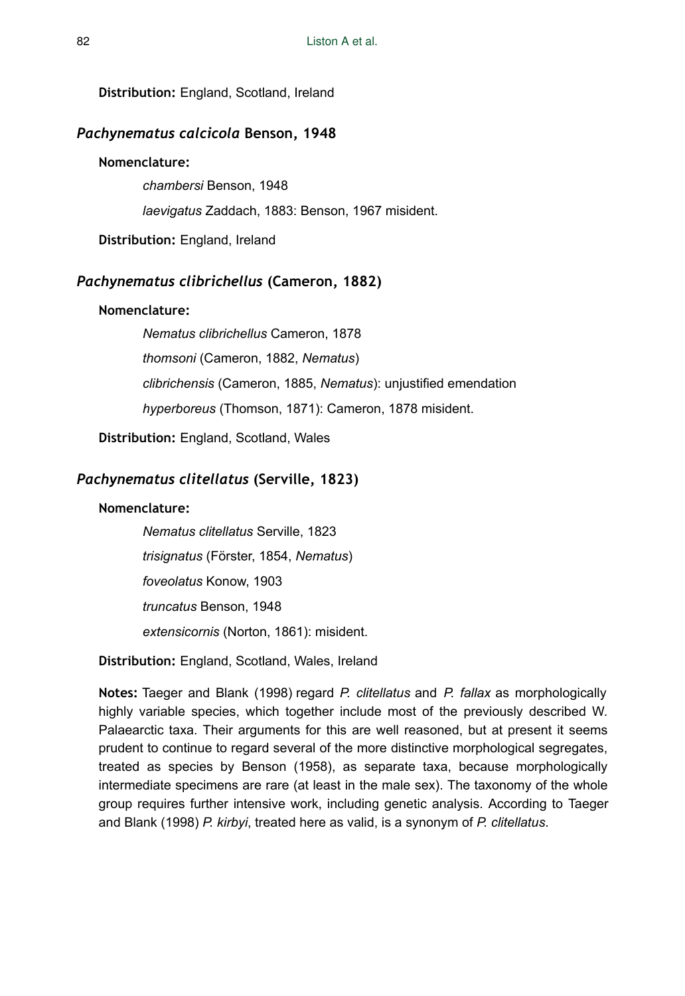**Distribution:** England, Scotland, Ireland

## *Pachynematus calcicola* **Benson, 1948**

#### **Nomenclature:**

*chambersi* Benson, 1948

*laevigatus* Zaddach, 1883: Benson, 1967 misident.

**Distribution:** England, Ireland

# *Pachynematus clibrichellus* **(Cameron, 1882)**

### **Nomenclature:**

*Nematus clibrichellus* Cameron, 1878 *thomsoni* (Cameron, 1882, *Nematus*) *clibrichensis* (Cameron, 1885, *Nematus*): unjustified emendation *hyperboreus* (Thomson, 1871): Cameron, 1878 misident.

**Distribution:** England, Scotland, Wales

# *Pachynematus clitellatus* **(Serville, 1823)**

### **Nomenclature:**

*Nematus clitellatus* Serville, 1823 *trisignatus* (Förster, 1854, *Nematus*) *foveolatus* Konow, 1903 *truncatus* Benson, 1948 *extensicornis* (Norton, 1861): misident.

**Distribution:** England, Scotland, Wales, Ireland

**Notes:** Taeger and Blank (1998) regard *P. clitellatus* and *P. fallax* as morphologically highly variable species, which together include most of the previously described W. Palaearctic taxa. Their arguments for this are well reasoned, but at present it seems prudent to continue to regard several of the more distinctive morphological segregates, treated as species by Benson (1958), as separate taxa, because morphologically intermediate specimens are rare (at least in the male sex). The taxonomy of the whole group requires further intensive work, including genetic analysis. According to Taeger and Blank (1998) *P. kirbyi*, treated here as valid, is a synonym of *P. clitellatus*.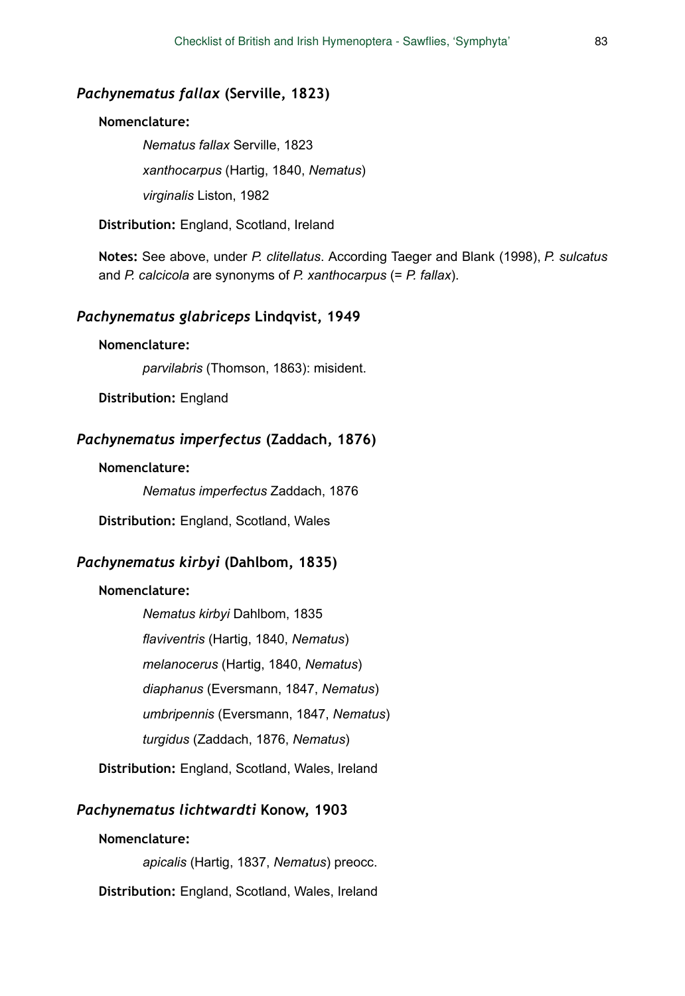## *Pachynematus fallax* **(Serville, 1823)**

#### **Nomenclature:**

*Nematus fallax* Serville, 1823 *xanthocarpus* (Hartig, 1840, *Nematus*) *virginalis* Liston, 1982

**Distribution:** England, Scotland, Ireland

**Notes:** See above, under *P. clitellatus*. According Taeger and Blank (1998), *P. sulcatus* and *P. calcicola* are synonyms of *P. xanthocarpus* (= *P. fallax*).

### *Pachynematus glabriceps* **Lindqvist, 1949**

#### **Nomenclature:**

*parvilabris* (Thomson, 1863): misident.

**Distribution:** England

## *Pachynematus imperfectus* **(Zaddach, 1876)**

#### **Nomenclature:**

*Nematus imperfectus* Zaddach, 1876

**Distribution:** England, Scotland, Wales

#### *Pachynematus kirbyi* **(Dahlbom, 1835)**

#### **Nomenclature:**

*Nematus kirbyi* Dahlbom, 1835 *flaviventris* (Hartig, 1840, *Nematus*) *melanocerus* (Hartig, 1840, *Nematus*) *diaphanus* (Eversmann, 1847, *Nematus*) *umbripennis* (Eversmann, 1847, *Nematus*) *turgidus* (Zaddach, 1876, *Nematus*)

**Distribution:** England, Scotland, Wales, Ireland

### *Pachynematus lichtwardti* **Konow, 1903**

#### **Nomenclature:**

*apicalis* (Hartig, 1837, *Nematus*) preocc.

**Distribution:** England, Scotland, Wales, Ireland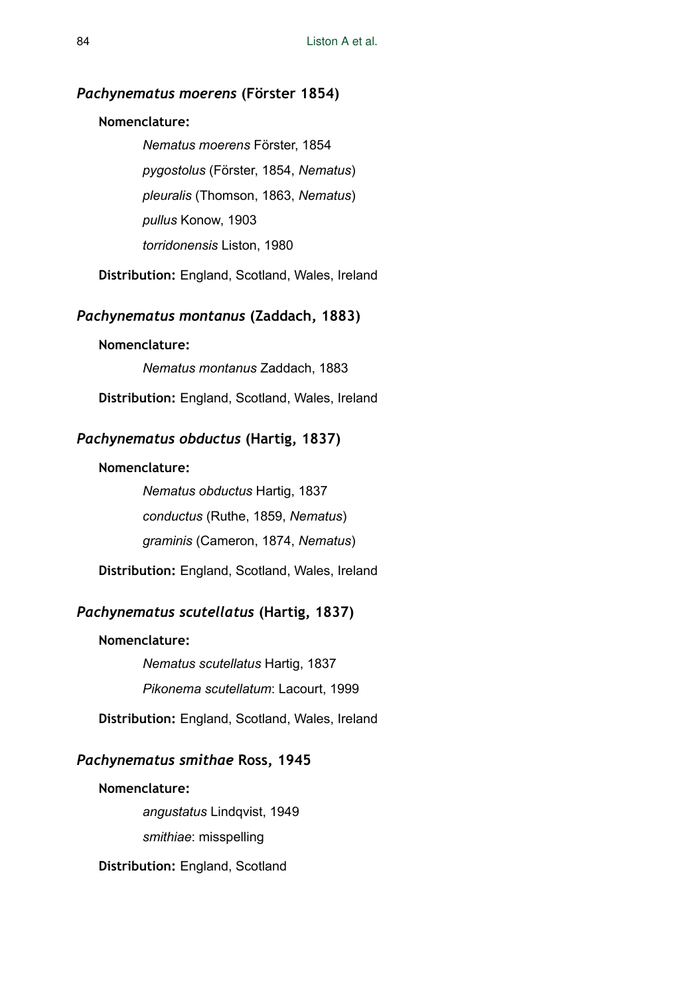#### *Pachynematus moerens* **(Förster 1854)**

### **Nomenclature:**

*Nematus moerens* Förster, 1854 *pygostolus* (Förster, 1854, *Nematus*) *pleuralis* (Thomson, 1863, *Nematus*) *pullus* Konow, 1903 *torridonensis* Liston, 1980

**Distribution:** England, Scotland, Wales, Ireland

## *Pachynematus montanus* **(Zaddach, 1883)**

#### **Nomenclature:**

*Nematus montanus* Zaddach, 1883

**Distribution:** England, Scotland, Wales, Ireland

## *Pachynematus obductus* **(Hartig, 1837)**

#### **Nomenclature:**

*Nematus obductus* Hartig, 1837 *conductus* (Ruthe, 1859, *Nematus*) *graminis* (Cameron, 1874, *Nematus*)

**Distribution:** England, Scotland, Wales, Ireland

# *Pachynematus scutellatus* **(Hartig, 1837)**

#### **Nomenclature:**

*Nematus scutellatus* Hartig, 1837 *Pikonema scutellatum*: Lacourt, 1999

**Distribution:** England, Scotland, Wales, Ireland

# *Pachynematus smithae* **Ross, 1945**

#### **Nomenclature:**

*angustatus* Lindqvist, 1949 *smithiae*: misspelling

**Distribution:** England, Scotland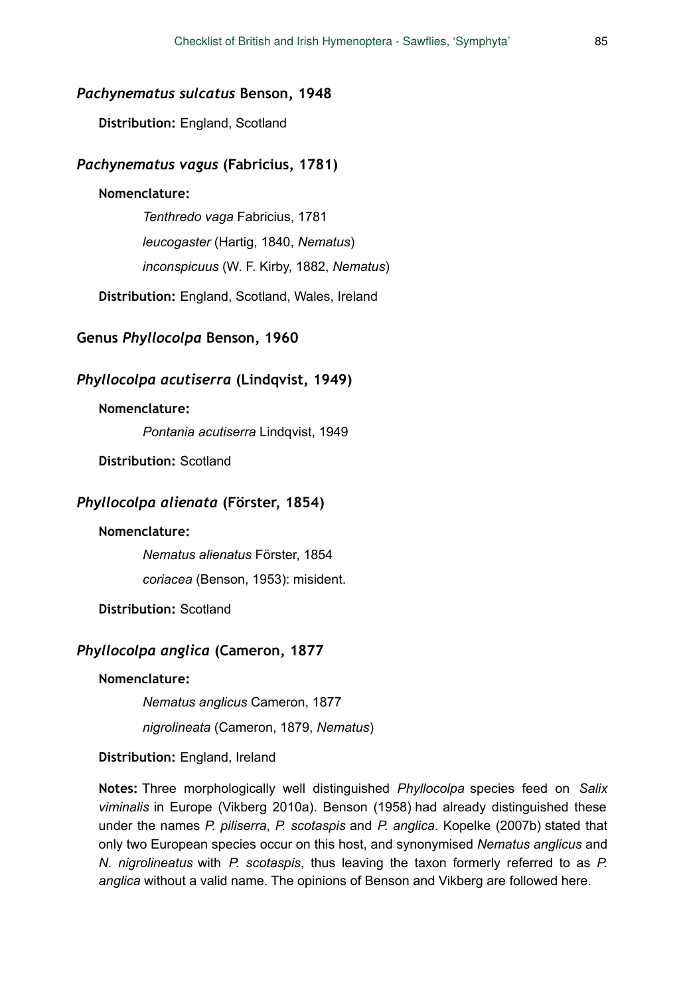#### *Pachynematus sulcatus* **Benson, 1948**

**Distribution:** England, Scotland

### *Pachynematus vagus* **(Fabricius, 1781)**

#### **Nomenclature:**

*Tenthredo vaga* Fabricius, 1781 *leucogaster* (Hartig, 1840, *Nematus*) *inconspicuus* (W. F. Kirby, 1882, *Nematus*)

**Distribution:** England, Scotland, Wales, Ireland

## **Genus** *Phyllocolpa* **Benson, 1960**

### *Phyllocolpa acutiserra* **(Lindqvist, 1949)**

### **Nomenclature:**

*Pontania acutiserra* Lindqvist, 1949

**Distribution:** Scotland

### *Phyllocolpa alienata* **(Förster, 1854)**

#### **Nomenclature:**

*Nematus alienatus* Förster, 1854

*coriacea* (Benson, 1953): misident.

**Distribution:** Scotland

## *Phyllocolpa anglica* **(Cameron, 1877**

#### **Nomenclature:**

*Nematus anglicus* Cameron, 1877

*nigrolineata* (Cameron, 1879, *Nematus*)

### **Distribution:** England, Ireland

**Notes:** Three morphologically well distinguished *Phyllocolpa* species feed on *Salix viminalis* in Europe (Vikberg 2010a). Benson (1958) had already distinguished these under the names *P. piliserra*, *P. scotaspis* and *P. anglica*. Kopelke (2007b) stated that only two European species occur on this host, and synonymised *Nematus anglicus* and *N. nigrolineatus* with *P. scotaspis*, thus leaving the taxon formerly referred to as *P. anglica* without a valid name. The opinions of Benson and Vikberg are followed here.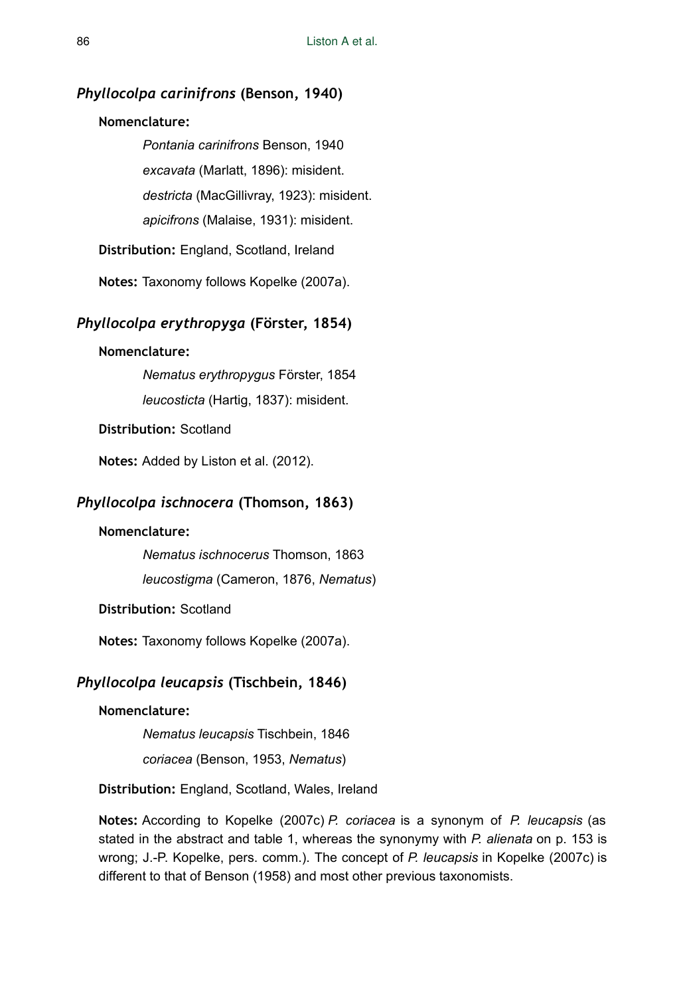#### *Phyllocolpa carinifrons* **(Benson, 1940)**

#### **Nomenclature:**

*Pontania carinifrons* Benson, 1940 *excavata* (Marlatt, 1896): misident. *destricta* (MacGillivray, 1923): misident. *apicifrons* (Malaise, 1931): misident.

**Distribution:** England, Scotland, Ireland

**Notes:** Taxonomy follows Kopelke (2007a).

#### *Phyllocolpa erythropyga* **(Förster, 1854)**

#### **Nomenclature:**

*Nematus erythropygus* Förster, 1854 *leucosticta* (Hartig, 1837): misident.

**Distribution:** Scotland

**Notes:** Added by Liston et al. (2012).

# *Phyllocolpa ischnocera* **(Thomson, 1863)**

#### **Nomenclature:**

*Nematus ischnocerus* Thomson, 1863

*leucostigma* (Cameron, 1876, *Nematus*)

**Distribution:** Scotland

**Notes:** Taxonomy follows Kopelke (2007a).

# *Phyllocolpa leucapsis* **(Tischbein, 1846)**

#### **Nomenclature:**

*Nematus leucapsis* Tischbein, 1846

*coriacea* (Benson, 1953, *Nematus*)

**Distribution:** England, Scotland, Wales, Ireland

**Notes:** According to Kopelke (2007c) *P. coriacea* is a synonym of *P. leucapsis* (as stated in the abstract and table 1, whereas the synonymy with *P. alienata* on p. 153 is wrong; J.-P. Kopelke, pers. comm.). The concept of *P. leucapsis* in Kopelke (2007c) is different to that of Benson (1958) and most other previous taxonomists.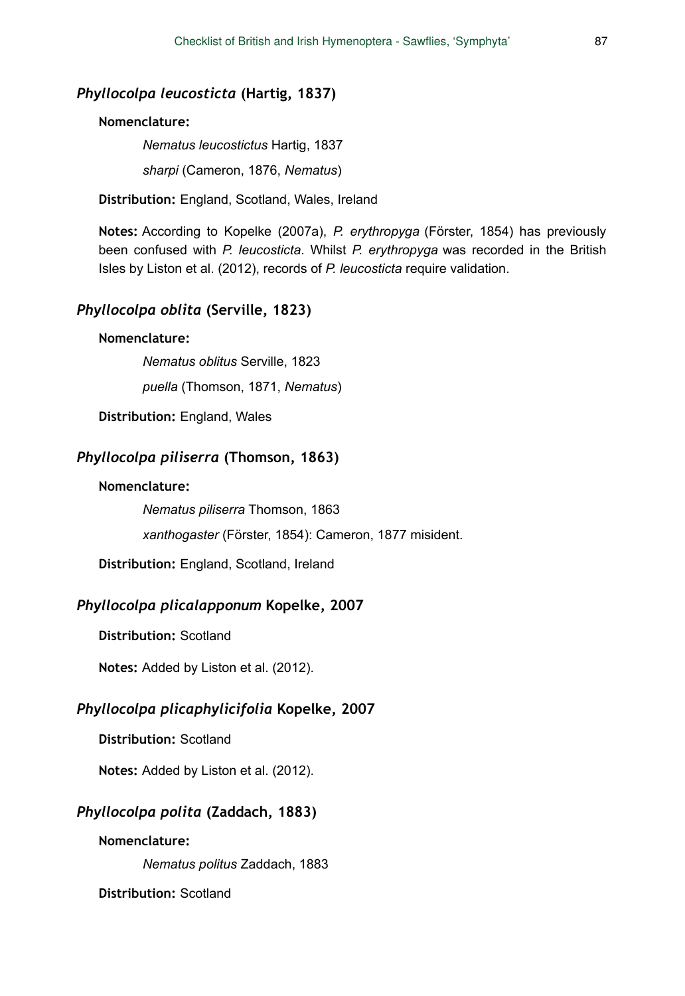#### *Phyllocolpa leucosticta* **(Hartig, 1837)**

### **Nomenclature:**

*Nematus leucostictus* Hartig, 1837 *sharpi* (Cameron, 1876, *Nematus*)

**Distribution:** England, Scotland, Wales, Ireland

**Notes:** According to Kopelke (2007a), *P. erythropyga* (Förster, 1854) has previously been confused with *P. leucosticta*. Whilst *P. erythropyga* was recorded in the British Isles by Liston et al. (2012), records of *P. leucosticta* require validation.

## *Phyllocolpa oblita* **(Serville, 1823)**

#### **Nomenclature:**

*Nematus oblitus* Serville, 1823

*puella* (Thomson, 1871, *Nematus*)

**Distribution:** England, Wales

## *Phyllocolpa piliserra* **(Thomson, 1863)**

#### **Nomenclature:**

*Nematus piliserra* Thomson, 1863

*xanthogaster* (Förster, 1854): Cameron, 1877 misident.

**Distribution:** England, Scotland, Ireland

# *Phyllocolpa plicalapponum* **Kopelke, 2007**

**Distribution:** Scotland

**Notes:** Added by Liston et al. (2012).

## *Phyllocolpa plicaphylicifolia* **Kopelke, 2007**

**Distribution:** Scotland

**Notes:** Added by Liston et al. (2012).

## *Phyllocolpa polita* **(Zaddach, 1883)**

#### **Nomenclature:**

*Nematus politus* Zaddach, 1883

**Distribution:** Scotland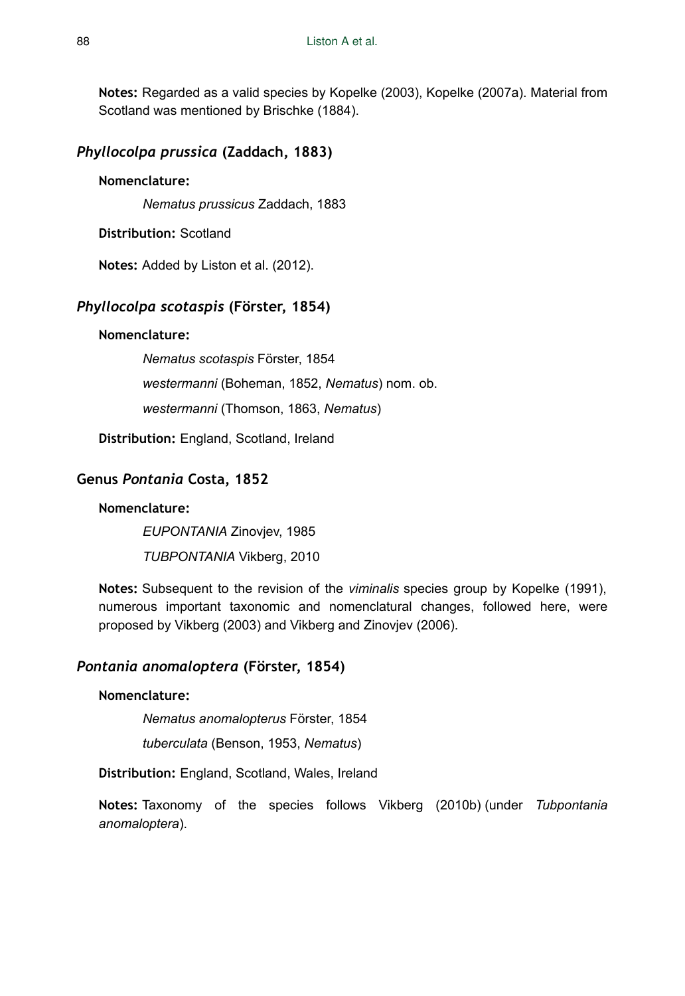**Notes:** Regarded as a valid species by Kopelke (2003), Kopelke (2007a). Material from Scotland was mentioned by Brischke (1884).

# *Phyllocolpa prussica* **(Zaddach, 1883)**

### **Nomenclature:**

*Nematus prussicus* Zaddach, 1883

**Distribution:** Scotland

**Notes:** Added by Liston et al. (2012).

# *Phyllocolpa scotaspis* **(Förster, 1854)**

### **Nomenclature:**

*Nematus scotaspis* Förster, 1854 *westermanni* (Boheman, 1852, *Nematus*) nom. ob.

*westermanni* (Thomson, 1863, *Nematus*)

**Distribution:** England, Scotland, Ireland

# **Genus** *Pontania* **Costa, 1852**

### **Nomenclature:**

*EUPONTANIA* Zinovjev, 1985

*TUBPONTANIA* Vikberg, 2010

**Notes:** Subsequent to the revision of the *viminalis* species group by Kopelke (1991), numerous important taxonomic and nomenclatural changes, followed here, were proposed by Vikberg (2003) and Vikberg and Zinovjev (2006).

# *Pontania anomaloptera* **(Förster, 1854)**

### **Nomenclature:**

*Nematus anomalopterus* Förster, 1854

*tuberculata* (Benson, 1953, *Nematus*)

**Distribution:** England, Scotland, Wales, Ireland

**Notes:** Taxonomy of the species follows Vikberg (2010b) (under *Tubpontania anomaloptera*).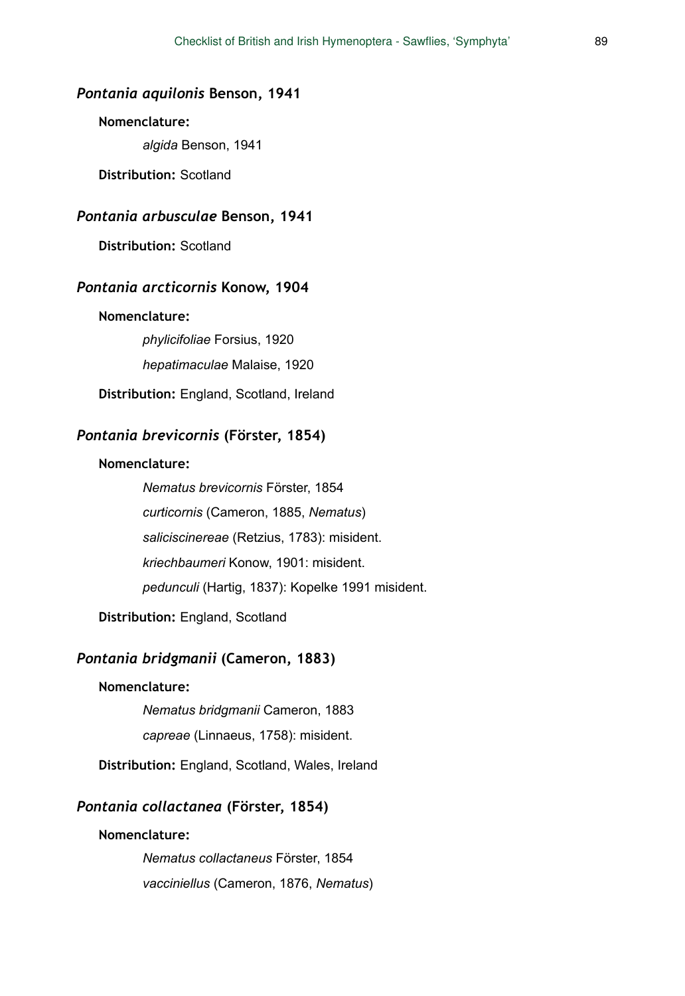## *Pontania aquilonis* **Benson, 1941**

### **Nomenclature:**

*algida* Benson, 1941

**Distribution:** Scotland

## *Pontania arbusculae* **Benson, 1941**

**Distribution:** Scotland

### *Pontania arcticornis* **Konow, 1904**

#### **Nomenclature:**

*phylicifoliae* Forsius, 1920 *hepatimaculae* Malaise, 1920

**Distribution:** England, Scotland, Ireland

#### *Pontania brevicornis* **(Förster, 1854)**

### **Nomenclature:**

*Nematus brevicornis* Förster, 1854 *curticornis* (Cameron, 1885, *Nematus*) *saliciscinereae* (Retzius, 1783): misident. *kriechbaumeri* Konow, 1901: misident. *pedunculi* (Hartig, 1837): Kopelke 1991 misident.

**Distribution:** England, Scotland

### *Pontania bridgmanii* **(Cameron, 1883)**

#### **Nomenclature:**

*Nematus bridgmanii* Cameron, 1883

*capreae* (Linnaeus, 1758): misident.

**Distribution:** England, Scotland, Wales, Ireland

### *Pontania collactanea* **(Förster, 1854)**

#### **Nomenclature:**

*Nematus collactaneus* Förster, 1854 *vacciniellus* (Cameron, 1876, *Nematus*)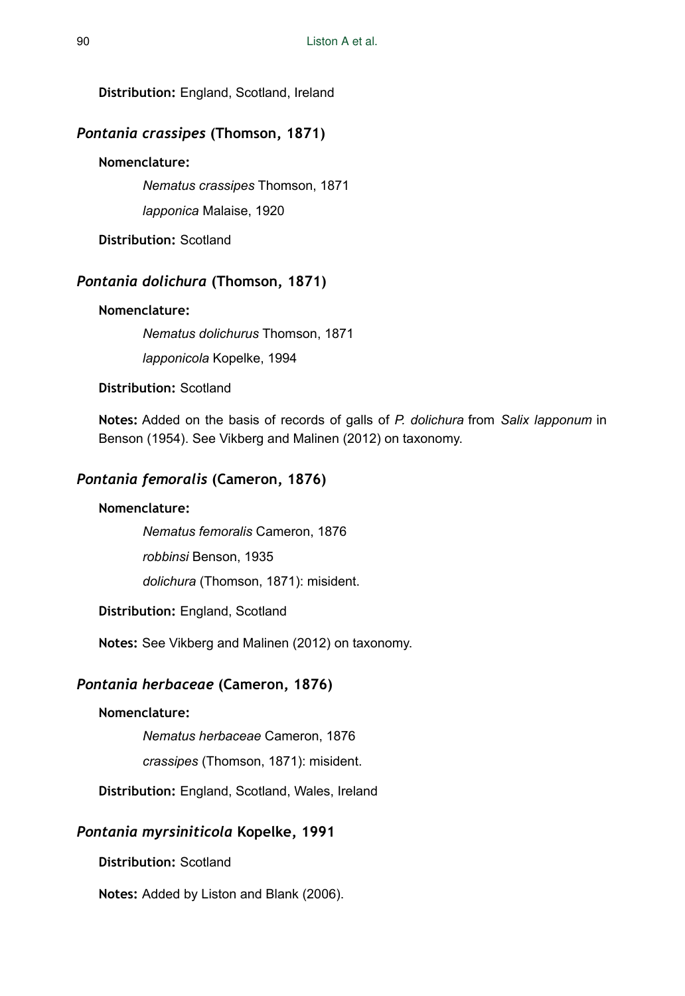**Distribution:** England, Scotland, Ireland

## *Pontania crassipes* **(Thomson, 1871)**

#### **Nomenclature:**

*Nematus crassipes* Thomson, 1871

*lapponica* Malaise, 1920

**Distribution:** Scotland

# *Pontania dolichura* **(Thomson, 1871)**

### **Nomenclature:**

*Nematus dolichurus* Thomson, 1871

*lapponicola* Kopelke, 1994

**Distribution:** Scotland

**Notes:** Added on the basis of records of galls of *P. dolichura* from *Salix lapponum* in Benson (1954). See Vikberg and Malinen (2012) on taxonomy.

## *Pontania femoralis* **(Cameron, 1876)**

### **Nomenclature:**

*Nematus femoralis* Cameron, 1876

*robbinsi* Benson, 1935

*dolichura* (Thomson, 1871): misident.

**Distribution:** England, Scotland

**Notes:** See Vikberg and Malinen (2012) on taxonomy.

#### *Pontania herbaceae* **(Cameron, 1876)**

#### **Nomenclature:**

*Nematus herbaceae* Cameron, 1876

*crassipes* (Thomson, 1871): misident.

**Distribution:** England, Scotland, Wales, Ireland

## *Pontania myrsiniticola* **Kopelke, 1991**

**Distribution:** Scotland

**Notes:** Added by Liston and Blank (2006).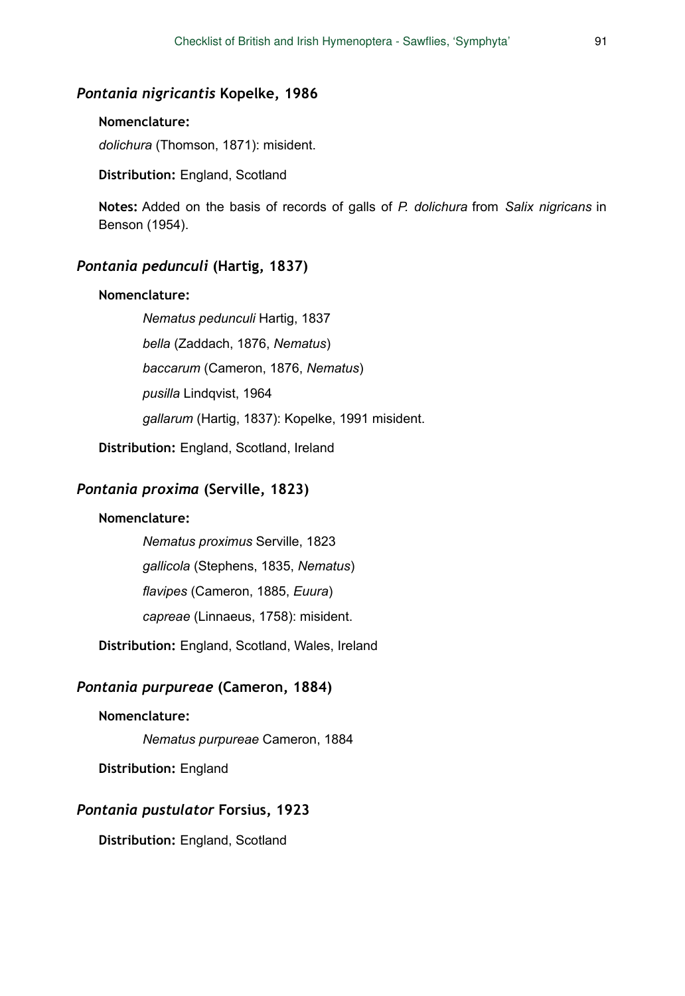#### *Pontania nigricantis* **Kopelke, 1986**

### **Nomenclature:**

*dolichura* (Thomson, 1871): misident.

**Distribution:** England, Scotland

**Notes:** Added on the basis of records of galls of *P. dolichura* from *Salix nigricans* in Benson (1954).

## *Pontania pedunculi* **(Hartig, 1837)**

#### **Nomenclature:**

*Nematus pedunculi* Hartig, 1837 *bella* (Zaddach, 1876, *Nematus*) *baccarum* (Cameron, 1876, *Nematus*) *pusilla* Lindqvist, 1964 *gallarum* (Hartig, 1837): Kopelke, 1991 misident.

**Distribution:** England, Scotland, Ireland

### *Pontania proxima* **(Serville, 1823)**

### **Nomenclature:**

*Nematus proximus* Serville, 1823 *gallicola* (Stephens, 1835, *Nematus*) *flavipes* (Cameron, 1885, *Euura*) *capreae* (Linnaeus, 1758): misident.

**Distribution:** England, Scotland, Wales, Ireland

### *Pontania purpureae* **(Cameron, 1884)**

#### **Nomenclature:**

*Nematus purpureae* Cameron, 1884

**Distribution:** England

#### *Pontania pustulator* **Forsius, 1923**

**Distribution:** England, Scotland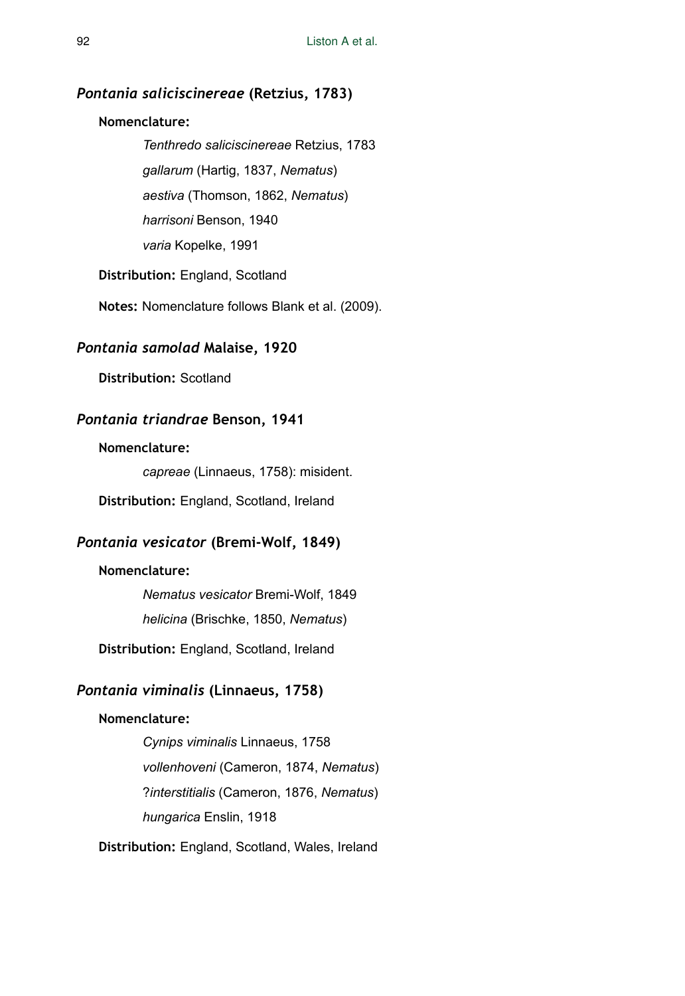## *Pontania saliciscinereae* **(Retzius, 1783)**

### **Nomenclature:**

*Tenthredo saliciscinereae* Retzius, 1783 *gallarum* (Hartig, 1837, *Nematus*) *aestiva* (Thomson, 1862, *Nematus*) *harrisoni* Benson, 1940 *varia* Kopelke, 1991

**Distribution:** England, Scotland

**Notes:** Nomenclature follows Blank et al. (2009).

### *Pontania samolad* **Malaise, 1920**

**Distribution:** Scotland

### *Pontania triandrae* **Benson, 1941**

#### **Nomenclature:**

*capreae* (Linnaeus, 1758): misident.

**Distribution:** England, Scotland, Ireland

## *Pontania vesicator* **(Bremi-Wolf, 1849)**

#### **Nomenclature:**

*Nematus vesicator* Bremi-Wolf, 1849 *helicina* (Brischke, 1850, *Nematus*)

**Distribution:** England, Scotland, Ireland

# *Pontania viminalis* **(Linnaeus, 1758)**

### **Nomenclature:**

*Cynips viminalis* Linnaeus, 1758 *vollenhoveni* (Cameron, 1874, *Nematus*) ?*interstitialis* (Cameron, 1876, *Nematus*) *hungarica* Enslin, 1918

**Distribution:** England, Scotland, Wales, Ireland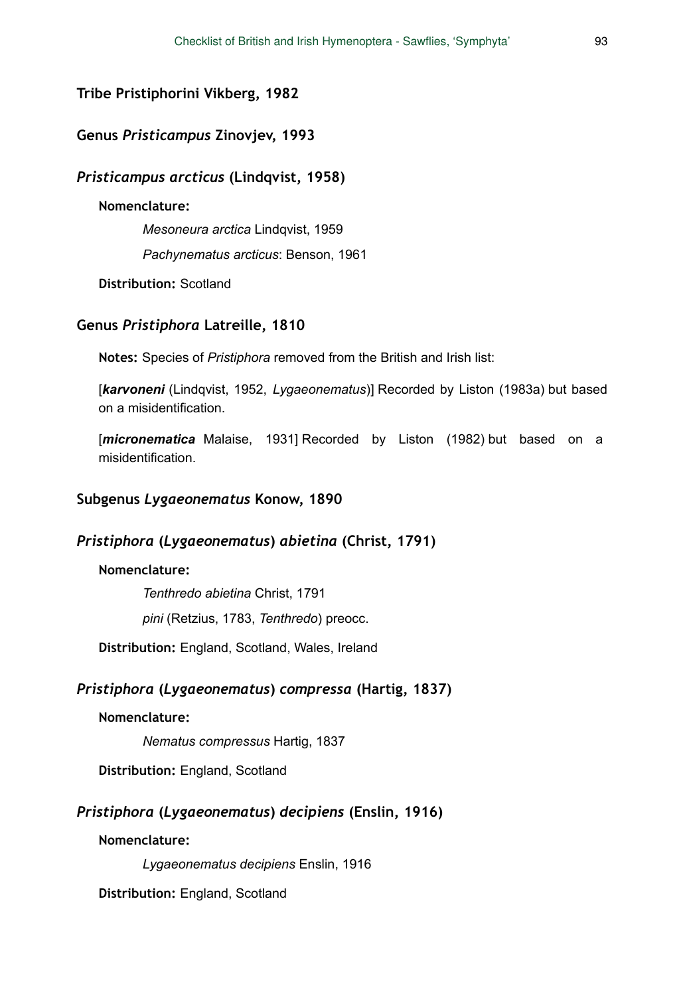# **Tribe Pristiphorini Vikberg, 1982**

# **Genus** *Pristicampus* **Zinovjev, 1993**

## *Pristicampus arcticus* **(Lindqvist, 1958)**

#### **Nomenclature:**

*Mesoneura arctica* Lindqvist, 1959

*Pachynematus arcticus*: Benson, 1961

**Distribution:** Scotland

# **Genus** *Pristiphora* **Latreille, 1810**

**Notes:** Species of *Pristiphora* removed from the British and Irish list:

[*karvoneni* (Lindqvist, 1952, *Lygaeonematus*)] Recorded by Liston (1983a) but based on a misidentification.

[*micronematica* Malaise, 1931] Recorded by Liston (1982) but based on a misidentification.

### **Subgenus** *Lygaeonematus* **Konow, 1890**

# *Pristiphora* **(***Lygaeonematus***)** *abietina* **(Christ, 1791)**

# **Nomenclature:**

*Tenthredo abietina* Christ, 1791 *pini* (Retzius, 1783, *Tenthredo*) preocc.

**Distribution:** England, Scotland, Wales, Ireland

## *Pristiphora* **(***Lygaeonematus***)** *compressa* **(Hartig, 1837)**

## **Nomenclature:**

*Nematus compressus* Hartig, 1837

**Distribution:** England, Scotland

# *Pristiphora* **(***Lygaeonematus***)** *decipiens* **(Enslin, 1916)**

### **Nomenclature:**

*Lygaeonematus decipiens* Enslin, 1916

**Distribution:** England, Scotland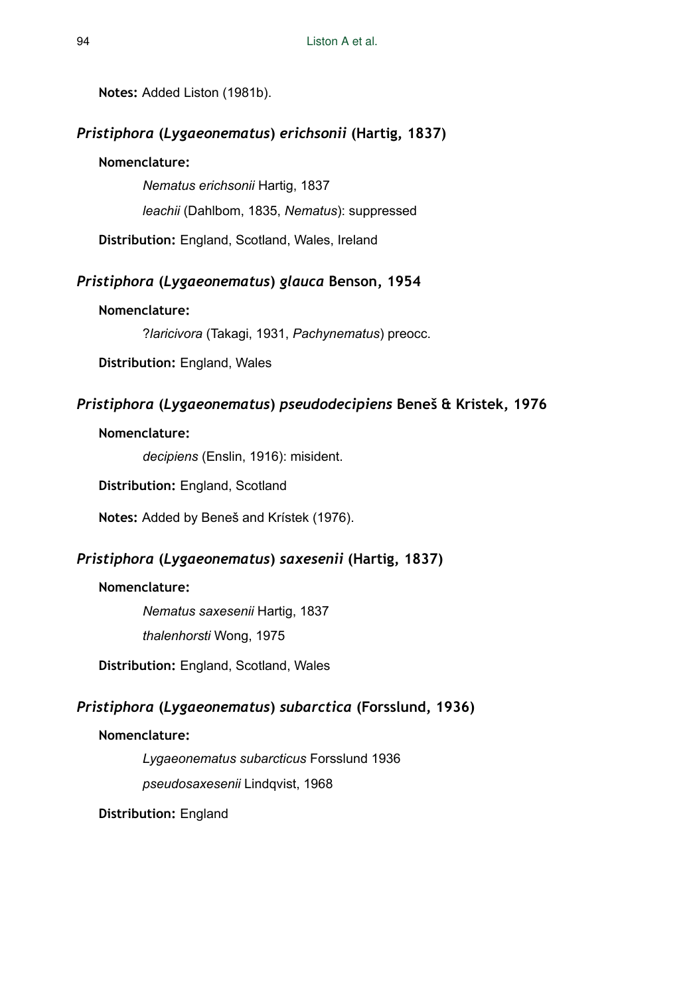**Notes:** Added Liston (1981b).

# *Pristiphora* **(***Lygaeonematus***)** *erichsonii* **(Hartig, 1837)**

# **Nomenclature:**

*Nematus erichsonii* Hartig, 1837 *leachii* (Dahlbom, 1835, *Nematus*): suppressed

**Distribution:** England, Scotland, Wales, Ireland

# *Pristiphora* **(***Lygaeonematus***)** *glauca* **Benson, 1954**

# **Nomenclature:**

?*laricivora* (Takagi, 1931, *Pachynematus*) preocc.

**Distribution:** England, Wales

# *Pristiphora* **(***Lygaeonematus***)** *pseudodecipiens* **Beneš & Kristek, 1976**

# **Nomenclature:**

*decipiens* (Enslin, 1916): misident.

**Distribution:** England, Scotland

**Notes:** Added by Beneš and Krístek (1976).

# *Pristiphora* **(***Lygaeonematus***)** *saxesenii* **(Hartig, 1837)**

#### **Nomenclature:**

*Nematus saxesenii* Hartig, 1837

*thalenhorsti* Wong, 1975

**Distribution:** England, Scotland, Wales

# *Pristiphora* **(***Lygaeonematus***)** *subarctica* **(Forsslund, 1936)**

# **Nomenclature:**

*Lygaeonematus subarcticus* Forsslund 1936

*pseudosaxesenii* Lindqvist, 1968

**Distribution:** England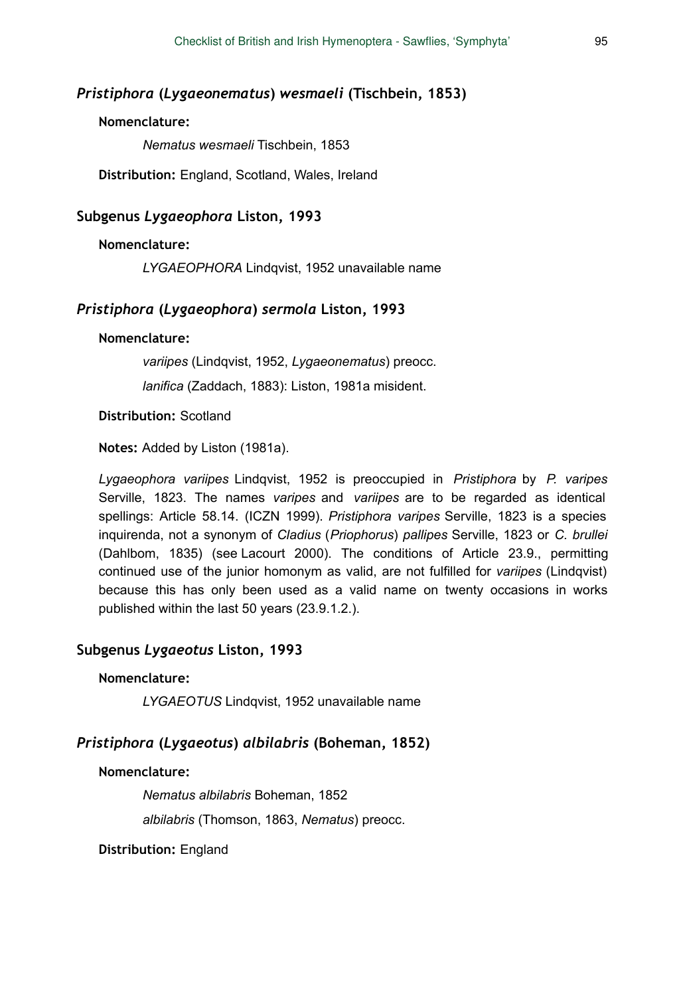#### *Pristiphora* **(***Lygaeonematus***)** *wesmaeli* **(Tischbein, 1853)**

### **Nomenclature:**

*Nematus wesmaeli* Tischbein, 1853

**Distribution:** England, Scotland, Wales, Ireland

#### **Subgenus** *Lygaeophora* **Liston, 1993**

### **Nomenclature:**

*LYGAEOPHORA* Lindqvist, 1952 unavailable name

## *Pristiphora* **(***Lygaeophora***)** *sermola* **Liston, 1993**

#### **Nomenclature:**

*variipes* (Lindqvist, 1952, *Lygaeonematus*) preocc.

*lanifica* (Zaddach, 1883): Liston, 1981a misident.

#### **Distribution:** Scotland

**Notes:** Added by Liston (1981a).

*Lygaeophora variipes* Lindqvist, 1952 is preoccupied in *Pristiphora* by *P. varipes* Serville, 1823. The names *varipes* and *variipes* are to be regarded as identical spellings: Article 58.14. (ICZN 1999). *Pristiphora varipes* Serville, 1823 is a species inquirenda, not a synonym of *Cladius* (*Priophorus*) *pallipes* Serville, 1823 or *C. brullei* (Dahlbom, 1835) (see Lacourt 2000). The conditions of Article 23.9., permitting continued use of the junior homonym as valid, are not fulfilled for *variipes* (Lindqvist) because this has only been used as a valid name on twenty occasions in works published within the last 50 years (23.9.1.2.).

#### **Subgenus** *Lygaeotus* **Liston, 1993**

#### **Nomenclature:**

*LYGAEOTUS* Lindqvist, 1952 unavailable name

# *Pristiphora* **(***Lygaeotus***)** *albilabris* **(Boheman, 1852)**

#### **Nomenclature:**

*Nematus albilabris* Boheman, 1852

*albilabris* (Thomson, 1863, *Nematus*) preocc.

**Distribution:** England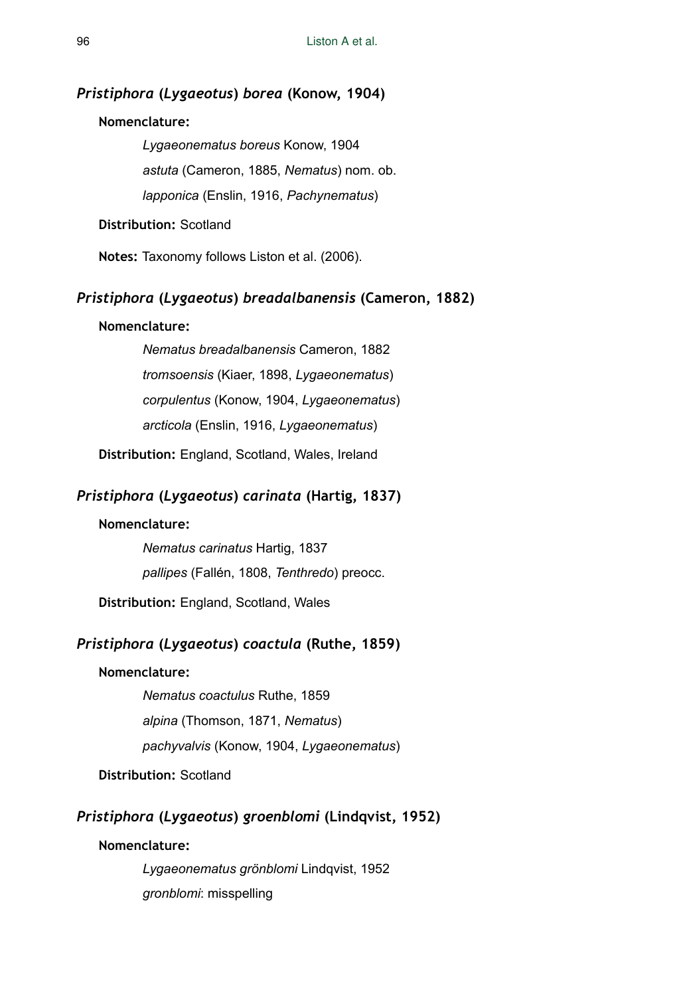#### *Pristiphora* **(***Lygaeotus***)** *borea* **(Konow, 1904)**

#### **Nomenclature:**

*Lygaeonematus boreus* Konow, 1904 *astuta* (Cameron, 1885, *Nematus*) nom. ob. *lapponica* (Enslin, 1916, *Pachynematus*)

**Distribution:** Scotland

**Notes:** Taxonomy follows Liston et al. (2006).

### *Pristiphora* **(***Lygaeotus***)** *breadalbanensis* **(Cameron, 1882)**

#### **Nomenclature:**

*Nematus breadalbanensis* Cameron, 1882 *tromsoensis* (Kiaer, 1898, *Lygaeonematus*) *corpulentus* (Konow, 1904, *Lygaeonematus*) *arcticola* (Enslin, 1916, *Lygaeonematus*)

**Distribution:** England, Scotland, Wales, Ireland

# *Pristiphora* **(***Lygaeotus***)** *carinata* **(Hartig, 1837)**

### **Nomenclature:**

*Nematus carinatus* Hartig, 1837 *pallipes* (Fallén, 1808, *Tenthredo*) preocc.

**Distribution:** England, Scotland, Wales

# *Pristiphora* **(***Lygaeotus***)** *coactula* **(Ruthe, 1859)**

# **Nomenclature:**

*Nematus coactulus* Ruthe, 1859 *alpina* (Thomson, 1871, *Nematus*) *pachyvalvis* (Konow, 1904, *Lygaeonematus*)

# **Distribution:** Scotland

## *Pristiphora* **(***Lygaeotus***)** *groenblomi* **(Lindqvist, 1952)**

# **Nomenclature:**

*Lygaeonematus grönblomi* Lindqvist, 1952 *gronblomi*: misspelling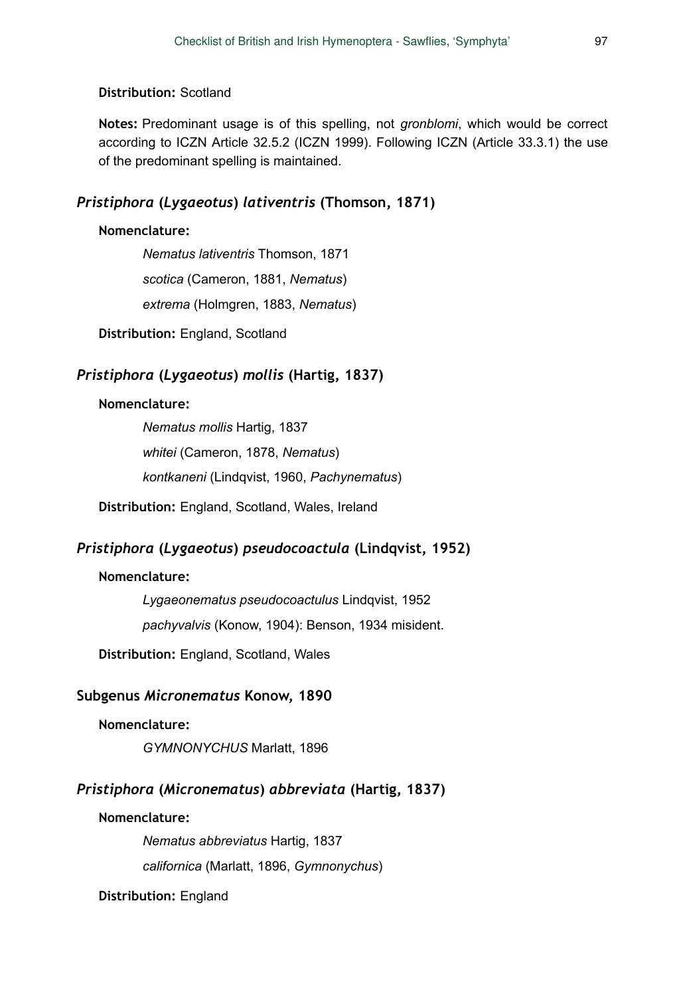## **Distribution:** Scotland

**Notes:** Predominant usage is of this spelling, not *gronblomi*, which would be correct according to ICZN Article 32.5.2 (ICZN 1999). Following ICZN (Article 33.3.1) the use of the predominant spelling is maintained.

# *Pristiphora* **(***Lygaeotus***)** *lativentris* **(Thomson, 1871)**

# **Nomenclature:**

*Nematus lativentris* Thomson, 1871 *scotica* (Cameron, 1881, *Nematus*) *extrema* (Holmgren, 1883, *Nematus*)

**Distribution:** England, Scotland

# *Pristiphora* **(***Lygaeotus***)** *mollis* **(Hartig, 1837)**

### **Nomenclature:**

*Nematus mollis* Hartig, 1837 *whitei* (Cameron, 1878, *Nematus*) *kontkaneni* (Lindqvist, 1960, *Pachynematus*)

**Distribution:** England, Scotland, Wales, Ireland

# *Pristiphora* **(***Lygaeotus***)** *pseudocoactula* **(Lindqvist, 1952)**

### **Nomenclature:**

*Lygaeonematus pseudocoactulus* Lindqvist, 1952

*pachyvalvis* (Konow, 1904): Benson, 1934 misident.

**Distribution:** England, Scotland, Wales

# **Subgenus** *Micronematus* **Konow, 1890**

#### **Nomenclature:**

*GYMNONYCHUS* Marlatt, 1896

# *Pristiphora* **(***Micronematus***)** *abbreviata* **(Hartig, 1837)**

### **Nomenclature:**

*Nematus abbreviatus* Hartig, 1837

*californica* (Marlatt, 1896, *Gymnonychus*)

**Distribution:** England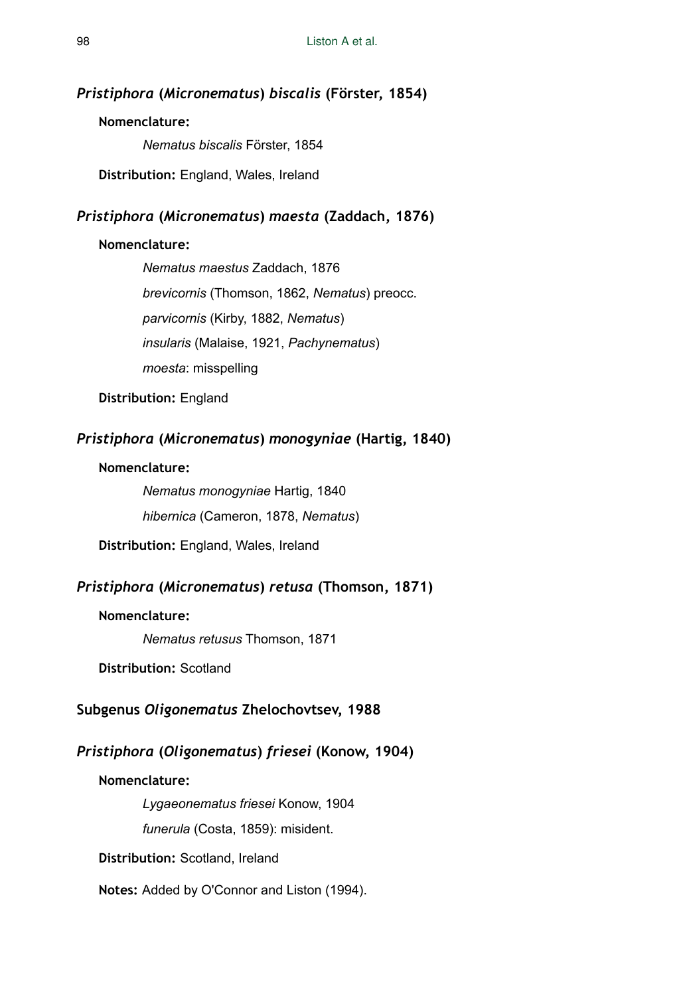#### *Pristiphora* **(***Micronematus***)** *biscalis* **(Förster, 1854)**

#### **Nomenclature:**

*Nematus biscalis* Förster, 1854

**Distribution:** England, Wales, Ireland

# *Pristiphora* **(***Micronematus***)** *maesta* **(Zaddach, 1876)**

### **Nomenclature:**

*Nematus maestus* Zaddach, 1876 *brevicornis* (Thomson, 1862, *Nematus*) preocc. *parvicornis* (Kirby, 1882, *Nematus*) *insularis* (Malaise, 1921, *Pachynematus*) *moesta*: misspelling

**Distribution:** England

# *Pristiphora* **(***Micronematus***)** *monogyniae* **(Hartig, 1840)**

#### **Nomenclature:**

*Nematus monogyniae* Hartig, 1840

*hibernica* (Cameron, 1878, *Nematus*)

**Distribution:** England, Wales, Ireland

# *Pristiphora* **(***Micronematus***)** *retusa* **(Thomson, 1871)**

#### **Nomenclature:**

*Nematus retusus* Thomson, 1871

**Distribution:** Scotland

## **Subgenus** *Oligonematus* **Zhelochovtsev, 1988**

# *Pristiphora* **(***Oligonematus***)** *friesei* **(Konow, 1904)**

**Nomenclature:** 

*Lygaeonematus friesei* Konow, 1904

*funerula* (Costa, 1859): misident.

**Distribution:** Scotland, Ireland

**Notes:** Added by O'Connor and Liston (1994).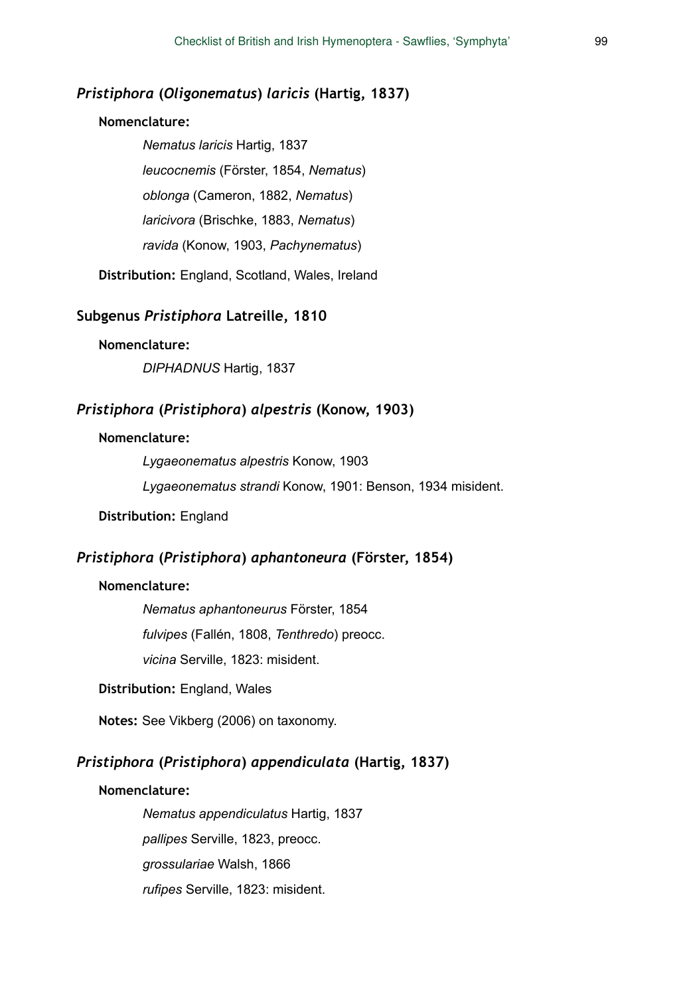# *Pristiphora* **(***Oligonematus***)** *laricis* **(Hartig, 1837)**

#### **Nomenclature:**

*Nematus laricis* Hartig, 1837 *leucocnemis* (Förster, 1854, *Nematus*) *oblonga* (Cameron, 1882, *Nematus*) *laricivora* (Brischke, 1883, *Nematus*) *ravida* (Konow, 1903, *Pachynematus*)

**Distribution:** England, Scotland, Wales, Ireland

## **Subgenus** *Pristiphora* **Latreille, 1810**

#### **Nomenclature:**

*DIPHADNUS* Hartig, 1837

# *Pristiphora* **(***Pristiphora***)** *alpestris* **(Konow, 1903)**

#### **Nomenclature:**

*Lygaeonematus alpestris* Konow, 1903

*Lygaeonematus strandi* Konow, 1901: Benson, 1934 misident.

#### **Distribution:** England

### *Pristiphora* **(***Pristiphora***)** *aphantoneura* **(Förster, 1854)**

#### **Nomenclature:**

*Nematus aphantoneurus* Förster, 1854 *fulvipes* (Fallén, 1808, *Tenthredo*) preocc. *vicina* Serville, 1823: misident.

### **Distribution:** England, Wales

**Notes:** See Vikberg (2006) on taxonomy.

## *Pristiphora* **(***Pristiphora***)** *appendiculata* **(Hartig, 1837)**

#### **Nomenclature:**

*Nematus appendiculatus* Hartig, 1837 *pallipes* Serville, 1823, preocc. *grossulariae* Walsh, 1866 *rufipes* Serville, 1823: misident.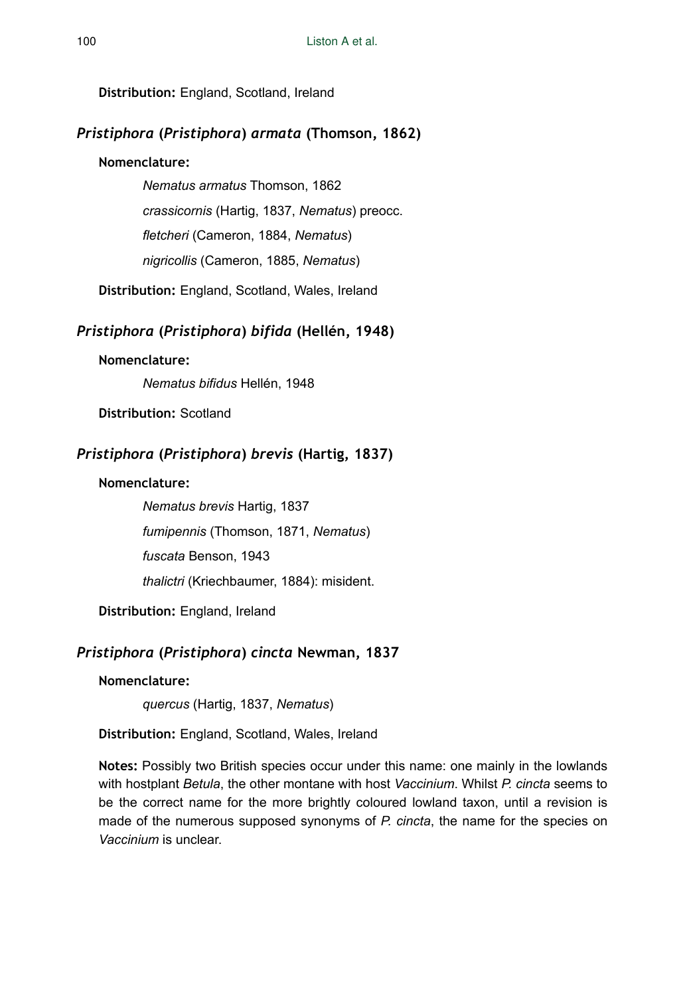**Distribution:** England, Scotland, Ireland

# *Pristiphora* **(***Pristiphora***)** *armata* **(Thomson, 1862)**

# **Nomenclature:**

*Nematus armatus* Thomson, 1862

*crassicornis* (Hartig, 1837, *Nematus*) preocc.

*fletcheri* (Cameron, 1884, *Nematus*)

*nigricollis* (Cameron, 1885, *Nematus*)

**Distribution:** England, Scotland, Wales, Ireland

# *Pristiphora* **(***Pristiphora***)** *bifida* **(Hellén, 1948)**

# **Nomenclature:**

*Nematus bifidus* Hellén, 1948

**Distribution:** Scotland

# *Pristiphora* **(***Pristiphora***)** *brevis* **(Hartig, 1837)**

# **Nomenclature:**

*Nematus brevis* Hartig, 1837 *fumipennis* (Thomson, 1871, *Nematus*) *fuscata* Benson, 1943 *thalictri* (Kriechbaumer, 1884): misident.

**Distribution:** England, Ireland

# *Pristiphora* **(***Pristiphora***)** *cincta* **Newman, 1837**

# **Nomenclature:**

*quercus* (Hartig, 1837, *Nematus*)

**Distribution:** England, Scotland, Wales, Ireland

**Notes:** Possibly two British species occur under this name: one mainly in the lowlands with hostplant *Betula*, the other montane with host *Vaccinium*. Whilst *P. cincta* seems to be the correct name for the more brightly coloured lowland taxon, until a revision is made of the numerous supposed synonyms of *P. cincta*, the name for the species on *Vaccinium* is unclear.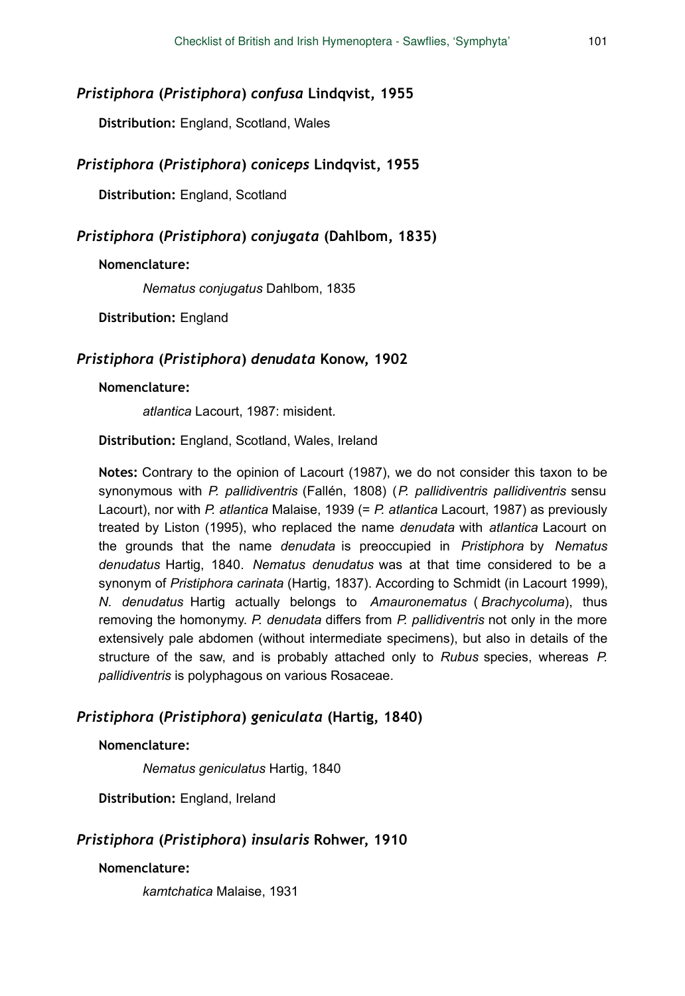# *Pristiphora* **(***Pristiphora***)** *confusa* **Lindqvist, 1955**

**Distribution:** England, Scotland, Wales

# *Pristiphora* **(***Pristiphora***)** *coniceps* **Lindqvist, 1955**

**Distribution:** England, Scotland

# *Pristiphora* **(***Pristiphora***)** *conjugata* **(Dahlbom, 1835)**

### **Nomenclature:**

*Nematus conjugatus* Dahlbom, 1835

**Distribution:** England

# *Pristiphora* **(***Pristiphora***)** *denudata* **Konow, 1902**

#### **Nomenclature:**

*atlantica* Lacourt, 1987: misident.

**Distribution:** England, Scotland, Wales, Ireland

**Notes:** Contrary to the opinion of Lacourt (1987), we do not consider this taxon to be synonymous with *P. pallidiventris* (Fallén, 1808) (*P. pallidiventris pallidiventris* sensu Lacourt), nor with *P. atlantica* Malaise, 1939 (= *P. atlantica* Lacourt, 1987) as previously treated by Liston (1995), who replaced the name *denudata* with *atlantica* Lacourt on the grounds that the name *denudata* is preoccupied in *Pristiphora* by *Nematus denudatus* Hartig, 1840. *Nematus denudatus* was at that time considered to be a synonym of *Pristiphora carinata* (Hartig, 1837). According to Schmidt (in Lacourt 1999), *N. denudatus* Hartig actually belongs to *Amauronematus* ( *Brachycoluma*), thus removing the homonymy. *P. denudata* differs from *P. pallidiventris* not only in the more extensively pale abdomen (without intermediate specimens), but also in details of the structure of the saw, and is probably attached only to *Rubus* species, whereas *P. pallidiventris* is polyphagous on various Rosaceae.

# *Pristiphora* **(***Pristiphora***)** *geniculata* **(Hartig, 1840)**

### **Nomenclature:**

*Nematus geniculatus* Hartig, 1840

**Distribution:** England, Ireland

# *Pristiphora* **(***Pristiphora***)** *insularis* **Rohwer, 1910**

### **Nomenclature:**

*kamtchatica* Malaise, 1931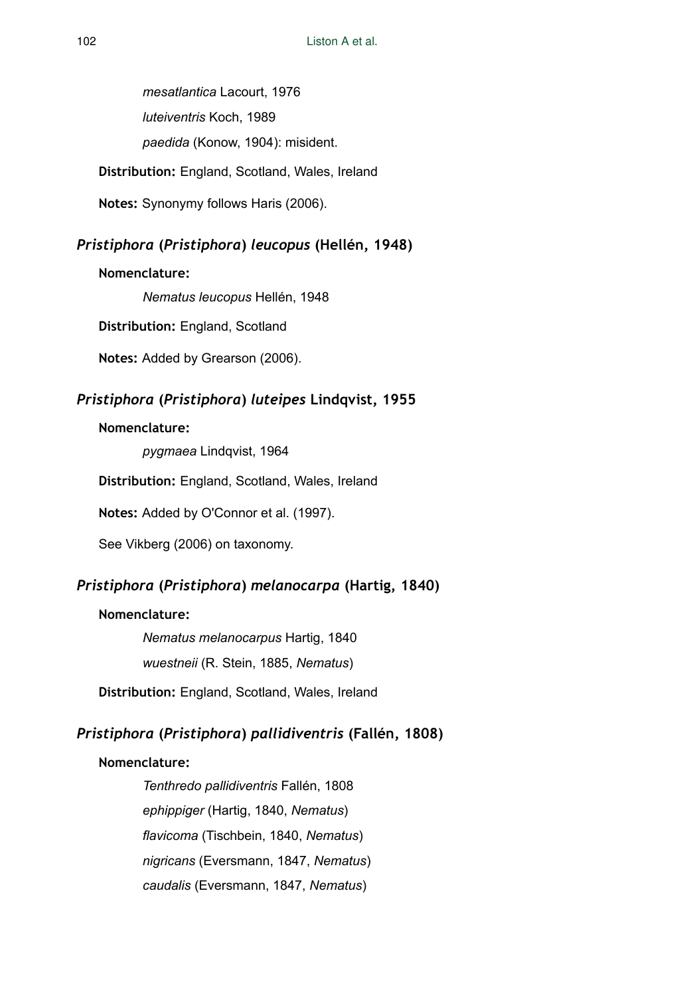*mesatlantica* Lacourt, 1976 *luteiventris* Koch, 1989 *paedida* (Konow, 1904): misident. **Distribution:** England, Scotland, Wales, Ireland

**Notes:** Synonymy follows Haris (2006).

# *Pristiphora* **(***Pristiphora***)** *leucopus* **(Hellén, 1948)**

# **Nomenclature:**

*Nematus leucopus* Hellén, 1948

**Distribution:** England, Scotland

**Notes:** Added by Grearson (2006).

# *Pristiphora* **(***Pristiphora***)** *luteipes* **Lindqvist, 1955**

### **Nomenclature:**

*pygmaea* Lindqvist, 1964

**Distribution:** England, Scotland, Wales, Ireland

**Notes:** Added by O'Connor et al. (1997).

See Vikberg (2006) on taxonomy.

# *Pristiphora* **(***Pristiphora***)** *melanocarpa* **(Hartig, 1840)**

### **Nomenclature:**

*Nematus melanocarpus* Hartig, 1840 *wuestneii* (R. Stein, 1885, *Nematus*)

**Distribution:** England, Scotland, Wales, Ireland

# *Pristiphora* **(***Pristiphora***)** *pallidiventris* **(Fallén, 1808)**

# **Nomenclature:**

*Tenthredo pallidiventris* Fallén, 1808 *ephippiger* (Hartig, 1840, *Nematus*) *flavicoma* (Tischbein, 1840, *Nematus*) *nigricans* (Eversmann, 1847, *Nematus*) *caudalis* (Eversmann, 1847, *Nematus*)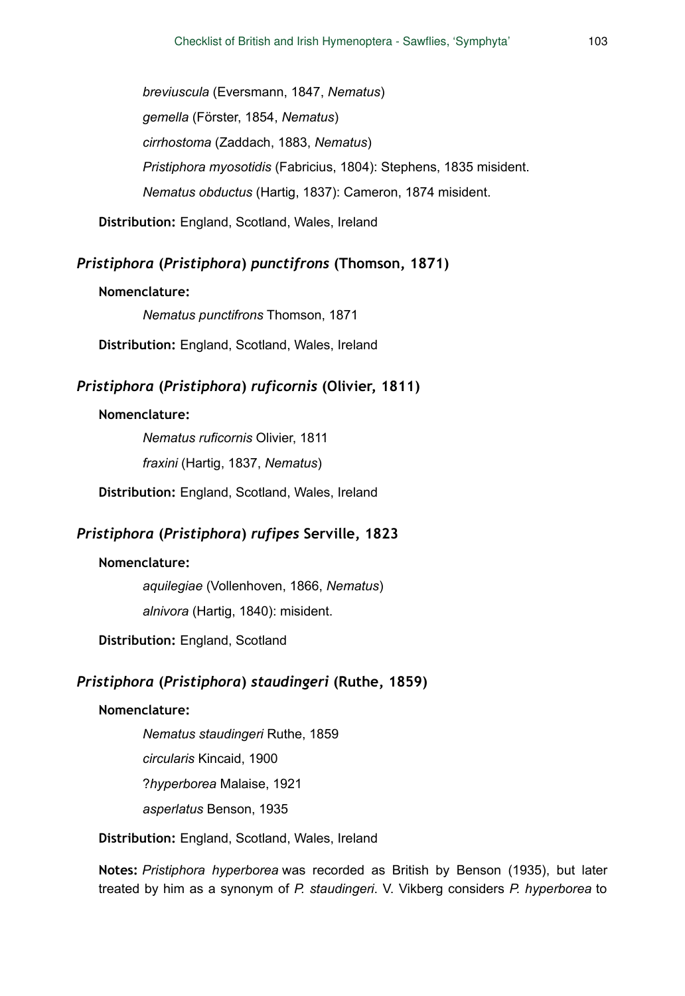*breviuscula* (Eversmann, 1847, *Nematus*) *gemella* (Förster, 1854, *Nematus*) *cirrhostoma* (Zaddach, 1883, *Nematus*) *Pristiphora myosotidis* (Fabricius, 1804): Stephens, 1835 misident. *Nematus obductus* (Hartig, 1837): Cameron, 1874 misident.

**Distribution:** England, Scotland, Wales, Ireland

# *Pristiphora* **(***Pristiphora***)** *punctifrons* **(Thomson, 1871)**

#### **Nomenclature:**

*Nematus punctifrons* Thomson, 1871

**Distribution:** England, Scotland, Wales, Ireland

# *Pristiphora* **(***Pristiphora***)** *ruficornis* **(Olivier, 1811)**

#### **Nomenclature:**

*Nematus ruficornis* Olivier, 1811 *fraxini* (Hartig, 1837, *Nematus*)

**Distribution:** England, Scotland, Wales, Ireland

# *Pristiphora* **(***Pristiphora***)** *rufipes* **Serville, 1823**

### **Nomenclature:**

*aquilegiae* (Vollenhoven, 1866, *Nematus*) *alnivora* (Hartig, 1840): misident.

**Distribution:** England, Scotland

# *Pristiphora* **(***Pristiphora***)** *staudingeri* **(Ruthe, 1859)**

#### **Nomenclature:**

*Nematus staudingeri* Ruthe, 1859

*circularis* Kincaid, 1900

?*hyperborea* Malaise, 1921

*asperlatus* Benson, 1935

**Distribution:** England, Scotland, Wales, Ireland

**Notes:** *Pristiphora hyperborea* was recorded as British by Benson (1935), but later treated by him as a synonym of *P. staudingeri*. V. Vikberg considers *P. hyperborea* to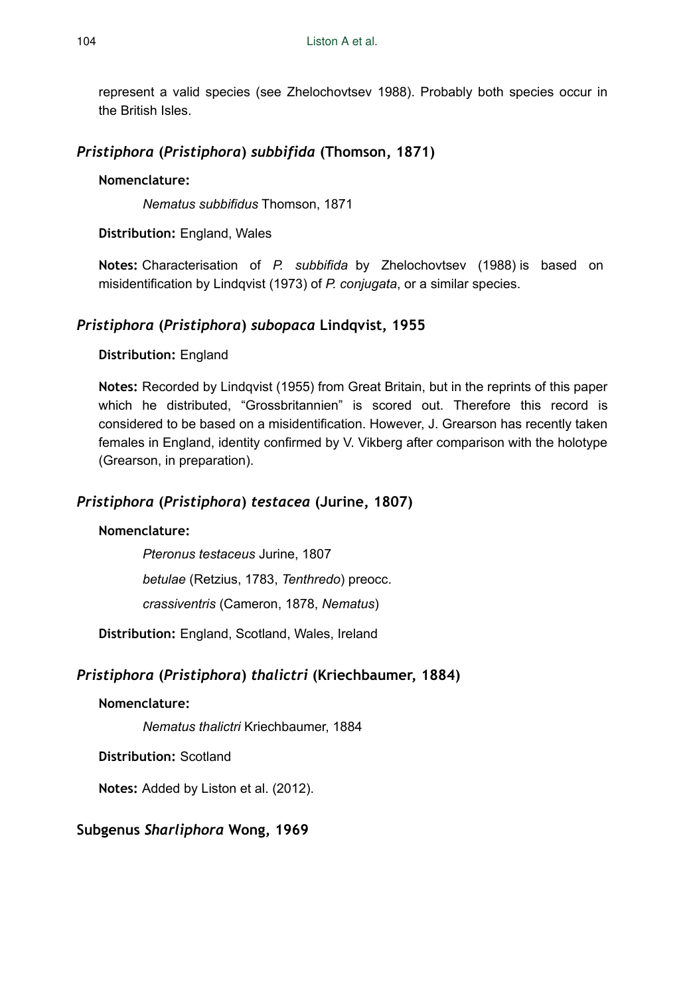represent a valid species (see Zhelochovtsev 1988). Probably both species occur in the British Isles.

# *Pristiphora* **(***Pristiphora***)** *subbifida* **(Thomson, 1871)**

# **Nomenclature:**

*Nematus subbifidus* Thomson, 1871

**Distribution:** England, Wales

**Notes:** Characterisation of *P. subbifida* by Zhelochovtsev (1988) is based on misidentification by Lindqvist (1973) of *P. conjugata*, or a similar species.

# *Pristiphora* **(***Pristiphora***)** *subopaca* **Lindqvist, 1955**

# **Distribution:** England

**Notes:** Recorded by Lindqvist (1955) from Great Britain, but in the reprints of this paper which he distributed, "Grossbritannien" is scored out. Therefore this record is considered to be based on a misidentification. However, J. Grearson has recently taken females in England, identity confirmed by V. Vikberg after comparison with the holotype (Grearson, in preparation).

# *Pristiphora* **(***Pristiphora***)** *testacea* **(Jurine, 1807)**

# **Nomenclature:**

*Pteronus testaceus* Jurine, 1807 *betulae* (Retzius, 1783, *Tenthredo*) preocc. *crassiventris* (Cameron, 1878, *Nematus*)

**Distribution:** England, Scotland, Wales, Ireland

# *Pristiphora* **(***Pristiphora***)** *thalictri* **(Kriechbaumer, 1884)**

# **Nomenclature:**

*Nematus thalictri* Kriechbaumer, 1884

**Distribution:** Scotland

**Notes:** Added by Liston et al. (2012).

# **Subgenus** *Sharliphora* **Wong, 1969**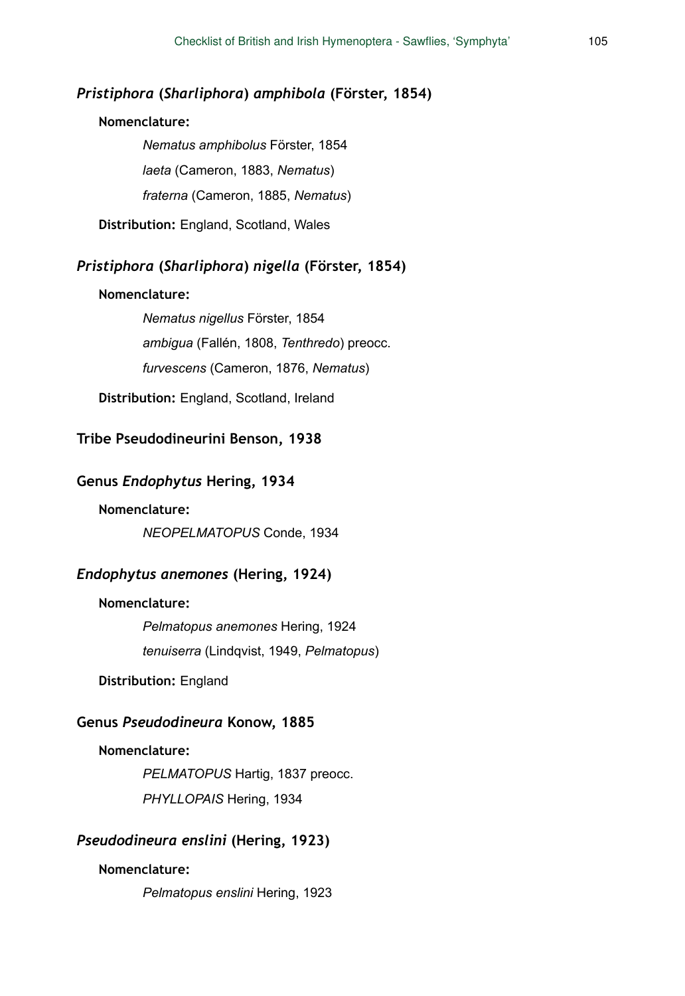# *Pristiphora* **(***Sharliphora***)** *amphibola* **(Förster, 1854)**

### **Nomenclature:**

*Nematus amphibolus* Förster, 1854 *laeta* (Cameron, 1883, *Nematus*) *fraterna* (Cameron, 1885, *Nematus*)

**Distribution:** England, Scotland, Wales

# *Pristiphora* **(***Sharliphora***)** *nigella* **(Förster, 1854)**

#### **Nomenclature:**

*Nematus nigellus* Förster, 1854 *ambigua* (Fallén, 1808, *Tenthredo*) preocc. *furvescens* (Cameron, 1876, *Nematus*)

**Distribution:** England, Scotland, Ireland

# **Tribe Pseudodineurini Benson, 1938**

## **Genus** *Endophytus* **Hering, 1934**

### **Nomenclature:**

*NEOPELMATOPUS* Conde, 1934

#### *Endophytus anemones* **(Hering, 1924)**

#### **Nomenclature:**

*Pelmatopus anemones* Hering, 1924 *tenuiserra* (Lindqvist, 1949, *Pelmatopus*)

### **Distribution:** England

## **Genus** *Pseudodineura* **Konow, 1885**

#### **Nomenclature:**

*PELMATOPUS* Hartig, 1837 preocc. *PHYLLOPAIS* Hering, 1934

# *Pseudodineura enslini* **(Hering, 1923)**

### **Nomenclature:**

*Pelmatopus enslini* Hering, 1923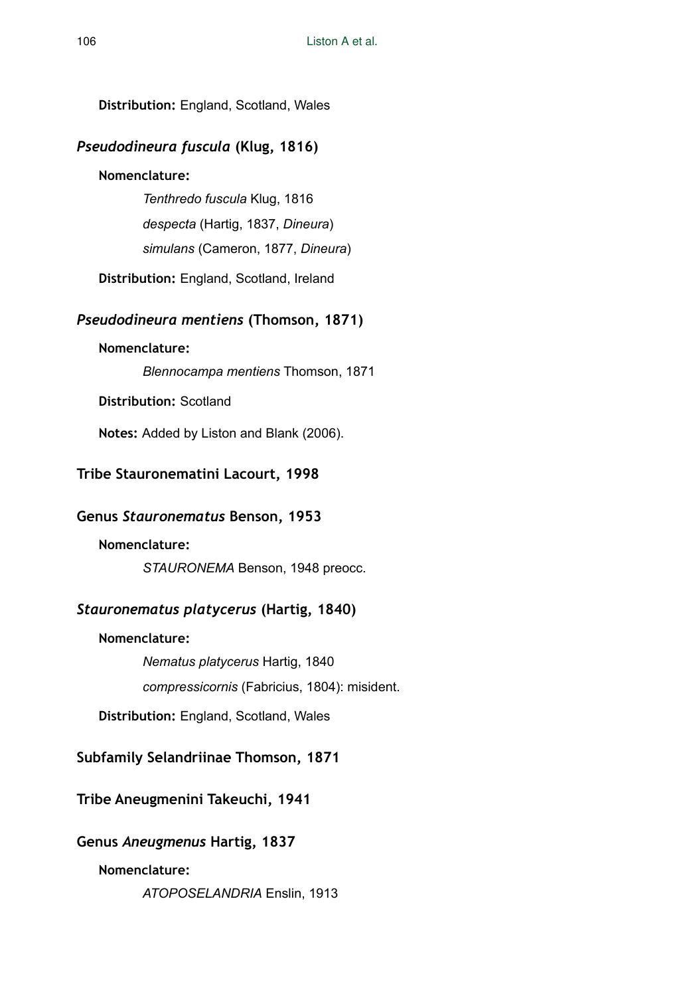**Distribution:** England, Scotland, Wales

# *Pseudodineura fuscula* **(Klug, 1816)**

# **Nomenclature:**

*Tenthredo fuscula* Klug, 1816

*despecta* (Hartig, 1837, *Dineura*)

*simulans* (Cameron, 1877, *Dineura*)

**Distribution:** England, Scotland, Ireland

# *Pseudodineura mentiens* **(Thomson, 1871)**

# **Nomenclature:**

*Blennocampa mentiens* Thomson, 1871

**Distribution:** Scotland

**Notes:** Added by Liston and Blank (2006).

# **Tribe Stauronematini Lacourt, 1998**

# **Genus** *Stauronematus* **Benson, 1953**

# **Nomenclature:**

*STAURONEMA* Benson, 1948 preocc.

# *Stauronematus platycerus* **(Hartig, 1840)**

**Nomenclature:**  *Nematus platycerus* Hartig, 1840 *compressicornis* (Fabricius, 1804): misident.

**Distribution:** England, Scotland, Wales

# **Subfamily Selandriinae Thomson, 1871**

**Tribe Aneugmenini Takeuchi, 1941** 

# **Genus** *Aneugmenus* **Hartig, 1837**

# **Nomenclature:**

*ATOPOSELANDRIA* Enslin, 1913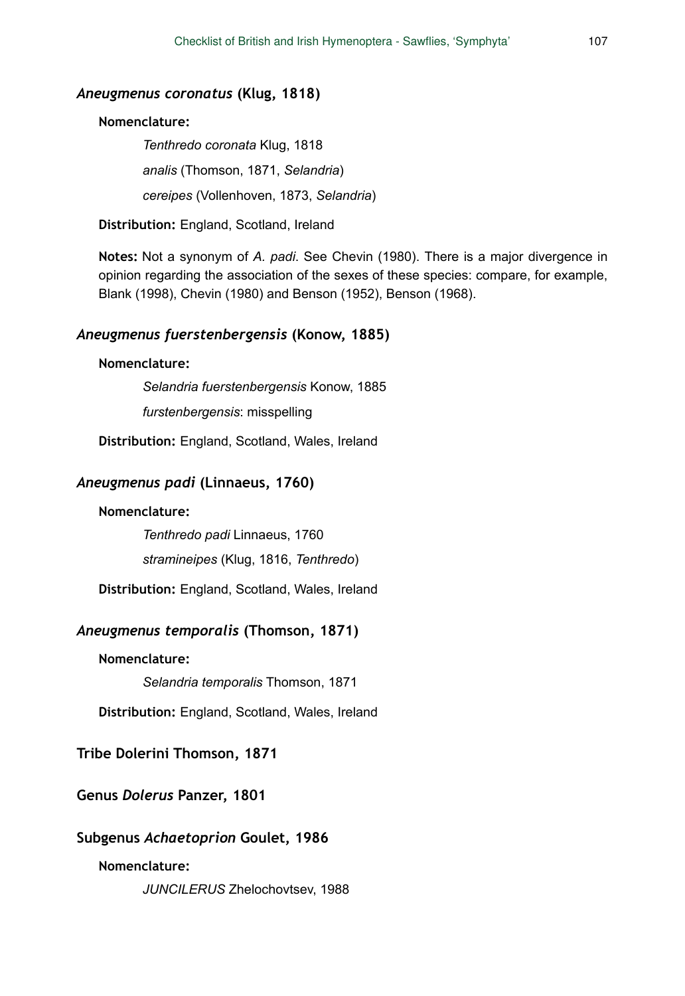#### *Aneugmenus coronatus* **(Klug, 1818)**

### **Nomenclature:**

*Tenthredo coronata* Klug, 1818 *analis* (Thomson, 1871, *Selandria*) *cereipes* (Vollenhoven, 1873, *Selandria*)

**Distribution:** England, Scotland, Ireland

**Notes:** Not a synonym of *A. padi*. See Chevin (1980). There is a major divergence in opinion regarding the association of the sexes of these species: compare, for example, Blank (1998), Chevin (1980) and Benson (1952), Benson (1968).

### *Aneugmenus fuerstenbergensis* **(Konow, 1885)**

#### **Nomenclature:**

*Selandria fuerstenbergensis* Konow, 1885

*furstenbergensis*: misspelling

**Distribution:** England, Scotland, Wales, Ireland

#### *Aneugmenus padi* **(Linnaeus, 1760)**

### **Nomenclature:**

*Tenthredo padi* Linnaeus, 1760

*stramineipes* (Klug, 1816, *Tenthredo*)

**Distribution:** England, Scotland, Wales, Ireland

### *Aneugmenus temporalis* **(Thomson, 1871)**

### **Nomenclature:**

*Selandria temporalis* Thomson, 1871

**Distribution:** England, Scotland, Wales, Ireland

## **Tribe Dolerini Thomson, 1871**

## **Genus** *Dolerus* **Panzer, 1801**

#### **Subgenus** *Achaetoprion* **Goulet, 1986**

### **Nomenclature:**

*JUNCILERUS* Zhelochovtsev, 1988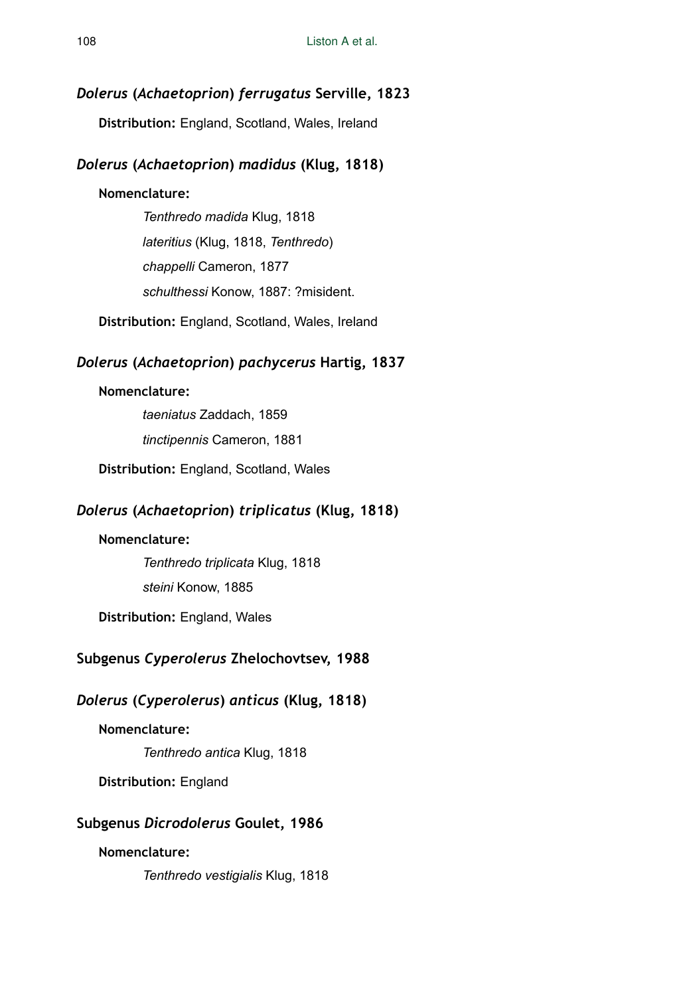# *Dolerus* **(***Achaetoprion***)** *ferrugatus* **Serville, 1823**

**Distribution:** England, Scotland, Wales, Ireland

# *Dolerus* **(***Achaetoprion***)** *madidus* **(Klug, 1818)**

# **Nomenclature:**

*Tenthredo madida* Klug, 1818 *lateritius* (Klug, 1818, *Tenthredo*) *chappelli* Cameron, 1877 *schulthessi* Konow, 1887: ?misident.

**Distribution:** England, Scotland, Wales, Ireland

# *Dolerus* **(***Achaetoprion***)** *pachycerus* **Hartig, 1837**

# **Nomenclature:**

*taeniatus* Zaddach, 1859 *tinctipennis* Cameron, 1881

**Distribution:** England, Scotland, Wales

# *Dolerus* **(***Achaetoprion***)** *triplicatus* **(Klug, 1818)**

# **Nomenclature:**

*Tenthredo triplicata* Klug, 1818 *steini* Konow, 1885

**Distribution:** England, Wales

# **Subgenus** *Cyperolerus* **Zhelochovtsev, 1988**

# *Dolerus* **(***Cyperolerus***)** *anticus* **(Klug, 1818)**

# **Nomenclature:**

*Tenthredo antica* Klug, 1818

**Distribution:** England

# **Subgenus** *Dicrodolerus* **Goulet, 1986**

# **Nomenclature:**

*Tenthredo vestigialis* Klug, 1818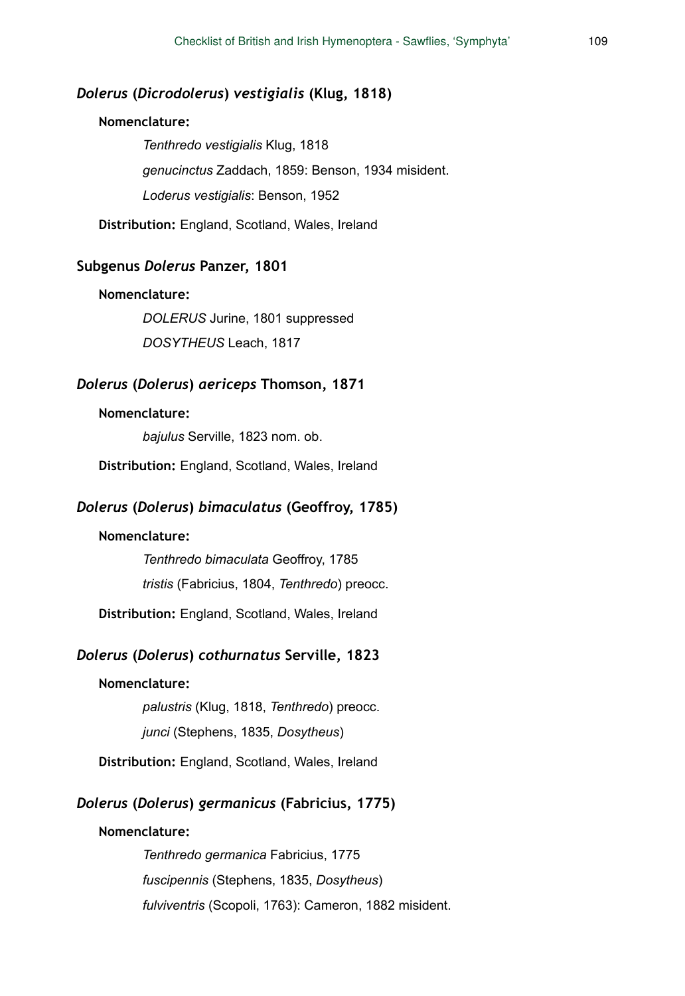## *Dolerus* **(***Dicrodolerus***)** *vestigialis* **(Klug, 1818)**

#### **Nomenclature:**

*Tenthredo vestigialis* Klug, 1818 *genucinctus* Zaddach, 1859: Benson, 1934 misident. *Loderus vestigialis*: Benson, 1952

**Distribution:** England, Scotland, Wales, Ireland

### **Subgenus** *Dolerus* **Panzer, 1801**

#### **Nomenclature:**

*DOLERUS* Jurine, 1801 suppressed *DOSYTHEUS* Leach, 1817

#### *Dolerus* **(***Dolerus***)** *aericeps* **Thomson, 1871**

#### **Nomenclature:**

*bajulus* Serville, 1823 nom. ob.

**Distribution:** England, Scotland, Wales, Ireland

#### *Dolerus* **(***Dolerus***)** *bimaculatus* **(Geoffroy, 1785)**

#### **Nomenclature:**

*Tenthredo bimaculata* Geoffroy, 1785 *tristis* (Fabricius, 1804, *Tenthredo*) preocc.

**Distribution:** England, Scotland, Wales, Ireland

## *Dolerus* **(***Dolerus***)** *cothurnatus* **Serville, 1823**

#### **Nomenclature:**

*palustris* (Klug, 1818, *Tenthredo*) preocc. *junci* (Stephens, 1835, *Dosytheus*)

**Distribution:** England, Scotland, Wales, Ireland

#### *Dolerus* **(***Dolerus***)** *germanicus* **(Fabricius, 1775)**

#### **Nomenclature:**

*Tenthredo germanica* Fabricius, 1775 *fuscipennis* (Stephens, 1835, *Dosytheus*) *fulviventris* (Scopoli, 1763): Cameron, 1882 misident.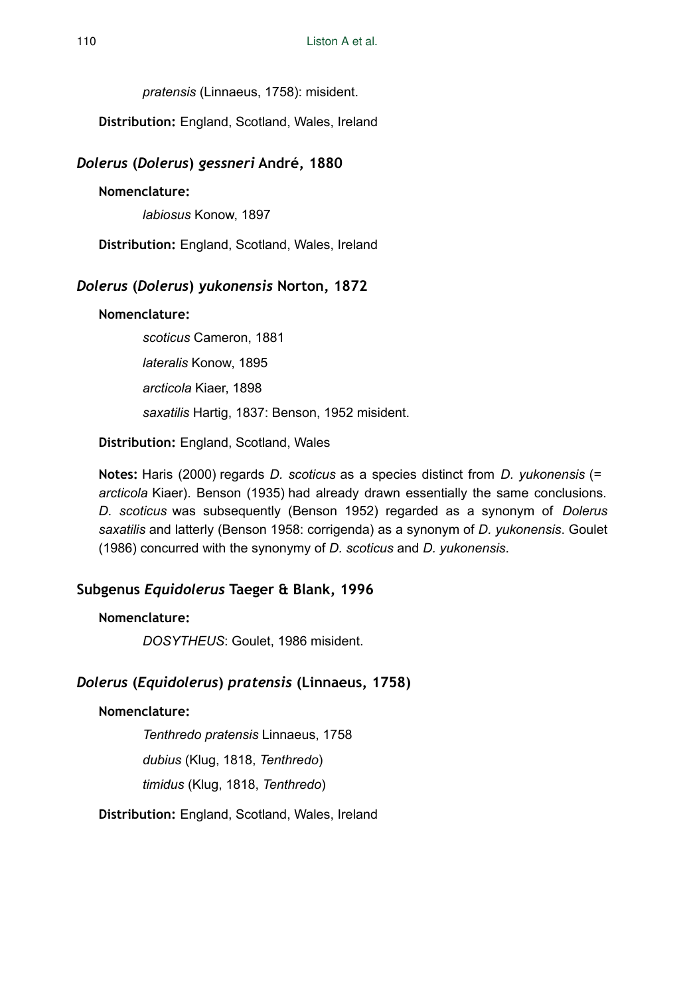*pratensis* (Linnaeus, 1758): misident.

**Distribution:** England, Scotland, Wales, Ireland

## *Dolerus* **(***Dolerus***)** *gessneri* **André, 1880**

**Nomenclature:** 

*labiosus* Konow, 1897

**Distribution:** England, Scotland, Wales, Ireland

## *Dolerus* **(***Dolerus***)** *yukonensis* **Norton, 1872**

#### **Nomenclature:**

*scoticus* Cameron, 1881 *lateralis* Konow, 1895 *arcticola* Kiaer, 1898 *saxatilis* Hartig, 1837: Benson, 1952 misident.

**Distribution:** England, Scotland, Wales

**Notes:** Haris (2000) regards *D. scoticus* as a species distinct from *D. yukonensis* (= *arcticola* Kiaer). Benson (1935) had already drawn essentially the same conclusions. *D. scoticus* was subsequently (Benson 1952) regarded as a synonym of *Dolerus saxatilis* and latterly (Benson 1958: corrigenda) as a synonym of *D. yukonensis*. Goulet (1986) concurred with the synonymy of *D. scoticus* and *D. yukonensis*.

## **Subgenus** *Equidolerus* **Taeger & Blank, 1996**

#### **Nomenclature:**

*DOSYTHEUS*: Goulet, 1986 misident.

## *Dolerus* **(***Equidolerus***)** *pratensis* **(Linnaeus, 1758)**

#### **Nomenclature:**

*Tenthredo pratensis* Linnaeus, 1758

*dubius* (Klug, 1818, *Tenthredo*)

*timidus* (Klug, 1818, *Tenthredo*)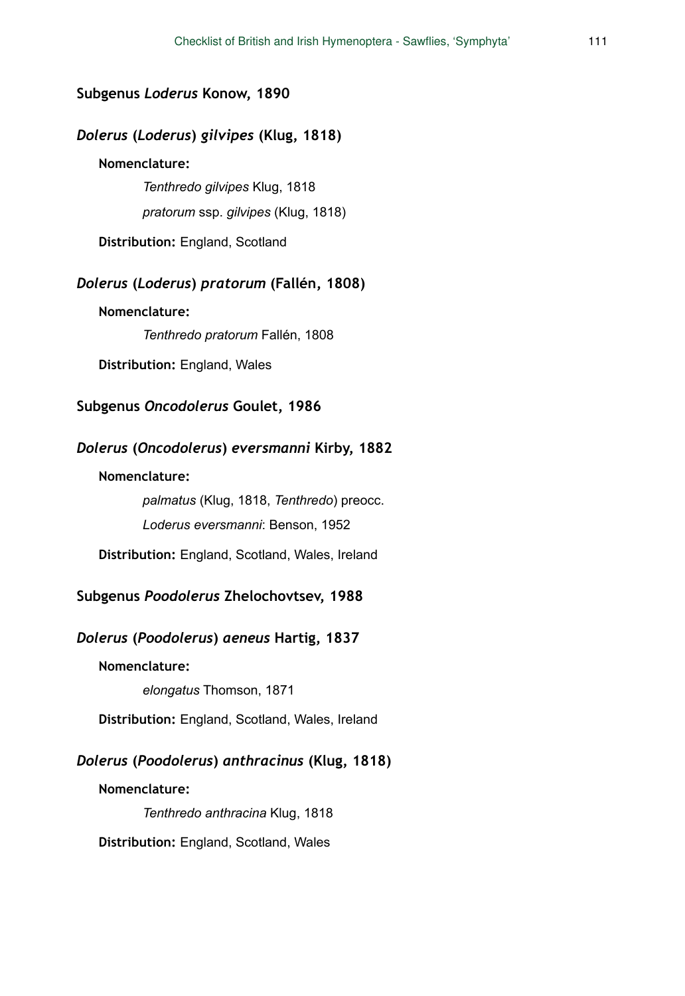## **Subgenus** *Loderus* **Konow, 1890**

## *Dolerus* **(***Loderus***)** *gilvipes* **(Klug, 1818)**

### **Nomenclature:**

*Tenthredo gilvipes* Klug, 1818

*pratorum* ssp. *gilvipes* (Klug, 1818)

**Distribution:** England, Scotland

## *Dolerus* **(***Loderus***)** *pratorum* **(Fallén, 1808)**

**Nomenclature:** 

*Tenthredo pratorum* Fallén, 1808

**Distribution:** England, Wales

### **Subgenus** *Oncodolerus* **Goulet, 1986**

## *Dolerus* **(***Oncodolerus***)** *eversmanni* **Kirby, 1882**

#### **Nomenclature:**

*palmatus* (Klug, 1818, *Tenthredo*) preocc. *Loderus eversmanni*: Benson, 1952

**Distribution:** England, Scotland, Wales, Ireland

## **Subgenus** *Poodolerus* **Zhelochovtsev, 1988**

## *Dolerus* **(***Poodolerus***)** *aeneus* **Hartig, 1837**

#### **Nomenclature:**

*elongatus* Thomson, 1871

**Distribution:** England, Scotland, Wales, Ireland

## *Dolerus* **(***Poodolerus***)** *anthracinus* **(Klug, 1818)**

#### **Nomenclature:**

*Tenthredo anthracina* Klug, 1818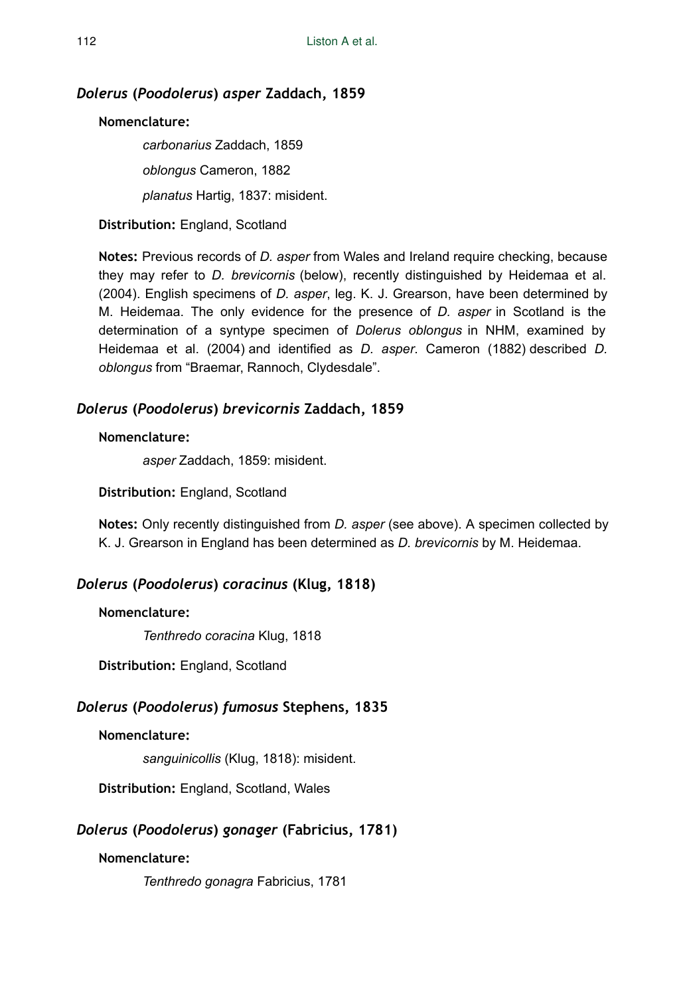## *Dolerus* **(***Poodolerus***)** *asper* **Zaddach, 1859**

## **Nomenclature:**

*carbonarius* Zaddach, 1859 *oblongus* Cameron, 1882 *planatus* Hartig, 1837: misident.

**Distribution:** England, Scotland

**Notes:** Previous records of *D. asper* from Wales and Ireland require checking, because they may refer to *D. brevicornis* (below), recently distinguished by Heidemaa et al. (2004). English specimens of *D. asper*, leg. K. J. Grearson, have been determined by M. Heidemaa. The only evidence for the presence of *D. asper* in Scotland is the determination of a syntype specimen of *Dolerus oblongus* in NHM, examined by Heidemaa et al. (2004) and identified as *D. asper*. Cameron (1882) described *D. oblongus* from "Braemar, Rannoch, Clydesdale".

## *Dolerus* **(***Poodolerus***)** *brevicornis* **Zaddach, 1859**

### **Nomenclature:**

*asper* Zaddach, 1859: misident.

**Distribution:** England, Scotland

**Notes:** Only recently distinguished from *D. asper* (see above). A specimen collected by K. J. Grearson in England has been determined as *D. brevicornis* by M. Heidemaa.

## *Dolerus* **(***Poodolerus***)** *coracinus* **(Klug, 1818)**

#### **Nomenclature:**

*Tenthredo coracina* Klug, 1818

**Distribution:** England, Scotland

## *Dolerus* **(***Poodolerus***)** *fumosus* **Stephens, 1835**

### **Nomenclature:**

*sanguinicollis* (Klug, 1818): misident.

**Distribution:** England, Scotland, Wales

## *Dolerus* **(***Poodolerus***)** *gonager* **(Fabricius, 1781)**

## **Nomenclature:**

*Tenthredo gonagra* Fabricius, 1781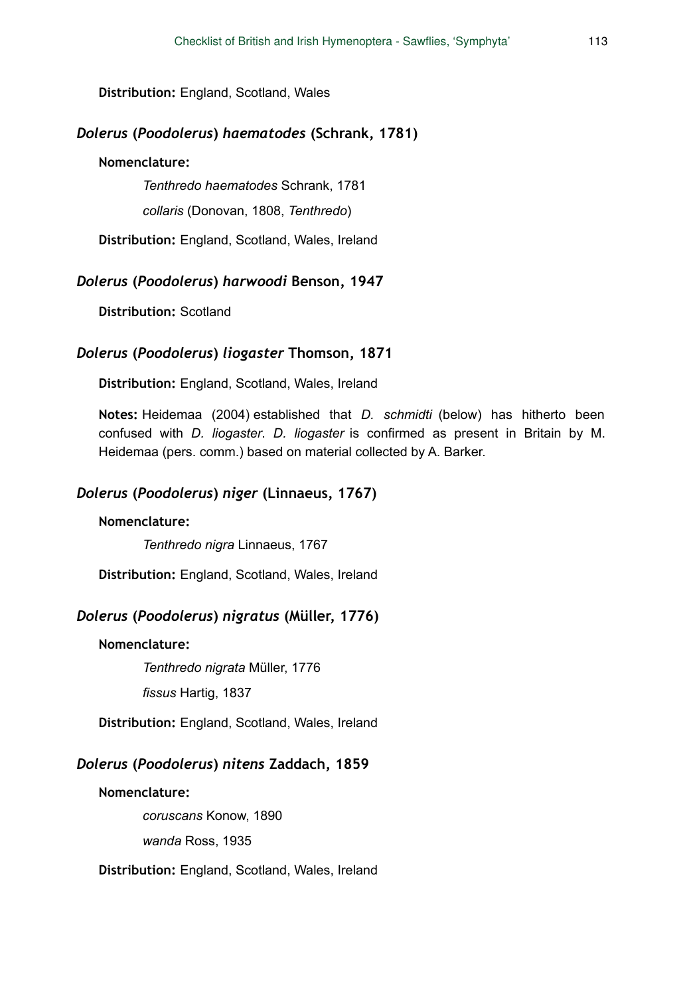**Distribution:** England, Scotland, Wales

## *Dolerus* **(***Poodolerus***)** *haematodes* **(Schrank, 1781)**

#### **Nomenclature:**

*Tenthredo haematodes* Schrank, 1781

*collaris* (Donovan, 1808, *Tenthredo*)

**Distribution:** England, Scotland, Wales, Ireland

#### *Dolerus* **(***Poodolerus***)** *harwoodi* **Benson, 1947**

**Distribution:** Scotland

#### *Dolerus* **(***Poodolerus***)** *liogaster* **Thomson, 1871**

**Distribution:** England, Scotland, Wales, Ireland

**Notes:** Heidemaa (2004) established that *D. schmidti* (below) has hitherto been confused with *D. liogaster*. *D. liogaster* is confirmed as present in Britain by M. Heidemaa (pers. comm.) based on material collected by A. Barker.

### *Dolerus* **(***Poodolerus***)** *niger* **(Linnaeus, 1767)**

#### **Nomenclature:**

*Tenthredo nigra* Linnaeus, 1767

**Distribution:** England, Scotland, Wales, Ireland

## *Dolerus* **(***Poodolerus***)** *nigratus* **(Müller, 1776)**

### **Nomenclature:**

*Tenthredo nigrata* Müller, 1776

*fissus* Hartig, 1837

**Distribution:** England, Scotland, Wales, Ireland

### *Dolerus* **(***Poodolerus***)** *nitens* **Zaddach, 1859**

**Nomenclature:** 

*coruscans* Konow, 1890

*wanda* Ross, 1935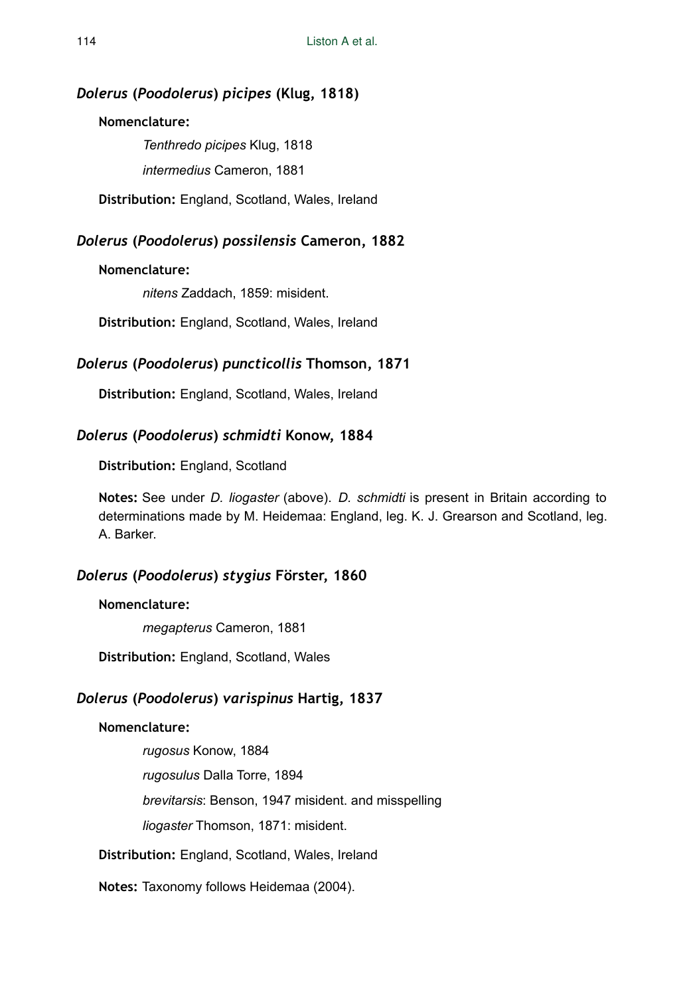## *Dolerus* **(***Poodolerus***)** *picipes* **(Klug, 1818)**

### **Nomenclature:**

*Tenthredo picipes* Klug, 1818 *intermedius* Cameron, 1881

**Distribution:** England, Scotland, Wales, Ireland

## *Dolerus* **(***Poodolerus***)** *possilensis* **Cameron, 1882**

### **Nomenclature:**

*nitens* Zaddach, 1859: misident.

**Distribution:** England, Scotland, Wales, Ireland

## *Dolerus* **(***Poodolerus***)** *puncticollis* **Thomson, 1871**

**Distribution:** England, Scotland, Wales, Ireland

## *Dolerus* **(***Poodolerus***)** *schmidti* **Konow, 1884**

**Distribution:** England, Scotland

**Notes:** See under *D. liogaster* (above). *D. schmidti* is present in Britain according to determinations made by M. Heidemaa: England, leg. K. J. Grearson and Scotland, leg. A. Barker.

## *Dolerus* **(***Poodolerus***)** *stygius* **Förster, 1860**

#### **Nomenclature:**

*megapterus* Cameron, 1881

**Distribution:** England, Scotland, Wales

## *Dolerus* **(***Poodolerus***)** *varispinus* **Hartig, 1837**

#### **Nomenclature:**

*rugosus* Konow, 1884 *rugosulus* Dalla Torre, 1894 *brevitarsis*: Benson, 1947 misident. and misspelling *liogaster* Thomson, 1871: misident.

**Distribution:** England, Scotland, Wales, Ireland

**Notes:** Taxonomy follows Heidemaa (2004).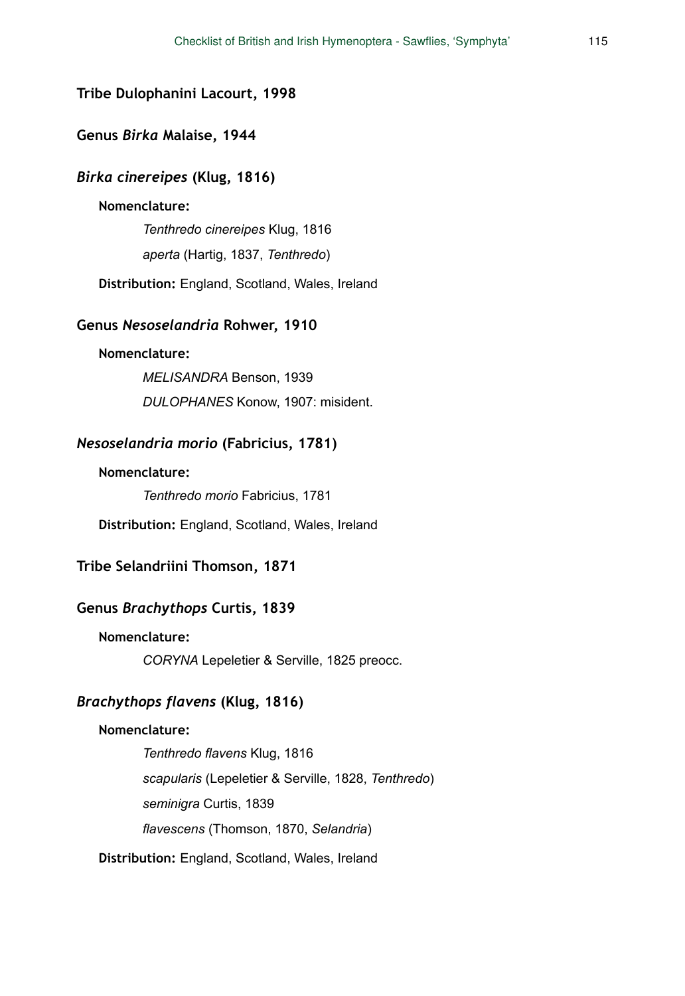### **Tribe Dulophanini Lacourt, 1998**

### **Genus** *Birka* **Malaise, 1944**

### *Birka cinereipes* **(Klug, 1816)**

#### **Nomenclature:**

*Tenthredo cinereipes* Klug, 1816

*aperta* (Hartig, 1837, *Tenthredo*)

**Distribution:** England, Scotland, Wales, Ireland

#### **Genus** *Nesoselandria* **Rohwer, 1910**

#### **Nomenclature:**

*MELISANDRA* Benson, 1939 *DULOPHANES* Konow, 1907: misident.

## *Nesoselandria morio* **(Fabricius, 1781)**

#### **Nomenclature:**

*Tenthredo morio* Fabricius, 1781

**Distribution:** England, Scotland, Wales, Ireland

### **Tribe Selandriini Thomson, 1871**

#### **Genus** *Brachythops* **Curtis, 1839**

#### **Nomenclature:**

*CORYNA* Lepeletier & Serville, 1825 preocc.

## *Brachythops flavens* **(Klug, 1816)**

### **Nomenclature:**

*Tenthredo flavens* Klug, 1816 *scapularis* (Lepeletier & Serville, 1828, *Tenthredo*) *seminigra* Curtis, 1839 *flavescens* (Thomson, 1870, *Selandria*)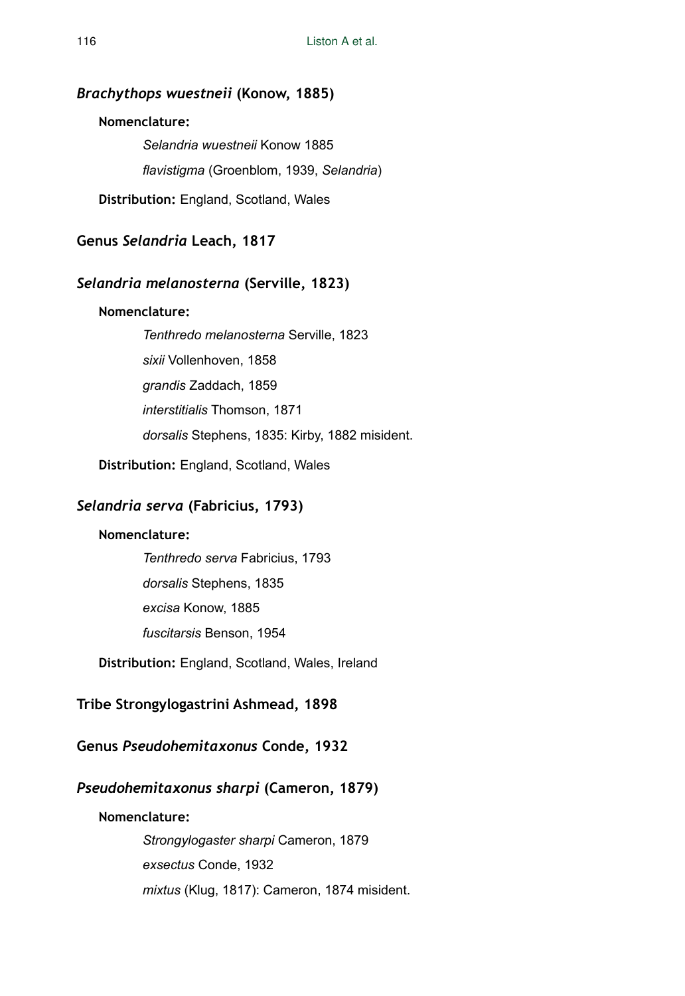## *Brachythops wuestneii* **(Konow, 1885)**

## **Nomenclature:**

*Selandria wuestneii* Konow 1885 *flavistigma* (Groenblom, 1939, *Selandria*)

**Distribution:** England, Scotland, Wales

## **Genus** *Selandria* **Leach, 1817**

## *Selandria melanosterna* **(Serville, 1823)**

### **Nomenclature:**

*Tenthredo melanosterna* Serville, 1823 *sixii* Vollenhoven, 1858 *grandis* Zaddach, 1859 *interstitialis* Thomson, 1871 *dorsalis* Stephens, 1835: Kirby, 1882 misident.

**Distribution:** England, Scotland, Wales

## *Selandria serva* **(Fabricius, 1793)**

#### **Nomenclature:**

*Tenthredo serva* Fabricius, 1793

*dorsalis* Stephens, 1835

*excisa* Konow, 1885

*fuscitarsis* Benson, 1954

**Distribution:** England, Scotland, Wales, Ireland

## **Tribe Strongylogastrini Ashmead, 1898**

## **Genus** *Pseudohemitaxonus* **Conde, 1932**

## *Pseudohemitaxonus sharpi* **(Cameron, 1879)**

#### **Nomenclature:**

*Strongylogaster sharpi* Cameron, 1879 *exsectus* Conde, 1932 *mixtus* (Klug, 1817): Cameron, 1874 misident.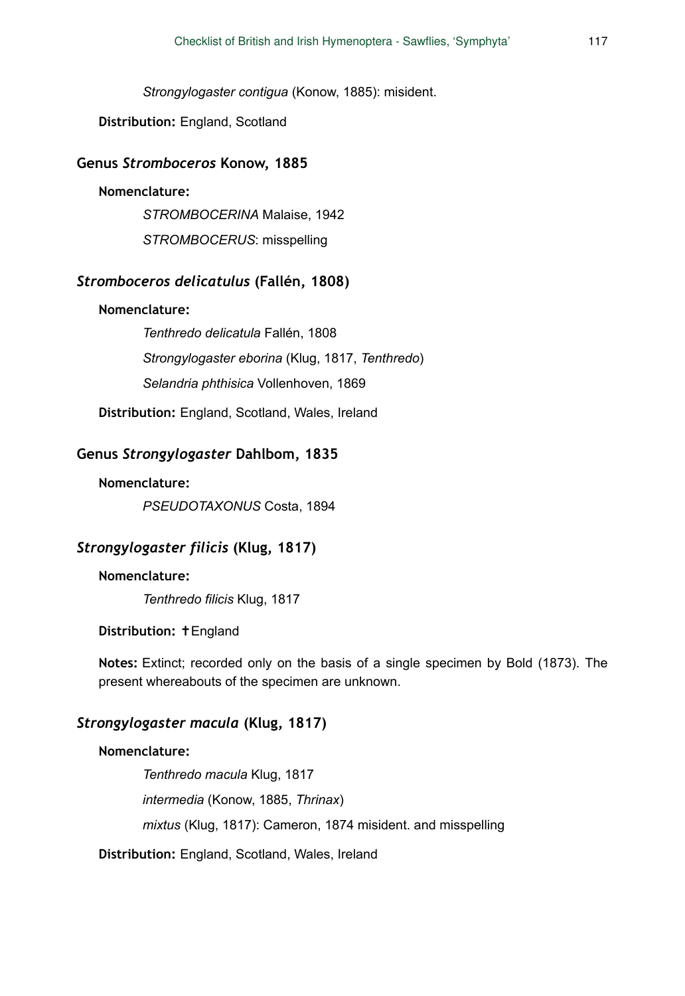*Strongylogaster contigua* (Konow, 1885): misident.

**Distribution:** England, Scotland

#### **Genus** *Stromboceros* **Konow, 1885**

#### **Nomenclature:**

*STROMBOCERINA* Malaise, 1942

*STROMBOCERUS*: misspelling

## *Stromboceros delicatulus* **(Fallén, 1808)**

### **Nomenclature:**

*Tenthredo delicatula* Fallén, 1808 *Strongylogaster eborina* (Klug, 1817, *Tenthredo*) *Selandria phthisica* Vollenhoven, 1869

**Distribution:** England, Scotland, Wales, Ireland

### **Genus** *Strongylogaster* **Dahlbom, 1835**

#### **Nomenclature:**

*PSEUDOTAXONUS* Costa, 1894

#### *Strongylogaster filicis* **(Klug, 1817)**

#### **Nomenclature:**

*Tenthredo filicis* Klug, 1817

#### **Distribution:** ✝England

**Notes:** Extinct; recorded only on the basis of a single specimen by Bold (1873). The present whereabouts of the specimen are unknown.

## *Strongylogaster macula* **(Klug, 1817)**

#### **Nomenclature:**

*Tenthredo macula* Klug, 1817 *intermedia* (Konow, 1885, *Thrinax*) *mixtus* (Klug, 1817): Cameron, 1874 misident. and misspelling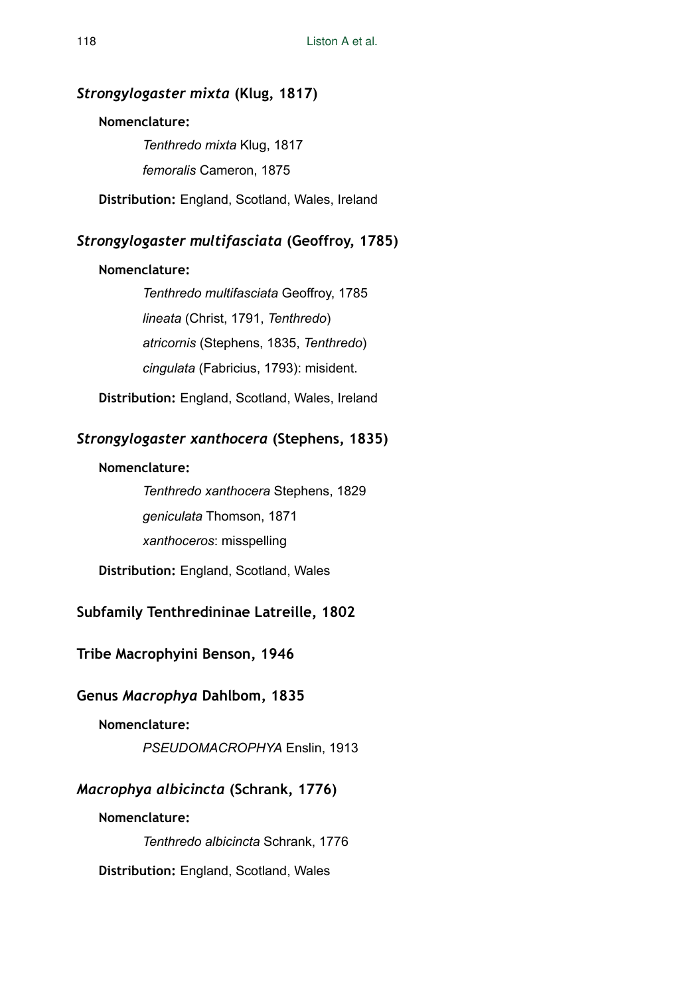## *Strongylogaster mixta* **(Klug, 1817)**

#### **Nomenclature:**

*Tenthredo mixta* Klug, 1817 *femoralis* Cameron, 1875

**Distribution:** England, Scotland, Wales, Ireland

## *Strongylogaster multifasciata* **(Geoffroy, 1785)**

### **Nomenclature:**

*Tenthredo multifasciata* Geoffroy, 1785 *lineata* (Christ, 1791, *Tenthredo*) *atricornis* (Stephens, 1835, *Tenthredo*) *cingulata* (Fabricius, 1793): misident.

**Distribution:** England, Scotland, Wales, Ireland

## *Strongylogaster xanthocera* **(Stephens, 1835)**

### **Nomenclature:**

*Tenthredo xanthocera* Stephens, 1829 *geniculata* Thomson, 1871 *xanthoceros*: misspelling

**Distribution:** England, Scotland, Wales

## **Subfamily Tenthredininae Latreille, 1802**

**Tribe Macrophyini Benson, 1946** 

## **Genus** *Macrophya* **Dahlbom, 1835**

## **Nomenclature:**

*PSEUDOMACROPHYA* Enslin, 1913

## *Macrophya albicincta* **(Schrank, 1776)**

### **Nomenclature:**

*Tenthredo albicincta* Schrank, 1776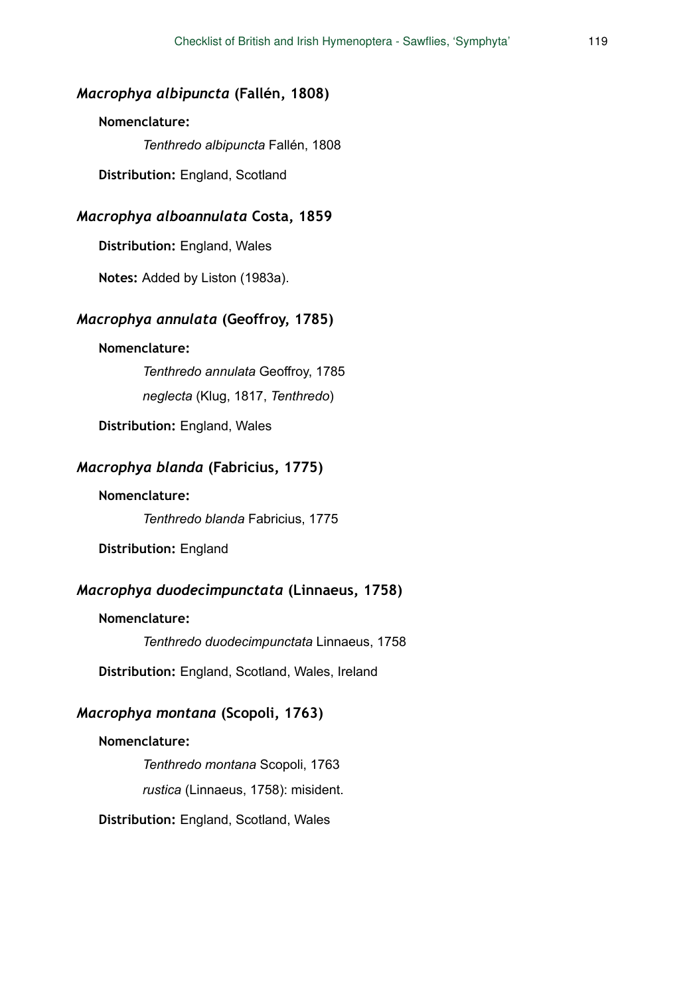## *Macrophya albipuncta* **(Fallén, 1808)**

## **Nomenclature:**

*Tenthredo albipuncta* Fallén, 1808

**Distribution:** England, Scotland

## *Macrophya alboannulata* **Costa, 1859**

**Distribution:** England, Wales

**Notes:** Added by Liston (1983a).

#### *Macrophya annulata* **(Geoffroy, 1785)**

#### **Nomenclature:**

*Tenthredo annulata* Geoffroy, 1785

*neglecta* (Klug, 1817, *Tenthredo*)

**Distribution:** England, Wales

### *Macrophya blanda* **(Fabricius, 1775)**

### **Nomenclature:**

*Tenthredo blanda* Fabricius, 1775

**Distribution:** England

## *Macrophya duodecimpunctata* **(Linnaeus, 1758)**

#### **Nomenclature:**

*Tenthredo duodecimpunctata* Linnaeus, 1758

**Distribution:** England, Scotland, Wales, Ireland

## *Macrophya montana* **(Scopoli, 1763)**

#### **Nomenclature:**

*Tenthredo montana* Scopoli, 1763 *rustica* (Linnaeus, 1758): misident.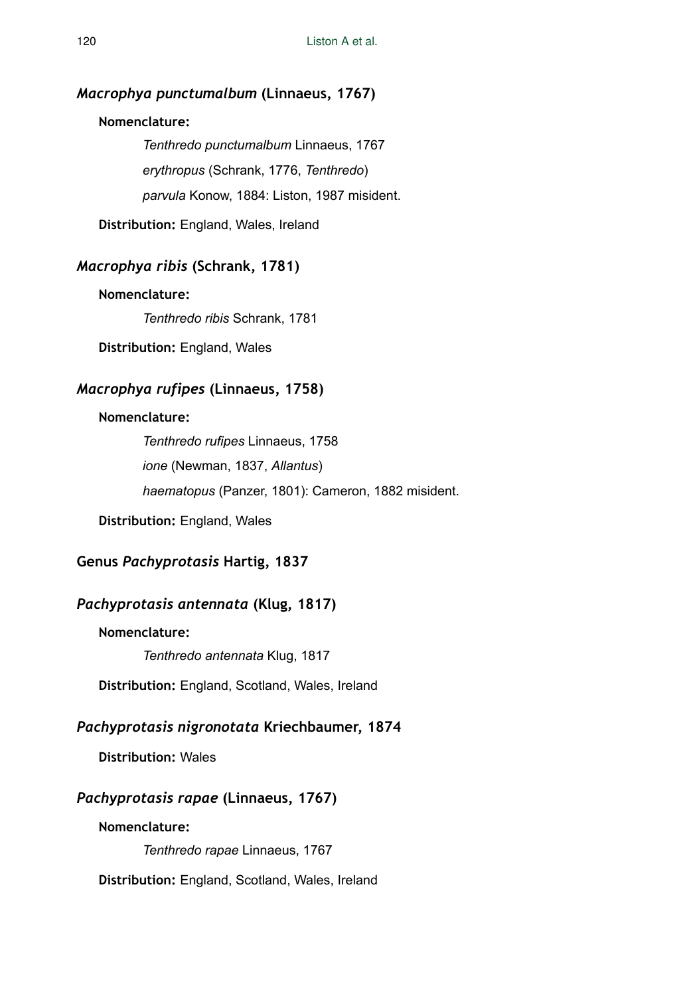## *Macrophya punctumalbum* **(Linnaeus, 1767)**

## **Nomenclature:**

*Tenthredo punctumalbum* Linnaeus, 1767 *erythropus* (Schrank, 1776, *Tenthredo*) *parvula* Konow, 1884: Liston, 1987 misident.

**Distribution:** England, Wales, Ireland

## *Macrophya ribis* **(Schrank, 1781)**

## **Nomenclature:**

*Tenthredo ribis* Schrank, 1781

**Distribution:** England, Wales

## *Macrophya rufipes* **(Linnaeus, 1758)**

### **Nomenclature:**

*Tenthredo rufipes* Linnaeus, 1758 *ione* (Newman, 1837, *Allantus*) *haematopus* (Panzer, 1801): Cameron, 1882 misident.

**Distribution:** England, Wales

## **Genus** *Pachyprotasis* **Hartig, 1837**

## *Pachyprotasis antennata* **(Klug, 1817)**

**Nomenclature:** 

*Tenthredo antennata* Klug, 1817

**Distribution:** England, Scotland, Wales, Ireland

## *Pachyprotasis nigronotata* **Kriechbaumer, 1874**

## **Distribution:** Wales

## *Pachyprotasis rapae* **(Linnaeus, 1767)**

#### **Nomenclature:**

*Tenthredo rapae* Linnaeus, 1767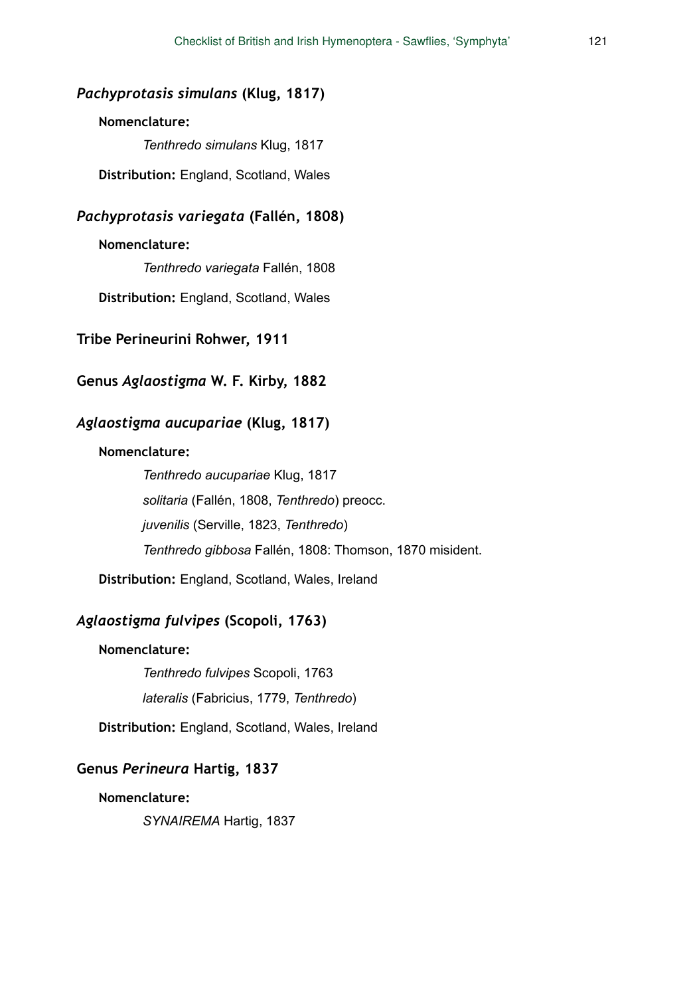## *Pachyprotasis simulans* **(Klug, 1817)**

### **Nomenclature:**

*Tenthredo simulans* Klug, 1817

**Distribution:** England, Scotland, Wales

## *Pachyprotasis variegata* **(Fallén, 1808)**

### **Nomenclature:**

*Tenthredo variegata* Fallén, 1808

**Distribution:** England, Scotland, Wales

#### **Tribe Perineurini Rohwer, 1911**

## **Genus** *Aglaostigma* **W. F. Kirby, 1882**

## *Aglaostigma aucupariae* **(Klug, 1817)**

#### **Nomenclature:**

*Tenthredo aucupariae* Klug, 1817 *solitaria* (Fallén, 1808, *Tenthredo*) preocc. *juvenilis* (Serville, 1823, *Tenthredo*) *Tenthredo gibbosa* Fallén, 1808: Thomson, 1870 misident.

**Distribution:** England, Scotland, Wales, Ireland

#### *Aglaostigma fulvipes* **(Scopoli, 1763)**

### **Nomenclature:**

*Tenthredo fulvipes* Scopoli, 1763 *lateralis* (Fabricius, 1779, *Tenthredo*)

**Distribution:** England, Scotland, Wales, Ireland

#### **Genus** *Perineura* **Hartig, 1837**

**Nomenclature:** 

*SYNAIREMA* Hartig, 1837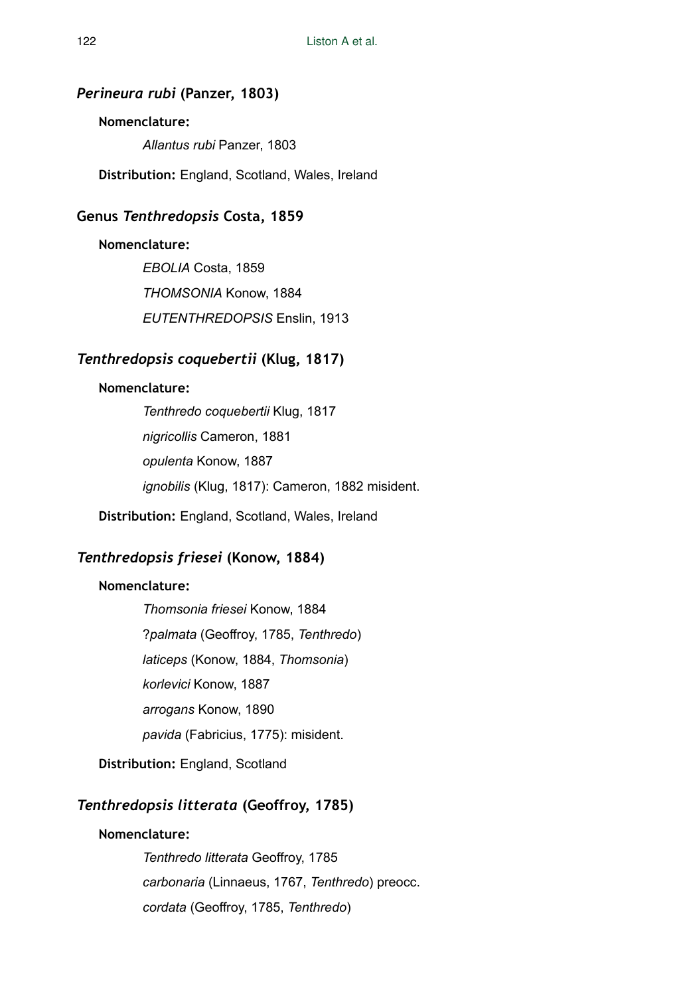## *Perineura rubi* **(Panzer, 1803)**

### **Nomenclature:**

*Allantus rubi* Panzer, 1803

**Distribution:** England, Scotland, Wales, Ireland

### **Genus** *Tenthredopsis* **Costa, 1859**

#### **Nomenclature:**

*EBOLIA* Costa, 1859 *THOMSONIA* Konow, 1884 *EUTENTHREDOPSIS* Enslin, 1913

## *Tenthredopsis coquebertii* **(Klug, 1817)**

## **Nomenclature:**

*Tenthredo coquebertii* Klug, 1817 *nigricollis* Cameron, 1881 *opulenta* Konow, 1887 *ignobilis* (Klug, 1817): Cameron, 1882 misident.

**Distribution:** England, Scotland, Wales, Ireland

## *Tenthredopsis friesei* **(Konow, 1884)**

## **Nomenclature:**

*Thomsonia friesei* Konow, 1884 ?*palmata* (Geoffroy, 1785, *Tenthredo*) *laticeps* (Konow, 1884, *Thomsonia*) *korlevici* Konow, 1887 *arrogans* Konow, 1890 *pavida* (Fabricius, 1775): misident.

**Distribution:** England, Scotland

## *Tenthredopsis litterata* **(Geoffroy, 1785)**

### **Nomenclature:**

*Tenthredo litterata* Geoffroy, 1785 *carbonaria* (Linnaeus, 1767, *Tenthredo*) preocc. *cordata* (Geoffroy, 1785, *Tenthredo*)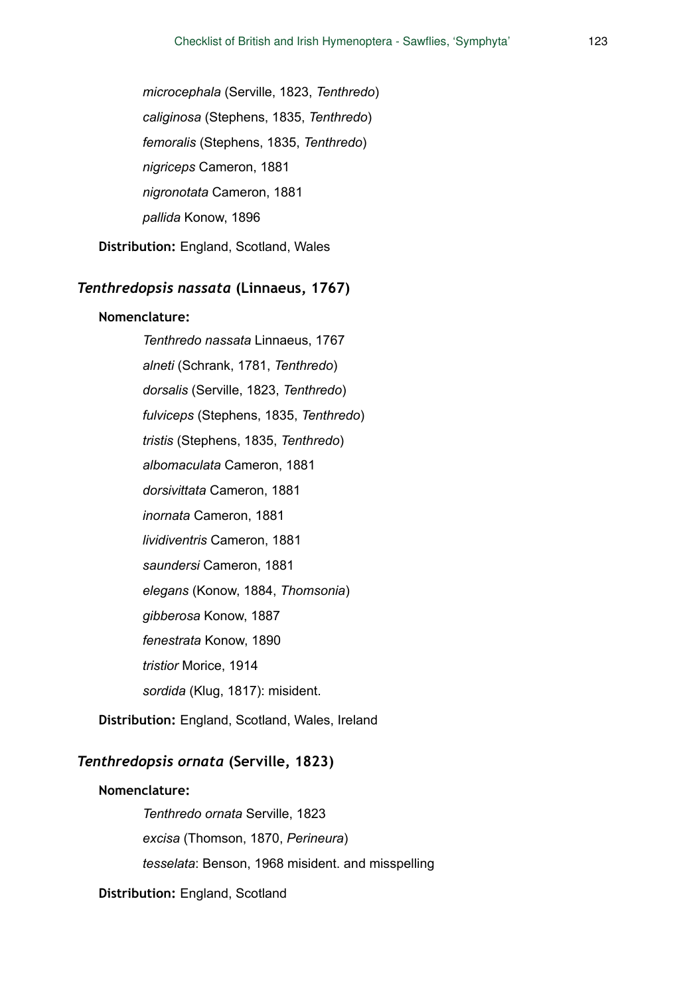*microcephala* (Serville, 1823, *Tenthredo*) *caliginosa* (Stephens, 1835, *Tenthredo*) *femoralis* (Stephens, 1835, *Tenthredo*) *nigriceps* Cameron, 1881 *nigronotata* Cameron, 1881 *pallida* Konow, 1896

**Distribution:** England, Scotland, Wales

## *Tenthredopsis nassata* **(Linnaeus, 1767)**

#### **Nomenclature:**

*Tenthredo nassata* Linnaeus, 1767 *alneti* (Schrank, 1781, *Tenthredo*) *dorsalis* (Serville, 1823, *Tenthredo*) *fulviceps* (Stephens, 1835, *Tenthredo*) *tristis* (Stephens, 1835, *Tenthredo*) *albomaculata* Cameron, 1881 *dorsivittata* Cameron, 1881 *inornata* Cameron, 1881 *lividiventris* Cameron, 1881 *saundersi* Cameron, 1881 *elegans* (Konow, 1884, *Thomsonia*) *gibberosa* Konow, 1887 *fenestrata* Konow, 1890 *tristior* Morice, 1914 *sordida* (Klug, 1817): misident.

**Distribution:** England, Scotland, Wales, Ireland

## *Tenthredopsis ornata* **(Serville, 1823)**

#### **Nomenclature:**

*Tenthredo ornata* Serville, 1823 *excisa* (Thomson, 1870, *Perineura*) *tesselata*: Benson, 1968 misident. and misspelling

**Distribution:** England, Scotland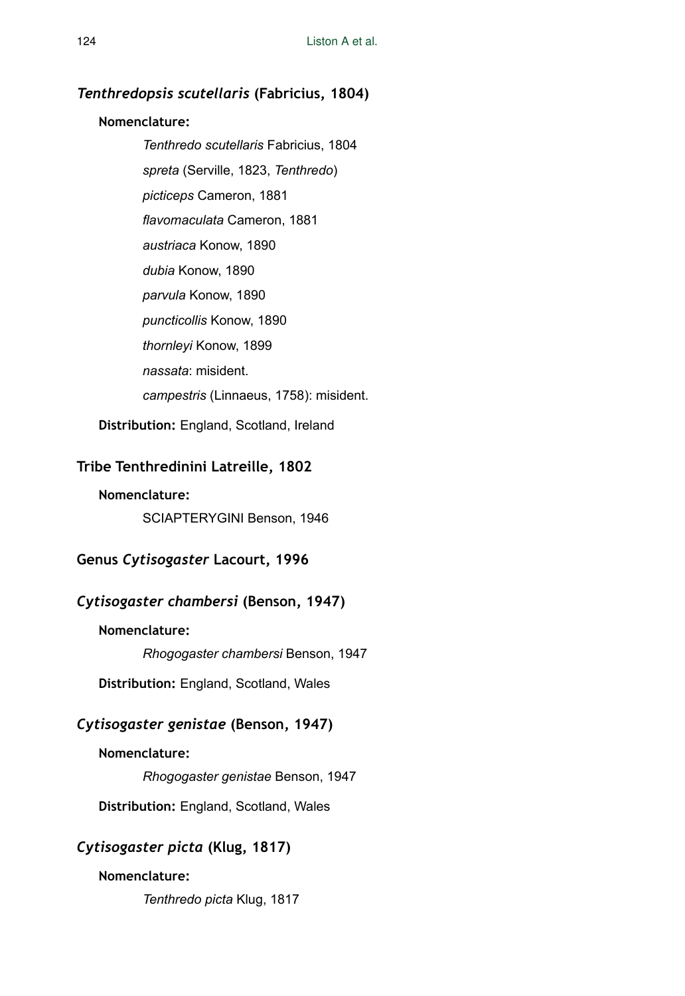## *Tenthredopsis scutellaris* **(Fabricius, 1804)**

### **Nomenclature:**

*Tenthredo scutellaris* Fabricius, 1804 *spreta* (Serville, 1823, *Tenthredo*) *picticeps* Cameron, 1881 *flavomaculata* Cameron, 1881 *austriaca* Konow, 1890 *dubia* Konow, 1890 *parvula* Konow, 1890 *puncticollis* Konow, 1890 *thornleyi* Konow, 1899 *nassata*: misident. *campestris* (Linnaeus, 1758): misident.

**Distribution:** England, Scotland, Ireland

## **Tribe Tenthredinini Latreille, 1802**

### **Nomenclature:**

SCIAPTERYGINI Benson, 1946

## **Genus** *Cytisogaster* **Lacourt, 1996**

## *Cytisogaster chambersi* **(Benson, 1947)**

#### **Nomenclature:**

*Rhogogaster chambersi* Benson, 1947

**Distribution:** England, Scotland, Wales

## *Cytisogaster genistae* **(Benson, 1947)**

## **Nomenclature:**

*Rhogogaster genistae* Benson, 1947

**Distribution:** England, Scotland, Wales

## *Cytisogaster picta* **(Klug, 1817)**

## **Nomenclature:**

*Tenthredo picta* Klug, 1817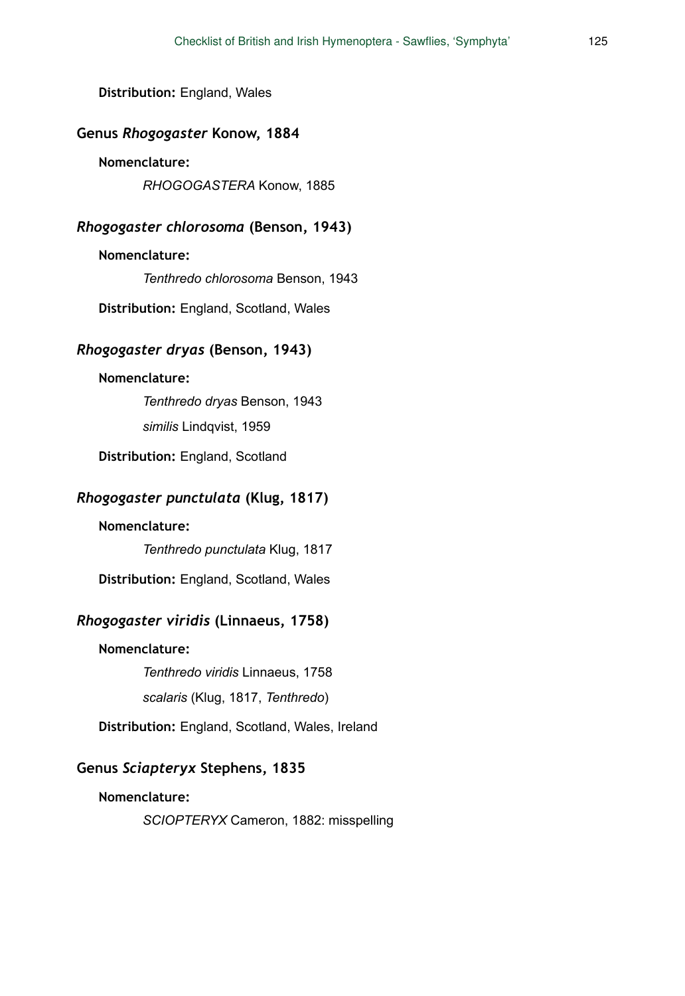**Distribution:** England, Wales

### **Genus** *Rhogogaster* **Konow, 1884**

### **Nomenclature:**

*RHOGOGASTERA* Konow, 1885

### *Rhogogaster chlorosoma* **(Benson, 1943)**

#### **Nomenclature:**

*Tenthredo chlorosoma* Benson, 1943

**Distribution:** England, Scotland, Wales

## *Rhogogaster dryas* **(Benson, 1943)**

#### **Nomenclature:**

*Tenthredo dryas* Benson, 1943

*similis* Lindqvist, 1959

**Distribution:** England, Scotland

### *Rhogogaster punctulata* **(Klug, 1817)**

#### **Nomenclature:**

*Tenthredo punctulata* Klug, 1817

**Distribution:** England, Scotland, Wales

### *Rhogogaster viridis* **(Linnaeus, 1758)**

### **Nomenclature:**

*Tenthredo viridis* Linnaeus, 1758

*scalaris* (Klug, 1817, *Tenthredo*)

**Distribution:** England, Scotland, Wales, Ireland

#### **Genus** *Sciapteryx* **Stephens, 1835**

#### **Nomenclature:**

*SCIOPTERYX* Cameron, 1882: misspelling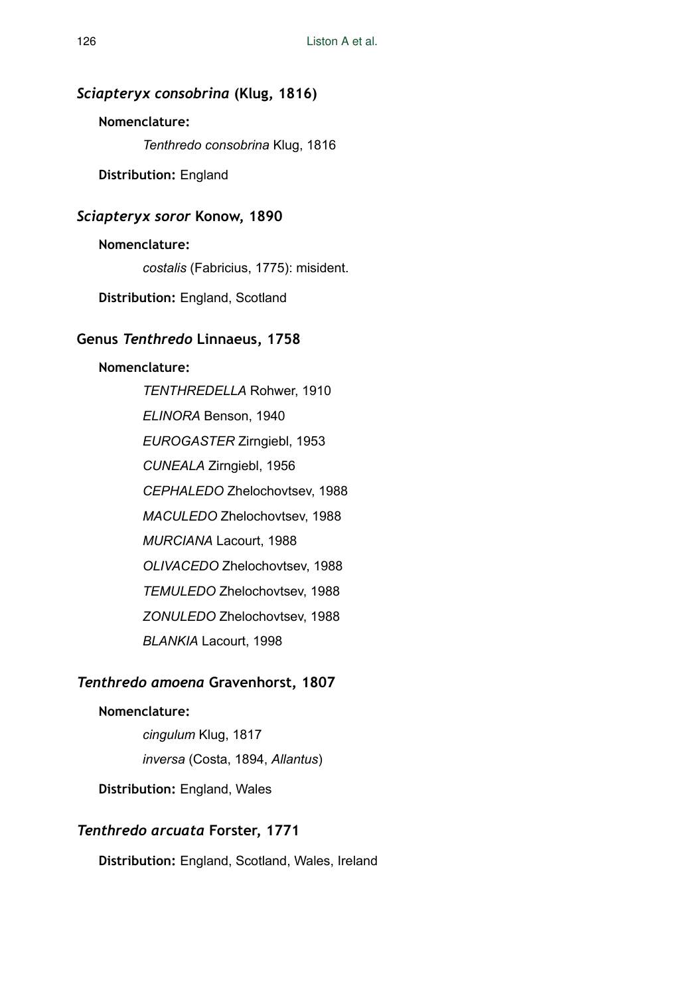## *Sciapteryx consobrina* **(Klug, 1816)**

### **Nomenclature:**

*Tenthredo consobrina* Klug, 1816

**Distribution:** England

## *Sciapteryx soror* **Konow, 1890**

### **Nomenclature:**

*costalis* (Fabricius, 1775): misident.

**Distribution:** England, Scotland

## **Genus** *Tenthredo* **Linnaeus, 1758**

#### **Nomenclature:**

*TENTHREDELLA* Rohwer, 1910 *ELINORA* Benson, 1940 *EUROGASTER* Zirngiebl, 1953 *CUNEALA* Zirngiebl, 1956 *CEPHALEDO* Zhelochovtsev, 1988 *MACULEDO* Zhelochovtsev, 1988 *MURCIANA* Lacourt, 1988 *OLIVACEDO* Zhelochovtsev, 1988 *TEMULEDO* Zhelochovtsev, 1988 *ZONULEDO* Zhelochovtsev, 1988 *BLANKIA* Lacourt, 1998

## *Tenthredo amoena* **Gravenhorst, 1807**

## **Nomenclature:**

*cingulum* Klug, 1817 *inversa* (Costa, 1894, *Allantus*)

**Distribution:** England, Wales

#### *Tenthredo arcuata* **Forster, 1771**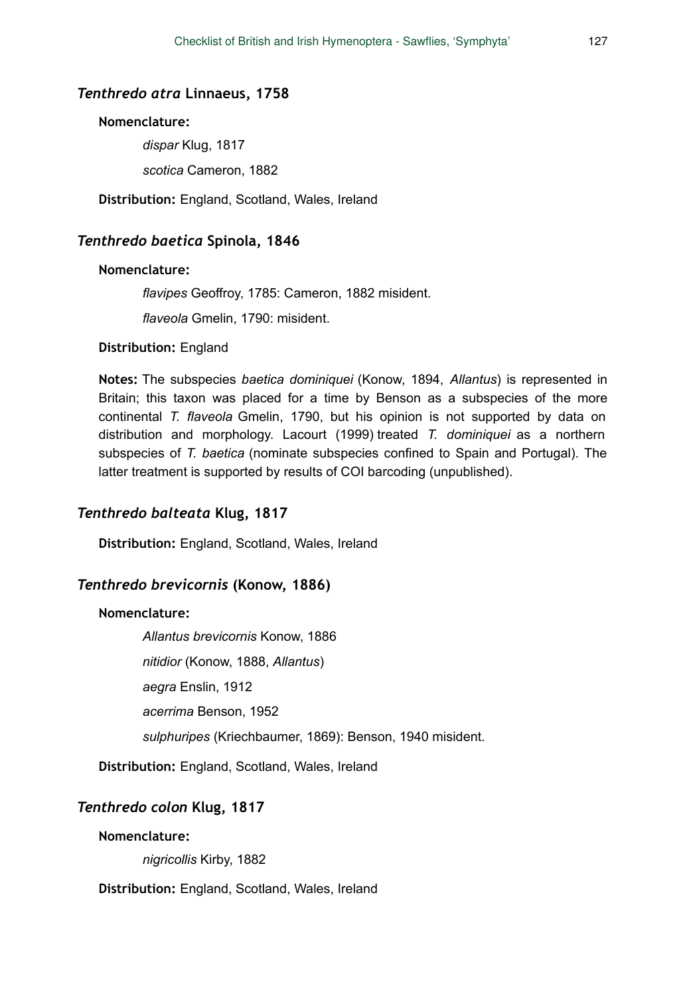#### *Tenthredo atra* **Linnaeus, 1758**

#### **Nomenclature:**

*dispar* Klug, 1817 *scotica* Cameron, 1882

**Distribution:** England, Scotland, Wales, Ireland

### *Tenthredo baetica* **Spinola, 1846**

#### **Nomenclature:**

*flavipes* Geoffroy, 1785: Cameron, 1882 misident.

*flaveola* Gmelin, 1790: misident.

#### **Distribution:** England

**Notes:** The subspecies *baetica dominiquei* (Konow, 1894, *Allantus*) is represented in Britain; this taxon was placed for a time by Benson as a subspecies of the more continental *T. flaveola* Gmelin, 1790, but his opinion is not supported by data on distribution and morphology. Lacourt (1999) treated *T. dominiquei* as a northern subspecies of *T. baetica* (nominate subspecies confined to Spain and Portugal). The latter treatment is supported by results of COI barcoding (unpublished).

### *Tenthredo balteata* **Klug, 1817**

**Distribution:** England, Scotland, Wales, Ireland

#### *Tenthredo brevicornis* **(Konow, 1886)**

#### **Nomenclature:**

*Allantus brevicornis* Konow, 1886 *nitidior* (Konow, 1888, *Allantus*) *aegra* Enslin, 1912 *acerrima* Benson, 1952 *sulphuripes* (Kriechbaumer, 1869): Benson, 1940 misident.

**Distribution:** England, Scotland, Wales, Ireland

### *Tenthredo colon* **Klug, 1817**

#### **Nomenclature:**

*nigricollis* Kirby, 1882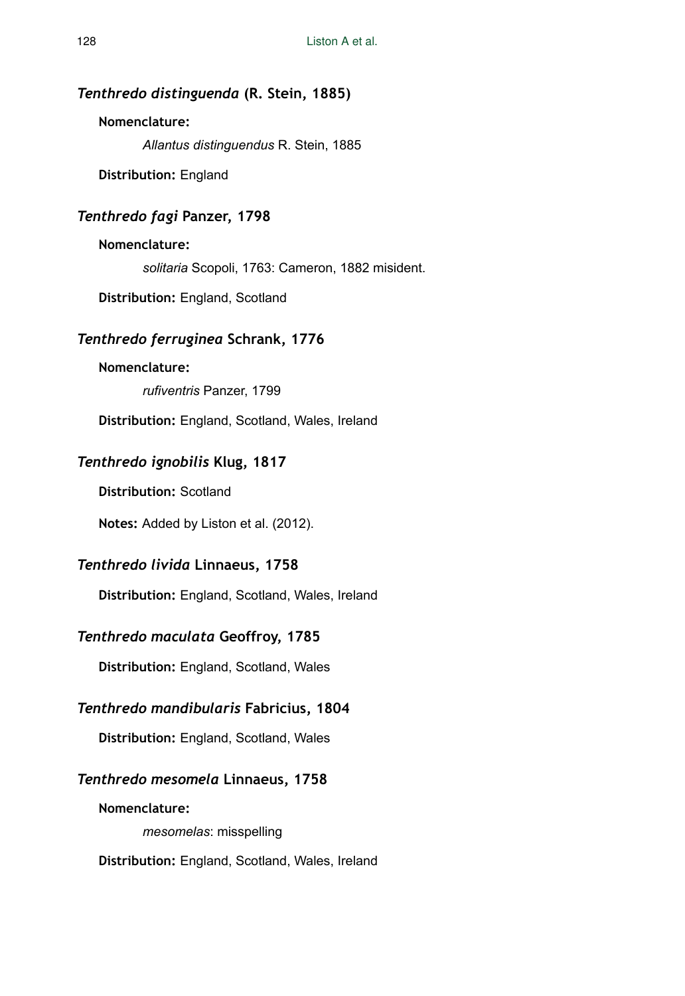## *Tenthredo distinguenda* **(R. Stein, 1885)**

### **Nomenclature:**

*Allantus distinguendus* R. Stein, 1885

**Distribution:** England

## *Tenthredo fagi* **Panzer, 1798**

## **Nomenclature:**

*solitaria* Scopoli, 1763: Cameron, 1882 misident.

**Distribution:** England, Scotland

## *Tenthredo ferruginea* **Schrank, 1776**

### **Nomenclature:**

*rufiventris* Panzer, 1799

**Distribution:** England, Scotland, Wales, Ireland

## *Tenthredo ignobilis* **Klug, 1817**

**Distribution:** Scotland

**Notes:** Added by Liston et al. (2012).

## *Tenthredo livida* **Linnaeus, 1758**

**Distribution:** England, Scotland, Wales, Ireland

## *Tenthredo maculata* **Geoffroy, 1785**

**Distribution:** England, Scotland, Wales

## *Tenthredo mandibularis* **Fabricius, 1804**

**Distribution:** England, Scotland, Wales

## *Tenthredo mesomela* **Linnaeus, 1758**

**Nomenclature:**  *mesomelas*: misspelling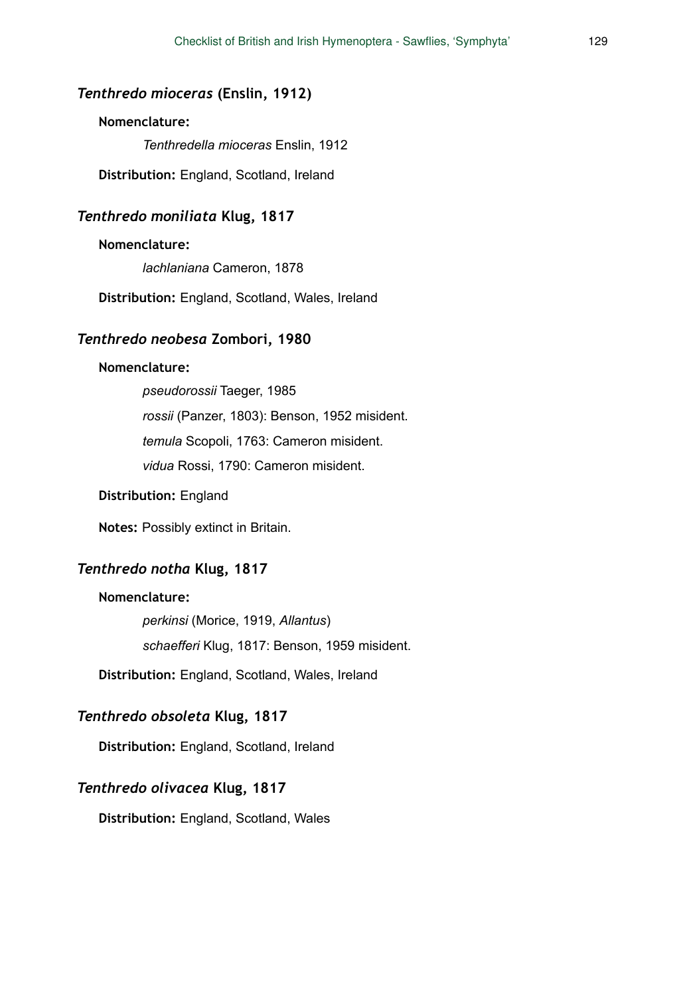### *Tenthredo mioceras* **(Enslin, 1912)**

#### **Nomenclature:**

*Tenthredella mioceras* Enslin, 1912

**Distribution:** England, Scotland, Ireland

### *Tenthredo moniliata* **Klug, 1817**

#### **Nomenclature:**

*lachlaniana* Cameron, 1878

**Distribution:** England, Scotland, Wales, Ireland

### *Tenthredo neobesa* **Zombori, 1980**

#### **Nomenclature:**

*pseudorossii* Taeger, 1985 *rossii* (Panzer, 1803): Benson, 1952 misident. *temula* Scopoli, 1763: Cameron misident. *vidua* Rossi, 1790: Cameron misident.

#### **Distribution:** England

**Notes:** Possibly extinct in Britain.

### *Tenthredo notha* **Klug, 1817**

#### **Nomenclature:**

*perkinsi* (Morice, 1919, *Allantus*) *schaefferi* Klug, 1817: Benson, 1959 misident.

**Distribution:** England, Scotland, Wales, Ireland

## *Tenthredo obsoleta* **Klug, 1817**

**Distribution:** England, Scotland, Ireland

#### *Tenthredo olivacea* **Klug, 1817**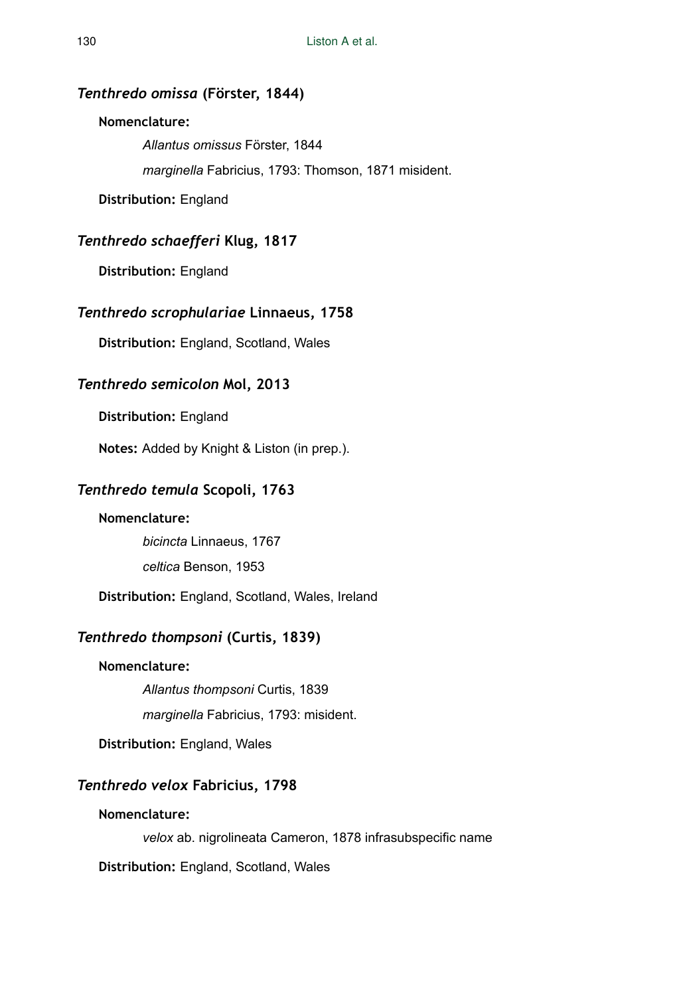## *Tenthredo omissa* **(Förster, 1844)**

#### **Nomenclature:**

*Allantus omissus* Förster, 1844 *marginella* Fabricius, 1793: Thomson, 1871 misident.

**Distribution:** England

## *Tenthredo schaefferi* **Klug, 1817**

**Distribution:** England

## *Tenthredo scrophulariae* **Linnaeus, 1758**

**Distribution:** England, Scotland, Wales

## *Tenthredo semicolon* **Mol, 2013**

**Distribution:** England

**Notes:** Added by Knight & Liston (in prep.).

## *Tenthredo temula* **Scopoli, 1763**

#### **Nomenclature:**

*bicincta* Linnaeus, 1767 *celtica* Benson, 1953

**Distribution:** England, Scotland, Wales, Ireland

## *Tenthredo thompsoni* **(Curtis, 1839)**

#### **Nomenclature:**

*Allantus thompsoni* Curtis, 1839

*marginella* Fabricius, 1793: misident.

**Distribution:** England, Wales

## *Tenthredo velox* **Fabricius, 1798**

#### **Nomenclature:**

*velox* ab. nigrolineata Cameron, 1878 infrasubspecific name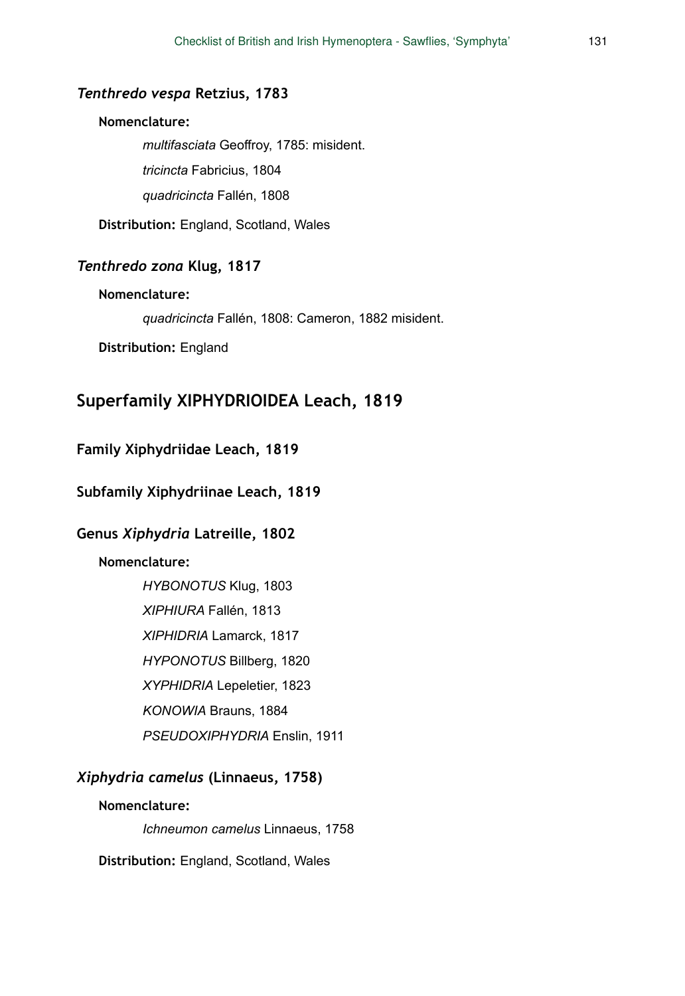### *Tenthredo vespa* **Retzius, 1783**

#### **Nomenclature:**

*multifasciata* Geoffroy, 1785: misident. *tricincta* Fabricius, 1804 *quadricincta* Fallén, 1808

**Distribution:** England, Scotland, Wales

## *Tenthredo zona* **Klug, 1817**

#### **Nomenclature:**

*quadricincta* Fallén, 1808: Cameron, 1882 misident.

**Distribution:** England

## **Superfamily XIPHYDRIOIDEA Leach, 1819**

### **Family Xiphydriidae Leach, 1819**

### **Subfamily Xiphydriinae Leach, 1819**

## **Genus** *Xiphydria* **Latreille, 1802**

## **Nomenclature:**

*HYBONOTUS* Klug, 1803 *XIPHIURA* Fallén, 1813 *XIPHIDRIA* Lamarck, 1817 *HYPONOTUS* Billberg, 1820 *XYPHIDRIA* Lepeletier, 1823 *KONOWIA* Brauns, 1884 *PSEUDOXIPHYDRIA* Enslin, 1911

## *Xiphydria camelus* **(Linnaeus, 1758)**

#### **Nomenclature:**

*Ichneumon camelus* Linnaeus, 1758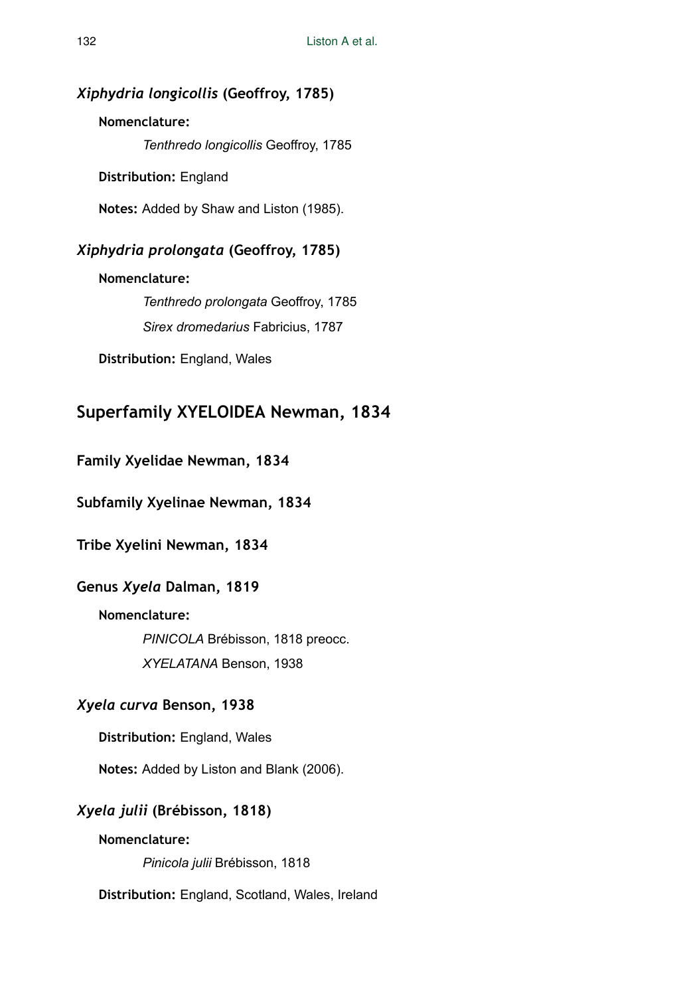## *Xiphydria longicollis* **(Geoffroy, 1785)**

## **Nomenclature:**

*Tenthredo longicollis* Geoffroy, 1785

**Distribution:** England

**Notes:** Added by Shaw and Liston (1985).

## *Xiphydria prolongata* **(Geoffroy, 1785)**

## **Nomenclature:**

*Tenthredo prolongata* Geoffroy, 1785 *Sirex dromedarius* Fabricius, 1787

**Distribution:** England, Wales

# **Superfamily XYELOIDEA Newman, 1834**

## **Family Xyelidae Newman, 1834**

**Subfamily Xyelinae Newman, 1834** 

**Tribe Xyelini Newman, 1834** 

## **Genus** *Xyela* **Dalman, 1819**

## **Nomenclature:**

*PINICOLA* Brébisson, 1818 preocc. *XYELATANA* Benson, 1938

## *Xyela curva* **Benson, 1938**

**Distribution:** England, Wales

**Notes:** Added by Liston and Blank (2006).

## *Xyela julii* **(Brébisson, 1818)**

## **Nomenclature:**

*Pinicola julii* Brébisson, 1818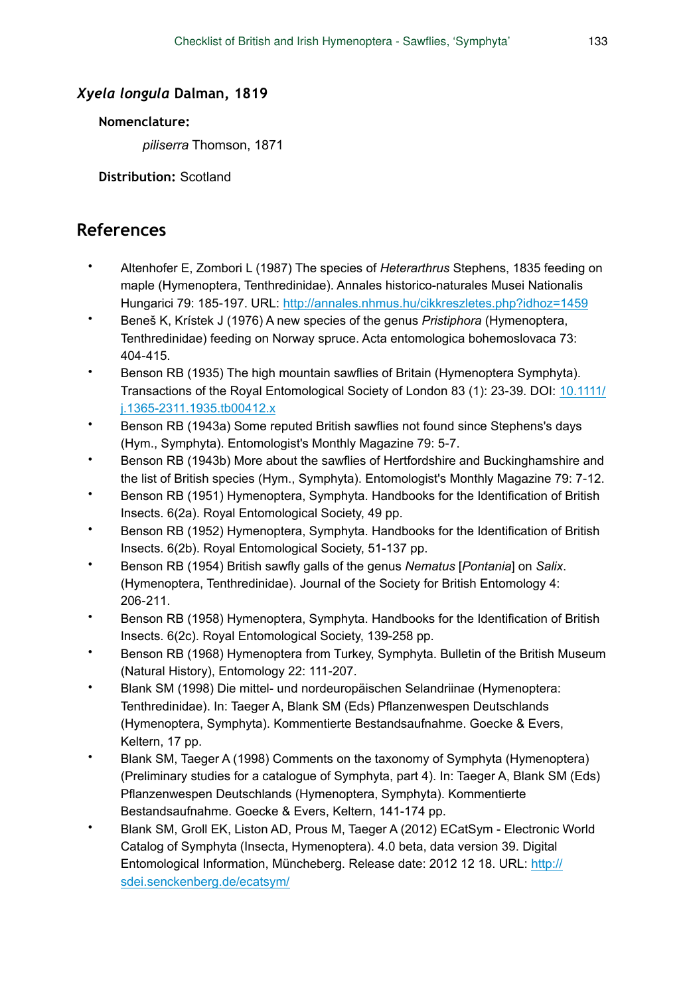## *Xyela longula* **Dalman, 1819**

## **Nomenclature:**

*piliserra* Thomson, 1871

**Distribution:** Scotland

# **References**

- Altenhofer E, Zombori L (1987) The species of *Heterarthrus* Stephens, 1835 feeding on maple (Hymenoptera, Tenthredinidae). Annales historico-naturales Musei Nationalis Hungarici 79: 185‑197. URL:<http://annales.nhmus.hu/cikkreszletes.php?idhoz=1459>
- Beneš K, Krístek J (1976) A new species of the genus *Pristiphora* (Hymenoptera, Tenthredinidae) feeding on Norway spruce. Acta entomologica bohemoslovaca 73: 404‑415.
- Benson RB (1935) The high mountain sawflies of Britain (Hymenoptera Symphyta). Transactions of the Royal Entomological Society of London 83 (1): 23‑39. DOI: [10.1111/](http://dx.doi.org/10.1111/j.1365-2311.1935.tb00412.x) [j.1365-2311.1935.tb00412.x](http://dx.doi.org/10.1111/j.1365-2311.1935.tb00412.x)
- Benson RB (1943a) Some reputed British sawflies not found since Stephens's days (Hym., Symphyta). Entomologist's Monthly Magazine 79: 5‑7.
- Benson RB (1943b) More about the sawflies of Hertfordshire and Buckinghamshire and the list of British species (Hym., Symphyta). Entomologist's Monthly Magazine 79: 7‑12.
- Benson RB (1951) Hymenoptera, Symphyta. Handbooks for the Identification of British Insects. 6(2a). Royal Entomological Society, 49 pp.
- Benson RB (1952) Hymenoptera, Symphyta. Handbooks for the Identification of British Insects. 6(2b). Royal Entomological Society, 51-137 pp.
- Benson RB (1954) British sawfly galls of the genus *Nematus* [*Pontania*] on *Salix*. (Hymenoptera, Tenthredinidae). Journal of the Society for British Entomology 4: 206‑211.
- Benson RB (1958) Hymenoptera, Symphyta. Handbooks for the Identification of British Insects. 6(2c). Royal Entomological Society, 139-258 pp.
- Benson RB (1968) Hymenoptera from Turkey, Symphyta. Bulletin of the British Museum (Natural History), Entomology 22: 111‑207.
- Blank SM (1998) Die mittel- und nordeuropäischen Selandriinae (Hymenoptera: Tenthredinidae). In: Taeger A, Blank SM (Eds) Pflanzenwespen Deutschlands (Hymenoptera, Symphyta). Kommentierte Bestandsaufnahme. Goecke & Evers, Keltern, 17 pp.
- Blank SM, Taeger A (1998) Comments on the taxonomy of Symphyta (Hymenoptera) (Preliminary studies for a catalogue of Symphyta, part 4). In: Taeger A, Blank SM (Eds) Pflanzenwespen Deutschlands (Hymenoptera, Symphyta). Kommentierte Bestandsaufnahme. Goecke & Evers, Keltern, 141-174 pp.
- Blank SM, Groll EK, Liston AD, Prous M, Taeger A (2012) ECatSym Electronic World Catalog of Symphyta (Insecta, Hymenoptera). 4.0 beta, data version 39. Digital Entomological Information, Müncheberg. Release date: 2012 12 18. URL: [http://](http://sdei.senckenberg.de/ecatsym/) [sdei.senckenberg.de/ecatsym/](http://sdei.senckenberg.de/ecatsym/)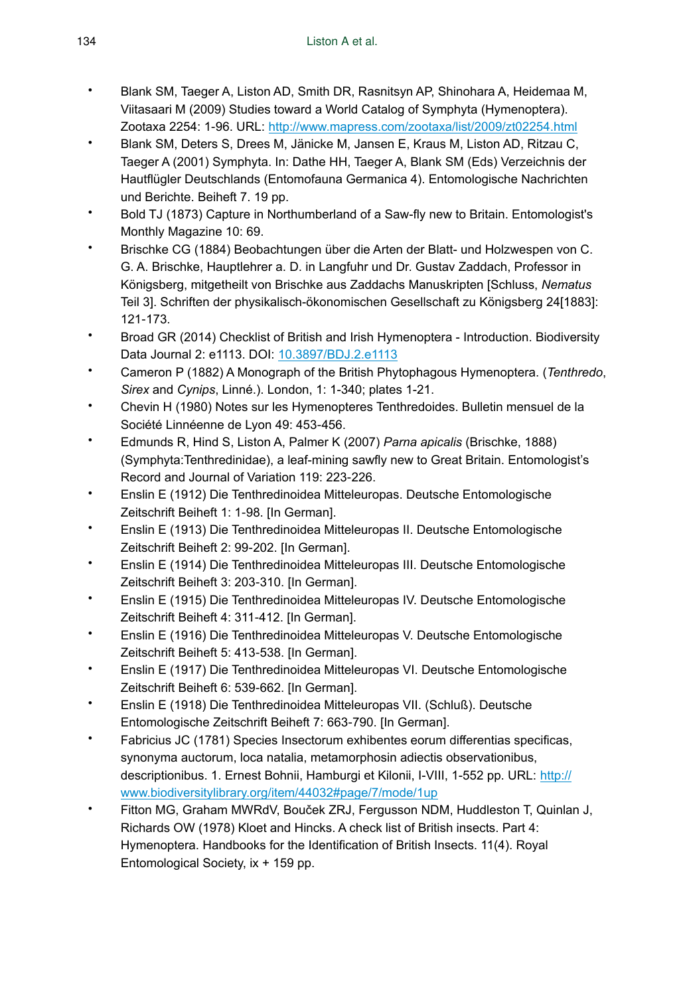- Blank SM, Taeger A, Liston AD, Smith DR, Rasnitsyn AP, Shinohara A, Heidemaa M, Viitasaari M (2009) Studies toward a World Catalog of Symphyta (Hymenoptera). Zootaxa 2254: 1‑96. URL:<http://www.mapress.com/zootaxa/list/2009/zt02254.html>
- Blank SM, Deters S, Drees M, Jänicke M, Jansen E, Kraus M, Liston AD, Ritzau C, Taeger A (2001) Symphyta. In: Dathe HH, Taeger A, Blank SM (Eds) Verzeichnis der Hautflügler Deutschlands (Entomofauna Germanica 4). Entomologische Nachrichten und Berichte. Beiheft 7. 19 pp.
- Bold TJ (1873) Capture in Northumberland of a Saw-fly new to Britain. Entomologist's Monthly Magazine 10: 69.
- Brischke CG (1884) Beobachtungen über die Arten der Blatt- und Holzwespen von C. G. A. Brischke, Hauptlehrer a. D. in Langfuhr und Dr. Gustav Zaddach, Professor in Königsberg, mitgetheilt von Brischke aus Zaddachs Manuskripten [Schluss, *Nematus* Teil 3]. Schriften der physikalisch-ökonomischen Gesellschaft zu Königsberg 24[1883]: 121‑173.
- Broad GR (2014) Checklist of British and Irish Hymenoptera Introduction. Biodiversity Data Journal 2: e1113. DOI: [10.3897/BDJ.2.e1113](http://dx.doi.org/10.3897/BDJ.2.e1113)
- Cameron P (1882) A Monograph of the British Phytophagous Hymenoptera. (*Tenthredo*, *Sirex* and *Cynips*, Linné.). London, 1: 1-340; plates 1-21.
- Chevin H (1980) Notes sur les Hymenopteres Tenthredoides. Bulletin mensuel de la Société Linnéenne de Lyon 49: 453‑456.
- Edmunds R, Hind S, Liston A, Palmer K (2007) *Parna apicalis* (Brischke, 1888) (Symphyta:Tenthredinidae), a leaf-mining sawfly new to Great Britain. Entomologist's Record and Journal of Variation 119: 223‑226.
- Enslin E (1912) Die Tenthredinoidea Mitteleuropas. Deutsche Entomologische Zeitschrift Beiheft 1: 1‑98. [In German].
- Enslin E (1913) Die Tenthredinoidea Mitteleuropas II. Deutsche Entomologische Zeitschrift Beiheft 2: 99‑202. [In German].
- Enslin E (1914) Die Tenthredinoidea Mitteleuropas III. Deutsche Entomologische Zeitschrift Beiheft 3: 203‑310. [In German].
- Enslin E (1915) Die Tenthredinoidea Mitteleuropas IV. Deutsche Entomologische Zeitschrift Beiheft 4: 311‑412. [In German].
- Enslin E (1916) Die Tenthredinoidea Mitteleuropas V. Deutsche Entomologische Zeitschrift Beiheft 5: 413‑538. [In German].
- Enslin E (1917) Die Tenthredinoidea Mitteleuropas VI. Deutsche Entomologische Zeitschrift Beiheft 6: 539‑662. [In German].
- Enslin E (1918) Die Tenthredinoidea Mitteleuropas VII. (Schluß). Deutsche Entomologische Zeitschrift Beiheft 7: 663‑790. [In German].
- Fabricius JC (1781) Species Insectorum exhibentes eorum differentias specificas, synonyma auctorum, loca natalia, metamorphosin adiectis observationibus, descriptionibus. 1. Ernest Bohnii, Hamburgi et Kilonii, I-VIII, 1-552 pp. URL: [http://](http://www.biodiversitylibrary.org/item/44032#page/7/mode/1up) [www.biodiversitylibrary.org/item/44032#page/7/mode/1up](http://www.biodiversitylibrary.org/item/44032#page/7/mode/1up)
- Fitton MG, Graham MWRdV, Bouček ZRJ, Fergusson NDM, Huddleston T, Quinlan J, Richards OW (1978) Kloet and Hincks. A check list of British insects. Part 4: Hymenoptera. Handbooks for the Identification of British Insects. 11(4). Royal Entomological Society, ix + 159 pp.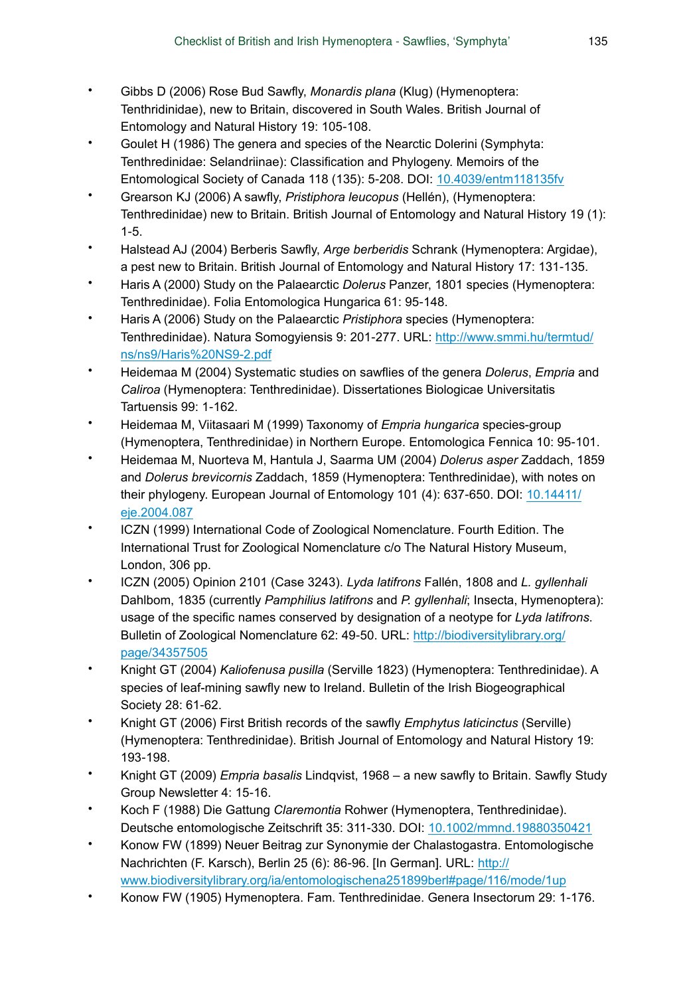- Gibbs D (2006) Rose Bud Sawfly, *Monardis plana* (Klug) (Hymenoptera: Tenthridinidae), new to Britain, discovered in South Wales. British Journal of Entomology and Natural History 19: 105-108.
- Goulet H (1986) The genera and species of the Nearctic Dolerini (Symphyta: Tenthredinidae: Selandriinae): Classification and Phylogeny. Memoirs of the Entomological Society of Canada 118 (135): 5‑208. DOI: [10.4039/entm118135fv](http://dx.doi.org/10.4039/entm118135fv)
- Grearson KJ (2006) A sawfly, *Pristiphora leucopus* (Hellén), (Hymenoptera: Tenthredinidae) new to Britain. British Journal of Entomology and Natural History 19 (1):  $1 - 5$ .
- Halstead AJ (2004) Berberis Sawfly, *Arge berberidis* Schrank (Hymenoptera: Argidae), a pest new to Britain. British Journal of Entomology and Natural History 17: 131‑135.
- Haris A (2000) Study on the Palaearctic *Dolerus* Panzer, 1801 species (Hymenoptera: Tenthredinidae). Folia Entomologica Hungarica 61: 95-148.
- Haris A (2006) Study on the Palaearctic *Pristiphora* species (Hymenoptera: Tenthredinidae). Natura Somogyiensis 9: 201‑277. URL: [http://www.smmi.hu/termtud/](http://www.smmi.hu/termtud/ns/ns9/Haris%20NS9-2.pdf) [ns/ns9/Haris%20NS9-2.pdf](http://www.smmi.hu/termtud/ns/ns9/Haris%20NS9-2.pdf)
- Heidemaa M (2004) Systematic studies on sawflies of the genera *Dolerus*, *Empria* and *Caliroa* (Hymenoptera: Tenthredinidae). Dissertationes Biologicae Universitatis Tartuensis 99: 1‑162.
- Heidemaa M, Viitasaari M (1999) Taxonomy of *Empria hungarica* species-group (Hymenoptera, Tenthredinidae) in Northern Europe. Entomologica Fennica 10: 95‑101.
- Heidemaa M, Nuorteva M, Hantula J, Saarma UM (2004) *Dolerus asper* Zaddach, 1859 and *Dolerus brevicornis* Zaddach, 1859 (Hymenoptera: Tenthredinidae), with notes on their phylogeny. European Journal of Entomology 101 (4): 637-650. DOI: [10.14411/](http://dx.doi.org/10.14411/eje.2004.087) [eje.2004.087](http://dx.doi.org/10.14411/eje.2004.087)
- ICZN (1999) International Code of Zoological Nomenclature. Fourth Edition. The International Trust for Zoological Nomenclature c/o The Natural History Museum, London, 306 pp.
- ICZN (2005) Opinion 2101 (Case 3243). *Lyda latifrons* Fallén, 1808 and *L. gyllenhali* Dahlbom, 1835 (currently *Pamphilius latifrons* and *P. gyllenhali*; Insecta, Hymenoptera): usage of the specific names conserved by designation of a neotype for *Lyda latifrons*. Bulletin of Zoological Nomenclature 62: 49‑50. URL: [http://biodiversitylibrary.org/](http://biodiversitylibrary.org/page/34357505) [page/34357505](http://biodiversitylibrary.org/page/34357505)
- Knight GT (2004) *Kaliofenusa pusilla* (Serville 1823) (Hymenoptera: Tenthredinidae). A species of leaf-mining sawfly new to Ireland. Bulletin of the Irish Biogeographical Society 28: 61‑62.
- Knight GT (2006) First British records of the sawfly *Emphytus laticinctus* (Serville) (Hymenoptera: Tenthredinidae). British Journal of Entomology and Natural History 19: 193‑198.
- Knight GT (2009) *Empria basalis* Lindqvist, 1968 a new sawfly to Britain. Sawfly Study Group Newsletter 4: 15‑16.
- Koch F (1988) Die Gattung *Claremontia* Rohwer (Hymenoptera, Tenthredinidae). Deutsche entomologische Zeitschrift 35: 311‑330. DOI: [10.1002/mmnd.19880350421](http://dx.doi.org/10.1002/mmnd.19880350421)
- Konow FW (1899) Neuer Beitrag zur Synonymie der Chalastogastra. Entomologische Nachrichten (F. Karsch), Berlin 25 (6): 86‑96. [In German]. URL: [http://](http://www.biodiversitylibrary.org/ia/entomologischena251899berl#page/116/mode/1up) [www.biodiversitylibrary.org/ia/entomologischena251899berl#page/116/mode/1up](http://www.biodiversitylibrary.org/ia/entomologischena251899berl#page/116/mode/1up)
- Konow FW (1905) Hymenoptera. Fam. Tenthredinidae. Genera Insectorum 29: 1‑176.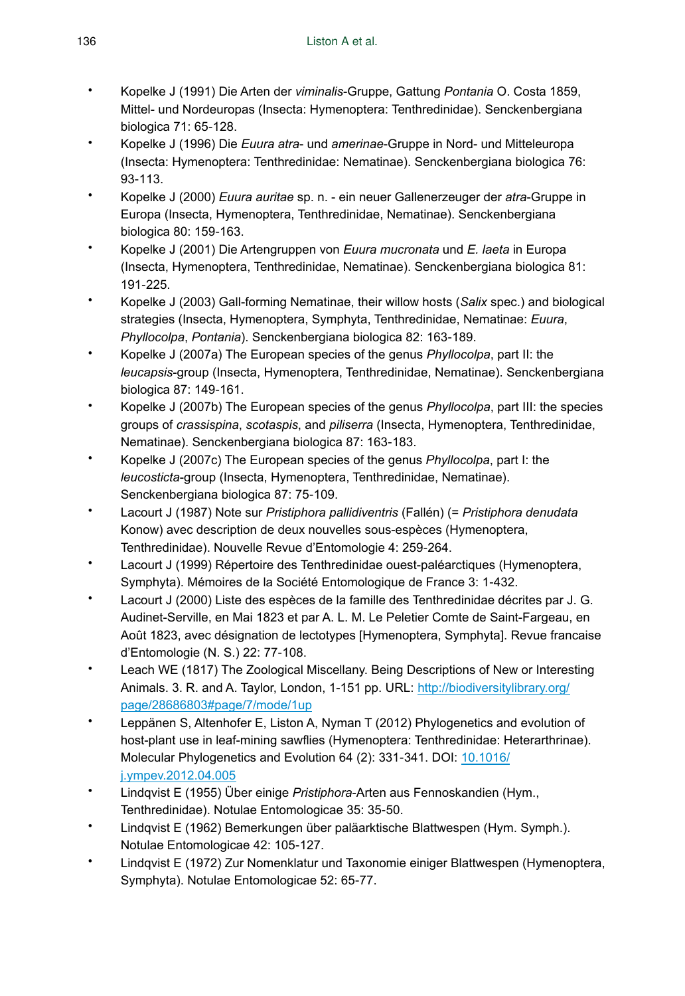- Kopelke J (1991) Die Arten der *viminalis*-Gruppe, Gattung *Pontania* O. Costa 1859, Mittel- und Nordeuropas (Insecta: Hymenoptera: Tenthredinidae). Senckenbergiana biologica 71: 65‑128.
- Kopelke J (1996) Die *Euura atra* und *amerinae*-Gruppe in Nord- und Mitteleuropa (Insecta: Hymenoptera: Tenthredinidae: Nematinae). Senckenbergiana biologica 76: 93‑113.
- Kopelke J (2000) *Euura auritae* sp. n. ein neuer Gallenerzeuger der *atra*-Gruppe in Europa (Insecta, Hymenoptera, Tenthredinidae, Nematinae). Senckenbergiana biologica 80: 159‑163.
- Kopelke J (2001) Die Artengruppen von *Euura mucronata* und *E. laeta* in Europa (Insecta, Hymenoptera, Tenthredinidae, Nematinae). Senckenbergiana biologica 81: 191‑225.
- Kopelke J (2003) Gall-forming Nematinae, their willow hosts (*Salix* spec.) and biological strategies (Insecta, Hymenoptera, Symphyta, Tenthredinidae, Nematinae: *Euura*, *Phyllocolpa*, *Pontania*). Senckenbergiana biologica 82: 163‑189.
- Kopelke J (2007a) The European species of the genus *Phyllocolpa*, part II: the *leucapsis*-group (Insecta, Hymenoptera, Tenthredinidae, Nematinae). Senckenbergiana biologica 87: 149‑161.
- Kopelke J (2007b) The European species of the genus *Phyllocolpa*, part III: the species groups of *crassispina*, *scotaspis*, and *piliserra* (Insecta, Hymenoptera, Tenthredinidae, Nematinae). Senckenbergiana biologica 87: 163-183.
- Kopelke J (2007c) The European species of the genus *Phyllocolpa*, part I: the *leucosticta*-group (Insecta, Hymenoptera, Tenthredinidae, Nematinae). Senckenbergiana biologica 87: 75-109.
- Lacourt J (1987) Note sur *Pristiphora pallidiventris* (Fallén) (= *Pristiphora denudata* Konow) avec description de deux nouvelles sous-espèces (Hymenoptera, Tenthredinidae). Nouvelle Revue d'Entomologie 4: 259‑264.
- Lacourt J (1999) Répertoire des Tenthredinidae ouest-paléarctiques (Hymenoptera, Symphyta). Mémoires de la Société Entomologique de France 3: 1‑432.
- Lacourt J (2000) Liste des espèces de la famille des Tenthredinidae décrites par J. G. Audinet-Serville, en Mai 1823 et par A. L. M. Le Peletier Comte de Saint-Fargeau, en Août 1823, avec désignation de lectotypes [Hymenoptera, Symphyta]. Revue francaise d'Entomologie (N. S.) 22: 77‑108.
- Leach WE (1817) The Zoological Miscellany. Being Descriptions of New or Interesting Animals. 3. R. and A. Taylor, London, 1-151 pp. URL: [http://biodiversitylibrary.org/](http://biodiversitylibrary.org/page/28686803#page/7/mode/1up) [page/28686803#page/7/mode/1up](http://biodiversitylibrary.org/page/28686803#page/7/mode/1up)
- Leppänen S, Altenhofer E, Liston A, Nyman T (2012) Phylogenetics and evolution of host-plant use in leaf-mining sawflies (Hymenoptera: Tenthredinidae: Heterarthrinae). Molecular Phylogenetics and Evolution 64 (2): 331‑341. DOI: [10.1016/](http://dx.doi.org/10.1016/j.ympev.2012.04.005) [j.ympev.2012.04.005](http://dx.doi.org/10.1016/j.ympev.2012.04.005)
- Lindqvist E (1955) Über einige *Pristiphora*-Arten aus Fennoskandien (Hym., Tenthredinidae). Notulae Entomologicae 35: 35‑50.
- Lindqvist E (1962) Bemerkungen über paläarktische Blattwespen (Hym. Symph.). Notulae Entomologicae 42: 105‑127.
- Lindqvist E (1972) Zur Nomenklatur und Taxonomie einiger Blattwespen (Hymenoptera, Symphyta). Notulae Entomologicae 52: 65‑77.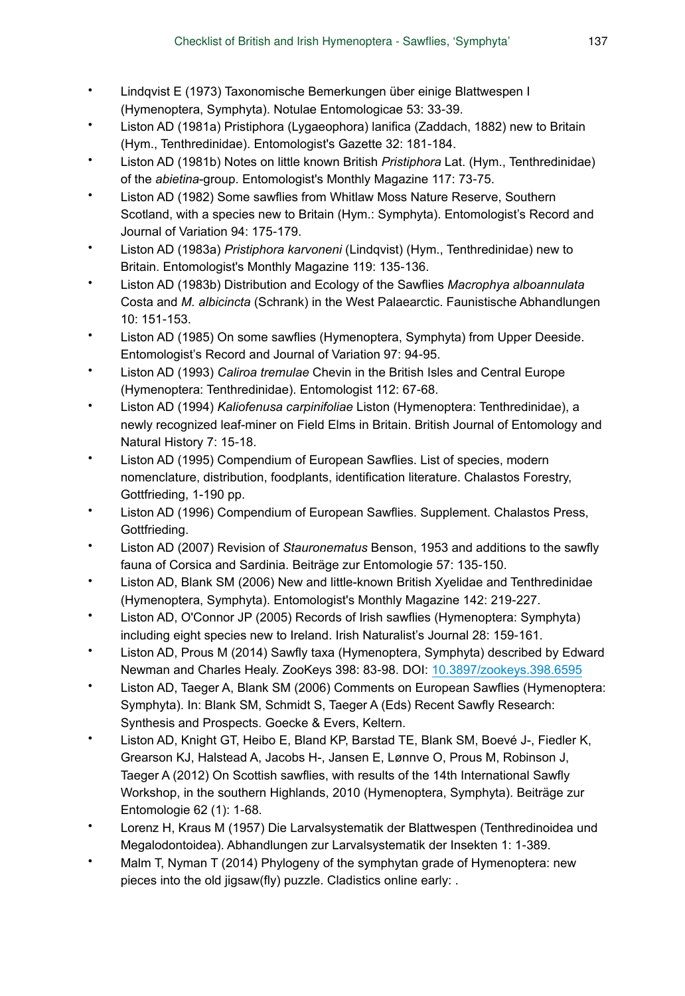- Lindqvist E (1973) Taxonomische Bemerkungen über einige Blattwespen I (Hymenoptera, Symphyta). Notulae Entomologicae 53: 33‑39.
- Liston AD (1981a) Pristiphora (Lygaeophora) lanifica (Zaddach, 1882) new to Britain (Hym., Tenthredinidae). Entomologist's Gazette 32: 181‑184.
- Liston AD (1981b) Notes on little known British *Pristiphora* Lat. (Hym., Tenthredinidae) of the *abietina*-group. Entomologist's Monthly Magazine 117: 73‑75.
- Liston AD (1982) Some sawflies from Whitlaw Moss Nature Reserve, Southern Scotland, with a species new to Britain (Hym.: Symphyta). Entomologist's Record and Journal of Variation 94: 175‑179.
- Liston AD (1983a) *Pristiphora karvoneni* (Lindqvist) (Hym., Tenthredinidae) new to Britain. Entomologist's Monthly Magazine 119: 135-136.
- Liston AD (1983b) Distribution and Ecology of the Sawflies *Macrophya alboannulata* Costa and *M. albicincta* (Schrank) in the West Palaearctic. Faunistische Abhandlungen 10: 151‑153.
- Liston AD (1985) On some sawflies (Hymenoptera, Symphyta) from Upper Deeside. Entomologist's Record and Journal of Variation 97: 94‑95.
- Liston AD (1993) *Caliroa tremulae* Chevin in the British Isles and Central Europe (Hymenoptera: Tenthredinidae). Entomologist 112: 67‑68.
- Liston AD (1994) *Kaliofenusa carpinifoliae* Liston (Hymenoptera: Tenthredinidae), a newly recognized leaf-miner on Field Elms in Britain. British Journal of Entomology and Natural History 7: 15‑18.
- Liston AD (1995) Compendium of European Sawflies. List of species, modern nomenclature, distribution, foodplants, identification literature. Chalastos Forestry, Gottfrieding, 1-190 pp.
- Liston AD (1996) Compendium of European Sawflies. Supplement. Chalastos Press, Gottfrieding.
- Liston AD (2007) Revision of *Stauronematus* Benson, 1953 and additions to the sawfly fauna of Corsica and Sardinia. Beiträge zur Entomologie 57: 135‑150.
- Liston AD, Blank SM (2006) New and little-known British Xyelidae and Tenthredinidae (Hymenoptera, Symphyta). Entomologist's Monthly Magazine 142: 219‑227.
- Liston AD, O'Connor JP (2005) Records of Irish sawflies (Hymenoptera: Symphyta) including eight species new to Ireland. Irish Naturalist's Journal 28: 159-161.
- Liston AD, Prous M (2014) Sawfly taxa (Hymenoptera, Symphyta) described by Edward Newman and Charles Healy. ZooKeys 398: 83‑98. DOI: [10.3897/zookeys.398.6595](http://dx.doi.org/10.3897/zookeys.398.6595)
- Liston AD, Taeger A, Blank SM (2006) Comments on European Sawflies (Hymenoptera: Symphyta). In: Blank SM, Schmidt S, Taeger A (Eds) Recent Sawfly Research: Synthesis and Prospects. Goecke & Evers, Keltern.
- Liston AD, Knight GT, Heibo E, Bland KP, Barstad TE, Blank SM, Boevé J-, Fiedler K, Grearson KJ, Halstead A, Jacobs H-, Jansen E, Lønnve O, Prous M, Robinson J, Taeger A (2012) On Scottish sawflies, with results of the 14th International Sawfly Workshop, in the southern Highlands, 2010 (Hymenoptera, Symphyta). Beiträge zur Entomologie 62 (1): 1‑68.
- Lorenz H, Kraus M (1957) Die Larvalsystematik der Blattwespen (Tenthredinoidea und Megalodontoidea). Abhandlungen zur Larvalsystematik der Insekten 1: 1‑389.
- Malm T, Nyman T (2014) Phylogeny of the symphytan grade of Hymenoptera: new pieces into the old jigsaw(fly) puzzle. Cladistics online early: .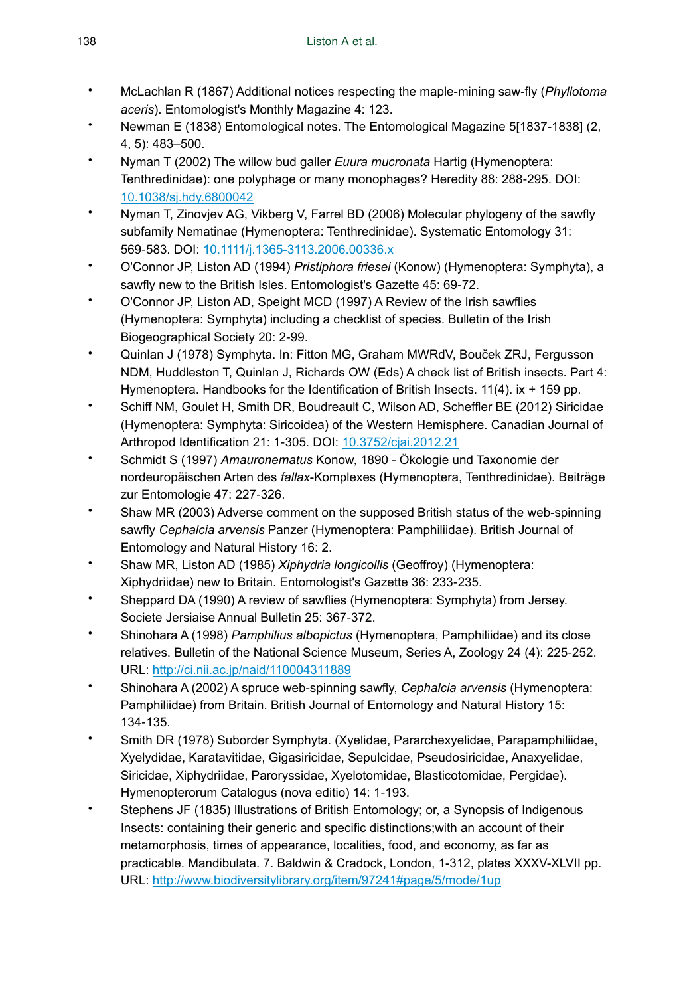- McLachlan R (1867) Additional notices respecting the maple-mining saw-fly (*Phyllotoma aceris*). Entomologist's Monthly Magazine 4: 123.
- Newman E (1838) Entomological notes. The Entomological Magazine 5[1837-1838] (2, 4, 5): 483–500.
- Nyman T (2002) The willow bud galler *Euura mucronata* Hartig (Hymenoptera: Tenthredinidae): one polyphage or many monophages? Heredity 88: 288‑295. DOI: [10.1038/sj.hdy.6800042](http://dx.doi.org/10.1038/sj.hdy.6800042)
- Nyman T, Zinovjev AG, Vikberg V, Farrel BD (2006) Molecular phylogeny of the sawfly subfamily Nematinae (Hymenoptera: Tenthredinidae). Systematic Entomology 31: 569‑583. DOI: [10.1111/j.1365-3113.2006.00336.x](http://dx.doi.org/10.1111/j.1365-3113.2006.00336.x)
- O'Connor JP, Liston AD (1994) *Pristiphora friesei* (Konow) (Hymenoptera: Symphyta), a sawfly new to the British Isles. Entomologist's Gazette 45: 69-72.
- O'Connor JP, Liston AD, Speight MCD (1997) A Review of the Irish sawflies (Hymenoptera: Symphyta) including a checklist of species. Bulletin of the Irish Biogeographical Society 20: 2‑99.
- Quinlan J (1978) Symphyta. In: Fitton MG, Graham MWRdV, Bouček ZRJ, Fergusson NDM, Huddleston T, Quinlan J, Richards OW (Eds) A check list of British insects. Part 4: Hymenoptera. Handbooks for the Identification of British Insects. 11(4). ix + 159 pp.
- Schiff NM, Goulet H, Smith DR, Boudreault C, Wilson AD, Scheffler BE (2012) Siricidae (Hymenoptera: Symphyta: Siricoidea) of the Western Hemisphere. Canadian Journal of Arthropod Identification 21: 1‑305. DOI: [10.3752/cjai.2012.21](http://dx.doi.org/10.3752/cjai.2012.21)
- Schmidt S (1997) *Amauronematus* Konow, 1890 Ökologie und Taxonomie der nordeuropäischen Arten des *fallax*-Komplexes (Hymenoptera, Tenthredinidae). Beiträge zur Entomologie 47: 227‑326.
- Shaw MR (2003) Adverse comment on the supposed British status of the web-spinning sawfly *Cephalcia arvensis* Panzer (Hymenoptera: Pamphiliidae). British Journal of Entomology and Natural History 16: 2.
- Shaw MR, Liston AD (1985) *Xiphydria longicollis* (Geoffroy) (Hymenoptera: Xiphydriidae) new to Britain. Entomologist's Gazette 36: 233‑235.
- Sheppard DA (1990) A review of sawflies (Hymenoptera: Symphyta) from Jersey. Societe Jersiaise Annual Bulletin 25: 367‑372.
- Shinohara A (1998) *Pamphilius albopictus* (Hymenoptera, Pamphiliidae) and its close relatives. Bulletin of the National Science Museum, Series A, Zoology 24 (4): 225-252. URL:<http://ci.nii.ac.jp/naid/110004311889>
- Shinohara A (2002) A spruce web-spinning sawfly, *Cephalcia arvensis* (Hymenoptera: Pamphiliidae) from Britain. British Journal of Entomology and Natural History 15: 134‑135.
- Smith DR (1978) Suborder Symphyta. (Xyelidae, Pararchexyelidae, Parapamphiliidae, Xyelydidae, Karatavitidae, Gigasiricidae, Sepulcidae, Pseudosiricidae, Anaxyelidae, Siricidae, Xiphydriidae, Paroryssidae, Xyelotomidae, Blasticotomidae, Pergidae). Hymenopterorum Catalogus (nova editio) 14: 1‑193.
- Stephens JF (1835) Illustrations of British Entomology; or, a Synopsis of Indigenous Insects: containing their generic and specific distinctions;with an account of their metamorphosis, times of appearance, localities, food, and economy, as far as practicable. Mandibulata. 7. Baldwin & Cradock, London, 1-312, plates XXXV-XLVII pp. URL:<http://www.biodiversitylibrary.org/item/97241#page/5/mode/1up>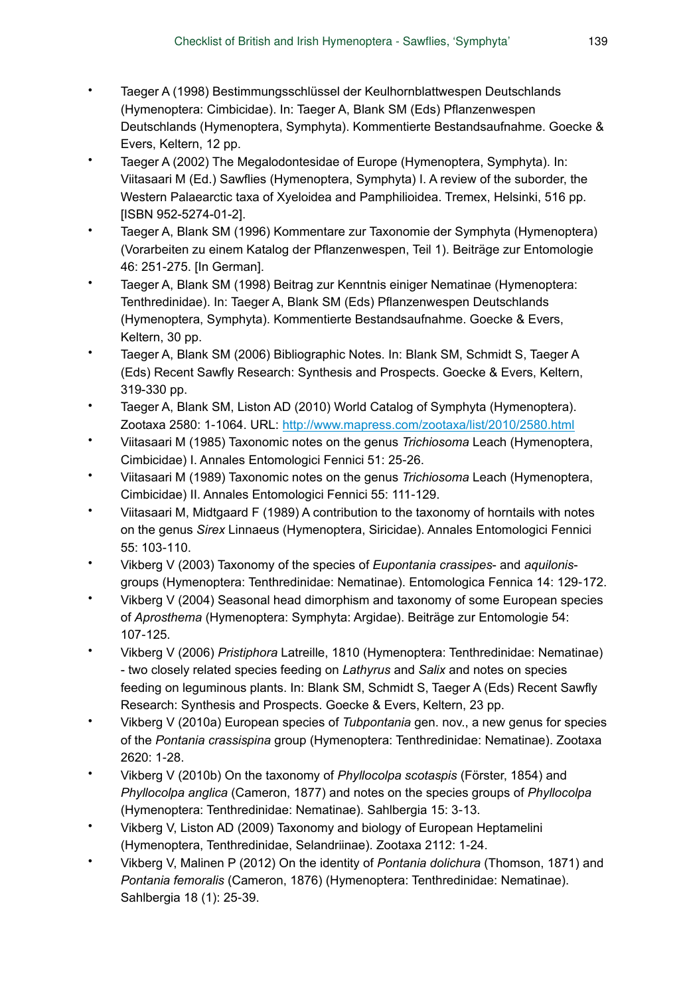- Taeger A (1998) Bestimmungsschlüssel der Keulhornblattwespen Deutschlands (Hymenoptera: Cimbicidae). In: Taeger A, Blank SM (Eds) Pflanzenwespen Deutschlands (Hymenoptera, Symphyta). Kommentierte Bestandsaufnahme. Goecke & Evers, Keltern, 12 pp.
- Taeger A (2002) The Megalodontesidae of Europe (Hymenoptera, Symphyta). In: Viitasaari M (Ed.) Sawflies (Hymenoptera, Symphyta) I. A review of the suborder, the Western Palaearctic taxa of Xyeloidea and Pamphilioidea. Tremex, Helsinki, 516 pp. [ISBN 952-5274-01-2].
- Taeger A, Blank SM (1996) Kommentare zur Taxonomie der Symphyta (Hymenoptera) (Vorarbeiten zu einem Katalog der Pflanzenwespen, Teil 1). Beiträge zur Entomologie 46: 251‑275. [In German].
- Taeger A, Blank SM (1998) Beitrag zur Kenntnis einiger Nematinae (Hymenoptera: Tenthredinidae). In: Taeger A, Blank SM (Eds) Pflanzenwespen Deutschlands (Hymenoptera, Symphyta). Kommentierte Bestandsaufnahme. Goecke & Evers, Keltern, 30 pp.
- Taeger A, Blank SM (2006) Bibliographic Notes. In: Blank SM, Schmidt S, Taeger A (Eds) Recent Sawfly Research: Synthesis and Prospects. Goecke & Evers, Keltern, 319-330 pp.
- Taeger A, Blank SM, Liston AD (2010) World Catalog of Symphyta (Hymenoptera). Zootaxa 2580: 1‑1064. URL: <http://www.mapress.com/zootaxa/list/2010/2580.html>
- Viitasaari M (1985) Taxonomic notes on the genus *Trichiosoma* Leach (Hymenoptera, Cimbicidae) I. Annales Entomologici Fennici 51: 25‑26.
- Viitasaari M (1989) Taxonomic notes on the genus *Trichiosoma* Leach (Hymenoptera, Cimbicidae) II. Annales Entomologici Fennici 55: 111‑129.
- Viitasaari M, Midtgaard F (1989) A contribution to the taxonomy of horntails with notes on the genus *Sirex* Linnaeus (Hymenoptera, Siricidae). Annales Entomologici Fennici 55: 103‑110.
- Vikberg V (2003) Taxonomy of the species of *Eupontania crassipes* and *aquilonis*groups (Hymenoptera: Tenthredinidae: Nematinae). Entomologica Fennica 14: 129‑172.
- Vikberg V (2004) Seasonal head dimorphism and taxonomy of some European species of *Aprosthema* (Hymenoptera: Symphyta: Argidae). Beiträge zur Entomologie 54: 107‑125.
- Vikberg V (2006) *Pristiphora* Latreille, 1810 (Hymenoptera: Tenthredinidae: Nematinae) - two closely related species feeding on *Lathyrus* and *Salix* and notes on species feeding on leguminous plants. In: Blank SM, Schmidt S, Taeger A (Eds) Recent Sawfly Research: Synthesis and Prospects. Goecke & Evers, Keltern, 23 pp.
- Vikberg V (2010a) European species of *Tubpontania* gen. nov., a new genus for species of the *Pontania crassispina* group (Hymenoptera: Tenthredinidae: Nematinae). Zootaxa 2620: 1‑28.
- Vikberg V (2010b) On the taxonomy of *Phyllocolpa scotaspis* (Förster, 1854) and *Phyllocolpa anglica* (Cameron, 1877) and notes on the species groups of *Phyllocolpa* (Hymenoptera: Tenthredinidae: Nematinae). Sahlbergia 15: 3‑13.
- Vikberg V, Liston AD (2009) Taxonomy and biology of European Heptamelini (Hymenoptera, Tenthredinidae, Selandriinae). Zootaxa 2112: 1‑24.
- Vikberg V, Malinen P (2012) On the identity of *Pontania dolichura* (Thomson, 1871) and *Pontania femoralis* (Cameron, 1876) (Hymenoptera: Tenthredinidae: Nematinae). Sahlbergia 18 (1): 25‑39.